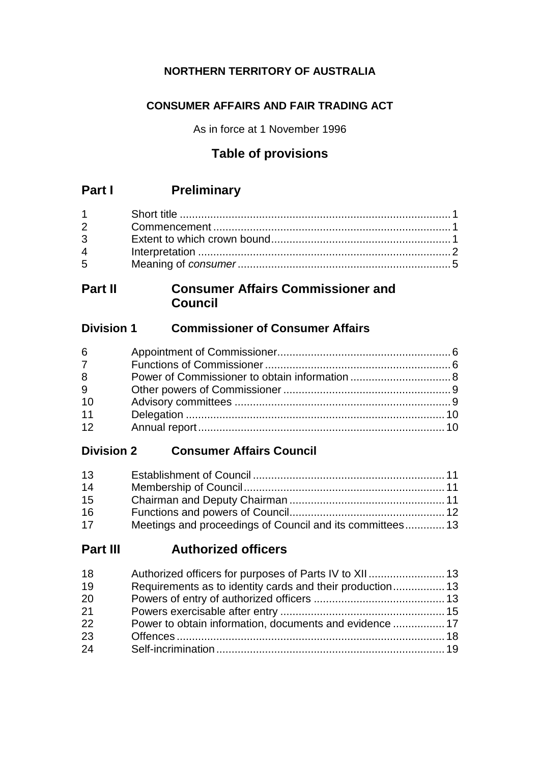### **NORTHERN TERRITORY OF AUSTRALIA**

### **CONSUMER AFFAIRS AND FAIR TRADING ACT**

As in force at 1 November 1996

## **Table of provisions**

## **Part I Preliminary**

| $2 \left( \frac{1}{2} \right)$ |  |
|--------------------------------|--|
| $3 \quad \blacksquare$         |  |
| $\overline{4}$                 |  |
| $5^{\circ}$                    |  |

## **Part II Consumer Affairs Commissioner and Council**

### **Division 1 Commissioner of Consumer Affairs**

| 6           |  |
|-------------|--|
| $7^{\circ}$ |  |
| 8           |  |
| 9           |  |
| 10          |  |
| 11          |  |
| 12          |  |

## **Division 2 Consumer Affairs Council**

| 13 |                                                           |  |
|----|-----------------------------------------------------------|--|
| 14 |                                                           |  |
| 15 |                                                           |  |
| 16 |                                                           |  |
| 17 | Meetings and proceedings of Council and its committees 13 |  |

## **Part III Authorized officers**

| Requirements as to identity cards and their production 13 |
|-----------------------------------------------------------|
|                                                           |
|                                                           |
| Power to obtain information, documents and evidence  17   |
|                                                           |
|                                                           |
|                                                           |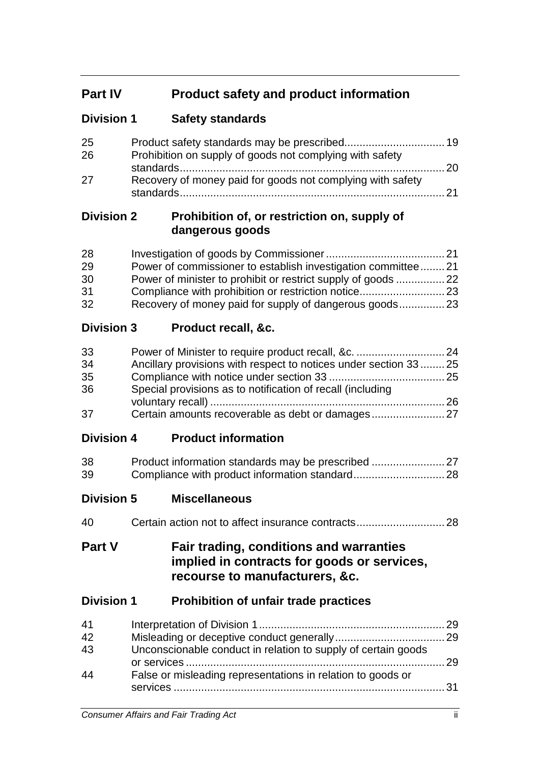# **Part IV Product safety and product information**

## **Division 1 Safety standards**

| 25  |                                                            |  |
|-----|------------------------------------------------------------|--|
| 26  | Prohibition on supply of goods not complying with safety   |  |
|     |                                                            |  |
| -27 | Recovery of money paid for goods not complying with safety |  |

### **Division 2 Prohibition of, or restriction on, supply of dangerous goods**

| 28 |                                                              |  |
|----|--------------------------------------------------------------|--|
| 29 | Power of commissioner to establish investigation committee21 |  |
| 30 |                                                              |  |
| 31 |                                                              |  |
| 32 |                                                              |  |

## **Division 3 Product recall, &c.**

| 33 |                                                                   |  |
|----|-------------------------------------------------------------------|--|
| 34 | Ancillary provisions with respect to notices under section 33  25 |  |
| 35 |                                                                   |  |
| 36 | Special provisions as to notification of recall (including        |  |
|    |                                                                   |  |
| 37 |                                                                   |  |

**Division 4 Product information**

| 38 |  |
|----|--|
| 39 |  |

**Division 5 Miscellaneous**

| 40 |  |  |
|----|--|--|
|----|--|--|

## **Part V Fair trading, conditions and warranties implied in contracts for goods or services, recourse to manufacturers, &c.**

### **Division 1 Prohibition of unfair trade practices**

| 41 |                                                               |  |
|----|---------------------------------------------------------------|--|
| 42 |                                                               |  |
| 43 | Unconscionable conduct in relation to supply of certain goods |  |
| 44 | False or misleading representations in relation to goods or   |  |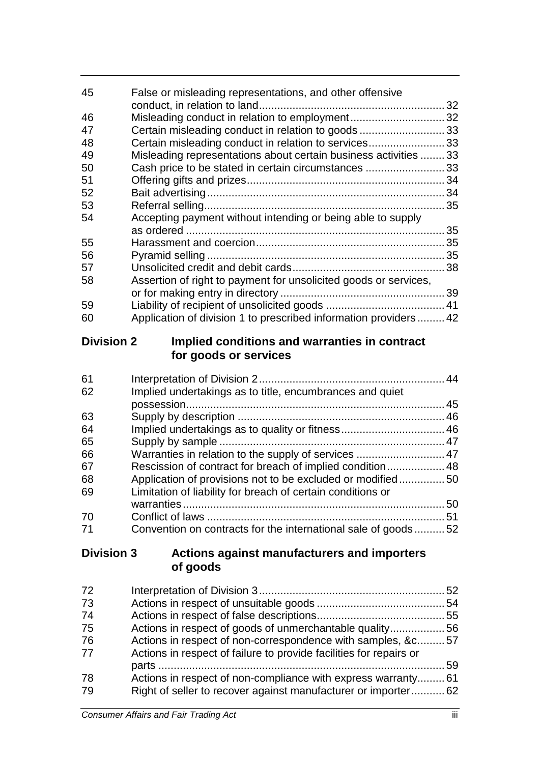| 45 | False or misleading representations, and other offensive          |    |
|----|-------------------------------------------------------------------|----|
|    |                                                                   | 32 |
| 46 | Misleading conduct in relation to employment32                    |    |
| 47 | Certain misleading conduct in relation to goods 33                |    |
| 48 | Certain misleading conduct in relation to services33              |    |
| 49 | Misleading representations about certain business activities  33  |    |
| 50 | Cash price to be stated in certain circumstances 33               |    |
| 51 |                                                                   |    |
| 52 |                                                                   |    |
| 53 |                                                                   |    |
| 54 | Accepting payment without intending or being able to supply       |    |
|    |                                                                   |    |
| 55 |                                                                   |    |
| 56 |                                                                   |    |
| 57 |                                                                   |    |
| 58 | Assertion of right to payment for unsolicited goods or services,  |    |
|    |                                                                   |    |
| 59 |                                                                   |    |
| 60 | Application of division 1 to prescribed information providers  42 |    |

## **Division 2 Implied conditions and warranties in contract for goods or services**

| Implied undertakings as to title, encumbrances and quiet      |                                                            |
|---------------------------------------------------------------|------------------------------------------------------------|
|                                                               |                                                            |
|                                                               |                                                            |
|                                                               |                                                            |
|                                                               |                                                            |
| Warranties in relation to the supply of services  47          |                                                            |
| Rescission of contract for breach of implied condition 48     |                                                            |
|                                                               |                                                            |
| Limitation of liability for breach of certain conditions or   |                                                            |
|                                                               | 50                                                         |
|                                                               |                                                            |
| Convention on contracts for the international sale of goods52 |                                                            |
|                                                               | Application of provisions not to be excluded or modified50 |

## **Division 3 Actions against manufacturers and importers of goods**

| 72 |                                                                    |  |
|----|--------------------------------------------------------------------|--|
| 73 |                                                                    |  |
| 74 |                                                                    |  |
| 75 | Actions in respect of goods of unmerchantable quality56            |  |
| 76 | Actions in respect of non-correspondence with samples, &c57        |  |
| 77 | Actions in respect of failure to provide facilities for repairs or |  |
|    |                                                                    |  |
| 78 | Actions in respect of non-compliance with express warranty61       |  |
| 79 | Right of seller to recover against manufacturer or importer 62     |  |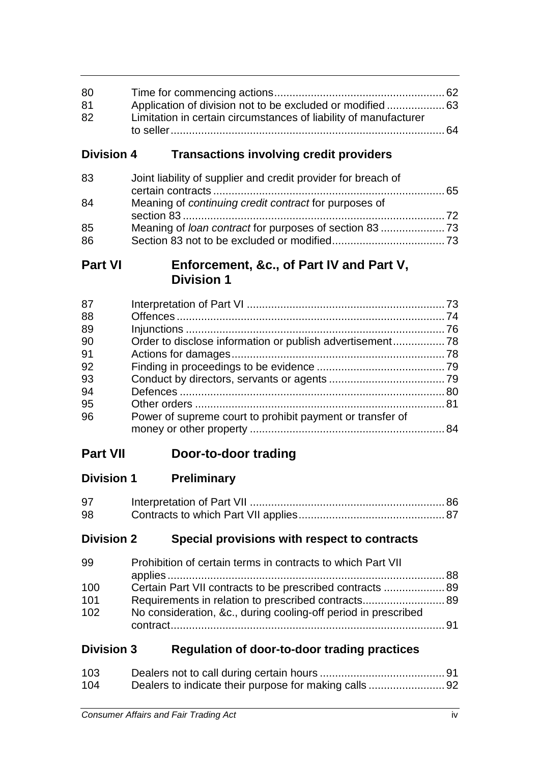| 80 |                                                                  |  |
|----|------------------------------------------------------------------|--|
| 81 | Application of division not to be excluded or modified  63       |  |
| 82 | Limitation in certain circumstances of liability of manufacturer |  |
|    |                                                                  |  |

## **Division 4 Transactions involving credit providers**

| Joint liability of supplier and credit provider for breach of |  |
|---------------------------------------------------------------|--|
| Meaning of <i>continuing credit contract</i> for purposes of  |  |
|                                                               |  |
|                                                               |  |
|                                                               |  |
|                                                               |  |

## **Part VI Enforcement, &c., of Part IV and Part V, Division 1**

| 87 |                                                           |  |
|----|-----------------------------------------------------------|--|
| 88 |                                                           |  |
| 89 |                                                           |  |
| 90 |                                                           |  |
| 91 |                                                           |  |
| 92 |                                                           |  |
| 93 |                                                           |  |
| 94 |                                                           |  |
| 95 |                                                           |  |
| 96 | Power of supreme court to prohibit payment or transfer of |  |
|    |                                                           |  |

# **Part VII Door-to-door trading**

# **Division 1 Preliminary**

| 97 |  |
|----|--|
| 98 |  |

## **Division 2 Special provisions with respect to contracts**

| 99  | Prohibition of certain terms in contracts to which Part VII    |  |
|-----|----------------------------------------------------------------|--|
|     |                                                                |  |
| 100 | Certain Part VII contracts to be prescribed contracts  89      |  |
| 101 | Requirements in relation to prescribed contracts 89            |  |
| 102 | No consideration, &c., during cooling-off period in prescribed |  |
|     |                                                                |  |

# **Division 3 Regulation of door-to-door trading practices**

| 103 |  |
|-----|--|
| 104 |  |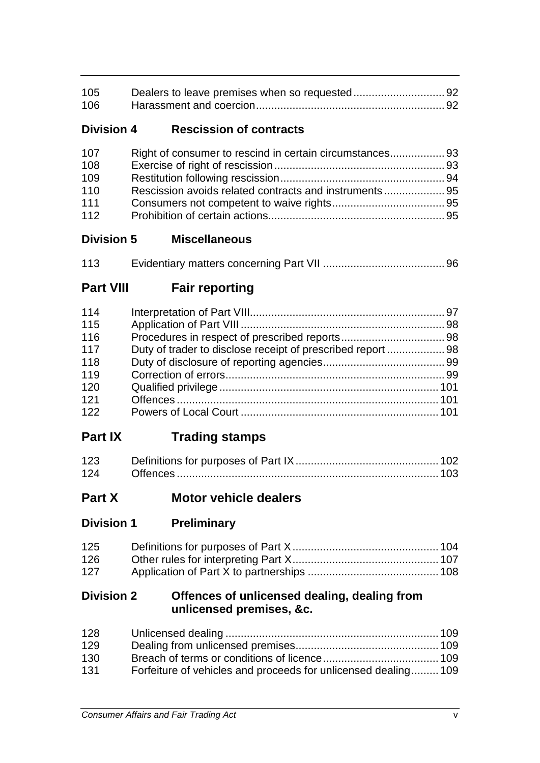| 105 |  |
|-----|--|
| 106 |  |

## **Division 4 Rescission of contracts**

| 107 | Right of consumer to rescind in certain circumstances 93 |  |
|-----|----------------------------------------------------------|--|
| 108 |                                                          |  |
| 109 |                                                          |  |
| 110 |                                                          |  |
| 111 |                                                          |  |
| 112 |                                                          |  |

### **Division 5 Miscellaneous**

| 113 |  |
|-----|--|
|     |  |

# **Part VIII Fair reporting**

| 114 |                                                            |  |
|-----|------------------------------------------------------------|--|
| 115 |                                                            |  |
| 116 |                                                            |  |
| 117 | Duty of trader to disclose receipt of prescribed report 98 |  |
| 118 |                                                            |  |
| 119 |                                                            |  |
| 120 |                                                            |  |
| 121 |                                                            |  |
| 122 |                                                            |  |

# **Part IX Trading stamps**

| 123 |  |
|-----|--|
|     |  |

# **Part X Motor vehicle dealers**

**Division 1 Preliminary**

| 125 |  |
|-----|--|
| 126 |  |
| 127 |  |

### **Division 2 Offences of unlicensed dealing, dealing from unlicensed premises, &c.**

| 128 |                                                                |  |
|-----|----------------------------------------------------------------|--|
| 129 |                                                                |  |
| 130 |                                                                |  |
| 131 | Forfeiture of vehicles and proceeds for unlicensed dealing 109 |  |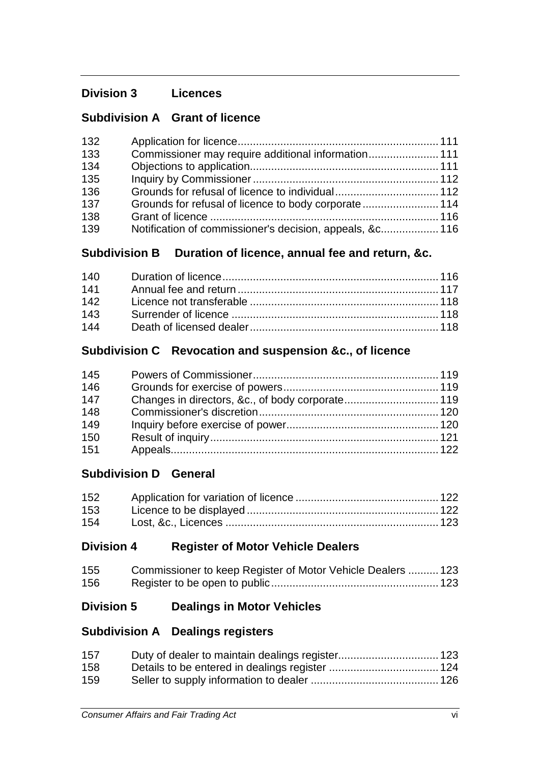## **Division 3 Licences**

## **Subdivision A Grant of licence**

| 132 |                                                          |  |
|-----|----------------------------------------------------------|--|
| 133 | Commissioner may require additional information 111      |  |
| 134 |                                                          |  |
| 135 |                                                          |  |
| 136 |                                                          |  |
| 137 |                                                          |  |
| 138 |                                                          |  |
| 139 | Notification of commissioner's decision, appeals, &c 116 |  |

## **Subdivision B Duration of licence, annual fee and return, &c.**

| 140 |  |
|-----|--|
| 141 |  |
| 142 |  |
| 143 |  |
| 144 |  |

### **Subdivision C Revocation and suspension &c., of licence**

| 145 |  |
|-----|--|
| 146 |  |
| 147 |  |
| 148 |  |
| 149 |  |
| 150 |  |
| 151 |  |

## **Subdivision D General**

| 152 |  |
|-----|--|
| 153 |  |
| 154 |  |

## **Division 4 Register of Motor Vehicle Dealers**

| 155 | Commissioner to keep Register of Motor Vehicle Dealers  123 |  |
|-----|-------------------------------------------------------------|--|
| 156 |                                                             |  |

## **Division 5 Dealings in Motor Vehicles**

## **Subdivision A Dealings registers**

| 157 |  |
|-----|--|
| 158 |  |
| 159 |  |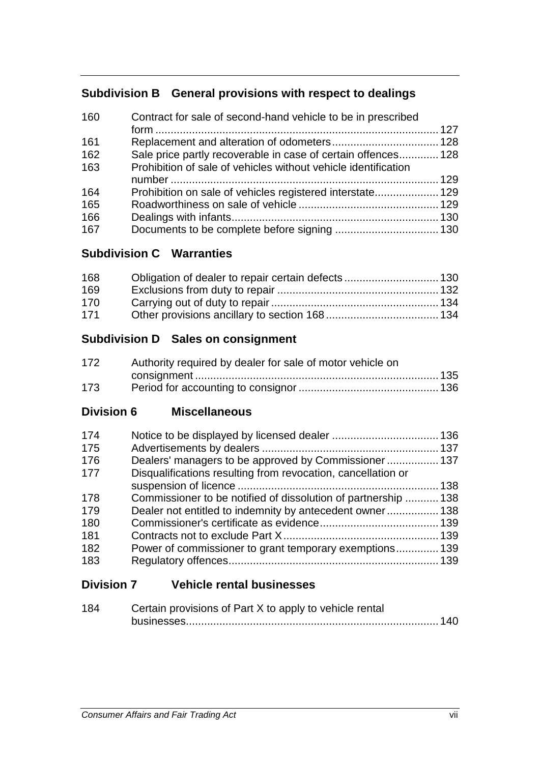## **Subdivision B General provisions with respect to dealings**

| 160 | Contract for sale of second-hand vehicle to be in prescribed   |  |
|-----|----------------------------------------------------------------|--|
| 161 |                                                                |  |
| 162 | Sale price partly recoverable in case of certain offences 128  |  |
| 163 | Prohibition of sale of vehicles without vehicle identification |  |
|     |                                                                |  |
| 164 | Prohibition on sale of vehicles registered interstate 129      |  |
| 165 |                                                                |  |
| 166 |                                                                |  |
| 167 |                                                                |  |

## **Subdivision C Warranties**

| 168 |  |
|-----|--|
| 169 |  |
| 170 |  |
| 171 |  |

## **Subdivision D Sales on consignment**

| 172 | Authority required by dealer for sale of motor vehicle on |  |
|-----|-----------------------------------------------------------|--|
|     |                                                           |  |
| 173 |                                                           |  |

**Division 6 Miscellaneous**

| 174 |                                                                |  |
|-----|----------------------------------------------------------------|--|
| 175 |                                                                |  |
| 176 | Dealers' managers to be approved by Commissioner 137           |  |
| 177 | Disqualifications resulting from revocation, cancellation or   |  |
|     |                                                                |  |
| 178 | Commissioner to be notified of dissolution of partnership  138 |  |
| 179 | Dealer not entitled to indemnity by antecedent owner 138       |  |
| 180 |                                                                |  |
| 181 |                                                                |  |
| 182 | Power of commissioner to grant temporary exemptions 139        |  |
| 183 |                                                                |  |

## **Division 7 Vehicle rental businesses**

| 184 | Certain provisions of Part X to apply to vehicle rental |  |
|-----|---------------------------------------------------------|--|
|     |                                                         |  |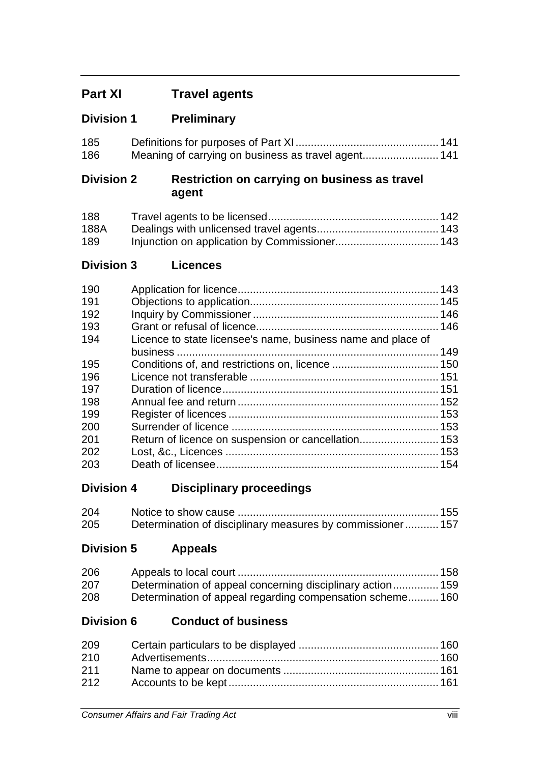# **Part XI Travel agents**

## **Division 1 Preliminary**

| 185 |  |
|-----|--|
| 186 |  |

### **Division 2 Restriction on carrying on business as travel agent**

| 188  |  |
|------|--|
| 188A |  |
| 189  |  |

## **Division 3 Licences**

| 190 |                                                              |  |
|-----|--------------------------------------------------------------|--|
| 191 |                                                              |  |
| 192 |                                                              |  |
| 193 |                                                              |  |
| 194 | Licence to state licensee's name, business name and place of |  |
|     |                                                              |  |
| 195 |                                                              |  |
| 196 |                                                              |  |
| 197 |                                                              |  |
| 198 |                                                              |  |
| 199 |                                                              |  |
| 200 |                                                              |  |
| 201 |                                                              |  |
| 202 |                                                              |  |
| 203 |                                                              |  |

## **Division 4 Disciplinary proceedings**

| 204 |                                                            |  |
|-----|------------------------------------------------------------|--|
| 205 | Determination of disciplinary measures by commissioner 157 |  |

## **Division 5 Appeals**

| 206 |                                                            |  |
|-----|------------------------------------------------------------|--|
| 207 | Determination of appeal concerning disciplinary action 159 |  |
| 208 | Determination of appeal regarding compensation scheme160   |  |

## **Division 6 Conduct of business**

| 209 |  |
|-----|--|
| 210 |  |
| 211 |  |
| 212 |  |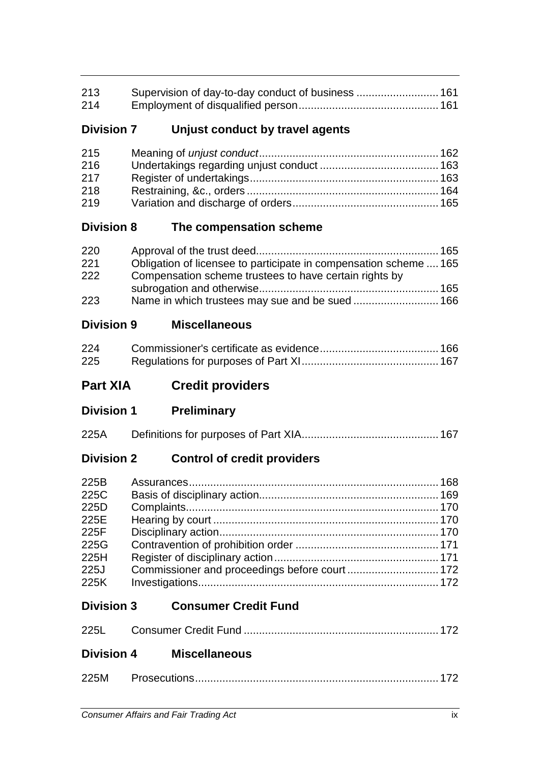| 213 |  |
|-----|--|
| 214 |  |

## **Division 7 Unjust conduct by travel agents**

| 215 |  |
|-----|--|
| 216 |  |
| 217 |  |
| 218 |  |
| 219 |  |

### **Division 8 The compensation scheme**

| 220 |                                                                   |  |
|-----|-------------------------------------------------------------------|--|
| 221 | Obligation of licensee to participate in compensation scheme  165 |  |
| 222 | Compensation scheme trustees to have certain rights by            |  |
|     |                                                                   |  |
| 223 |                                                                   |  |

### **Division 9 Miscellaneous**

| 224 |  |
|-----|--|
| 225 |  |

## **Part XIA Credit providers**

**Division 1 Preliminary**

| 225A |  |  |
|------|--|--|
|------|--|--|

## **Division 2 Control of credit providers**

| 225B |  |
|------|--|
| 225C |  |
| 225D |  |
| 225E |  |
| 225F |  |
| 225G |  |
| 225H |  |
| 225J |  |
| 225K |  |

## **Division 3 Consumer Credit Fund**

## **Division 4 Miscellaneous**

| 225M |  |
|------|--|
|      |  |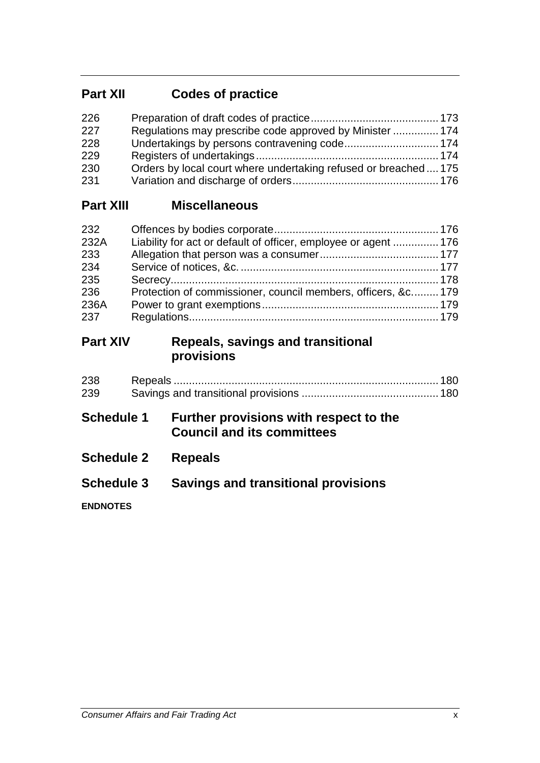# **Part XII Codes of practice**

| 226 |                                                                |  |
|-----|----------------------------------------------------------------|--|
| 227 | Regulations may prescribe code approved by Minister  174       |  |
| 228 |                                                                |  |
| 229 |                                                                |  |
| 230 | Orders by local court where undertaking refused or breached175 |  |
| 231 |                                                                |  |

### **Part XIII Miscellaneous**

| 232  |                                                                 |  |
|------|-----------------------------------------------------------------|--|
| 232A | Liability for act or default of officer, employee or agent  176 |  |
| 233  |                                                                 |  |
| 234  |                                                                 |  |
| 235  |                                                                 |  |
| 236  | Protection of commissioner, council members, officers, &c 179   |  |
| 236A |                                                                 |  |
| 237  |                                                                 |  |

## **Part XIV Repeals, savings and transitional provisions**

| 238 |  |
|-----|--|
| 239 |  |

# **Schedule 1 Further provisions with respect to the Council and its committees**

- **Schedule 2 Repeals**
- **Schedule 3 Savings and transitional provisions**

**ENDNOTES**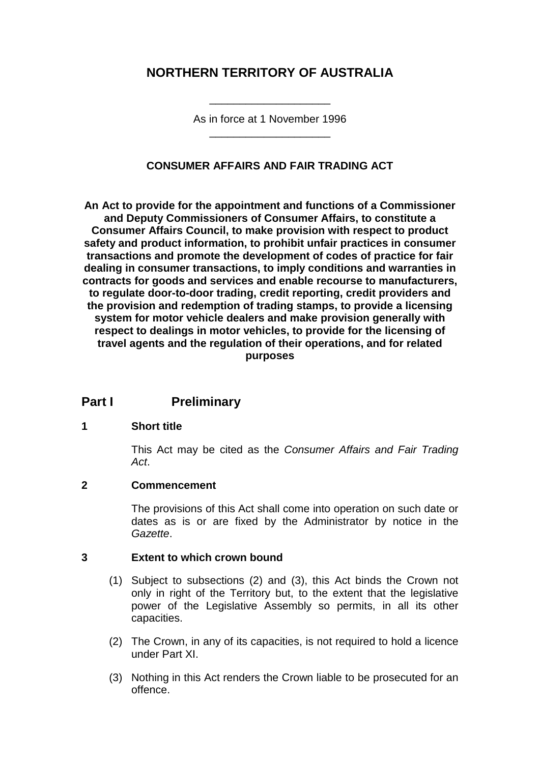## **NORTHERN TERRITORY OF AUSTRALIA**

As in force at 1 November 1996 \_\_\_\_\_\_\_\_\_\_\_\_\_\_\_\_\_\_\_\_

\_\_\_\_\_\_\_\_\_\_\_\_\_\_\_\_\_\_\_\_

### **CONSUMER AFFAIRS AND FAIR TRADING ACT**

**An Act to provide for the appointment and functions of a Commissioner and Deputy Commissioners of Consumer Affairs, to constitute a Consumer Affairs Council, to make provision with respect to product safety and product information, to prohibit unfair practices in consumer transactions and promote the development of codes of practice for fair dealing in consumer transactions, to imply conditions and warranties in contracts for goods and services and enable recourse to manufacturers, to regulate door-to-door trading, credit reporting, credit providers and the provision and redemption of trading stamps, to provide a licensing system for motor vehicle dealers and make provision generally with respect to dealings in motor vehicles, to provide for the licensing of travel agents and the regulation of their operations, and for related purposes**

## **Part I Preliminary**

### **1 Short title**

This Act may be cited as the *Consumer Affairs and Fair Trading Act*.

### **2 Commencement**

The provisions of this Act shall come into operation on such date or dates as is or are fixed by the Administrator by notice in the *Gazette*.

### **3 Extent to which crown bound**

- (1) Subject to subsections (2) and (3), this Act binds the Crown not only in right of the Territory but, to the extent that the legislative power of the Legislative Assembly so permits, in all its other capacities.
- (2) The Crown, in any of its capacities, is not required to hold a licence under Part XI.
- (3) Nothing in this Act renders the Crown liable to be prosecuted for an offence.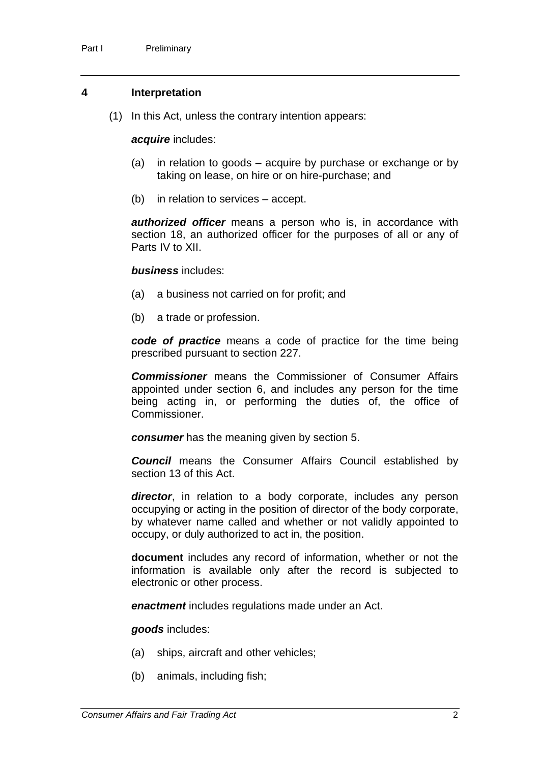#### **4 Interpretation**

(1) In this Act, unless the contrary intention appears:

#### *acquire* includes:

- (a) in relation to goods acquire by purchase or exchange or by taking on lease, on hire or on hire-purchase; and
- (b) in relation to services accept.

*authorized officer* means a person who is, in accordance with section 18, an authorized officer for the purposes of all or any of Parts IV to XII.

#### *business* includes:

- (a) a business not carried on for profit; and
- (b) a trade or profession.

*code of practice* means a code of practice for the time being prescribed pursuant to section 227.

*Commissioner* means the Commissioner of Consumer Affairs appointed under section 6, and includes any person for the time being acting in, or performing the duties of, the office of Commissioner.

*consumer* has the meaning given by section 5.

*Council* means the Consumer Affairs Council established by section 13 of this Act.

*director*, in relation to a body corporate, includes any person occupying or acting in the position of director of the body corporate, by whatever name called and whether or not validly appointed to occupy, or duly authorized to act in, the position.

**document** includes any record of information, whether or not the information is available only after the record is subjected to electronic or other process.

*enactment* includes regulations made under an Act.

*goods* includes:

- (a) ships, aircraft and other vehicles;
- (b) animals, including fish;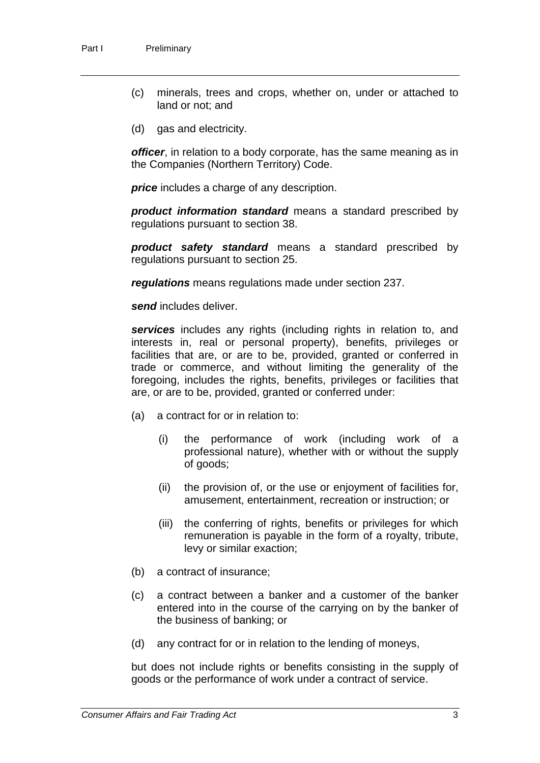- (c) minerals, trees and crops, whether on, under or attached to land or not; and
- (d) gas and electricity.

*officer*, in relation to a body corporate, has the same meaning as in the Companies (Northern Territory) Code.

*price* includes a charge of any description.

*product information standard* means a standard prescribed by regulations pursuant to section 38.

*product safety standard* means a standard prescribed by regulations pursuant to section 25.

*regulations* means regulations made under section 237.

*send* includes deliver.

*services* includes any rights (including rights in relation to, and interests in, real or personal property), benefits, privileges or facilities that are, or are to be, provided, granted or conferred in trade or commerce, and without limiting the generality of the foregoing, includes the rights, benefits, privileges or facilities that are, or are to be, provided, granted or conferred under:

- (a) a contract for or in relation to:
	- (i) the performance of work (including work of a professional nature), whether with or without the supply of goods;
	- (ii) the provision of, or the use or enjoyment of facilities for, amusement, entertainment, recreation or instruction; or
	- (iii) the conferring of rights, benefits or privileges for which remuneration is payable in the form of a royalty, tribute, levy or similar exaction;
- (b) a contract of insurance;
- (c) a contract between a banker and a customer of the banker entered into in the course of the carrying on by the banker of the business of banking; or
- (d) any contract for or in relation to the lending of moneys,

but does not include rights or benefits consisting in the supply of goods or the performance of work under a contract of service.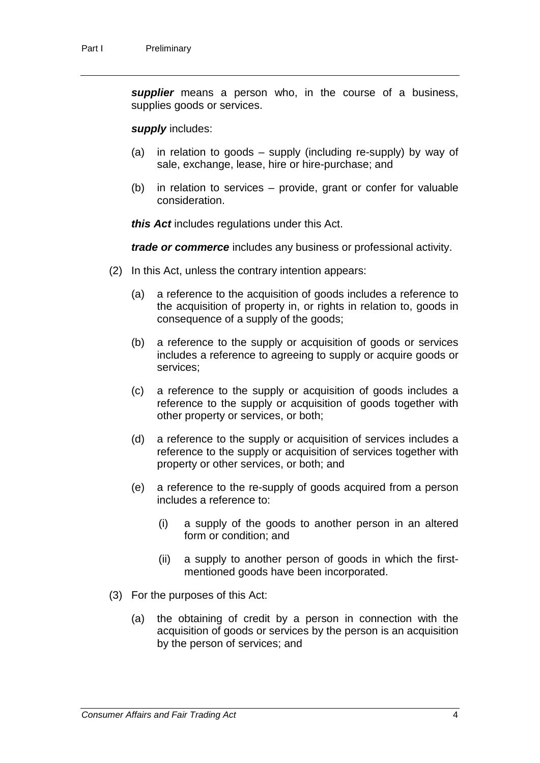*supplier* means a person who, in the course of a business, supplies goods or services.

#### *supply* includes:

- (a) in relation to goods supply (including re-supply) by way of sale, exchange, lease, hire or hire-purchase; and
- (b) in relation to services provide, grant or confer for valuable consideration.

*this Act* includes regulations under this Act.

*trade or commerce* includes any business or professional activity.

- (2) In this Act, unless the contrary intention appears:
	- (a) a reference to the acquisition of goods includes a reference to the acquisition of property in, or rights in relation to, goods in consequence of a supply of the goods;
	- (b) a reference to the supply or acquisition of goods or services includes a reference to agreeing to supply or acquire goods or services;
	- (c) a reference to the supply or acquisition of goods includes a reference to the supply or acquisition of goods together with other property or services, or both;
	- (d) a reference to the supply or acquisition of services includes a reference to the supply or acquisition of services together with property or other services, or both; and
	- (e) a reference to the re-supply of goods acquired from a person includes a reference to:
		- (i) a supply of the goods to another person in an altered form or condition; and
		- (ii) a supply to another person of goods in which the firstmentioned goods have been incorporated.
- (3) For the purposes of this Act:
	- (a) the obtaining of credit by a person in connection with the acquisition of goods or services by the person is an acquisition by the person of services; and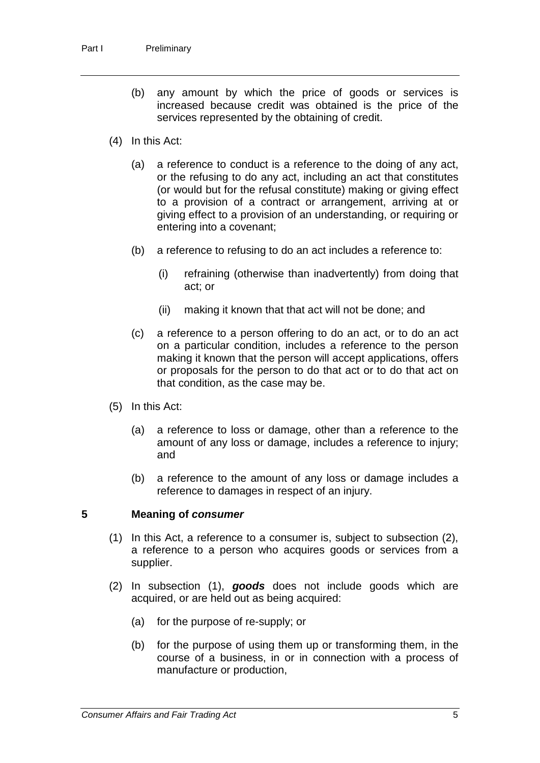- (b) any amount by which the price of goods or services is increased because credit was obtained is the price of the services represented by the obtaining of credit.
- (4) In this Act:
	- (a) a reference to conduct is a reference to the doing of any act, or the refusing to do any act, including an act that constitutes (or would but for the refusal constitute) making or giving effect to a provision of a contract or arrangement, arriving at or giving effect to a provision of an understanding, or requiring or entering into a covenant;
	- (b) a reference to refusing to do an act includes a reference to:
		- (i) refraining (otherwise than inadvertently) from doing that act; or
		- (ii) making it known that that act will not be done; and
	- (c) a reference to a person offering to do an act, or to do an act on a particular condition, includes a reference to the person making it known that the person will accept applications, offers or proposals for the person to do that act or to do that act on that condition, as the case may be.
- (5) In this Act:
	- (a) a reference to loss or damage, other than a reference to the amount of any loss or damage, includes a reference to injury; and
	- (b) a reference to the amount of any loss or damage includes a reference to damages in respect of an injury.

#### **5 Meaning of** *consumer*

- (1) In this Act, a reference to a consumer is, subject to subsection (2), a reference to a person who acquires goods or services from a supplier.
- (2) In subsection (1), *goods* does not include goods which are acquired, or are held out as being acquired:
	- (a) for the purpose of re-supply; or
	- (b) for the purpose of using them up or transforming them, in the course of a business, in or in connection with a process of manufacture or production,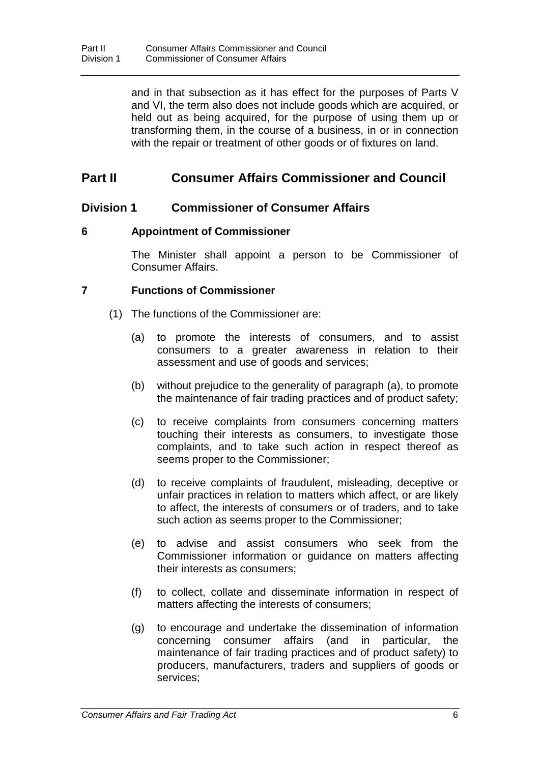and in that subsection as it has effect for the purposes of Parts V and VI, the term also does not include goods which are acquired, or held out as being acquired, for the purpose of using them up or transforming them, in the course of a business, in or in connection with the repair or treatment of other goods or of fixtures on land.

## **Part II Consumer Affairs Commissioner and Council**

### **Division 1 Commissioner of Consumer Affairs**

### **6 Appointment of Commissioner**

The Minister shall appoint a person to be Commissioner of Consumer Affairs.

### **7 Functions of Commissioner**

- (1) The functions of the Commissioner are:
	- (a) to promote the interests of consumers, and to assist consumers to a greater awareness in relation to their assessment and use of goods and services;
	- (b) without prejudice to the generality of paragraph (a), to promote the maintenance of fair trading practices and of product safety;
	- (c) to receive complaints from consumers concerning matters touching their interests as consumers, to investigate those complaints, and to take such action in respect thereof as seems proper to the Commissioner;
	- (d) to receive complaints of fraudulent, misleading, deceptive or unfair practices in relation to matters which affect, or are likely to affect, the interests of consumers or of traders, and to take such action as seems proper to the Commissioner;
	- (e) to advise and assist consumers who seek from the Commissioner information or guidance on matters affecting their interests as consumers;
	- (f) to collect, collate and disseminate information in respect of matters affecting the interests of consumers;
	- (g) to encourage and undertake the dissemination of information concerning consumer affairs (and in particular, the maintenance of fair trading practices and of product safety) to producers, manufacturers, traders and suppliers of goods or services;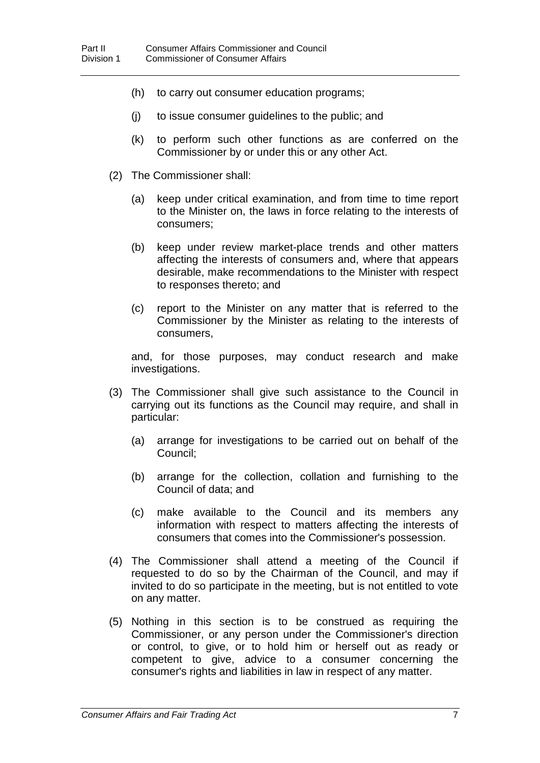- (h) to carry out consumer education programs;
- (j) to issue consumer guidelines to the public; and
- (k) to perform such other functions as are conferred on the Commissioner by or under this or any other Act.
- (2) The Commissioner shall:
	- (a) keep under critical examination, and from time to time report to the Minister on, the laws in force relating to the interests of consumers;
	- (b) keep under review market-place trends and other matters affecting the interests of consumers and, where that appears desirable, make recommendations to the Minister with respect to responses thereto; and
	- (c) report to the Minister on any matter that is referred to the Commissioner by the Minister as relating to the interests of consumers,

and, for those purposes, may conduct research and make investigations.

- (3) The Commissioner shall give such assistance to the Council in carrying out its functions as the Council may require, and shall in particular:
	- (a) arrange for investigations to be carried out on behalf of the Council;
	- (b) arrange for the collection, collation and furnishing to the Council of data; and
	- (c) make available to the Council and its members any information with respect to matters affecting the interests of consumers that comes into the Commissioner's possession.
- (4) The Commissioner shall attend a meeting of the Council if requested to do so by the Chairman of the Council, and may if invited to do so participate in the meeting, but is not entitled to vote on any matter.
- (5) Nothing in this section is to be construed as requiring the Commissioner, or any person under the Commissioner's direction or control, to give, or to hold him or herself out as ready or competent to give, advice to a consumer concerning the consumer's rights and liabilities in law in respect of any matter.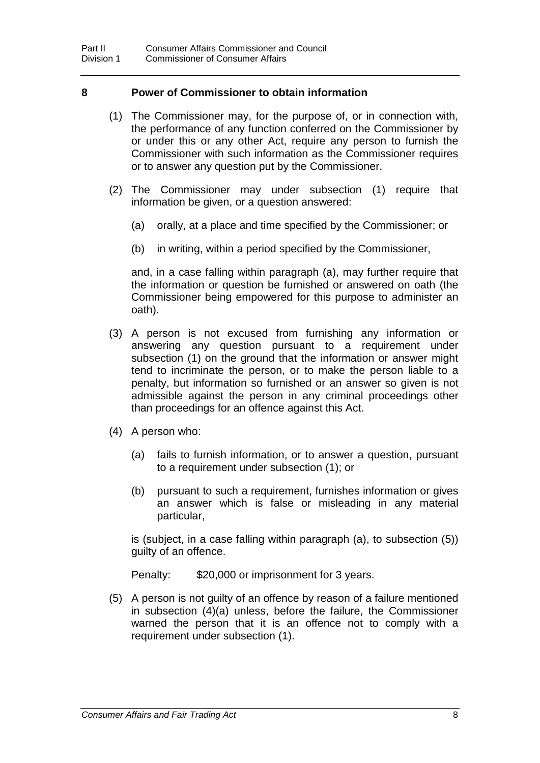#### **8 Power of Commissioner to obtain information**

- (1) The Commissioner may, for the purpose of, or in connection with, the performance of any function conferred on the Commissioner by or under this or any other Act, require any person to furnish the Commissioner with such information as the Commissioner requires or to answer any question put by the Commissioner.
- (2) The Commissioner may under subsection (1) require that information be given, or a question answered:
	- (a) orally, at a place and time specified by the Commissioner; or
	- (b) in writing, within a period specified by the Commissioner,

and, in a case falling within paragraph (a), may further require that the information or question be furnished or answered on oath (the Commissioner being empowered for this purpose to administer an oath).

- (3) A person is not excused from furnishing any information or answering any question pursuant to a requirement under subsection (1) on the ground that the information or answer might tend to incriminate the person, or to make the person liable to a penalty, but information so furnished or an answer so given is not admissible against the person in any criminal proceedings other than proceedings for an offence against this Act.
- (4) A person who:
	- (a) fails to furnish information, or to answer a question, pursuant to a requirement under subsection (1); or
	- (b) pursuant to such a requirement, furnishes information or gives an answer which is false or misleading in any material particular,

is (subject, in a case falling within paragraph (a), to subsection (5)) guilty of an offence.

Penalty: \$20,000 or imprisonment for 3 years.

(5) A person is not guilty of an offence by reason of a failure mentioned in subsection (4)(a) unless, before the failure, the Commissioner warned the person that it is an offence not to comply with a requirement under subsection (1).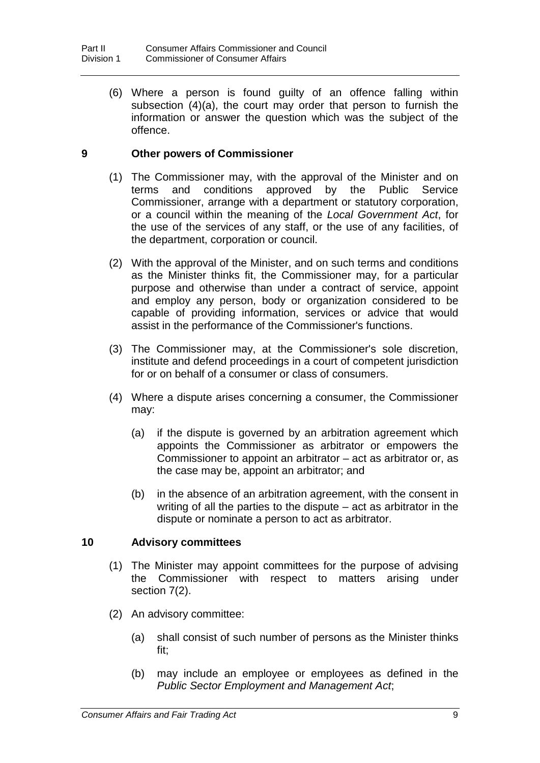(6) Where a person is found guilty of an offence falling within subsection (4)(a), the court may order that person to furnish the information or answer the question which was the subject of the offence.

### **9 Other powers of Commissioner**

- (1) The Commissioner may, with the approval of the Minister and on terms and conditions approved by the Public Service Commissioner, arrange with a department or statutory corporation, or a council within the meaning of the *Local Government Act*, for the use of the services of any staff, or the use of any facilities, of the department, corporation or council.
- (2) With the approval of the Minister, and on such terms and conditions as the Minister thinks fit, the Commissioner may, for a particular purpose and otherwise than under a contract of service, appoint and employ any person, body or organization considered to be capable of providing information, services or advice that would assist in the performance of the Commissioner's functions.
- (3) The Commissioner may, at the Commissioner's sole discretion, institute and defend proceedings in a court of competent jurisdiction for or on behalf of a consumer or class of consumers.
- (4) Where a dispute arises concerning a consumer, the Commissioner may:
	- (a) if the dispute is governed by an arbitration agreement which appoints the Commissioner as arbitrator or empowers the Commissioner to appoint an arbitrator – act as arbitrator or, as the case may be, appoint an arbitrator; and
	- (b) in the absence of an arbitration agreement, with the consent in writing of all the parties to the dispute – act as arbitrator in the dispute or nominate a person to act as arbitrator.

### **10 Advisory committees**

- (1) The Minister may appoint committees for the purpose of advising the Commissioner with respect to matters arising under section 7(2).
- (2) An advisory committee:
	- (a) shall consist of such number of persons as the Minister thinks fit;
	- (b) may include an employee or employees as defined in the *Public Sector Employment and Management Act*;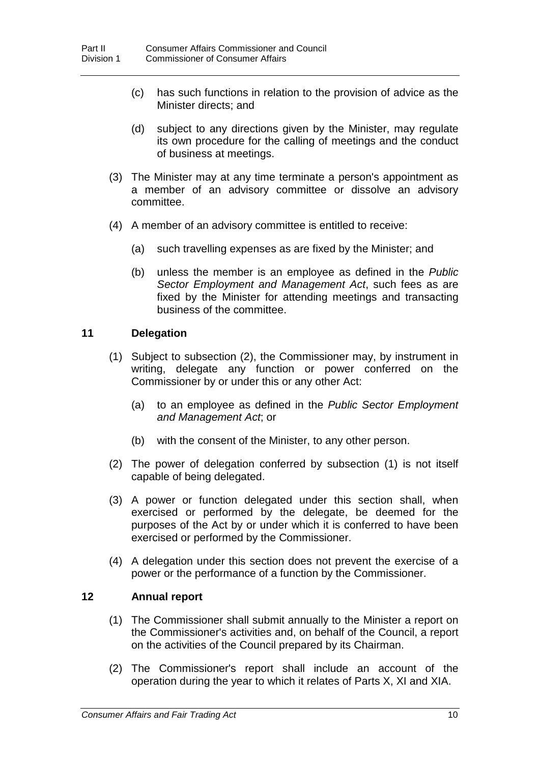- (c) has such functions in relation to the provision of advice as the Minister directs; and
- (d) subject to any directions given by the Minister, may regulate its own procedure for the calling of meetings and the conduct of business at meetings.
- (3) The Minister may at any time terminate a person's appointment as a member of an advisory committee or dissolve an advisory committee.
- (4) A member of an advisory committee is entitled to receive:
	- (a) such travelling expenses as are fixed by the Minister; and
	- (b) unless the member is an employee as defined in the *Public Sector Employment and Management Act*, such fees as are fixed by the Minister for attending meetings and transacting business of the committee.

### **11 Delegation**

- (1) Subject to subsection (2), the Commissioner may, by instrument in writing, delegate any function or power conferred on the Commissioner by or under this or any other Act:
	- (a) to an employee as defined in the *Public Sector Employment and Management Act*; or
	- (b) with the consent of the Minister, to any other person.
- (2) The power of delegation conferred by subsection (1) is not itself capable of being delegated.
- (3) A power or function delegated under this section shall, when exercised or performed by the delegate, be deemed for the purposes of the Act by or under which it is conferred to have been exercised or performed by the Commissioner.
- (4) A delegation under this section does not prevent the exercise of a power or the performance of a function by the Commissioner.

### **12 Annual report**

- (1) The Commissioner shall submit annually to the Minister a report on the Commissioner's activities and, on behalf of the Council, a report on the activities of the Council prepared by its Chairman.
- (2) The Commissioner's report shall include an account of the operation during the year to which it relates of Parts X, XI and XIA.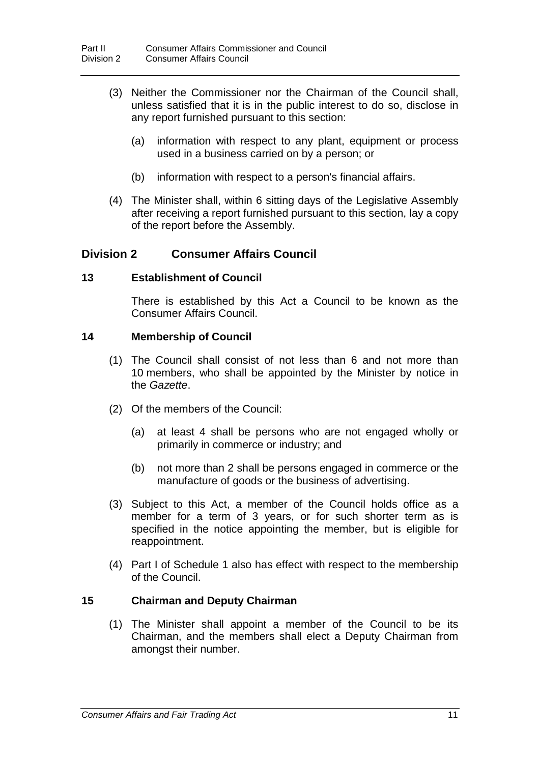- (3) Neither the Commissioner nor the Chairman of the Council shall, unless satisfied that it is in the public interest to do so, disclose in any report furnished pursuant to this section:
	- (a) information with respect to any plant, equipment or process used in a business carried on by a person; or
	- (b) information with respect to a person's financial affairs.
- (4) The Minister shall, within 6 sitting days of the Legislative Assembly after receiving a report furnished pursuant to this section, lay a copy of the report before the Assembly.

### **Division 2 Consumer Affairs Council**

### **13 Establishment of Council**

There is established by this Act a Council to be known as the Consumer Affairs Council.

### **14 Membership of Council**

- (1) The Council shall consist of not less than 6 and not more than 10 members, who shall be appointed by the Minister by notice in the *Gazette*.
- (2) Of the members of the Council:
	- (a) at least 4 shall be persons who are not engaged wholly or primarily in commerce or industry; and
	- (b) not more than 2 shall be persons engaged in commerce or the manufacture of goods or the business of advertising.
- (3) Subject to this Act, a member of the Council holds office as a member for a term of 3 years, or for such shorter term as is specified in the notice appointing the member, but is eligible for reappointment.
- (4) Part I of Schedule 1 also has effect with respect to the membership of the Council.

### **15 Chairman and Deputy Chairman**

(1) The Minister shall appoint a member of the Council to be its Chairman, and the members shall elect a Deputy Chairman from amongst their number.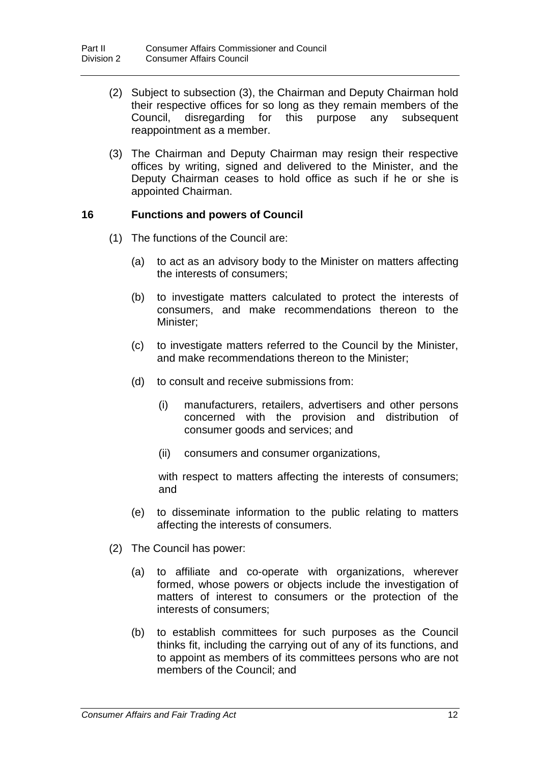- (2) Subject to subsection (3), the Chairman and Deputy Chairman hold their respective offices for so long as they remain members of the Council, disregarding for this purpose any subsequent Council, disregarding for this reappointment as a member.
- (3) The Chairman and Deputy Chairman may resign their respective offices by writing, signed and delivered to the Minister, and the Deputy Chairman ceases to hold office as such if he or she is appointed Chairman.

### **16 Functions and powers of Council**

- (1) The functions of the Council are:
	- (a) to act as an advisory body to the Minister on matters affecting the interests of consumers;
	- (b) to investigate matters calculated to protect the interests of consumers, and make recommendations thereon to the Minister;
	- (c) to investigate matters referred to the Council by the Minister, and make recommendations thereon to the Minister;
	- (d) to consult and receive submissions from:
		- (i) manufacturers, retailers, advertisers and other persons concerned with the provision and distribution of consumer goods and services; and
		- (ii) consumers and consumer organizations,

with respect to matters affecting the interests of consumers; and

- (e) to disseminate information to the public relating to matters affecting the interests of consumers.
- (2) The Council has power:
	- (a) to affiliate and co-operate with organizations, wherever formed, whose powers or objects include the investigation of matters of interest to consumers or the protection of the interests of consumers;
	- (b) to establish committees for such purposes as the Council thinks fit, including the carrying out of any of its functions, and to appoint as members of its committees persons who are not members of the Council; and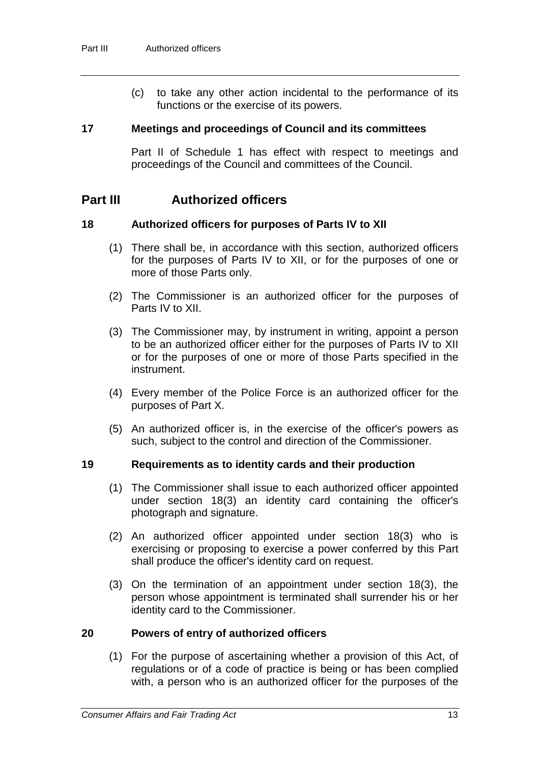(c) to take any other action incidental to the performance of its functions or the exercise of its powers.

#### **17 Meetings and proceedings of Council and its committees**

Part II of Schedule 1 has effect with respect to meetings and proceedings of the Council and committees of the Council.

### **Part III Authorized officers**

### **18 Authorized officers for purposes of Parts IV to XII**

- (1) There shall be, in accordance with this section, authorized officers for the purposes of Parts IV to XII, or for the purposes of one or more of those Parts only.
- (2) The Commissioner is an authorized officer for the purposes of Parts IV to XII.
- (3) The Commissioner may, by instrument in writing, appoint a person to be an authorized officer either for the purposes of Parts IV to XII or for the purposes of one or more of those Parts specified in the instrument.
- (4) Every member of the Police Force is an authorized officer for the purposes of Part X.
- (5) An authorized officer is, in the exercise of the officer's powers as such, subject to the control and direction of the Commissioner.

### **19 Requirements as to identity cards and their production**

- (1) The Commissioner shall issue to each authorized officer appointed under section 18(3) an identity card containing the officer's photograph and signature.
- (2) An authorized officer appointed under section 18(3) who is exercising or proposing to exercise a power conferred by this Part shall produce the officer's identity card on request.
- (3) On the termination of an appointment under section 18(3), the person whose appointment is terminated shall surrender his or her identity card to the Commissioner.

### **20 Powers of entry of authorized officers**

(1) For the purpose of ascertaining whether a provision of this Act, of regulations or of a code of practice is being or has been complied with, a person who is an authorized officer for the purposes of the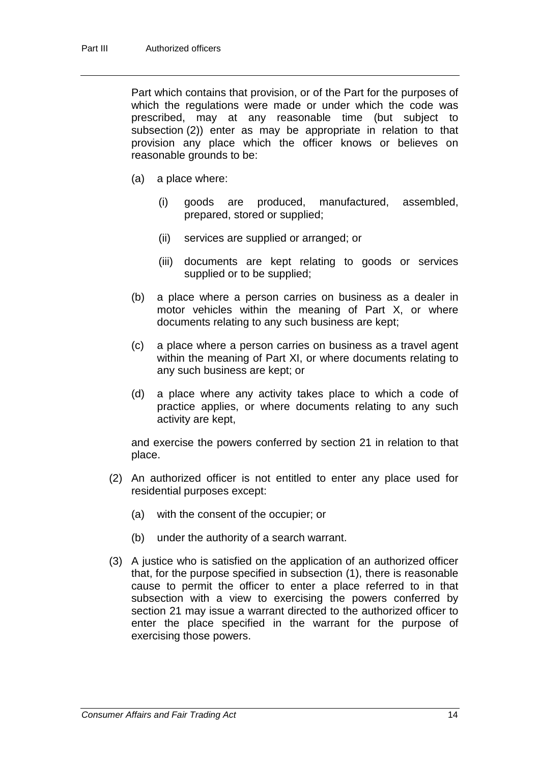Part which contains that provision, or of the Part for the purposes of which the regulations were made or under which the code was prescribed, may at any reasonable time (but subject to subsection (2)) enter as may be appropriate in relation to that provision any place which the officer knows or believes on reasonable grounds to be:

- (a) a place where:
	- (i) goods are produced, manufactured, assembled, prepared, stored or supplied;
	- (ii) services are supplied or arranged; or
	- (iii) documents are kept relating to goods or services supplied or to be supplied;
- (b) a place where a person carries on business as a dealer in motor vehicles within the meaning of Part X, or where documents relating to any such business are kept;
- (c) a place where a person carries on business as a travel agent within the meaning of Part XI, or where documents relating to any such business are kept; or
- (d) a place where any activity takes place to which a code of practice applies, or where documents relating to any such activity are kept,

and exercise the powers conferred by section 21 in relation to that place.

- (2) An authorized officer is not entitled to enter any place used for residential purposes except:
	- (a) with the consent of the occupier; or
	- (b) under the authority of a search warrant.
- (3) A justice who is satisfied on the application of an authorized officer that, for the purpose specified in subsection (1), there is reasonable cause to permit the officer to enter a place referred to in that subsection with a view to exercising the powers conferred by section 21 may issue a warrant directed to the authorized officer to enter the place specified in the warrant for the purpose of exercising those powers.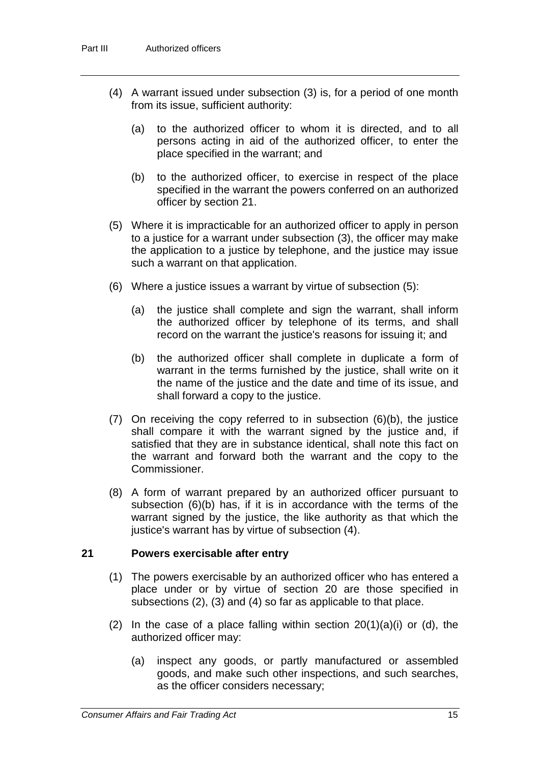- (4) A warrant issued under subsection (3) is, for a period of one month from its issue, sufficient authority:
	- (a) to the authorized officer to whom it is directed, and to all persons acting in aid of the authorized officer, to enter the place specified in the warrant; and
	- (b) to the authorized officer, to exercise in respect of the place specified in the warrant the powers conferred on an authorized officer by section 21.
- (5) Where it is impracticable for an authorized officer to apply in person to a justice for a warrant under subsection (3), the officer may make the application to a justice by telephone, and the justice may issue such a warrant on that application.
- (6) Where a justice issues a warrant by virtue of subsection (5):
	- (a) the justice shall complete and sign the warrant, shall inform the authorized officer by telephone of its terms, and shall record on the warrant the justice's reasons for issuing it; and
	- (b) the authorized officer shall complete in duplicate a form of warrant in the terms furnished by the justice, shall write on it the name of the justice and the date and time of its issue, and shall forward a copy to the justice.
- (7) On receiving the copy referred to in subsection (6)(b), the justice shall compare it with the warrant signed by the justice and, if satisfied that they are in substance identical, shall note this fact on the warrant and forward both the warrant and the copy to the Commissioner.
- (8) A form of warrant prepared by an authorized officer pursuant to subsection (6)(b) has, if it is in accordance with the terms of the warrant signed by the justice, the like authority as that which the justice's warrant has by virtue of subsection (4).

### **21 Powers exercisable after entry**

- (1) The powers exercisable by an authorized officer who has entered a place under or by virtue of section 20 are those specified in subsections (2), (3) and (4) so far as applicable to that place.
- (2) In the case of a place falling within section  $20(1)(a)(i)$  or (d), the authorized officer may:
	- (a) inspect any goods, or partly manufactured or assembled goods, and make such other inspections, and such searches, as the officer considers necessary;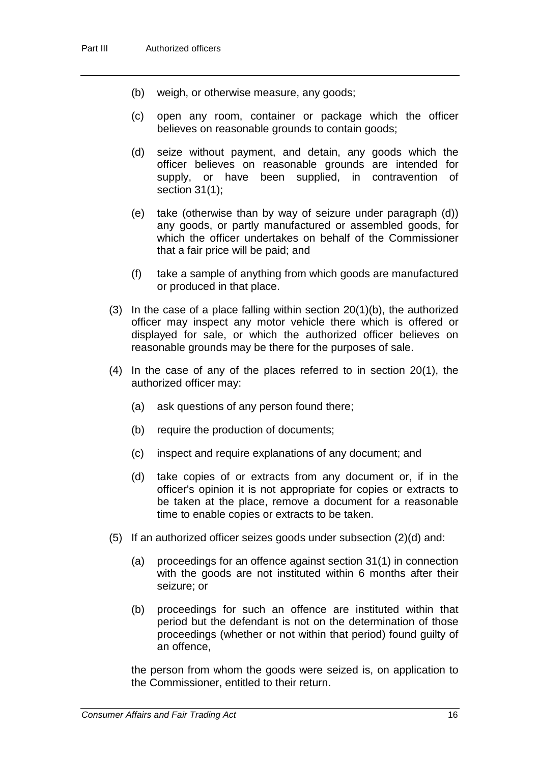- (b) weigh, or otherwise measure, any goods;
- (c) open any room, container or package which the officer believes on reasonable grounds to contain goods;
- (d) seize without payment, and detain, any goods which the officer believes on reasonable grounds are intended for supply, or have been supplied, in contravention of section 31(1);
- (e) take (otherwise than by way of seizure under paragraph (d)) any goods, or partly manufactured or assembled goods, for which the officer undertakes on behalf of the Commissioner that a fair price will be paid; and
- (f) take a sample of anything from which goods are manufactured or produced in that place.
- (3) In the case of a place falling within section 20(1)(b), the authorized officer may inspect any motor vehicle there which is offered or displayed for sale, or which the authorized officer believes on reasonable grounds may be there for the purposes of sale.
- (4) In the case of any of the places referred to in section 20(1), the authorized officer may:
	- (a) ask questions of any person found there;
	- (b) require the production of documents;
	- (c) inspect and require explanations of any document; and
	- (d) take copies of or extracts from any document or, if in the officer's opinion it is not appropriate for copies or extracts to be taken at the place, remove a document for a reasonable time to enable copies or extracts to be taken.
- (5) If an authorized officer seizes goods under subsection (2)(d) and:
	- (a) proceedings for an offence against section 31(1) in connection with the goods are not instituted within 6 months after their seizure; or
	- (b) proceedings for such an offence are instituted within that period but the defendant is not on the determination of those proceedings (whether or not within that period) found guilty of an offence,

the person from whom the goods were seized is, on application to the Commissioner, entitled to their return.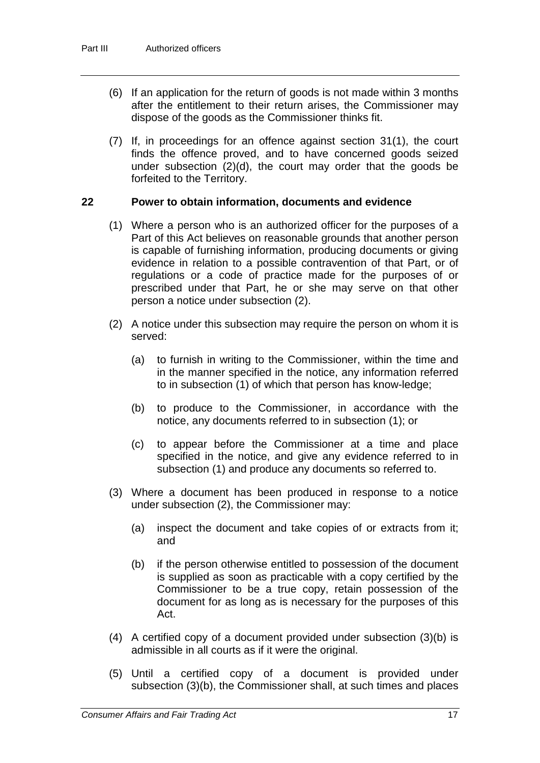- (6) If an application for the return of goods is not made within 3 months after the entitlement to their return arises, the Commissioner may dispose of the goods as the Commissioner thinks fit.
- (7) If, in proceedings for an offence against section 31(1), the court finds the offence proved, and to have concerned goods seized under subsection (2)(d), the court may order that the goods be forfeited to the Territory.

### **22 Power to obtain information, documents and evidence**

- (1) Where a person who is an authorized officer for the purposes of a Part of this Act believes on reasonable grounds that another person is capable of furnishing information, producing documents or giving evidence in relation to a possible contravention of that Part, or of regulations or a code of practice made for the purposes of or prescribed under that Part, he or she may serve on that other person a notice under subsection (2).
- (2) A notice under this subsection may require the person on whom it is served:
	- (a) to furnish in writing to the Commissioner, within the time and in the manner specified in the notice, any information referred to in subsection (1) of which that person has know-ledge;
	- (b) to produce to the Commissioner, in accordance with the notice, any documents referred to in subsection (1); or
	- (c) to appear before the Commissioner at a time and place specified in the notice, and give any evidence referred to in subsection (1) and produce any documents so referred to.
- (3) Where a document has been produced in response to a notice under subsection (2), the Commissioner may:
	- (a) inspect the document and take copies of or extracts from it; and
	- (b) if the person otherwise entitled to possession of the document is supplied as soon as practicable with a copy certified by the Commissioner to be a true copy, retain possession of the document for as long as is necessary for the purposes of this Act.
- (4) A certified copy of a document provided under subsection (3)(b) is admissible in all courts as if it were the original.
- (5) Until a certified copy of a document is provided under subsection (3)(b), the Commissioner shall, at such times and places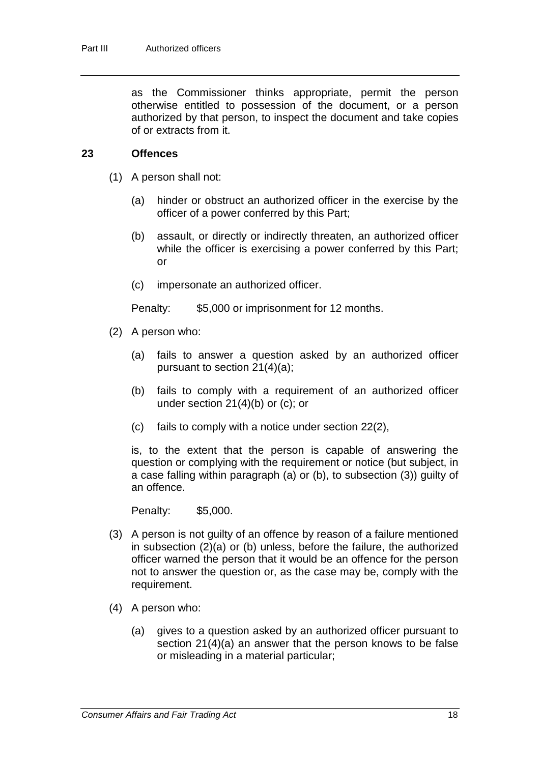as the Commissioner thinks appropriate, permit the person otherwise entitled to possession of the document, or a person authorized by that person, to inspect the document and take copies of or extracts from it.

#### **23 Offences**

- (1) A person shall not:
	- (a) hinder or obstruct an authorized officer in the exercise by the officer of a power conferred by this Part;
	- (b) assault, or directly or indirectly threaten, an authorized officer while the officer is exercising a power conferred by this Part; or
	- (c) impersonate an authorized officer.

Penalty: \$5,000 or imprisonment for 12 months.

- (2) A person who:
	- (a) fails to answer a question asked by an authorized officer pursuant to section 21(4)(a);
	- (b) fails to comply with a requirement of an authorized officer under section 21(4)(b) or (c); or
	- (c) fails to comply with a notice under section 22(2),

is, to the extent that the person is capable of answering the question or complying with the requirement or notice (but subject, in a case falling within paragraph (a) or (b), to subsection (3)) guilty of an offence.

Penalty: \$5,000.

- (3) A person is not guilty of an offence by reason of a failure mentioned in subsection (2)(a) or (b) unless, before the failure, the authorized officer warned the person that it would be an offence for the person not to answer the question or, as the case may be, comply with the requirement.
- (4) A person who:
	- (a) gives to a question asked by an authorized officer pursuant to section 21(4)(a) an answer that the person knows to be false or misleading in a material particular;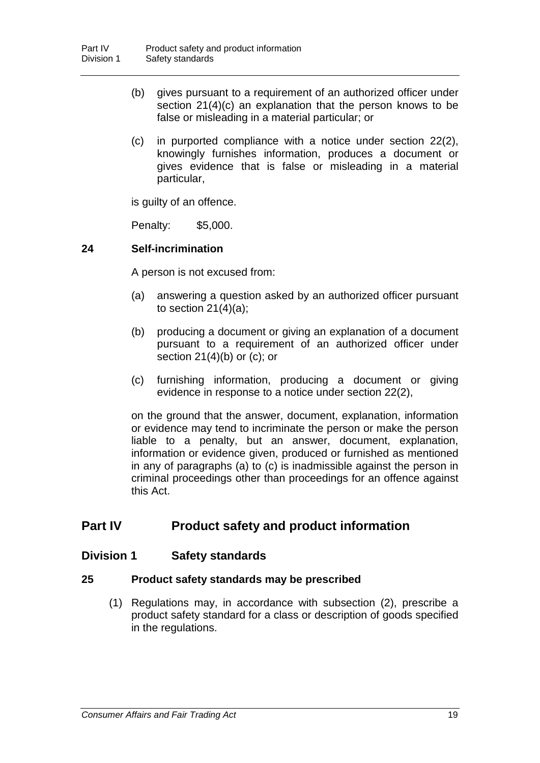- (b) gives pursuant to a requirement of an authorized officer under section 21(4)(c) an explanation that the person knows to be false or misleading in a material particular; or
- (c) in purported compliance with a notice under section 22(2), knowingly furnishes information, produces a document or gives evidence that is false or misleading in a material particular,

is guilty of an offence.

Penalty: \$5,000.

### **24 Self-incrimination**

A person is not excused from:

- (a) answering a question asked by an authorized officer pursuant to section  $21(4)(a)$ ;
- (b) producing a document or giving an explanation of a document pursuant to a requirement of an authorized officer under section  $21(4)(b)$  or (c); or
- (c) furnishing information, producing a document or giving evidence in response to a notice under section 22(2),

on the ground that the answer, document, explanation, information or evidence may tend to incriminate the person or make the person liable to a penalty, but an answer, document, explanation, information or evidence given, produced or furnished as mentioned in any of paragraphs (a) to (c) is inadmissible against the person in criminal proceedings other than proceedings for an offence against this Act.

### **Part IV Product safety and product information**

### **Division 1 Safety standards**

### **25 Product safety standards may be prescribed**

(1) Regulations may, in accordance with subsection (2), prescribe a product safety standard for a class or description of goods specified in the regulations.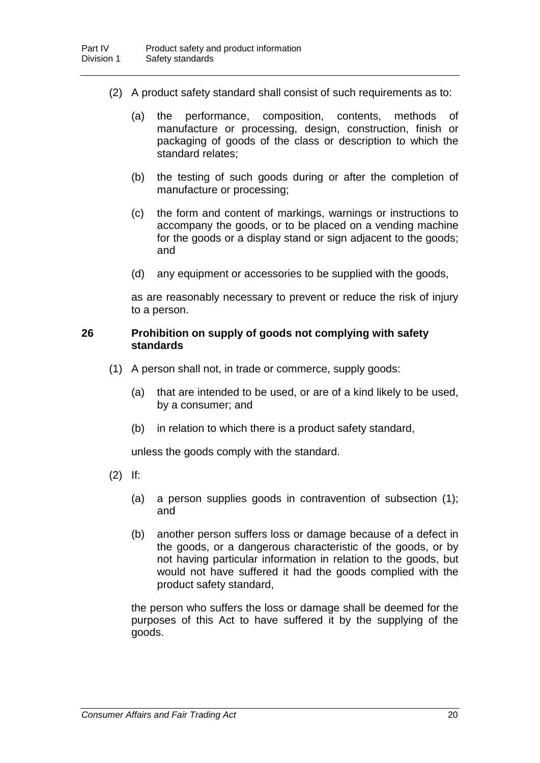- (2) A product safety standard shall consist of such requirements as to:
	- (a) the performance, composition, contents, methods of manufacture or processing, design, construction, finish or packaging of goods of the class or description to which the standard relates;
	- (b) the testing of such goods during or after the completion of manufacture or processing;
	- (c) the form and content of markings, warnings or instructions to accompany the goods, or to be placed on a vending machine for the goods or a display stand or sign adjacent to the goods; and
	- (d) any equipment or accessories to be supplied with the goods,

as are reasonably necessary to prevent or reduce the risk of injury to a person.

#### **26 Prohibition on supply of goods not complying with safety standards**

- (1) A person shall not, in trade or commerce, supply goods:
	- (a) that are intended to be used, or are of a kind likely to be used, by a consumer; and
	- (b) in relation to which there is a product safety standard,

unless the goods comply with the standard.

- (2) If:
	- (a) a person supplies goods in contravention of subsection (1); and
	- (b) another person suffers loss or damage because of a defect in the goods, or a dangerous characteristic of the goods, or by not having particular information in relation to the goods, but would not have suffered it had the goods complied with the product safety standard,

the person who suffers the loss or damage shall be deemed for the purposes of this Act to have suffered it by the supplying of the goods.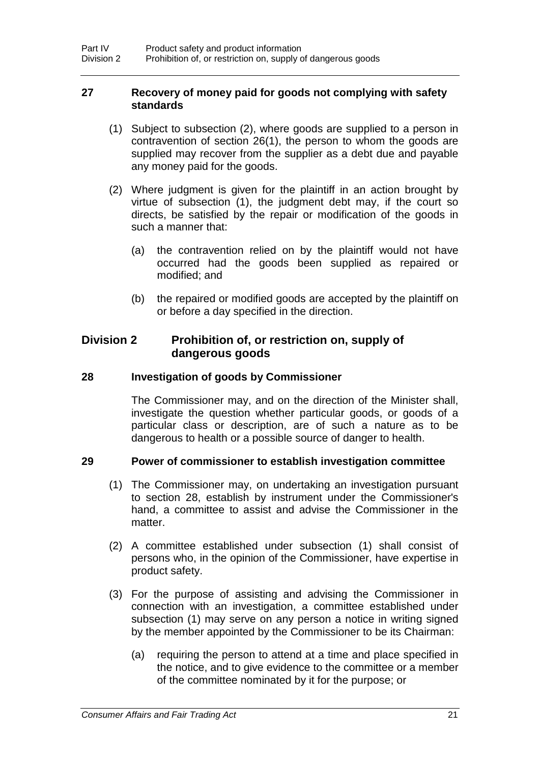#### **27 Recovery of money paid for goods not complying with safety standards**

- (1) Subject to subsection (2), where goods are supplied to a person in contravention of section 26(1), the person to whom the goods are supplied may recover from the supplier as a debt due and payable any money paid for the goods.
- (2) Where judgment is given for the plaintiff in an action brought by virtue of subsection (1), the judgment debt may, if the court so directs, be satisfied by the repair or modification of the goods in such a manner that:
	- (a) the contravention relied on by the plaintiff would not have occurred had the goods been supplied as repaired or modified; and
	- (b) the repaired or modified goods are accepted by the plaintiff on or before a day specified in the direction.

### **Division 2 Prohibition of, or restriction on, supply of dangerous goods**

### **28 Investigation of goods by Commissioner**

The Commissioner may, and on the direction of the Minister shall, investigate the question whether particular goods, or goods of a particular class or description, are of such a nature as to be dangerous to health or a possible source of danger to health.

### **29 Power of commissioner to establish investigation committee**

- (1) The Commissioner may, on undertaking an investigation pursuant to section 28, establish by instrument under the Commissioner's hand, a committee to assist and advise the Commissioner in the matter.
- (2) A committee established under subsection (1) shall consist of persons who, in the opinion of the Commissioner, have expertise in product safety.
- (3) For the purpose of assisting and advising the Commissioner in connection with an investigation, a committee established under subsection (1) may serve on any person a notice in writing signed by the member appointed by the Commissioner to be its Chairman:
	- (a) requiring the person to attend at a time and place specified in the notice, and to give evidence to the committee or a member of the committee nominated by it for the purpose; or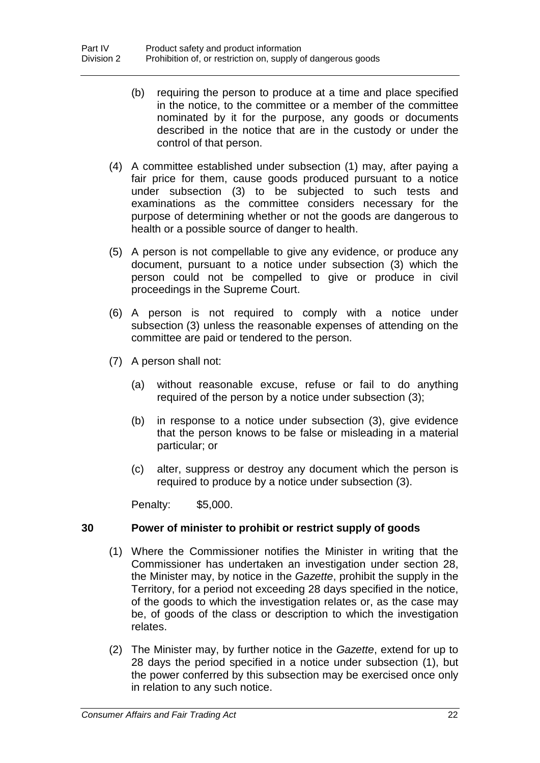- (b) requiring the person to produce at a time and place specified in the notice, to the committee or a member of the committee nominated by it for the purpose, any goods or documents described in the notice that are in the custody or under the control of that person.
- (4) A committee established under subsection (1) may, after paying a fair price for them, cause goods produced pursuant to a notice under subsection (3) to be subjected to such tests and examinations as the committee considers necessary for the purpose of determining whether or not the goods are dangerous to health or a possible source of danger to health.
- (5) A person is not compellable to give any evidence, or produce any document, pursuant to a notice under subsection (3) which the person could not be compelled to give or produce in civil proceedings in the Supreme Court.
- (6) A person is not required to comply with a notice under subsection (3) unless the reasonable expenses of attending on the committee are paid or tendered to the person.
- (7) A person shall not:
	- (a) without reasonable excuse, refuse or fail to do anything required of the person by a notice under subsection (3);
	- (b) in response to a notice under subsection (3), give evidence that the person knows to be false or misleading in a material particular; or
	- (c) alter, suppress or destroy any document which the person is required to produce by a notice under subsection (3).

Penalty: \$5,000.

### **30 Power of minister to prohibit or restrict supply of goods**

- (1) Where the Commissioner notifies the Minister in writing that the Commissioner has undertaken an investigation under section 28, the Minister may, by notice in the *Gazette*, prohibit the supply in the Territory, for a period not exceeding 28 days specified in the notice, of the goods to which the investigation relates or, as the case may be, of goods of the class or description to which the investigation relates.
- (2) The Minister may, by further notice in the *Gazette*, extend for up to 28 days the period specified in a notice under subsection (1), but the power conferred by this subsection may be exercised once only in relation to any such notice.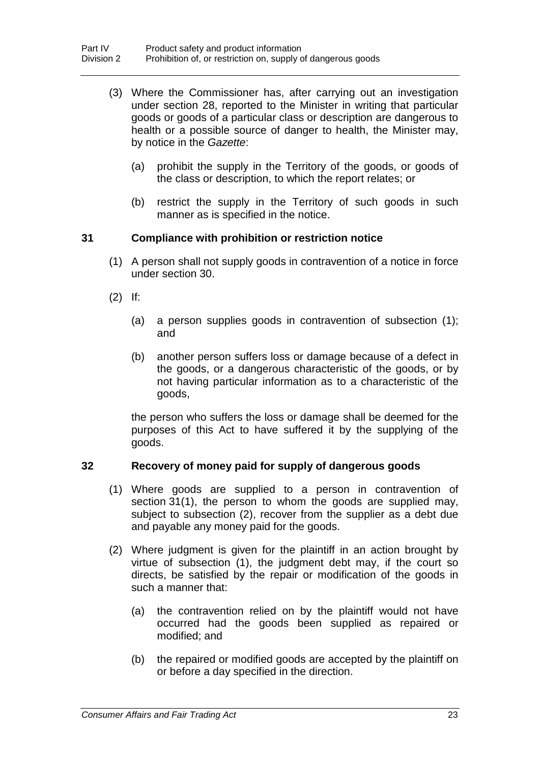- (3) Where the Commissioner has, after carrying out an investigation under section 28, reported to the Minister in writing that particular goods or goods of a particular class or description are dangerous to health or a possible source of danger to health, the Minister may, by notice in the *Gazette*:
	- (a) prohibit the supply in the Territory of the goods, or goods of the class or description, to which the report relates; or
	- (b) restrict the supply in the Territory of such goods in such manner as is specified in the notice.

### **31 Compliance with prohibition or restriction notice**

- (1) A person shall not supply goods in contravention of a notice in force under section 30.
- (2) If:
	- (a) a person supplies goods in contravention of subsection (1); and
	- (b) another person suffers loss or damage because of a defect in the goods, or a dangerous characteristic of the goods, or by not having particular information as to a characteristic of the goods,

the person who suffers the loss or damage shall be deemed for the purposes of this Act to have suffered it by the supplying of the goods.

### **32 Recovery of money paid for supply of dangerous goods**

- (1) Where goods are supplied to a person in contravention of section 31(1), the person to whom the goods are supplied may, subject to subsection (2), recover from the supplier as a debt due and payable any money paid for the goods.
- (2) Where judgment is given for the plaintiff in an action brought by virtue of subsection (1), the judgment debt may, if the court so directs, be satisfied by the repair or modification of the goods in such a manner that:
	- (a) the contravention relied on by the plaintiff would not have occurred had the goods been supplied as repaired or modified; and
	- (b) the repaired or modified goods are accepted by the plaintiff on or before a day specified in the direction.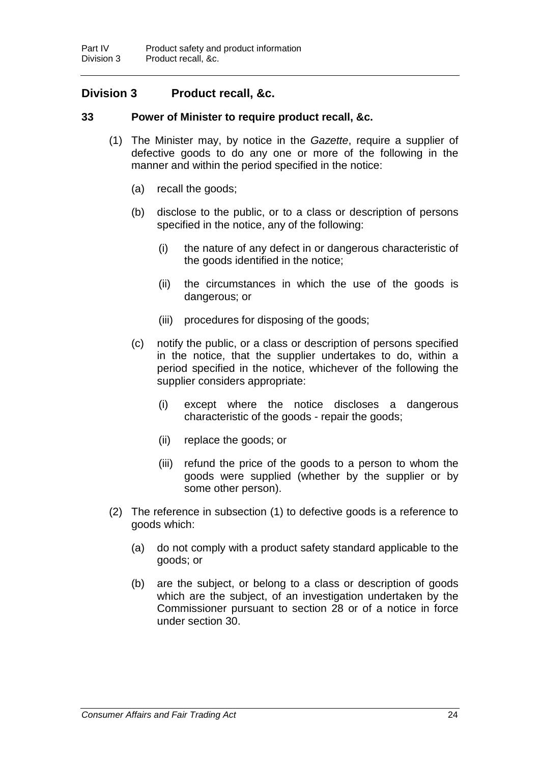### **Division 3 Product recall, &c.**

#### **33 Power of Minister to require product recall, &c.**

- (1) The Minister may, by notice in the *Gazette*, require a supplier of defective goods to do any one or more of the following in the manner and within the period specified in the notice:
	- (a) recall the goods;
	- (b) disclose to the public, or to a class or description of persons specified in the notice, any of the following:
		- (i) the nature of any defect in or dangerous characteristic of the goods identified in the notice;
		- (ii) the circumstances in which the use of the goods is dangerous; or
		- (iii) procedures for disposing of the goods;
	- (c) notify the public, or a class or description of persons specified in the notice, that the supplier undertakes to do, within a period specified in the notice, whichever of the following the supplier considers appropriate:
		- (i) except where the notice discloses a dangerous characteristic of the goods - repair the goods;
		- (ii) replace the goods; or
		- (iii) refund the price of the goods to a person to whom the goods were supplied (whether by the supplier or by some other person).
- (2) The reference in subsection (1) to defective goods is a reference to goods which:
	- (a) do not comply with a product safety standard applicable to the goods; or
	- (b) are the subject, or belong to a class or description of goods which are the subject, of an investigation undertaken by the Commissioner pursuant to section 28 or of a notice in force under section 30.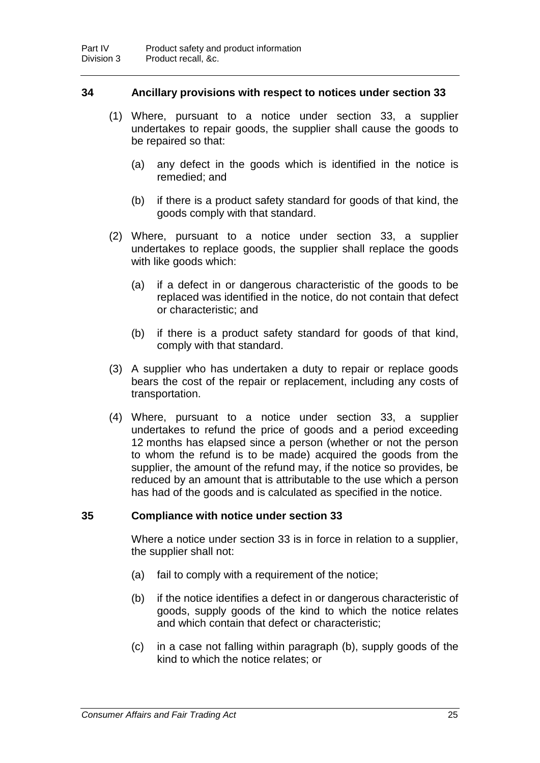#### **34 Ancillary provisions with respect to notices under section 33**

- (1) Where, pursuant to a notice under section 33, a supplier undertakes to repair goods, the supplier shall cause the goods to be repaired so that:
	- (a) any defect in the goods which is identified in the notice is remedied; and
	- (b) if there is a product safety standard for goods of that kind, the goods comply with that standard.
- (2) Where, pursuant to a notice under section 33, a supplier undertakes to replace goods, the supplier shall replace the goods with like goods which:
	- (a) if a defect in or dangerous characteristic of the goods to be replaced was identified in the notice, do not contain that defect or characteristic; and
	- (b) if there is a product safety standard for goods of that kind, comply with that standard.
- (3) A supplier who has undertaken a duty to repair or replace goods bears the cost of the repair or replacement, including any costs of transportation.
- (4) Where, pursuant to a notice under section 33, a supplier undertakes to refund the price of goods and a period exceeding 12 months has elapsed since a person (whether or not the person to whom the refund is to be made) acquired the goods from the supplier, the amount of the refund may, if the notice so provides, be reduced by an amount that is attributable to the use which a person has had of the goods and is calculated as specified in the notice.

#### **35 Compliance with notice under section 33**

Where a notice under section 33 is in force in relation to a supplier, the supplier shall not:

- (a) fail to comply with a requirement of the notice;
- (b) if the notice identifies a defect in or dangerous characteristic of goods, supply goods of the kind to which the notice relates and which contain that defect or characteristic;
- (c) in a case not falling within paragraph (b), supply goods of the kind to which the notice relates; or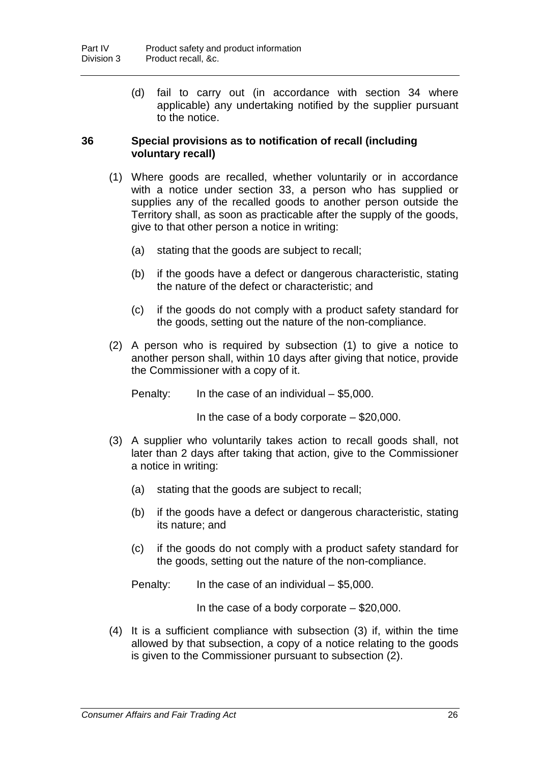(d) fail to carry out (in accordance with section 34 where applicable) any undertaking notified by the supplier pursuant to the notice.

### **36 Special provisions as to notification of recall (including voluntary recall)**

- (1) Where goods are recalled, whether voluntarily or in accordance with a notice under section 33, a person who has supplied or supplies any of the recalled goods to another person outside the Territory shall, as soon as practicable after the supply of the goods, give to that other person a notice in writing:
	- (a) stating that the goods are subject to recall;
	- (b) if the goods have a defect or dangerous characteristic, stating the nature of the defect or characteristic; and
	- (c) if the goods do not comply with a product safety standard for the goods, setting out the nature of the non-compliance.
- (2) A person who is required by subsection (1) to give a notice to another person shall, within 10 days after giving that notice, provide the Commissioner with a copy of it.

Penalty: In the case of an individual – \$5,000.

In the case of a body corporate  $-$  \$20,000.

- (3) A supplier who voluntarily takes action to recall goods shall, not later than 2 days after taking that action, give to the Commissioner a notice in writing:
	- (a) stating that the goods are subject to recall;
	- (b) if the goods have a defect or dangerous characteristic, stating its nature; and
	- (c) if the goods do not comply with a product safety standard for the goods, setting out the nature of the non-compliance.

Penalty: In the case of an individual – \$5,000.

In the case of a body corporate  $-$  \$20,000.

(4) It is a sufficient compliance with subsection (3) if, within the time allowed by that subsection, a copy of a notice relating to the goods is given to the Commissioner pursuant to subsection (2).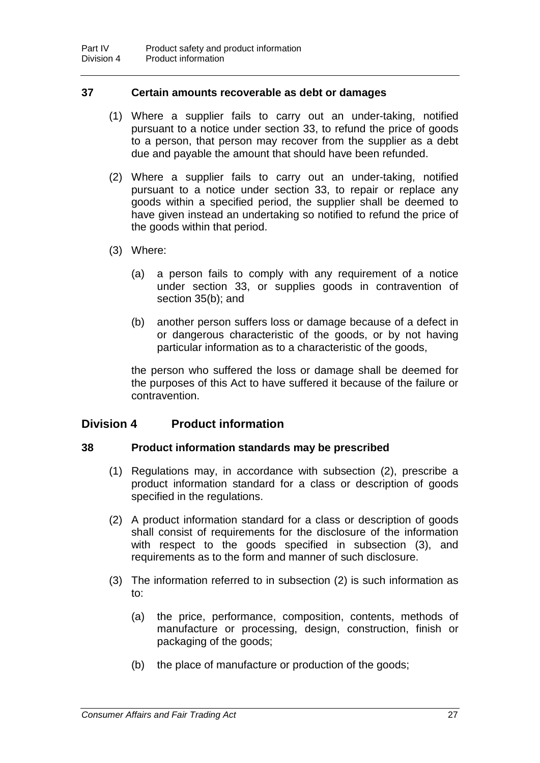#### **37 Certain amounts recoverable as debt or damages**

- (1) Where a supplier fails to carry out an under-taking, notified pursuant to a notice under section 33, to refund the price of goods to a person, that person may recover from the supplier as a debt due and payable the amount that should have been refunded.
- (2) Where a supplier fails to carry out an under-taking, notified pursuant to a notice under section 33, to repair or replace any goods within a specified period, the supplier shall be deemed to have given instead an undertaking so notified to refund the price of the goods within that period.
- (3) Where:
	- (a) a person fails to comply with any requirement of a notice under section 33, or supplies goods in contravention of section 35(b); and
	- (b) another person suffers loss or damage because of a defect in or dangerous characteristic of the goods, or by not having particular information as to a characteristic of the goods,

the person who suffered the loss or damage shall be deemed for the purposes of this Act to have suffered it because of the failure or contravention.

# **Division 4 Product information**

## **38 Product information standards may be prescribed**

- (1) Regulations may, in accordance with subsection (2), prescribe a product information standard for a class or description of goods specified in the regulations.
- (2) A product information standard for a class or description of goods shall consist of requirements for the disclosure of the information with respect to the goods specified in subsection (3), and requirements as to the form and manner of such disclosure.
- (3) The information referred to in subsection (2) is such information as to:
	- (a) the price, performance, composition, contents, methods of manufacture or processing, design, construction, finish or packaging of the goods;
	- (b) the place of manufacture or production of the goods;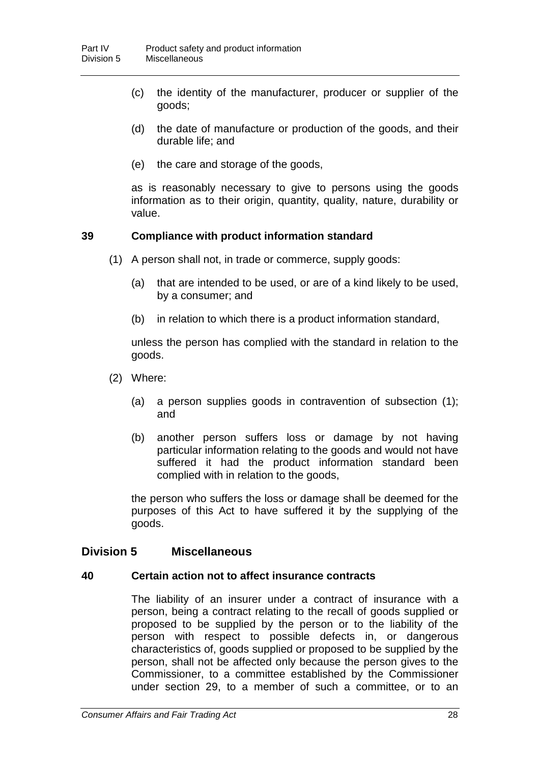- (c) the identity of the manufacturer, producer or supplier of the goods;
- (d) the date of manufacture or production of the goods, and their durable life; and
- (e) the care and storage of the goods,

as is reasonably necessary to give to persons using the goods information as to their origin, quantity, quality, nature, durability or value.

## **39 Compliance with product information standard**

- (1) A person shall not, in trade or commerce, supply goods:
	- (a) that are intended to be used, or are of a kind likely to be used, by a consumer; and
	- (b) in relation to which there is a product information standard,

unless the person has complied with the standard in relation to the goods.

- (2) Where:
	- (a) a person supplies goods in contravention of subsection (1); and
	- (b) another person suffers loss or damage by not having particular information relating to the goods and would not have suffered it had the product information standard been complied with in relation to the goods,

the person who suffers the loss or damage shall be deemed for the purposes of this Act to have suffered it by the supplying of the goods.

## **Division 5 Miscellaneous**

#### **40 Certain action not to affect insurance contracts**

The liability of an insurer under a contract of insurance with a person, being a contract relating to the recall of goods supplied or proposed to be supplied by the person or to the liability of the person with respect to possible defects in, or dangerous characteristics of, goods supplied or proposed to be supplied by the person, shall not be affected only because the person gives to the Commissioner, to a committee established by the Commissioner under section 29, to a member of such a committee, or to an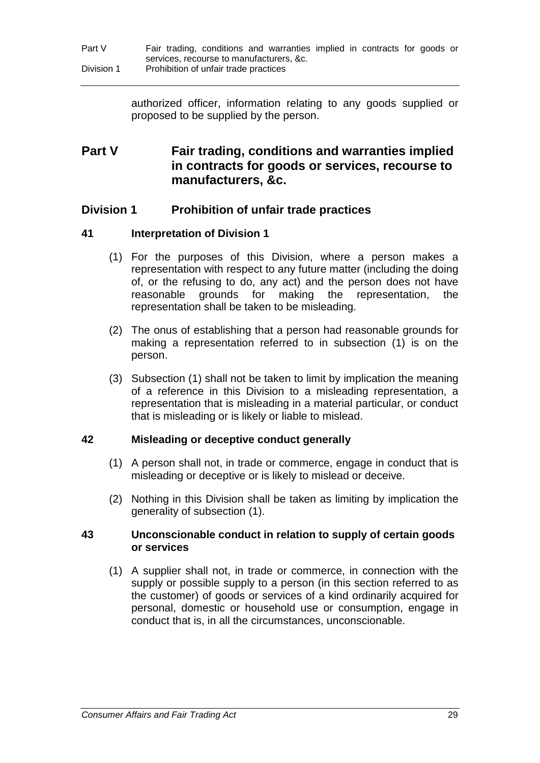authorized officer, information relating to any goods supplied or proposed to be supplied by the person.

# **Part V Fair trading, conditions and warranties implied in contracts for goods or services, recourse to manufacturers, &c.**

# **Division 1 Prohibition of unfair trade practices**

## **41 Interpretation of Division 1**

- (1) For the purposes of this Division, where a person makes a representation with respect to any future matter (including the doing of, or the refusing to do, any act) and the person does not have reasonable quounds for making the representation. the grounds for making the representation, the representation shall be taken to be misleading.
- (2) The onus of establishing that a person had reasonable grounds for making a representation referred to in subsection (1) is on the person.
- (3) Subsection (1) shall not be taken to limit by implication the meaning of a reference in this Division to a misleading representation, a representation that is misleading in a material particular, or conduct that is misleading or is likely or liable to mislead.

## **42 Misleading or deceptive conduct generally**

- (1) A person shall not, in trade or commerce, engage in conduct that is misleading or deceptive or is likely to mislead or deceive.
- (2) Nothing in this Division shall be taken as limiting by implication the generality of subsection (1).

#### **43 Unconscionable conduct in relation to supply of certain goods or services**

(1) A supplier shall not, in trade or commerce, in connection with the supply or possible supply to a person (in this section referred to as the customer) of goods or services of a kind ordinarily acquired for personal, domestic or household use or consumption, engage in conduct that is, in all the circumstances, unconscionable.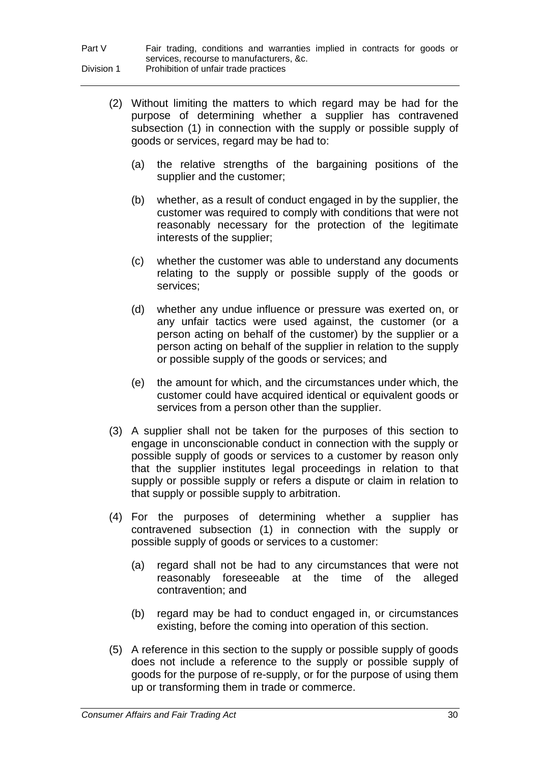| Part V     | Fair trading, conditions and warranties implied in contracts for goods or |
|------------|---------------------------------------------------------------------------|
|            | services, recourse to manufacturers, &c.                                  |
| Division 1 | Prohibition of unfair trade practices                                     |

- (2) Without limiting the matters to which regard may be had for the purpose of determining whether a supplier has contravened subsection (1) in connection with the supply or possible supply of goods or services, regard may be had to:
	- (a) the relative strengths of the bargaining positions of the supplier and the customer;
	- (b) whether, as a result of conduct engaged in by the supplier, the customer was required to comply with conditions that were not reasonably necessary for the protection of the legitimate interests of the supplier;
	- (c) whether the customer was able to understand any documents relating to the supply or possible supply of the goods or services;
	- (d) whether any undue influence or pressure was exerted on, or any unfair tactics were used against, the customer (or a person acting on behalf of the customer) by the supplier or a person acting on behalf of the supplier in relation to the supply or possible supply of the goods or services; and
	- (e) the amount for which, and the circumstances under which, the customer could have acquired identical or equivalent goods or services from a person other than the supplier.
- (3) A supplier shall not be taken for the purposes of this section to engage in unconscionable conduct in connection with the supply or possible supply of goods or services to a customer by reason only that the supplier institutes legal proceedings in relation to that supply or possible supply or refers a dispute or claim in relation to that supply or possible supply to arbitration.
- (4) For the purposes of determining whether a supplier has contravened subsection (1) in connection with the supply or possible supply of goods or services to a customer:
	- (a) regard shall not be had to any circumstances that were not reasonably foreseeable at the time of the alleged contravention; and
	- (b) regard may be had to conduct engaged in, or circumstances existing, before the coming into operation of this section.
- (5) A reference in this section to the supply or possible supply of goods does not include a reference to the supply or possible supply of goods for the purpose of re-supply, or for the purpose of using them up or transforming them in trade or commerce.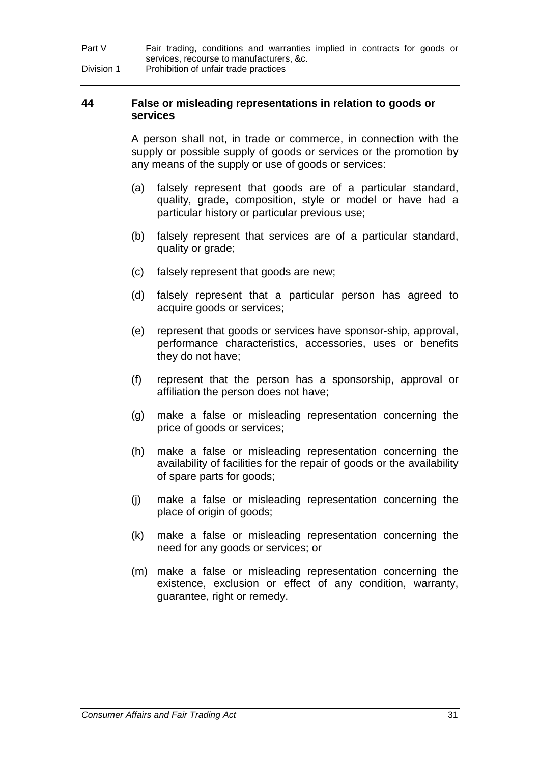| Part V     | Fair trading, conditions and warranties implied in contracts for goods or |
|------------|---------------------------------------------------------------------------|
|            | services, recourse to manufacturers, &c.                                  |
| Division 1 | Prohibition of unfair trade practices                                     |

#### **44 False or misleading representations in relation to goods or services**

A person shall not, in trade or commerce, in connection with the supply or possible supply of goods or services or the promotion by any means of the supply or use of goods or services:

- (a) falsely represent that goods are of a particular standard, quality, grade, composition, style or model or have had a particular history or particular previous use;
- (b) falsely represent that services are of a particular standard, quality or grade;
- (c) falsely represent that goods are new;
- (d) falsely represent that a particular person has agreed to acquire goods or services;
- (e) represent that goods or services have sponsor-ship, approval, performance characteristics, accessories, uses or benefits they do not have;
- (f) represent that the person has a sponsorship, approval or affiliation the person does not have;
- (g) make a false or misleading representation concerning the price of goods or services;
- (h) make a false or misleading representation concerning the availability of facilities for the repair of goods or the availability of spare parts for goods;
- (j) make a false or misleading representation concerning the place of origin of goods;
- (k) make a false or misleading representation concerning the need for any goods or services; or
- (m) make a false or misleading representation concerning the existence, exclusion or effect of any condition, warranty, guarantee, right or remedy.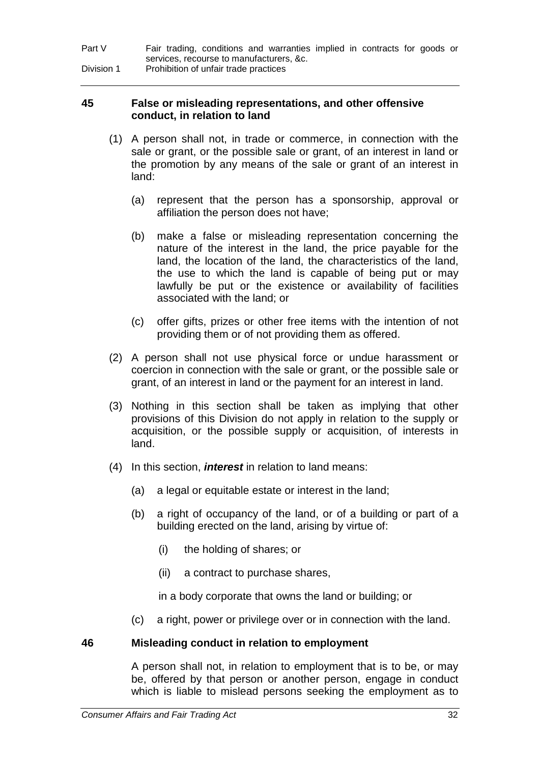| Part V     | Fair trading, conditions and warranties implied in contracts for goods or |
|------------|---------------------------------------------------------------------------|
|            | services, recourse to manufacturers, &c.                                  |
| Division 1 | Prohibition of unfair trade practices                                     |

#### **45 False or misleading representations, and other offensive conduct, in relation to land**

- (1) A person shall not, in trade or commerce, in connection with the sale or grant, or the possible sale or grant, of an interest in land or the promotion by any means of the sale or grant of an interest in land:
	- (a) represent that the person has a sponsorship, approval or affiliation the person does not have;
	- (b) make a false or misleading representation concerning the nature of the interest in the land, the price payable for the land, the location of the land, the characteristics of the land, the use to which the land is capable of being put or may lawfully be put or the existence or availability of facilities associated with the land; or
	- (c) offer gifts, prizes or other free items with the intention of not providing them or of not providing them as offered.
- (2) A person shall not use physical force or undue harassment or coercion in connection with the sale or grant, or the possible sale or grant, of an interest in land or the payment for an interest in land.
- (3) Nothing in this section shall be taken as implying that other provisions of this Division do not apply in relation to the supply or acquisition, or the possible supply or acquisition, of interests in land.
- (4) In this section, *interest* in relation to land means:
	- (a) a legal or equitable estate or interest in the land;
	- (b) a right of occupancy of the land, or of a building or part of a building erected on the land, arising by virtue of:
		- (i) the holding of shares; or
		- (ii) a contract to purchase shares,

in a body corporate that owns the land or building; or

(c) a right, power or privilege over or in connection with the land.

## **46 Misleading conduct in relation to employment**

A person shall not, in relation to employment that is to be, or may be, offered by that person or another person, engage in conduct which is liable to mislead persons seeking the employment as to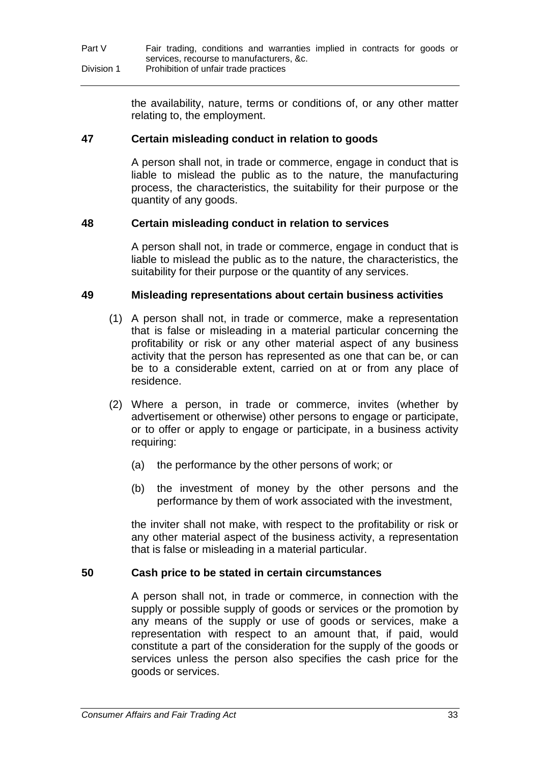| Part V     | Fair trading, conditions and warranties implied in contracts for goods or |
|------------|---------------------------------------------------------------------------|
|            | services, recourse to manufacturers, &c.                                  |
| Division 1 | Prohibition of unfair trade practices                                     |

the availability, nature, terms or conditions of, or any other matter relating to, the employment.

#### **47 Certain misleading conduct in relation to goods**

A person shall not, in trade or commerce, engage in conduct that is liable to mislead the public as to the nature, the manufacturing process, the characteristics, the suitability for their purpose or the quantity of any goods.

#### **48 Certain misleading conduct in relation to services**

A person shall not, in trade or commerce, engage in conduct that is liable to mislead the public as to the nature, the characteristics, the suitability for their purpose or the quantity of any services.

#### **49 Misleading representations about certain business activities**

- (1) A person shall not, in trade or commerce, make a representation that is false or misleading in a material particular concerning the profitability or risk or any other material aspect of any business activity that the person has represented as one that can be, or can be to a considerable extent, carried on at or from any place of residence.
- (2) Where a person, in trade or commerce, invites (whether by advertisement or otherwise) other persons to engage or participate, or to offer or apply to engage or participate, in a business activity requiring:
	- (a) the performance by the other persons of work; or
	- (b) the investment of money by the other persons and the performance by them of work associated with the investment,

the inviter shall not make, with respect to the profitability or risk or any other material aspect of the business activity, a representation that is false or misleading in a material particular.

## **50 Cash price to be stated in certain circumstances**

A person shall not, in trade or commerce, in connection with the supply or possible supply of goods or services or the promotion by any means of the supply or use of goods or services, make a representation with respect to an amount that, if paid, would constitute a part of the consideration for the supply of the goods or services unless the person also specifies the cash price for the goods or services.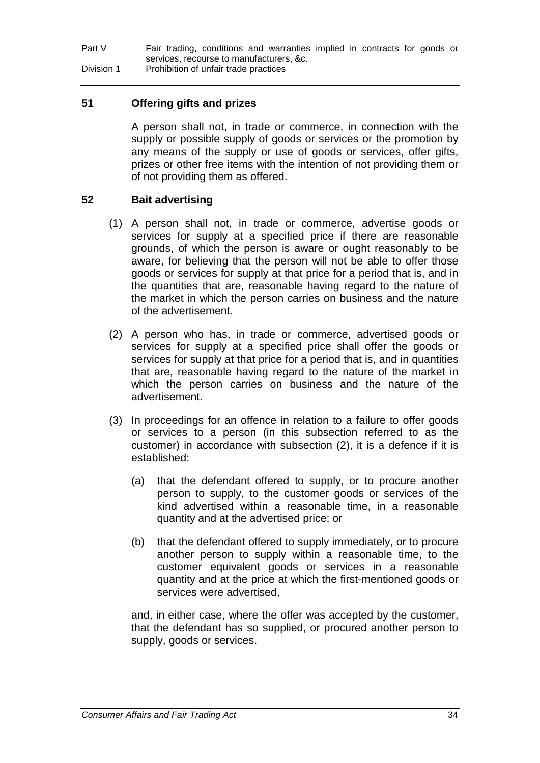## **51 Offering gifts and prizes**

A person shall not, in trade or commerce, in connection with the supply or possible supply of goods or services or the promotion by any means of the supply or use of goods or services, offer gifts, prizes or other free items with the intention of not providing them or of not providing them as offered.

## **52 Bait advertising**

- (1) A person shall not, in trade or commerce, advertise goods or services for supply at a specified price if there are reasonable grounds, of which the person is aware or ought reasonably to be aware, for believing that the person will not be able to offer those goods or services for supply at that price for a period that is, and in the quantities that are, reasonable having regard to the nature of the market in which the person carries on business and the nature of the advertisement.
- (2) A person who has, in trade or commerce, advertised goods or services for supply at a specified price shall offer the goods or services for supply at that price for a period that is, and in quantities that are, reasonable having regard to the nature of the market in which the person carries on business and the nature of the advertisement.
- (3) In proceedings for an offence in relation to a failure to offer goods or services to a person (in this subsection referred to as the customer) in accordance with subsection (2), it is a defence if it is established:
	- (a) that the defendant offered to supply, or to procure another person to supply, to the customer goods or services of the kind advertised within a reasonable time, in a reasonable quantity and at the advertised price; or
	- (b) that the defendant offered to supply immediately, or to procure another person to supply within a reasonable time, to the customer equivalent goods or services in a reasonable quantity and at the price at which the first-mentioned goods or services were advertised,

and, in either case, where the offer was accepted by the customer, that the defendant has so supplied, or procured another person to supply, goods or services.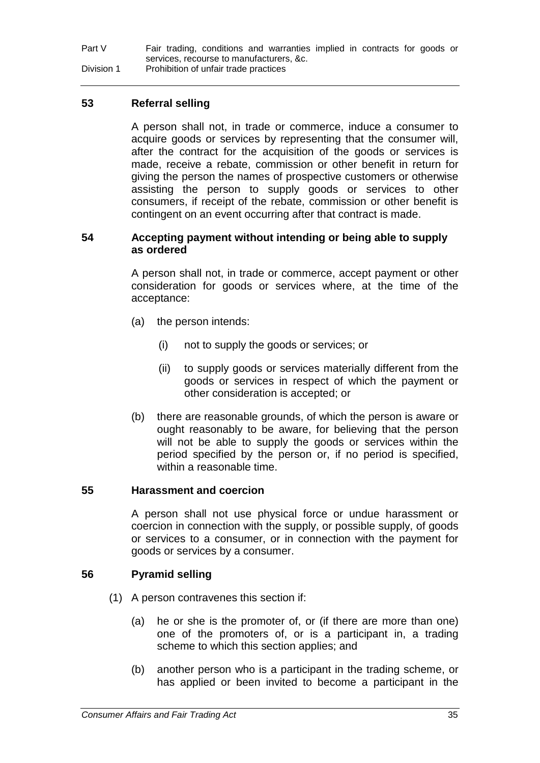**53 Referral selling**

A person shall not, in trade or commerce, induce a consumer to acquire goods or services by representing that the consumer will, after the contract for the acquisition of the goods or services is made, receive a rebate, commission or other benefit in return for giving the person the names of prospective customers or otherwise assisting the person to supply goods or services to other consumers, if receipt of the rebate, commission or other benefit is contingent on an event occurring after that contract is made.

## **54 Accepting payment without intending or being able to supply as ordered**

A person shall not, in trade or commerce, accept payment or other consideration for goods or services where, at the time of the acceptance:

- (a) the person intends:
	- (i) not to supply the goods or services; or
	- (ii) to supply goods or services materially different from the goods or services in respect of which the payment or other consideration is accepted; or
- (b) there are reasonable grounds, of which the person is aware or ought reasonably to be aware, for believing that the person will not be able to supply the goods or services within the period specified by the person or, if no period is specified, within a reasonable time.

# **55 Harassment and coercion**

A person shall not use physical force or undue harassment or coercion in connection with the supply, or possible supply, of goods or services to a consumer, or in connection with the payment for goods or services by a consumer.

# **56 Pyramid selling**

- (1) A person contravenes this section if:
	- (a) he or she is the promoter of, or (if there are more than one) one of the promoters of, or is a participant in, a trading scheme to which this section applies; and
	- (b) another person who is a participant in the trading scheme, or has applied or been invited to become a participant in the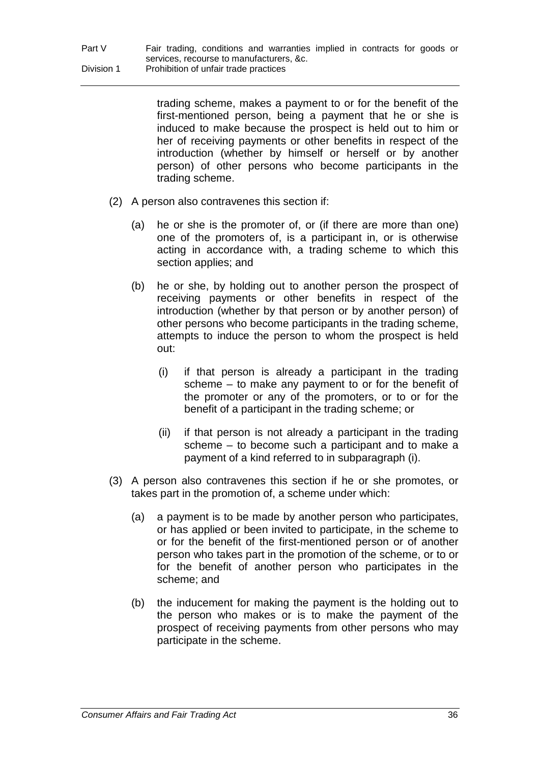> trading scheme, makes a payment to or for the benefit of the first-mentioned person, being a payment that he or she is induced to make because the prospect is held out to him or her of receiving payments or other benefits in respect of the introduction (whether by himself or herself or by another person) of other persons who become participants in the trading scheme.

- (2) A person also contravenes this section if:
	- (a) he or she is the promoter of, or (if there are more than one) one of the promoters of, is a participant in, or is otherwise acting in accordance with, a trading scheme to which this section applies; and
	- (b) he or she, by holding out to another person the prospect of receiving payments or other benefits in respect of the introduction (whether by that person or by another person) of other persons who become participants in the trading scheme, attempts to induce the person to whom the prospect is held out:
		- (i) if that person is already a participant in the trading scheme – to make any payment to or for the benefit of the promoter or any of the promoters, or to or for the benefit of a participant in the trading scheme; or
		- (ii) if that person is not already a participant in the trading scheme – to become such a participant and to make a payment of a kind referred to in subparagraph (i).
- (3) A person also contravenes this section if he or she promotes, or takes part in the promotion of, a scheme under which:
	- (a) a payment is to be made by another person who participates, or has applied or been invited to participate, in the scheme to or for the benefit of the first-mentioned person or of another person who takes part in the promotion of the scheme, or to or for the benefit of another person who participates in the scheme; and
	- (b) the inducement for making the payment is the holding out to the person who makes or is to make the payment of the prospect of receiving payments from other persons who may participate in the scheme.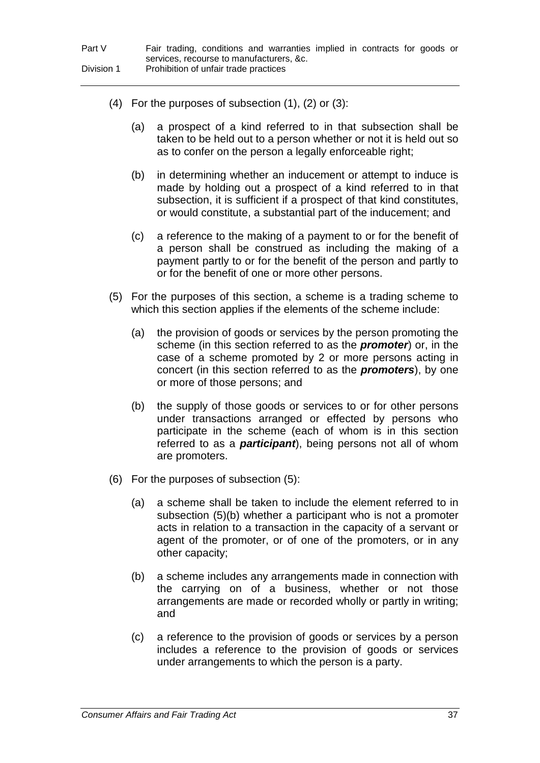- (4) For the purposes of subsection (1), (2) or (3):
	- (a) a prospect of a kind referred to in that subsection shall be taken to be held out to a person whether or not it is held out so as to confer on the person a legally enforceable right;
	- (b) in determining whether an inducement or attempt to induce is made by holding out a prospect of a kind referred to in that subsection, it is sufficient if a prospect of that kind constitutes, or would constitute, a substantial part of the inducement; and
	- (c) a reference to the making of a payment to or for the benefit of a person shall be construed as including the making of a payment partly to or for the benefit of the person and partly to or for the benefit of one or more other persons.
- (5) For the purposes of this section, a scheme is a trading scheme to which this section applies if the elements of the scheme include:
	- (a) the provision of goods or services by the person promoting the scheme (in this section referred to as the *promoter*) or, in the case of a scheme promoted by 2 or more persons acting in concert (in this section referred to as the *promoters*), by one or more of those persons; and
	- (b) the supply of those goods or services to or for other persons under transactions arranged or effected by persons who participate in the scheme (each of whom is in this section referred to as a *participant*), being persons not all of whom are promoters.
- (6) For the purposes of subsection (5):
	- (a) a scheme shall be taken to include the element referred to in subsection (5)(b) whether a participant who is not a promoter acts in relation to a transaction in the capacity of a servant or agent of the promoter, or of one of the promoters, or in any other capacity;
	- (b) a scheme includes any arrangements made in connection with the carrying on of a business, whether or not those arrangements are made or recorded wholly or partly in writing; and
	- (c) a reference to the provision of goods or services by a person includes a reference to the provision of goods or services under arrangements to which the person is a party.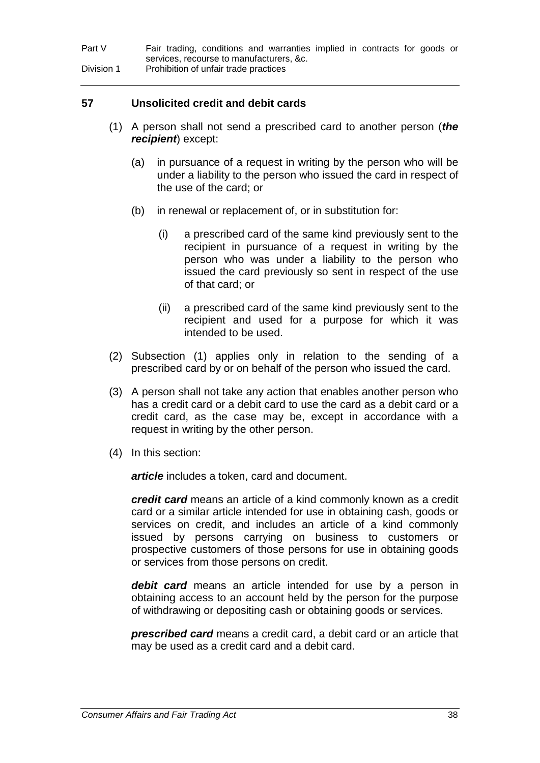#### **57 Unsolicited credit and debit cards**

- (1) A person shall not send a prescribed card to another person (*the recipient*) except:
	- (a) in pursuance of a request in writing by the person who will be under a liability to the person who issued the card in respect of the use of the card; or
	- (b) in renewal or replacement of, or in substitution for:
		- (i) a prescribed card of the same kind previously sent to the recipient in pursuance of a request in writing by the person who was under a liability to the person who issued the card previously so sent in respect of the use of that card; or
		- (ii) a prescribed card of the same kind previously sent to the recipient and used for a purpose for which it was intended to be used.
- (2) Subsection (1) applies only in relation to the sending of a prescribed card by or on behalf of the person who issued the card.
- (3) A person shall not take any action that enables another person who has a credit card or a debit card to use the card as a debit card or a credit card, as the case may be, except in accordance with a request in writing by the other person.
- (4) In this section:

*article* includes a token, card and document.

*credit card* means an article of a kind commonly known as a credit card or a similar article intended for use in obtaining cash, goods or services on credit, and includes an article of a kind commonly issued by persons carrying on business to customers or prospective customers of those persons for use in obtaining goods or services from those persons on credit.

*debit card* means an article intended for use by a person in obtaining access to an account held by the person for the purpose of withdrawing or depositing cash or obtaining goods or services.

*prescribed card* means a credit card, a debit card or an article that may be used as a credit card and a debit card.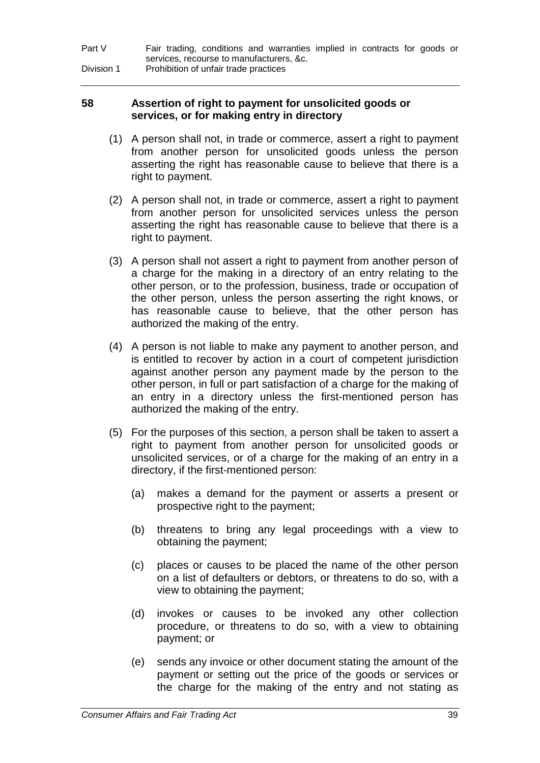| Part V     | Fair trading, conditions and warranties implied in contracts for goods or |
|------------|---------------------------------------------------------------------------|
|            | services, recourse to manufacturers, &c.                                  |
| Division 1 | Prohibition of unfair trade practices                                     |

#### **58 Assertion of right to payment for unsolicited goods or services, or for making entry in directory**

- (1) A person shall not, in trade or commerce, assert a right to payment from another person for unsolicited goods unless the person asserting the right has reasonable cause to believe that there is a right to payment.
- (2) A person shall not, in trade or commerce, assert a right to payment from another person for unsolicited services unless the person asserting the right has reasonable cause to believe that there is a right to payment.
- (3) A person shall not assert a right to payment from another person of a charge for the making in a directory of an entry relating to the other person, or to the profession, business, trade or occupation of the other person, unless the person asserting the right knows, or has reasonable cause to believe, that the other person has authorized the making of the entry.
- (4) A person is not liable to make any payment to another person, and is entitled to recover by action in a court of competent jurisdiction against another person any payment made by the person to the other person, in full or part satisfaction of a charge for the making of an entry in a directory unless the first-mentioned person has authorized the making of the entry.
- (5) For the purposes of this section, a person shall be taken to assert a right to payment from another person for unsolicited goods or unsolicited services, or of a charge for the making of an entry in a directory, if the first-mentioned person:
	- (a) makes a demand for the payment or asserts a present or prospective right to the payment;
	- (b) threatens to bring any legal proceedings with a view to obtaining the payment;
	- (c) places or causes to be placed the name of the other person on a list of defaulters or debtors, or threatens to do so, with a view to obtaining the payment;
	- (d) invokes or causes to be invoked any other collection procedure, or threatens to do so, with a view to obtaining payment; or
	- (e) sends any invoice or other document stating the amount of the payment or setting out the price of the goods or services or the charge for the making of the entry and not stating as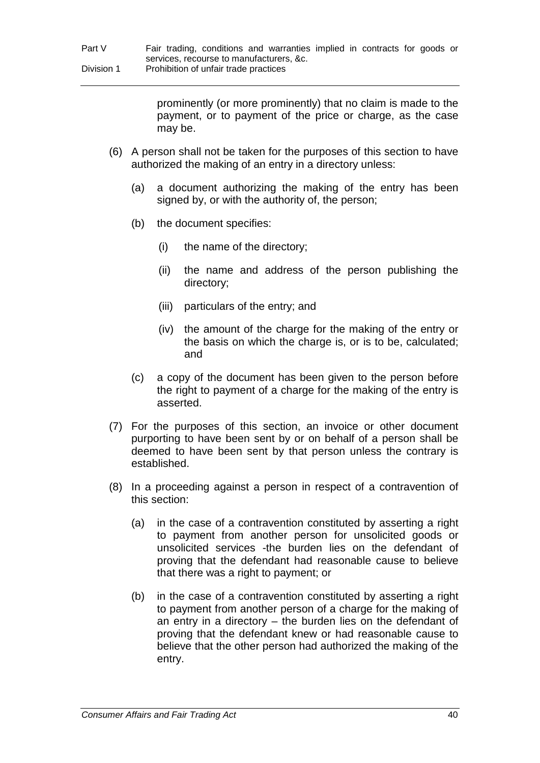prominently (or more prominently) that no claim is made to the payment, or to payment of the price or charge, as the case may be.

- (6) A person shall not be taken for the purposes of this section to have authorized the making of an entry in a directory unless:
	- (a) a document authorizing the making of the entry has been signed by, or with the authority of, the person;
	- (b) the document specifies:
		- (i) the name of the directory;
		- (ii) the name and address of the person publishing the directory;
		- (iii) particulars of the entry; and
		- (iv) the amount of the charge for the making of the entry or the basis on which the charge is, or is to be, calculated; and
	- (c) a copy of the document has been given to the person before the right to payment of a charge for the making of the entry is asserted.
- (7) For the purposes of this section, an invoice or other document purporting to have been sent by or on behalf of a person shall be deemed to have been sent by that person unless the contrary is established.
- (8) In a proceeding against a person in respect of a contravention of this section:
	- (a) in the case of a contravention constituted by asserting a right to payment from another person for unsolicited goods or unsolicited services -the burden lies on the defendant of proving that the defendant had reasonable cause to believe that there was a right to payment; or
	- (b) in the case of a contravention constituted by asserting a right to payment from another person of a charge for the making of an entry in a directory – the burden lies on the defendant of proving that the defendant knew or had reasonable cause to believe that the other person had authorized the making of the entry.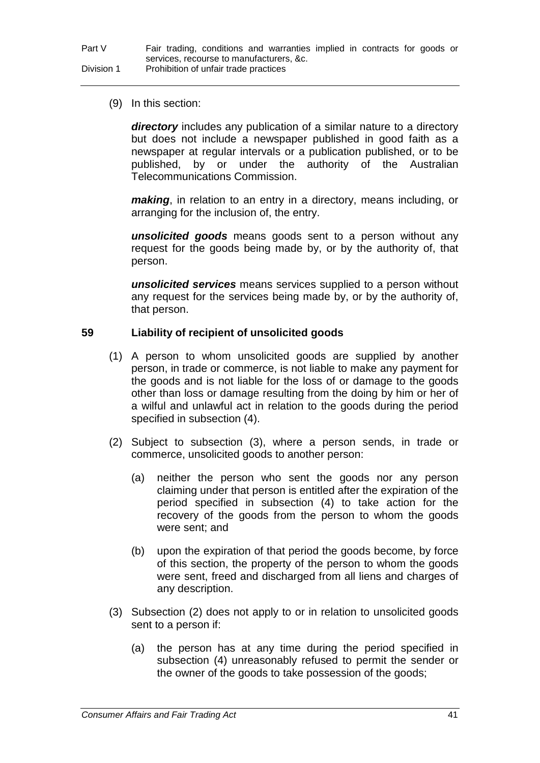(9) In this section:

*directory* includes any publication of a similar nature to a directory but does not include a newspaper published in good faith as a newspaper at regular intervals or a publication published, or to be published, by or under the authority of the Australian Telecommunications Commission.

*making*, in relation to an entry in a directory, means including, or arranging for the inclusion of, the entry.

*unsolicited goods* means goods sent to a person without any request for the goods being made by, or by the authority of, that person.

*unsolicited services* means services supplied to a person without any request for the services being made by, or by the authority of, that person.

## **59 Liability of recipient of unsolicited goods**

- (1) A person to whom unsolicited goods are supplied by another person, in trade or commerce, is not liable to make any payment for the goods and is not liable for the loss of or damage to the goods other than loss or damage resulting from the doing by him or her of a wilful and unlawful act in relation to the goods during the period specified in subsection (4).
- (2) Subject to subsection (3), where a person sends, in trade or commerce, unsolicited goods to another person:
	- (a) neither the person who sent the goods nor any person claiming under that person is entitled after the expiration of the period specified in subsection (4) to take action for the recovery of the goods from the person to whom the goods were sent; and
	- (b) upon the expiration of that period the goods become, by force of this section, the property of the person to whom the goods were sent, freed and discharged from all liens and charges of any description.
- (3) Subsection (2) does not apply to or in relation to unsolicited goods sent to a person if:
	- (a) the person has at any time during the period specified in subsection (4) unreasonably refused to permit the sender or the owner of the goods to take possession of the goods;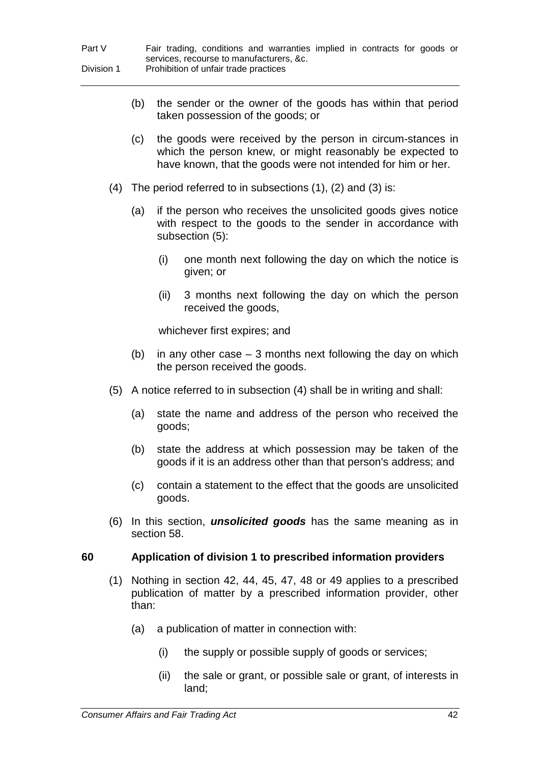- (b) the sender or the owner of the goods has within that period taken possession of the goods; or
- (c) the goods were received by the person in circum-stances in which the person knew, or might reasonably be expected to have known, that the goods were not intended for him or her.
- (4) The period referred to in subsections  $(1)$ ,  $(2)$  and  $(3)$  is:
	- (a) if the person who receives the unsolicited goods gives notice with respect to the goods to the sender in accordance with subsection (5):
		- (i) one month next following the day on which the notice is given; or
		- (ii) 3 months next following the day on which the person received the goods,

whichever first expires; and

- (b) in any other case  $-3$  months next following the day on which the person received the goods.
- (5) A notice referred to in subsection (4) shall be in writing and shall:
	- (a) state the name and address of the person who received the goods;
	- (b) state the address at which possession may be taken of the goods if it is an address other than that person's address; and
	- (c) contain a statement to the effect that the goods are unsolicited goods.
- (6) In this section, *unsolicited goods* has the same meaning as in section 58.

## **60 Application of division 1 to prescribed information providers**

- (1) Nothing in section 42, 44, 45, 47, 48 or 49 applies to a prescribed publication of matter by a prescribed information provider, other than:
	- (a) a publication of matter in connection with:
		- (i) the supply or possible supply of goods or services;
		- (ii) the sale or grant, or possible sale or grant, of interests in land;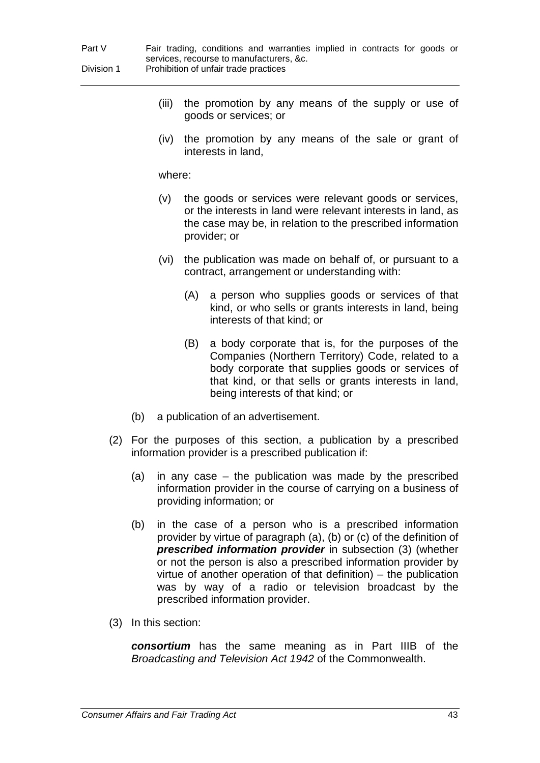| Part V     | Fair trading, conditions and warranties implied in contracts for goods or |
|------------|---------------------------------------------------------------------------|
|            | services, recourse to manufacturers, &c.                                  |
| Division 1 | Prohibition of unfair trade practices                                     |

- (iii) the promotion by any means of the supply or use of goods or services; or
- (iv) the promotion by any means of the sale or grant of interests in land,

where:

- (v) the goods or services were relevant goods or services, or the interests in land were relevant interests in land, as the case may be, in relation to the prescribed information provider; or
- (vi) the publication was made on behalf of, or pursuant to a contract, arrangement or understanding with:
	- (A) a person who supplies goods or services of that kind, or who sells or grants interests in land, being interests of that kind; or
	- (B) a body corporate that is, for the purposes of the Companies (Northern Territory) Code, related to a body corporate that supplies goods or services of that kind, or that sells or grants interests in land, being interests of that kind; or
- (b) a publication of an advertisement.
- (2) For the purposes of this section, a publication by a prescribed information provider is a prescribed publication if:
	- (a) in any case the publication was made by the prescribed information provider in the course of carrying on a business of providing information; or
	- (b) in the case of a person who is a prescribed information provider by virtue of paragraph (a), (b) or (c) of the definition of *prescribed information provider* in subsection (3) (whether or not the person is also a prescribed information provider by virtue of another operation of that definition) – the publication was by way of a radio or television broadcast by the prescribed information provider.
- (3) In this section:

*consortium* has the same meaning as in Part IIIB of the *Broadcasting and Television Act 1942* of the Commonwealth.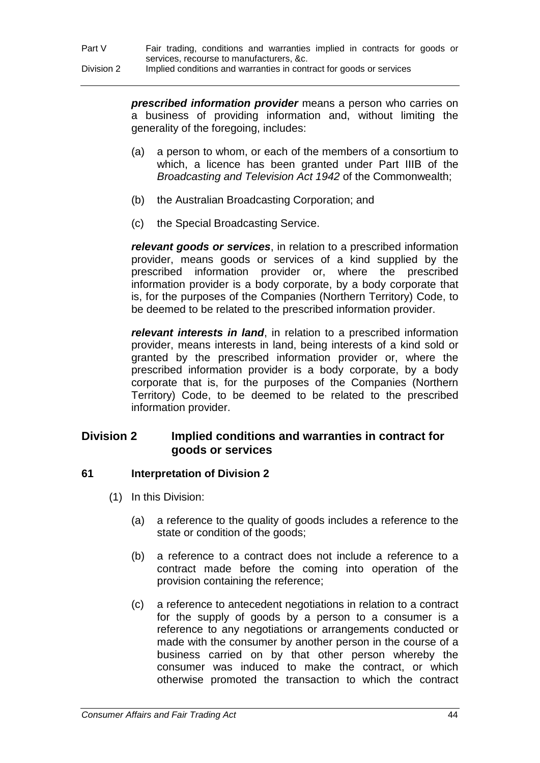*prescribed information provider* means a person who carries on a business of providing information and, without limiting the generality of the foregoing, includes:

- (a) a person to whom, or each of the members of a consortium to which, a licence has been granted under Part IIIB of the *Broadcasting and Television Act 1942* of the Commonwealth;
- (b) the Australian Broadcasting Corporation; and
- (c) the Special Broadcasting Service.

*relevant goods or services*, in relation to a prescribed information provider, means goods or services of a kind supplied by the prescribed information provider or, where the prescribed information provider is a body corporate, by a body corporate that is, for the purposes of the Companies (Northern Territory) Code, to be deemed to be related to the prescribed information provider.

*relevant interests in land*, in relation to a prescribed information provider, means interests in land, being interests of a kind sold or granted by the prescribed information provider or, where the prescribed information provider is a body corporate, by a body corporate that is, for the purposes of the Companies (Northern Territory) Code, to be deemed to be related to the prescribed information provider.

# **Division 2 Implied conditions and warranties in contract for goods or services**

# **61 Interpretation of Division 2**

- (1) In this Division:
	- (a) a reference to the quality of goods includes a reference to the state or condition of the goods;
	- (b) a reference to a contract does not include a reference to a contract made before the coming into operation of the provision containing the reference;
	- (c) a reference to antecedent negotiations in relation to a contract for the supply of goods by a person to a consumer is a reference to any negotiations or arrangements conducted or made with the consumer by another person in the course of a business carried on by that other person whereby the consumer was induced to make the contract, or which otherwise promoted the transaction to which the contract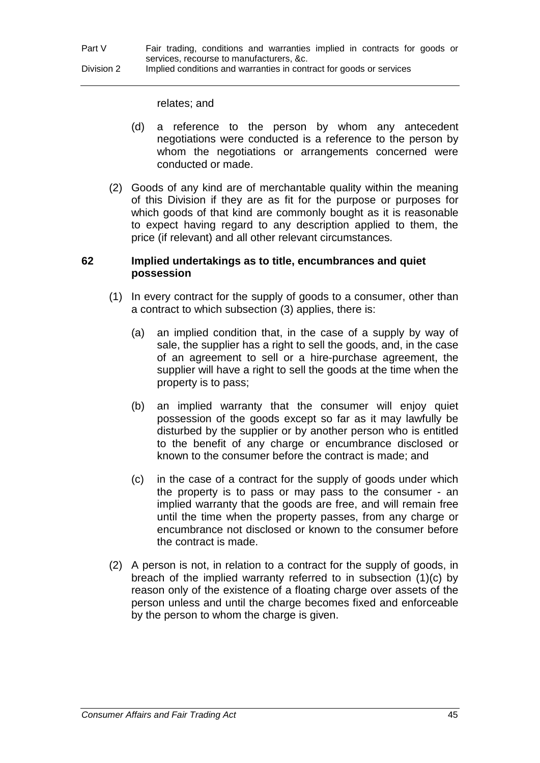relates; and

- (d) a reference to the person by whom any antecedent negotiations were conducted is a reference to the person by whom the negotiations or arrangements concerned were conducted or made.
- (2) Goods of any kind are of merchantable quality within the meaning of this Division if they are as fit for the purpose or purposes for which goods of that kind are commonly bought as it is reasonable to expect having regard to any description applied to them, the price (if relevant) and all other relevant circumstances.

#### **62 Implied undertakings as to title, encumbrances and quiet possession**

- (1) In every contract for the supply of goods to a consumer, other than a contract to which subsection (3) applies, there is:
	- (a) an implied condition that, in the case of a supply by way of sale, the supplier has a right to sell the goods, and, in the case of an agreement to sell or a hire-purchase agreement, the supplier will have a right to sell the goods at the time when the property is to pass;
	- (b) an implied warranty that the consumer will enjoy quiet possession of the goods except so far as it may lawfully be disturbed by the supplier or by another person who is entitled to the benefit of any charge or encumbrance disclosed or known to the consumer before the contract is made; and
	- (c) in the case of a contract for the supply of goods under which the property is to pass or may pass to the consumer - an implied warranty that the goods are free, and will remain free until the time when the property passes, from any charge or encumbrance not disclosed or known to the consumer before the contract is made.
- (2) A person is not, in relation to a contract for the supply of goods, in breach of the implied warranty referred to in subsection (1)(c) by reason only of the existence of a floating charge over assets of the person unless and until the charge becomes fixed and enforceable by the person to whom the charge is given.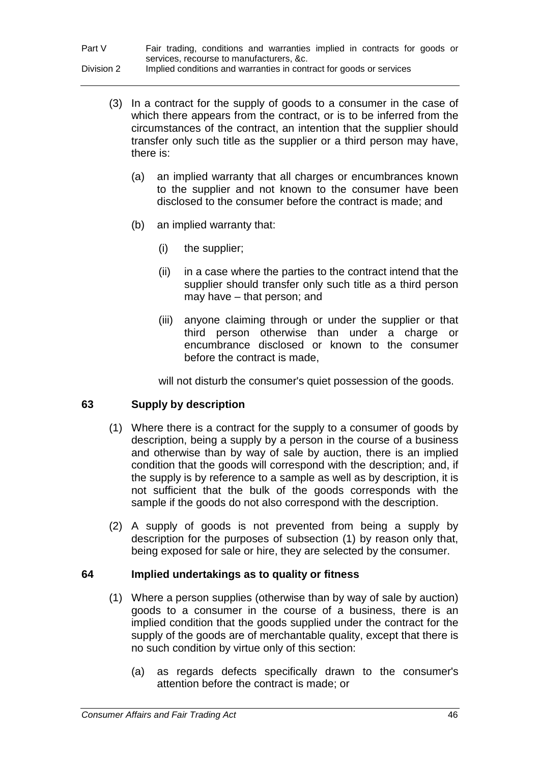| Part V     | Fair trading, conditions and warranties implied in contracts for goods or |
|------------|---------------------------------------------------------------------------|
|            | services, recourse to manufacturers, &c.                                  |
| Division 2 | Implied conditions and warranties in contract for goods or services       |

- (3) In a contract for the supply of goods to a consumer in the case of which there appears from the contract, or is to be inferred from the circumstances of the contract, an intention that the supplier should transfer only such title as the supplier or a third person may have, there is:
	- (a) an implied warranty that all charges or encumbrances known to the supplier and not known to the consumer have been disclosed to the consumer before the contract is made; and
	- (b) an implied warranty that:
		- (i) the supplier;
		- (ii) in a case where the parties to the contract intend that the supplier should transfer only such title as a third person may have – that person; and
		- (iii) anyone claiming through or under the supplier or that third person otherwise than under a charge or encumbrance disclosed or known to the consumer before the contract is made,

will not disturb the consumer's quiet possession of the goods.

## **63 Supply by description**

- (1) Where there is a contract for the supply to a consumer of goods by description, being a supply by a person in the course of a business and otherwise than by way of sale by auction, there is an implied condition that the goods will correspond with the description; and, if the supply is by reference to a sample as well as by description, it is not sufficient that the bulk of the goods corresponds with the sample if the goods do not also correspond with the description.
- (2) A supply of goods is not prevented from being a supply by description for the purposes of subsection (1) by reason only that, being exposed for sale or hire, they are selected by the consumer.

## **64 Implied undertakings as to quality or fitness**

- (1) Where a person supplies (otherwise than by way of sale by auction) goods to a consumer in the course of a business, there is an implied condition that the goods supplied under the contract for the supply of the goods are of merchantable quality, except that there is no such condition by virtue only of this section:
	- (a) as regards defects specifically drawn to the consumer's attention before the contract is made; or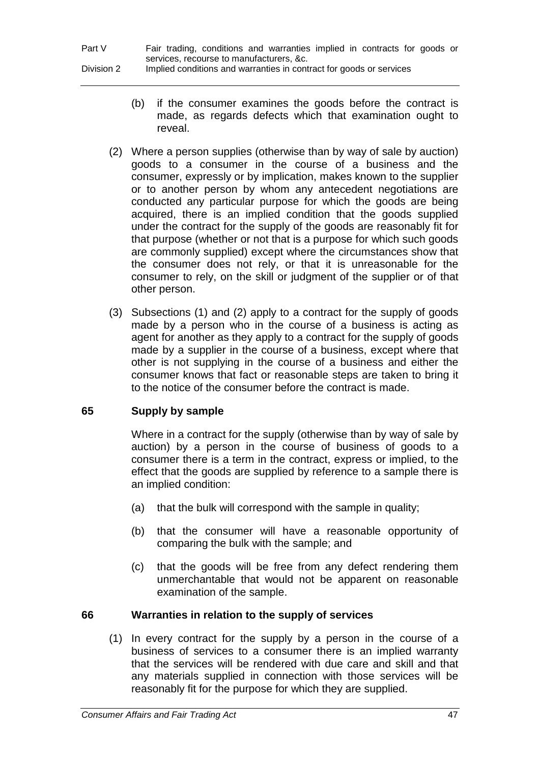- (b) if the consumer examines the goods before the contract is made, as regards defects which that examination ought to reveal.
- (2) Where a person supplies (otherwise than by way of sale by auction) goods to a consumer in the course of a business and the consumer, expressly or by implication, makes known to the supplier or to another person by whom any antecedent negotiations are conducted any particular purpose for which the goods are being acquired, there is an implied condition that the goods supplied under the contract for the supply of the goods are reasonably fit for that purpose (whether or not that is a purpose for which such goods are commonly supplied) except where the circumstances show that the consumer does not rely, or that it is unreasonable for the consumer to rely, on the skill or judgment of the supplier or of that other person.
- (3) Subsections (1) and (2) apply to a contract for the supply of goods made by a person who in the course of a business is acting as agent for another as they apply to a contract for the supply of goods made by a supplier in the course of a business, except where that other is not supplying in the course of a business and either the consumer knows that fact or reasonable steps are taken to bring it to the notice of the consumer before the contract is made.

# **65 Supply by sample**

Where in a contract for the supply (otherwise than by way of sale by auction) by a person in the course of business of goods to a consumer there is a term in the contract, express or implied, to the effect that the goods are supplied by reference to a sample there is an implied condition:

- (a) that the bulk will correspond with the sample in quality;
- (b) that the consumer will have a reasonable opportunity of comparing the bulk with the sample; and
- (c) that the goods will be free from any defect rendering them unmerchantable that would not be apparent on reasonable examination of the sample.

# **66 Warranties in relation to the supply of services**

(1) In every contract for the supply by a person in the course of a business of services to a consumer there is an implied warranty that the services will be rendered with due care and skill and that any materials supplied in connection with those services will be reasonably fit for the purpose for which they are supplied.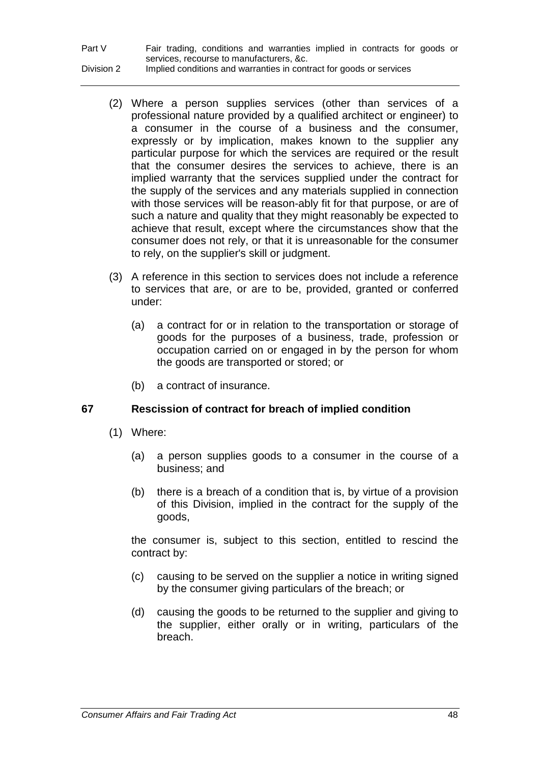| Part V     | Fair trading, conditions and warranties implied in contracts for goods or |
|------------|---------------------------------------------------------------------------|
|            | services, recourse to manufacturers, &c.                                  |
| Division 2 | Implied conditions and warranties in contract for goods or services       |

- (2) Where a person supplies services (other than services of a professional nature provided by a qualified architect or engineer) to a consumer in the course of a business and the consumer, expressly or by implication, makes known to the supplier any particular purpose for which the services are required or the result that the consumer desires the services to achieve, there is an implied warranty that the services supplied under the contract for the supply of the services and any materials supplied in connection with those services will be reason-ably fit for that purpose, or are of such a nature and quality that they might reasonably be expected to achieve that result, except where the circumstances show that the consumer does not rely, or that it is unreasonable for the consumer to rely, on the supplier's skill or judgment.
- (3) A reference in this section to services does not include a reference to services that are, or are to be, provided, granted or conferred under:
	- (a) a contract for or in relation to the transportation or storage of goods for the purposes of a business, trade, profession or occupation carried on or engaged in by the person for whom the goods are transported or stored; or
	- (b) a contract of insurance.

# **67 Rescission of contract for breach of implied condition**

- (1) Where:
	- (a) a person supplies goods to a consumer in the course of a business; and
	- (b) there is a breach of a condition that is, by virtue of a provision of this Division, implied in the contract for the supply of the goods,

the consumer is, subject to this section, entitled to rescind the contract by:

- (c) causing to be served on the supplier a notice in writing signed by the consumer giving particulars of the breach; or
- (d) causing the goods to be returned to the supplier and giving to the supplier, either orally or in writing, particulars of the breach.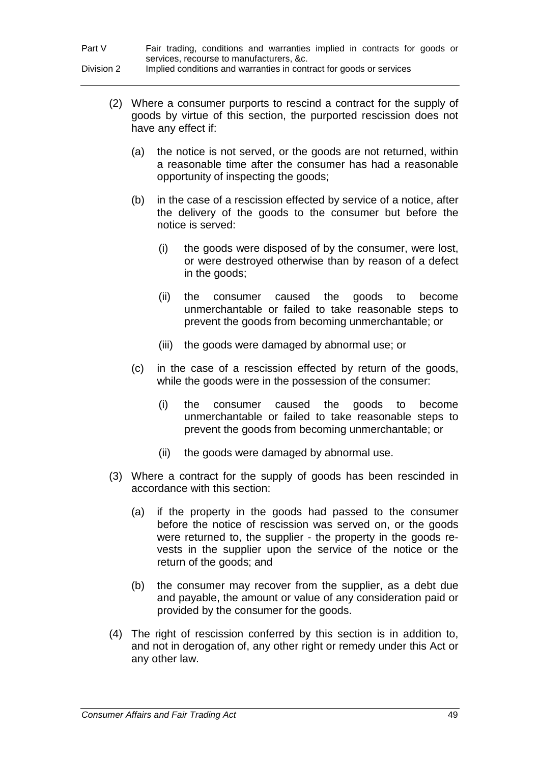| Part V     | Fair trading, conditions and warranties implied in contracts for goods or |
|------------|---------------------------------------------------------------------------|
|            | services, recourse to manufacturers, &c.                                  |
| Division 2 | Implied conditions and warranties in contract for goods or services       |

- (2) Where a consumer purports to rescind a contract for the supply of goods by virtue of this section, the purported rescission does not have any effect if:
	- (a) the notice is not served, or the goods are not returned, within a reasonable time after the consumer has had a reasonable opportunity of inspecting the goods;
	- (b) in the case of a rescission effected by service of a notice, after the delivery of the goods to the consumer but before the notice is served:
		- (i) the goods were disposed of by the consumer, were lost, or were destroyed otherwise than by reason of a defect in the goods;
		- (ii) the consumer caused the goods to become unmerchantable or failed to take reasonable steps to prevent the goods from becoming unmerchantable; or
		- (iii) the goods were damaged by abnormal use; or
	- (c) in the case of a rescission effected by return of the goods, while the goods were in the possession of the consumer:
		- (i) the consumer caused the goods to become unmerchantable or failed to take reasonable steps to prevent the goods from becoming unmerchantable; or
		- (ii) the goods were damaged by abnormal use.
- (3) Where a contract for the supply of goods has been rescinded in accordance with this section:
	- (a) if the property in the goods had passed to the consumer before the notice of rescission was served on, or the goods were returned to, the supplier - the property in the goods revests in the supplier upon the service of the notice or the return of the goods; and
	- (b) the consumer may recover from the supplier, as a debt due and payable, the amount or value of any consideration paid or provided by the consumer for the goods.
- (4) The right of rescission conferred by this section is in addition to, and not in derogation of, any other right or remedy under this Act or any other law.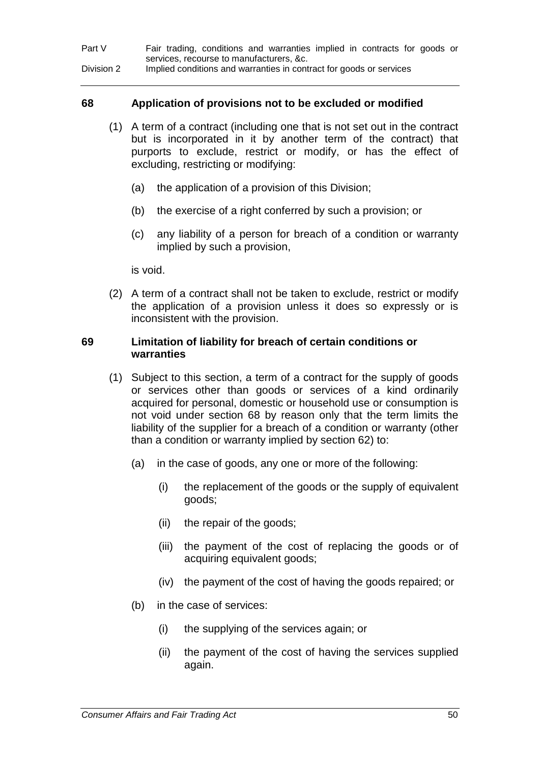| Part V     | Fair trading, conditions and warranties implied in contracts for goods or |
|------------|---------------------------------------------------------------------------|
|            | services, recourse to manufacturers, &c.                                  |
| Division 2 | Implied conditions and warranties in contract for goods or services       |

#### **68 Application of provisions not to be excluded or modified**

- (1) A term of a contract (including one that is not set out in the contract but is incorporated in it by another term of the contract) that purports to exclude, restrict or modify, or has the effect of excluding, restricting or modifying:
	- (a) the application of a provision of this Division;
	- (b) the exercise of a right conferred by such a provision; or
	- (c) any liability of a person for breach of a condition or warranty implied by such a provision,

is void.

(2) A term of a contract shall not be taken to exclude, restrict or modify the application of a provision unless it does so expressly or is inconsistent with the provision.

#### **69 Limitation of liability for breach of certain conditions or warranties**

- (1) Subject to this section, a term of a contract for the supply of goods or services other than goods or services of a kind ordinarily acquired for personal, domestic or household use or consumption is not void under section 68 by reason only that the term limits the liability of the supplier for a breach of a condition or warranty (other than a condition or warranty implied by section 62) to:
	- (a) in the case of goods, any one or more of the following:
		- (i) the replacement of the goods or the supply of equivalent goods;
		- (ii) the repair of the goods;
		- (iii) the payment of the cost of replacing the goods or of acquiring equivalent goods;
		- (iv) the payment of the cost of having the goods repaired; or
	- (b) in the case of services:
		- (i) the supplying of the services again; or
		- (ii) the payment of the cost of having the services supplied again.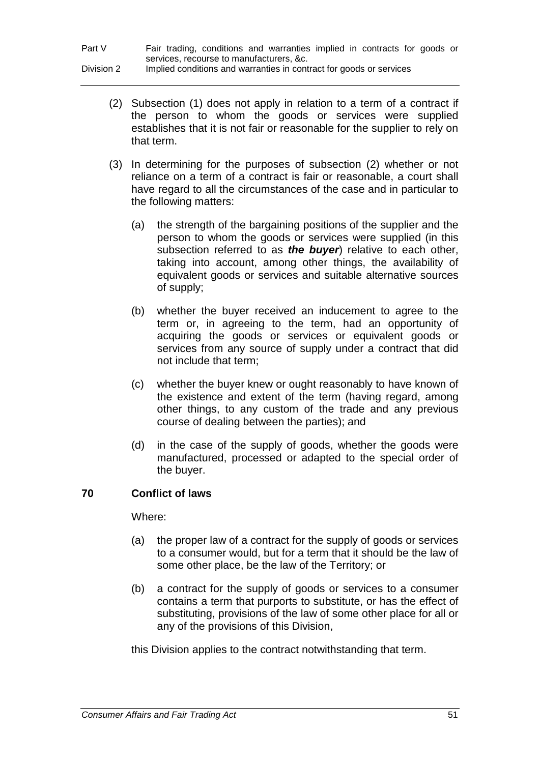- (2) Subsection (1) does not apply in relation to a term of a contract if the person to whom the goods or services were supplied establishes that it is not fair or reasonable for the supplier to rely on that term.
- (3) In determining for the purposes of subsection (2) whether or not reliance on a term of a contract is fair or reasonable, a court shall have regard to all the circumstances of the case and in particular to the following matters:
	- (a) the strength of the bargaining positions of the supplier and the person to whom the goods or services were supplied (in this subsection referred to as *the buyer*) relative to each other, taking into account, among other things, the availability of equivalent goods or services and suitable alternative sources of supply;
	- (b) whether the buyer received an inducement to agree to the term or, in agreeing to the term, had an opportunity of acquiring the goods or services or equivalent goods or services from any source of supply under a contract that did not include that term;
	- (c) whether the buyer knew or ought reasonably to have known of the existence and extent of the term (having regard, among other things, to any custom of the trade and any previous course of dealing between the parties); and
	- (d) in the case of the supply of goods, whether the goods were manufactured, processed or adapted to the special order of the buyer.

# **70 Conflict of laws**

Where:

- (a) the proper law of a contract for the supply of goods or services to a consumer would, but for a term that it should be the law of some other place, be the law of the Territory; or
- (b) a contract for the supply of goods or services to a consumer contains a term that purports to substitute, or has the effect of substituting, provisions of the law of some other place for all or any of the provisions of this Division,

this Division applies to the contract notwithstanding that term.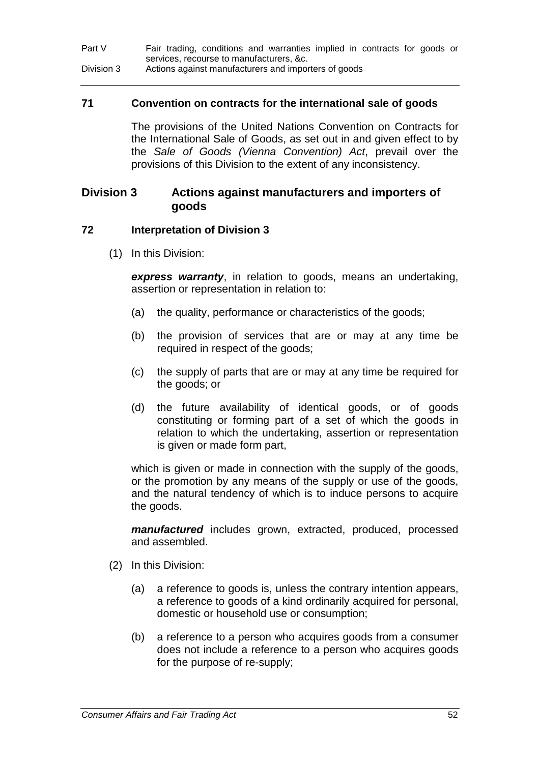| Part V     | Fair trading, conditions and warranties implied in contracts for goods or |
|------------|---------------------------------------------------------------------------|
|            | services, recourse to manufacturers, &c.                                  |
| Division 3 | Actions against manufacturers and importers of goods                      |

#### **71 Convention on contracts for the international sale of goods**

The provisions of the United Nations Convention on Contracts for the International Sale of Goods, as set out in and given effect to by the *Sale of Goods (Vienna Convention) Act*, prevail over the provisions of this Division to the extent of any inconsistency.

## **Division 3 Actions against manufacturers and importers of goods**

#### **72 Interpretation of Division 3**

(1) In this Division:

*express warranty*, in relation to goods, means an undertaking, assertion or representation in relation to:

- (a) the quality, performance or characteristics of the goods;
- (b) the provision of services that are or may at any time be required in respect of the goods;
- (c) the supply of parts that are or may at any time be required for the goods; or
- (d) the future availability of identical goods, or of goods constituting or forming part of a set of which the goods in relation to which the undertaking, assertion or representation is given or made form part,

which is given or made in connection with the supply of the goods, or the promotion by any means of the supply or use of the goods, and the natural tendency of which is to induce persons to acquire the goods.

*manufactured* includes grown, extracted, produced, processed and assembled.

- (2) In this Division:
	- (a) a reference to goods is, unless the contrary intention appears, a reference to goods of a kind ordinarily acquired for personal, domestic or household use or consumption;
	- (b) a reference to a person who acquires goods from a consumer does not include a reference to a person who acquires goods for the purpose of re-supply;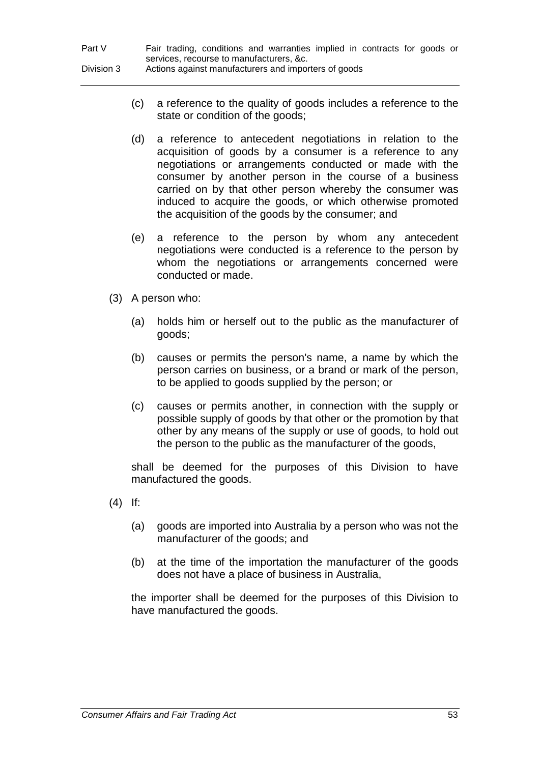- (c) a reference to the quality of goods includes a reference to the state or condition of the goods;
- (d) a reference to antecedent negotiations in relation to the acquisition of goods by a consumer is a reference to any negotiations or arrangements conducted or made with the consumer by another person in the course of a business carried on by that other person whereby the consumer was induced to acquire the goods, or which otherwise promoted the acquisition of the goods by the consumer; and
- (e) a reference to the person by whom any antecedent negotiations were conducted is a reference to the person by whom the negotiations or arrangements concerned were conducted or made.
- (3) A person who:
	- (a) holds him or herself out to the public as the manufacturer of goods;
	- (b) causes or permits the person's name, a name by which the person carries on business, or a brand or mark of the person, to be applied to goods supplied by the person; or
	- (c) causes or permits another, in connection with the supply or possible supply of goods by that other or the promotion by that other by any means of the supply or use of goods, to hold out the person to the public as the manufacturer of the goods,

shall be deemed for the purposes of this Division to have manufactured the goods.

- (4) If:
	- (a) goods are imported into Australia by a person who was not the manufacturer of the goods; and
	- (b) at the time of the importation the manufacturer of the goods does not have a place of business in Australia,

the importer shall be deemed for the purposes of this Division to have manufactured the goods.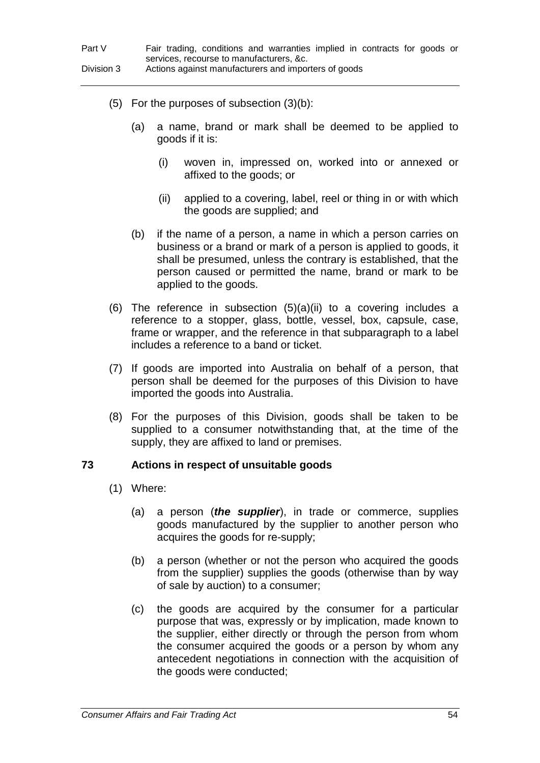- (5) For the purposes of subsection (3)(b):
	- (a) a name, brand or mark shall be deemed to be applied to goods if it is:
		- (i) woven in, impressed on, worked into or annexed or affixed to the goods; or
		- (ii) applied to a covering, label, reel or thing in or with which the goods are supplied; and
	- (b) if the name of a person, a name in which a person carries on business or a brand or mark of a person is applied to goods, it shall be presumed, unless the contrary is established, that the person caused or permitted the name, brand or mark to be applied to the goods.
- (6) The reference in subsection (5)(a)(ii) to a covering includes a reference to a stopper, glass, bottle, vessel, box, capsule, case, frame or wrapper, and the reference in that subparagraph to a label includes a reference to a band or ticket.
- (7) If goods are imported into Australia on behalf of a person, that person shall be deemed for the purposes of this Division to have imported the goods into Australia.
- (8) For the purposes of this Division, goods shall be taken to be supplied to a consumer notwithstanding that, at the time of the supply, they are affixed to land or premises.

## **73 Actions in respect of unsuitable goods**

- (1) Where:
	- (a) a person (*the supplier*), in trade or commerce, supplies goods manufactured by the supplier to another person who acquires the goods for re-supply;
	- (b) a person (whether or not the person who acquired the goods from the supplier) supplies the goods (otherwise than by way of sale by auction) to a consumer;
	- (c) the goods are acquired by the consumer for a particular purpose that was, expressly or by implication, made known to the supplier, either directly or through the person from whom the consumer acquired the goods or a person by whom any antecedent negotiations in connection with the acquisition of the goods were conducted;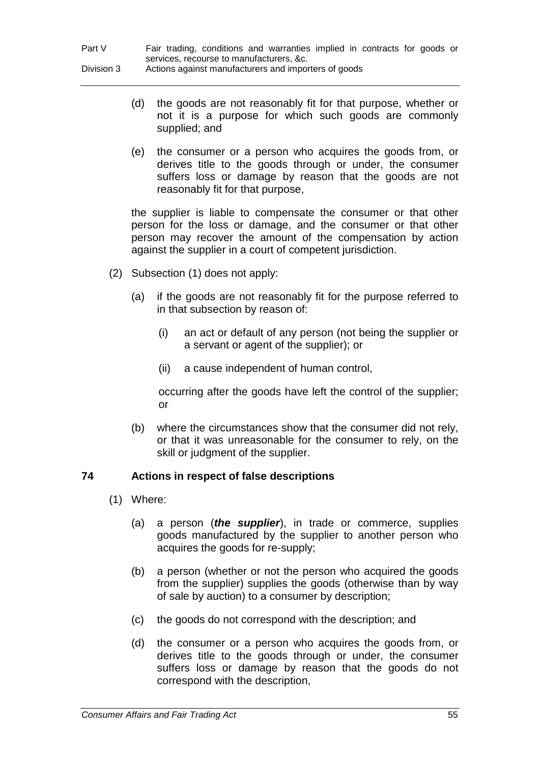- (d) the goods are not reasonably fit for that purpose, whether or not it is a purpose for which such goods are commonly supplied; and
- (e) the consumer or a person who acquires the goods from, or derives title to the goods through or under, the consumer suffers loss or damage by reason that the goods are not reasonably fit for that purpose,

the supplier is liable to compensate the consumer or that other person for the loss or damage, and the consumer or that other person may recover the amount of the compensation by action against the supplier in a court of competent jurisdiction.

- (2) Subsection (1) does not apply:
	- (a) if the goods are not reasonably fit for the purpose referred to in that subsection by reason of:
		- (i) an act or default of any person (not being the supplier or a servant or agent of the supplier); or
		- (ii) a cause independent of human control,

occurring after the goods have left the control of the supplier; or

(b) where the circumstances show that the consumer did not rely, or that it was unreasonable for the consumer to rely, on the skill or judgment of the supplier.

## **74 Actions in respect of false descriptions**

- (1) Where:
	- (a) a person (*the supplier*), in trade or commerce, supplies goods manufactured by the supplier to another person who acquires the goods for re-supply;
	- (b) a person (whether or not the person who acquired the goods from the supplier) supplies the goods (otherwise than by way of sale by auction) to a consumer by description;
	- (c) the goods do not correspond with the description; and
	- (d) the consumer or a person who acquires the goods from, or derives title to the goods through or under, the consumer suffers loss or damage by reason that the goods do not correspond with the description,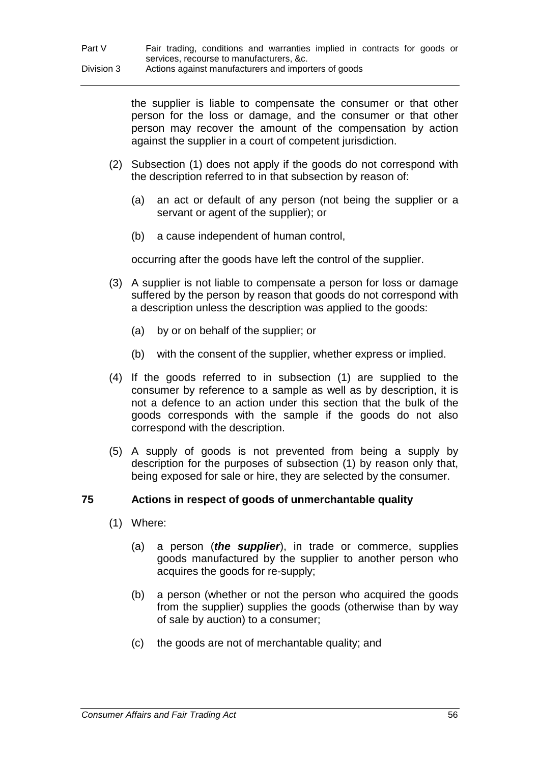the supplier is liable to compensate the consumer or that other person for the loss or damage, and the consumer or that other person may recover the amount of the compensation by action against the supplier in a court of competent jurisdiction.

- (2) Subsection (1) does not apply if the goods do not correspond with the description referred to in that subsection by reason of:
	- (a) an act or default of any person (not being the supplier or a servant or agent of the supplier); or
	- (b) a cause independent of human control,

occurring after the goods have left the control of the supplier.

- (3) A supplier is not liable to compensate a person for loss or damage suffered by the person by reason that goods do not correspond with a description unless the description was applied to the goods:
	- (a) by or on behalf of the supplier; or
	- (b) with the consent of the supplier, whether express or implied.
- (4) If the goods referred to in subsection (1) are supplied to the consumer by reference to a sample as well as by description, it is not a defence to an action under this section that the bulk of the goods corresponds with the sample if the goods do not also correspond with the description.
- (5) A supply of goods is not prevented from being a supply by description for the purposes of subsection (1) by reason only that, being exposed for sale or hire, they are selected by the consumer.

## **75 Actions in respect of goods of unmerchantable quality**

- (1) Where:
	- (a) a person (*the supplier*), in trade or commerce, supplies goods manufactured by the supplier to another person who acquires the goods for re-supply;
	- (b) a person (whether or not the person who acquired the goods from the supplier) supplies the goods (otherwise than by way of sale by auction) to a consumer;
	- (c) the goods are not of merchantable quality; and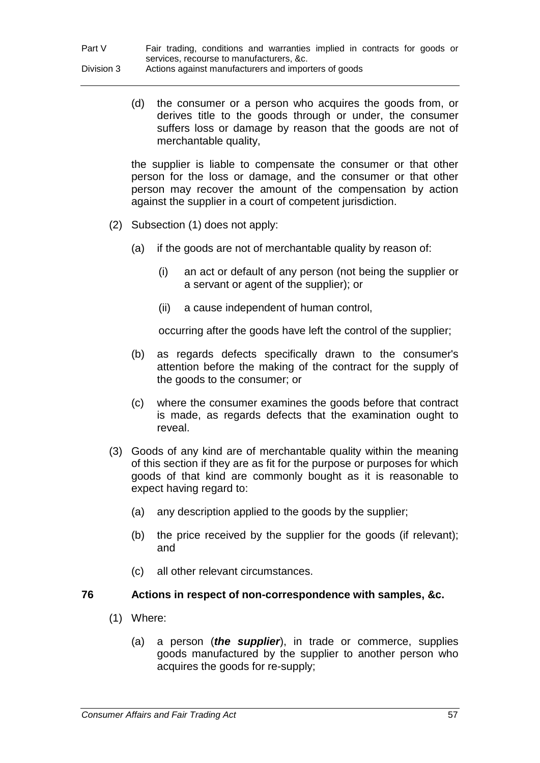(d) the consumer or a person who acquires the goods from, or derives title to the goods through or under, the consumer suffers loss or damage by reason that the goods are not of merchantable quality,

the supplier is liable to compensate the consumer or that other person for the loss or damage, and the consumer or that other person may recover the amount of the compensation by action against the supplier in a court of competent jurisdiction.

- (2) Subsection (1) does not apply:
	- (a) if the goods are not of merchantable quality by reason of:
		- (i) an act or default of any person (not being the supplier or a servant or agent of the supplier); or
		- (ii) a cause independent of human control,

occurring after the goods have left the control of the supplier;

- (b) as regards defects specifically drawn to the consumer's attention before the making of the contract for the supply of the goods to the consumer; or
- (c) where the consumer examines the goods before that contract is made, as regards defects that the examination ought to reveal.
- (3) Goods of any kind are of merchantable quality within the meaning of this section if they are as fit for the purpose or purposes for which goods of that kind are commonly bought as it is reasonable to expect having regard to:
	- (a) any description applied to the goods by the supplier;
	- (b) the price received by the supplier for the goods (if relevant); and
	- (c) all other relevant circumstances.

## **76 Actions in respect of non-correspondence with samples, &c.**

- (1) Where:
	- (a) a person (*the supplier*), in trade or commerce, supplies goods manufactured by the supplier to another person who acquires the goods for re-supply;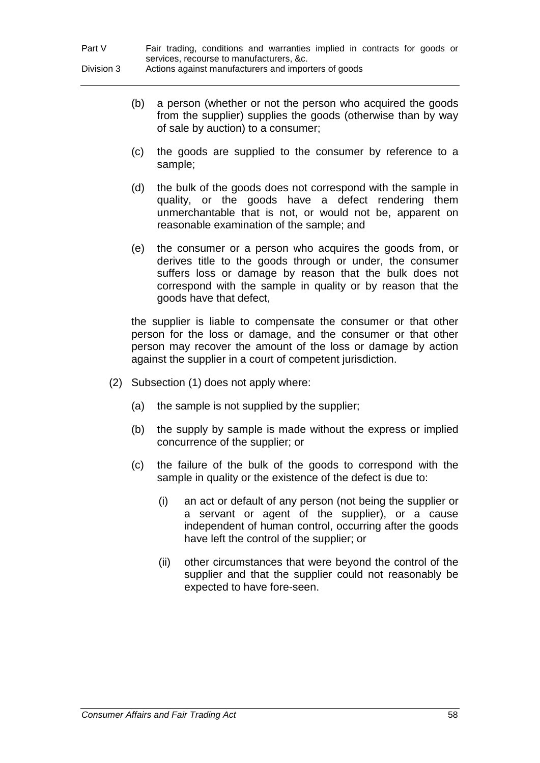- (b) a person (whether or not the person who acquired the goods from the supplier) supplies the goods (otherwise than by way of sale by auction) to a consumer;
- (c) the goods are supplied to the consumer by reference to a sample;
- (d) the bulk of the goods does not correspond with the sample in quality, or the goods have a defect rendering them unmerchantable that is not, or would not be, apparent on reasonable examination of the sample; and
- (e) the consumer or a person who acquires the goods from, or derives title to the goods through or under, the consumer suffers loss or damage by reason that the bulk does not correspond with the sample in quality or by reason that the goods have that defect,

the supplier is liable to compensate the consumer or that other person for the loss or damage, and the consumer or that other person may recover the amount of the loss or damage by action against the supplier in a court of competent jurisdiction.

- (2) Subsection (1) does not apply where:
	- (a) the sample is not supplied by the supplier;
	- (b) the supply by sample is made without the express or implied concurrence of the supplier; or
	- (c) the failure of the bulk of the goods to correspond with the sample in quality or the existence of the defect is due to:
		- (i) an act or default of any person (not being the supplier or a servant or agent of the supplier), or a cause independent of human control, occurring after the goods have left the control of the supplier; or
		- (ii) other circumstances that were beyond the control of the supplier and that the supplier could not reasonably be expected to have fore-seen.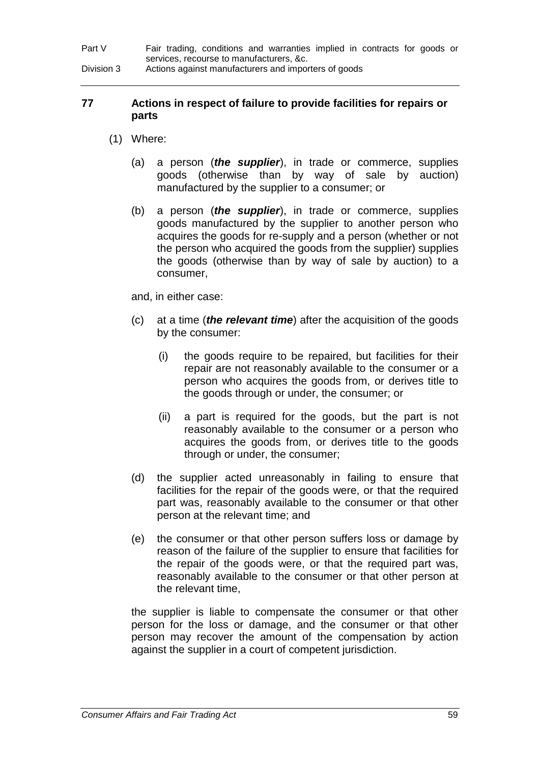Part V Fair trading, conditions and warranties implied in contracts for goods or services, recourse to manufacturers, &c. Division 3 Actions against manufacturers and importers of goods

## **77 Actions in respect of failure to provide facilities for repairs or parts**

- (1) Where:
	- (a) a person (*the supplier*), in trade or commerce, supplies goods (otherwise than by way of sale by auction) manufactured by the supplier to a consumer; or
	- (b) a person (*the supplier*), in trade or commerce, supplies goods manufactured by the supplier to another person who acquires the goods for re-supply and a person (whether or not the person who acquired the goods from the supplier) supplies the goods (otherwise than by way of sale by auction) to a consumer,

and, in either case:

- (c) at a time (*the relevant time*) after the acquisition of the goods by the consumer:
	- (i) the goods require to be repaired, but facilities for their repair are not reasonably available to the consumer or a person who acquires the goods from, or derives title to the goods through or under, the consumer; or
	- (ii) a part is required for the goods, but the part is not reasonably available to the consumer or a person who acquires the goods from, or derives title to the goods through or under, the consumer;
- (d) the supplier acted unreasonably in failing to ensure that facilities for the repair of the goods were, or that the required part was, reasonably available to the consumer or that other person at the relevant time; and
- (e) the consumer or that other person suffers loss or damage by reason of the failure of the supplier to ensure that facilities for the repair of the goods were, or that the required part was, reasonably available to the consumer or that other person at the relevant time,

the supplier is liable to compensate the consumer or that other person for the loss or damage, and the consumer or that other person may recover the amount of the compensation by action against the supplier in a court of competent jurisdiction.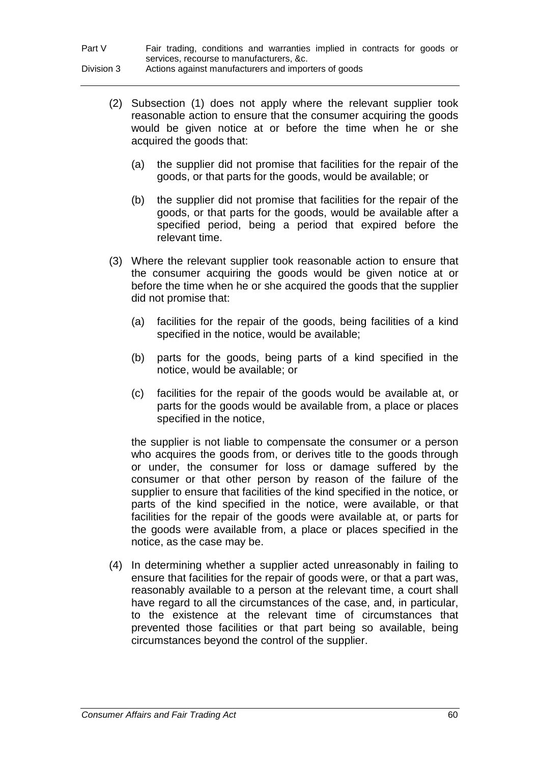| Part V     | Fair trading, conditions and warranties implied in contracts for goods or |
|------------|---------------------------------------------------------------------------|
|            | services, recourse to manufacturers, &c.                                  |
| Division 3 | Actions against manufacturers and importers of goods                      |

- (2) Subsection (1) does not apply where the relevant supplier took reasonable action to ensure that the consumer acquiring the goods would be given notice at or before the time when he or she acquired the goods that:
	- (a) the supplier did not promise that facilities for the repair of the goods, or that parts for the goods, would be available; or
	- (b) the supplier did not promise that facilities for the repair of the goods, or that parts for the goods, would be available after a specified period, being a period that expired before the relevant time.
- (3) Where the relevant supplier took reasonable action to ensure that the consumer acquiring the goods would be given notice at or before the time when he or she acquired the goods that the supplier did not promise that:
	- (a) facilities for the repair of the goods, being facilities of a kind specified in the notice, would be available;
	- (b) parts for the goods, being parts of a kind specified in the notice, would be available; or
	- (c) facilities for the repair of the goods would be available at, or parts for the goods would be available from, a place or places specified in the notice,

the supplier is not liable to compensate the consumer or a person who acquires the goods from, or derives title to the goods through or under, the consumer for loss or damage suffered by the consumer or that other person by reason of the failure of the supplier to ensure that facilities of the kind specified in the notice, or parts of the kind specified in the notice, were available, or that facilities for the repair of the goods were available at, or parts for the goods were available from, a place or places specified in the notice, as the case may be.

(4) In determining whether a supplier acted unreasonably in failing to ensure that facilities for the repair of goods were, or that a part was, reasonably available to a person at the relevant time, a court shall have regard to all the circumstances of the case, and, in particular, to the existence at the relevant time of circumstances that prevented those facilities or that part being so available, being circumstances beyond the control of the supplier.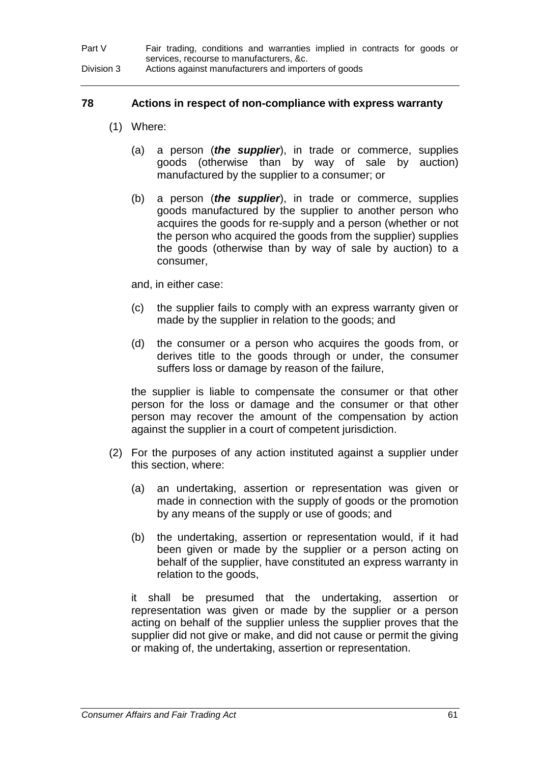## **78 Actions in respect of non-compliance with express warranty**

- (1) Where:
	- (a) a person (*the supplier*), in trade or commerce, supplies goods (otherwise than by way of sale by auction) manufactured by the supplier to a consumer; or
	- (b) a person (*the supplier*), in trade or commerce, supplies goods manufactured by the supplier to another person who acquires the goods for re-supply and a person (whether or not the person who acquired the goods from the supplier) supplies the goods (otherwise than by way of sale by auction) to a consumer,

and, in either case:

- (c) the supplier fails to comply with an express warranty given or made by the supplier in relation to the goods; and
- (d) the consumer or a person who acquires the goods from, or derives title to the goods through or under, the consumer suffers loss or damage by reason of the failure,

the supplier is liable to compensate the consumer or that other person for the loss or damage and the consumer or that other person may recover the amount of the compensation by action against the supplier in a court of competent jurisdiction.

- (2) For the purposes of any action instituted against a supplier under this section, where:
	- (a) an undertaking, assertion or representation was given or made in connection with the supply of goods or the promotion by any means of the supply or use of goods; and
	- (b) the undertaking, assertion or representation would, if it had been given or made by the supplier or a person acting on behalf of the supplier, have constituted an express warranty in relation to the goods,

it shall be presumed that the undertaking, assertion or representation was given or made by the supplier or a person acting on behalf of the supplier unless the supplier proves that the supplier did not give or make, and did not cause or permit the giving or making of, the undertaking, assertion or representation.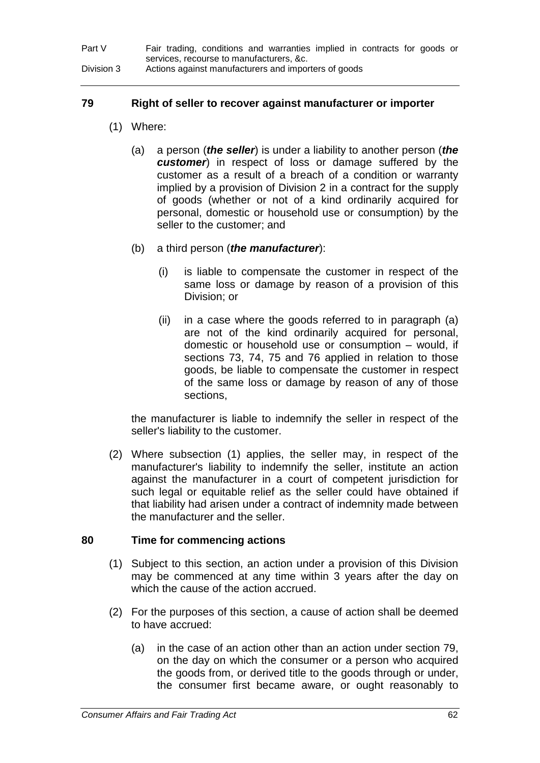## **79 Right of seller to recover against manufacturer or importer**

- (1) Where:
	- (a) a person (*the seller*) is under a liability to another person (*the customer*) in respect of loss or damage suffered by the customer as a result of a breach of a condition or warranty implied by a provision of Division 2 in a contract for the supply of goods (whether or not of a kind ordinarily acquired for personal, domestic or household use or consumption) by the seller to the customer; and
	- (b) a third person (*the manufacturer*):
		- (i) is liable to compensate the customer in respect of the same loss or damage by reason of a provision of this Division; or
		- (ii) in a case where the goods referred to in paragraph (a) are not of the kind ordinarily acquired for personal, domestic or household use or consumption – would, if sections 73, 74, 75 and 76 applied in relation to those goods, be liable to compensate the customer in respect of the same loss or damage by reason of any of those sections,

the manufacturer is liable to indemnify the seller in respect of the seller's liability to the customer.

(2) Where subsection (1) applies, the seller may, in respect of the manufacturer's liability to indemnify the seller, institute an action against the manufacturer in a court of competent jurisdiction for such legal or equitable relief as the seller could have obtained if that liability had arisen under a contract of indemnity made between the manufacturer and the seller.

# **80 Time for commencing actions**

- (1) Subject to this section, an action under a provision of this Division may be commenced at any time within 3 years after the day on which the cause of the action accrued.
- (2) For the purposes of this section, a cause of action shall be deemed to have accrued:
	- (a) in the case of an action other than an action under section 79, on the day on which the consumer or a person who acquired the goods from, or derived title to the goods through or under, the consumer first became aware, or ought reasonably to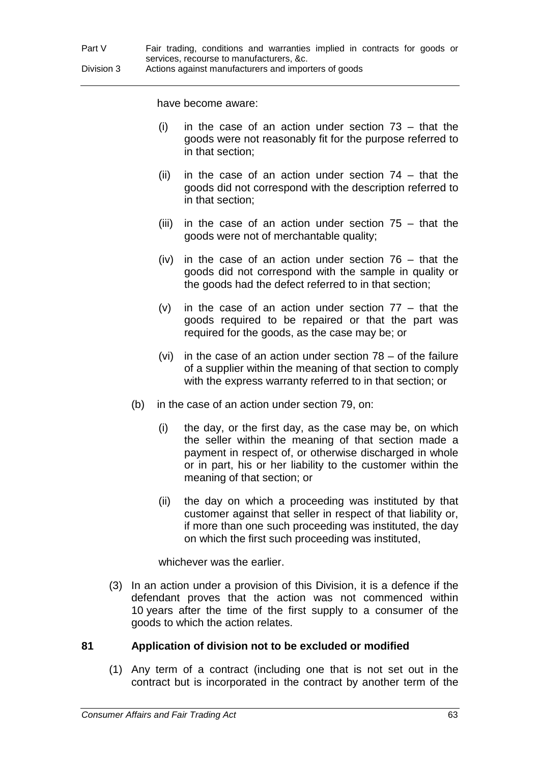have become aware:

- (i) in the case of an action under section  $73 -$  that the goods were not reasonably fit for the purpose referred to in that section;
- (ii) in the case of an action under section  $74 -$  that the goods did not correspond with the description referred to in that section;
- (iii) in the case of an action under section  $75 -$  that the goods were not of merchantable quality;
- (iv) in the case of an action under section 76 that the goods did not correspond with the sample in quality or the goods had the defect referred to in that section;
- (v) in the case of an action under section  $77 -$  that the goods required to be repaired or that the part was required for the goods, as the case may be; or
- (vi) in the case of an action under section  $78 -$  of the failure of a supplier within the meaning of that section to comply with the express warranty referred to in that section; or
- (b) in the case of an action under section 79, on:
	- (i) the day, or the first day, as the case may be, on which the seller within the meaning of that section made a payment in respect of, or otherwise discharged in whole or in part, his or her liability to the customer within the meaning of that section; or
	- (ii) the day on which a proceeding was instituted by that customer against that seller in respect of that liability or, if more than one such proceeding was instituted, the day on which the first such proceeding was instituted,

whichever was the earlier.

(3) In an action under a provision of this Division, it is a defence if the defendant proves that the action was not commenced within 10 years after the time of the first supply to a consumer of the goods to which the action relates.

### **81 Application of division not to be excluded or modified**

(1) Any term of a contract (including one that is not set out in the contract but is incorporated in the contract by another term of the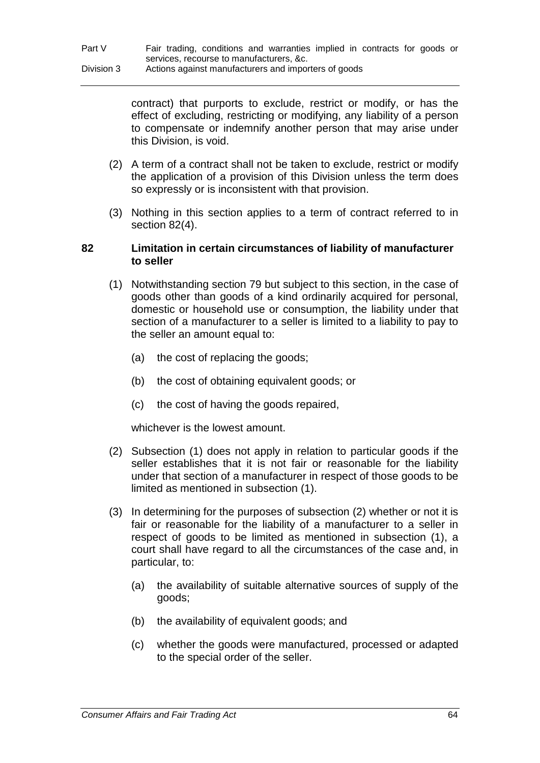contract) that purports to exclude, restrict or modify, or has the effect of excluding, restricting or modifying, any liability of a person to compensate or indemnify another person that may arise under this Division, is void.

- (2) A term of a contract shall not be taken to exclude, restrict or modify the application of a provision of this Division unless the term does so expressly or is inconsistent with that provision.
- (3) Nothing in this section applies to a term of contract referred to in section 82(4).

### **82 Limitation in certain circumstances of liability of manufacturer to seller**

- (1) Notwithstanding section 79 but subject to this section, in the case of goods other than goods of a kind ordinarily acquired for personal, domestic or household use or consumption, the liability under that section of a manufacturer to a seller is limited to a liability to pay to the seller an amount equal to:
	- (a) the cost of replacing the goods;
	- (b) the cost of obtaining equivalent goods; or
	- (c) the cost of having the goods repaired,

whichever is the lowest amount.

- (2) Subsection (1) does not apply in relation to particular goods if the seller establishes that it is not fair or reasonable for the liability under that section of a manufacturer in respect of those goods to be limited as mentioned in subsection (1).
- (3) In determining for the purposes of subsection (2) whether or not it is fair or reasonable for the liability of a manufacturer to a seller in respect of goods to be limited as mentioned in subsection (1), a court shall have regard to all the circumstances of the case and, in particular, to:
	- (a) the availability of suitable alternative sources of supply of the goods;
	- (b) the availability of equivalent goods; and
	- (c) whether the goods were manufactured, processed or adapted to the special order of the seller.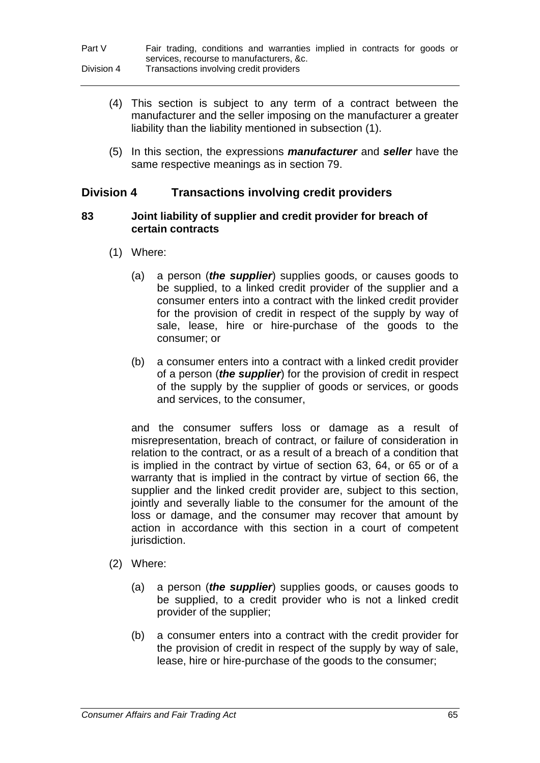- (4) This section is subject to any term of a contract between the manufacturer and the seller imposing on the manufacturer a greater liability than the liability mentioned in subsection (1).
- (5) In this section, the expressions *manufacturer* and *seller* have the same respective meanings as in section 79.

### **Division 4 Transactions involving credit providers**

### **83 Joint liability of supplier and credit provider for breach of certain contracts**

- (1) Where:
	- (a) a person (*the supplier*) supplies goods, or causes goods to be supplied, to a linked credit provider of the supplier and a consumer enters into a contract with the linked credit provider for the provision of credit in respect of the supply by way of sale, lease, hire or hire-purchase of the goods to the consumer; or
	- (b) a consumer enters into a contract with a linked credit provider of a person (*the supplier*) for the provision of credit in respect of the supply by the supplier of goods or services, or goods and services, to the consumer,

and the consumer suffers loss or damage as a result of misrepresentation, breach of contract, or failure of consideration in relation to the contract, or as a result of a breach of a condition that is implied in the contract by virtue of section 63, 64, or 65 or of a warranty that is implied in the contract by virtue of section 66, the supplier and the linked credit provider are, subject to this section, jointly and severally liable to the consumer for the amount of the loss or damage, and the consumer may recover that amount by action in accordance with this section in a court of competent jurisdiction.

- (2) Where:
	- (a) a person (*the supplier*) supplies goods, or causes goods to be supplied, to a credit provider who is not a linked credit provider of the supplier;
	- (b) a consumer enters into a contract with the credit provider for the provision of credit in respect of the supply by way of sale, lease, hire or hire-purchase of the goods to the consumer;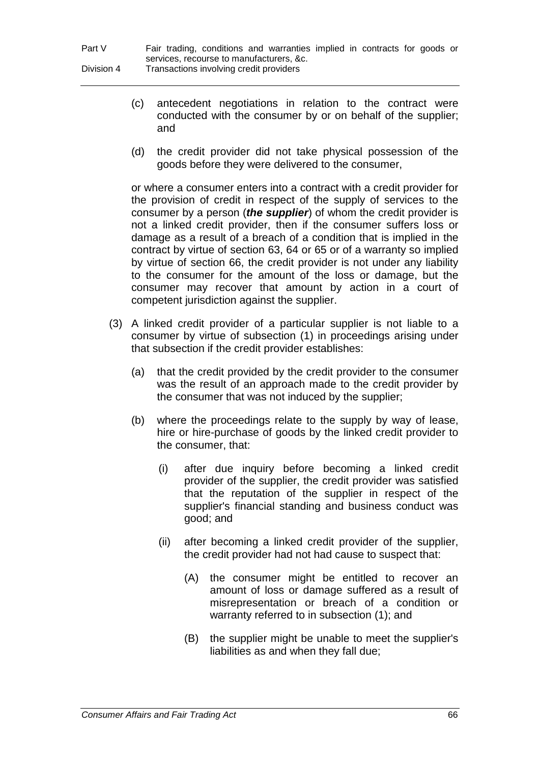- (c) antecedent negotiations in relation to the contract were conducted with the consumer by or on behalf of the supplier; and
- (d) the credit provider did not take physical possession of the goods before they were delivered to the consumer,

or where a consumer enters into a contract with a credit provider for the provision of credit in respect of the supply of services to the consumer by a person (*the supplier*) of whom the credit provider is not a linked credit provider, then if the consumer suffers loss or damage as a result of a breach of a condition that is implied in the contract by virtue of section 63, 64 or 65 or of a warranty so implied by virtue of section 66, the credit provider is not under any liability to the consumer for the amount of the loss or damage, but the consumer may recover that amount by action in a court of competent jurisdiction against the supplier.

- (3) A linked credit provider of a particular supplier is not liable to a consumer by virtue of subsection (1) in proceedings arising under that subsection if the credit provider establishes:
	- (a) that the credit provided by the credit provider to the consumer was the result of an approach made to the credit provider by the consumer that was not induced by the supplier;
	- (b) where the proceedings relate to the supply by way of lease, hire or hire-purchase of goods by the linked credit provider to the consumer, that:
		- (i) after due inquiry before becoming a linked credit provider of the supplier, the credit provider was satisfied that the reputation of the supplier in respect of the supplier's financial standing and business conduct was good; and
		- (ii) after becoming a linked credit provider of the supplier, the credit provider had not had cause to suspect that:
			- (A) the consumer might be entitled to recover an amount of loss or damage suffered as a result of misrepresentation or breach of a condition or warranty referred to in subsection (1); and
			- (B) the supplier might be unable to meet the supplier's liabilities as and when they fall due;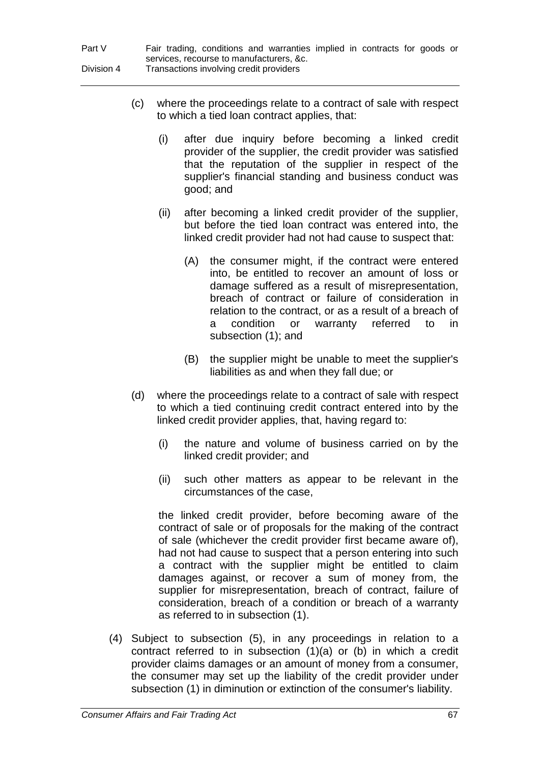| Part V     | Fair trading, conditions and warranties implied in contracts for goods or |
|------------|---------------------------------------------------------------------------|
|            | services, recourse to manufacturers, &c.                                  |
| Division 4 | Transactions involving credit providers                                   |

- (c) where the proceedings relate to a contract of sale with respect to which a tied loan contract applies, that:
	- (i) after due inquiry before becoming a linked credit provider of the supplier, the credit provider was satisfied that the reputation of the supplier in respect of the supplier's financial standing and business conduct was good; and
	- (ii) after becoming a linked credit provider of the supplier, but before the tied loan contract was entered into, the linked credit provider had not had cause to suspect that:
		- (A) the consumer might, if the contract were entered into, be entitled to recover an amount of loss or damage suffered as a result of misrepresentation, breach of contract or failure of consideration in relation to the contract, or as a result of a breach of a condition or warranty referred to in subsection (1); and
		- (B) the supplier might be unable to meet the supplier's liabilities as and when they fall due; or
- (d) where the proceedings relate to a contract of sale with respect to which a tied continuing credit contract entered into by the linked credit provider applies, that, having regard to:
	- (i) the nature and volume of business carried on by the linked credit provider; and
	- (ii) such other matters as appear to be relevant in the circumstances of the case,

the linked credit provider, before becoming aware of the contract of sale or of proposals for the making of the contract of sale (whichever the credit provider first became aware of), had not had cause to suspect that a person entering into such a contract with the supplier might be entitled to claim damages against, or recover a sum of money from, the supplier for misrepresentation, breach of contract, failure of consideration, breach of a condition or breach of a warranty as referred to in subsection (1).

(4) Subject to subsection (5), in any proceedings in relation to a contract referred to in subsection (1)(a) or (b) in which a credit provider claims damages or an amount of money from a consumer, the consumer may set up the liability of the credit provider under subsection (1) in diminution or extinction of the consumer's liability.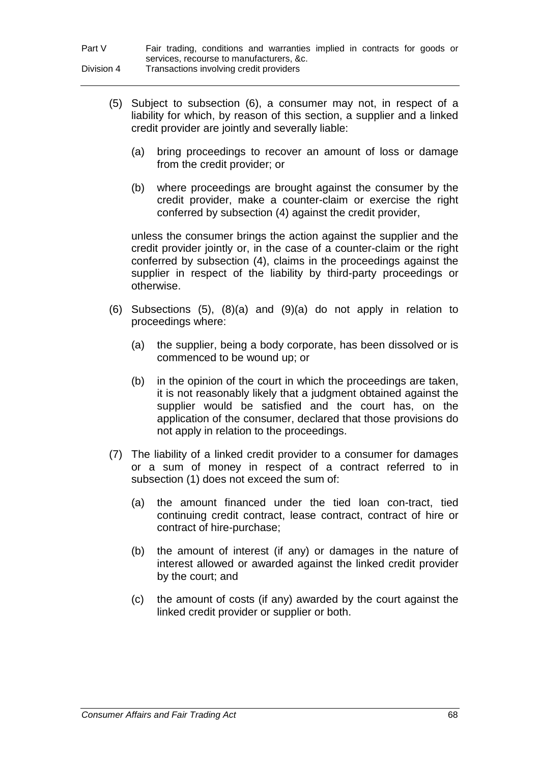| Part V     | Fair trading, conditions and warranties implied in contracts for goods or |
|------------|---------------------------------------------------------------------------|
|            | services, recourse to manufacturers, &c.                                  |
| Division 4 | Transactions involving credit providers                                   |

- (5) Subject to subsection (6), a consumer may not, in respect of a liability for which, by reason of this section, a supplier and a linked credit provider are jointly and severally liable:
	- (a) bring proceedings to recover an amount of loss or damage from the credit provider; or
	- (b) where proceedings are brought against the consumer by the credit provider, make a counter-claim or exercise the right conferred by subsection (4) against the credit provider,

unless the consumer brings the action against the supplier and the credit provider jointly or, in the case of a counter-claim or the right conferred by subsection (4), claims in the proceedings against the supplier in respect of the liability by third-party proceedings or otherwise.

- (6) Subsections (5), (8)(a) and (9)(a) do not apply in relation to proceedings where:
	- (a) the supplier, being a body corporate, has been dissolved or is commenced to be wound up; or
	- (b) in the opinion of the court in which the proceedings are taken, it is not reasonably likely that a judgment obtained against the supplier would be satisfied and the court has, on the application of the consumer, declared that those provisions do not apply in relation to the proceedings.
- (7) The liability of a linked credit provider to a consumer for damages or a sum of money in respect of a contract referred to in subsection (1) does not exceed the sum of:
	- (a) the amount financed under the tied loan con-tract, tied continuing credit contract, lease contract, contract of hire or contract of hire-purchase;
	- (b) the amount of interest (if any) or damages in the nature of interest allowed or awarded against the linked credit provider by the court; and
	- (c) the amount of costs (if any) awarded by the court against the linked credit provider or supplier or both.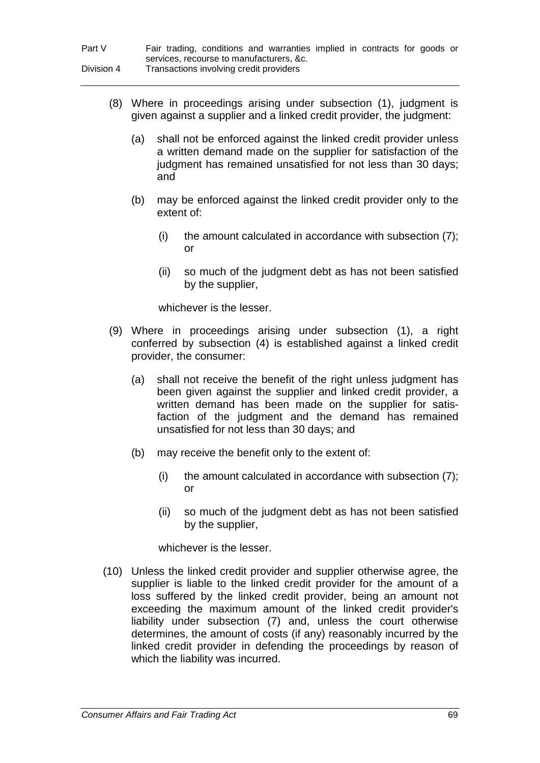| Part V     | Fair trading, conditions and warranties implied in contracts for goods or |
|------------|---------------------------------------------------------------------------|
|            | services, recourse to manufacturers, &c.                                  |
| Division 4 | Transactions involving credit providers                                   |

- (8) Where in proceedings arising under subsection (1), judgment is given against a supplier and a linked credit provider, the judgment:
	- (a) shall not be enforced against the linked credit provider unless a written demand made on the supplier for satisfaction of the judgment has remained unsatisfied for not less than 30 days; and
	- (b) may be enforced against the linked credit provider only to the extent of:
		- (i) the amount calculated in accordance with subsection (7); or
		- (ii) so much of the judgment debt as has not been satisfied by the supplier,

whichever is the lesser.

- (9) Where in proceedings arising under subsection (1), a right conferred by subsection (4) is established against a linked credit provider, the consumer:
	- (a) shall not receive the benefit of the right unless judgment has been given against the supplier and linked credit provider, a written demand has been made on the supplier for satisfaction of the judgment and the demand has remained unsatisfied for not less than 30 days; and
	- (b) may receive the benefit only to the extent of:
		- (i) the amount calculated in accordance with subsection (7); or
		- (ii) so much of the judgment debt as has not been satisfied by the supplier,

whichever is the lesser.

(10) Unless the linked credit provider and supplier otherwise agree, the supplier is liable to the linked credit provider for the amount of a loss suffered by the linked credit provider, being an amount not exceeding the maximum amount of the linked credit provider's liability under subsection (7) and, unless the court otherwise determines, the amount of costs (if any) reasonably incurred by the linked credit provider in defending the proceedings by reason of which the liability was incurred.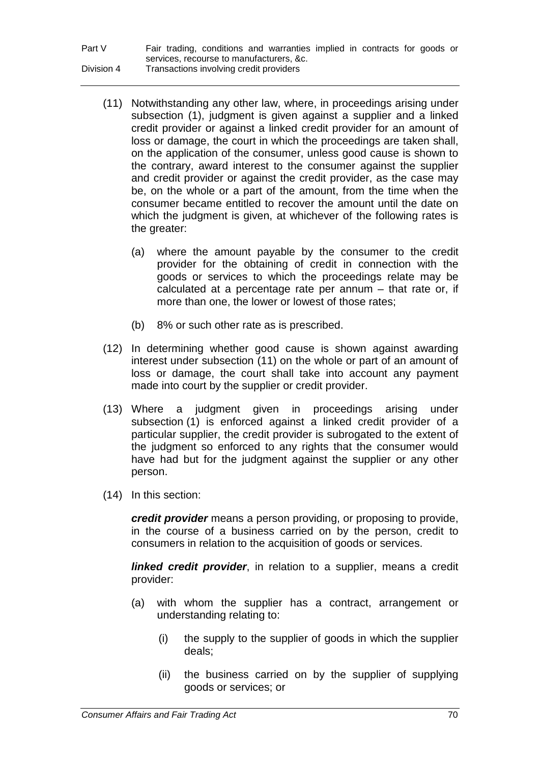| Part V     | Fair trading, conditions and warranties implied in contracts for goods or |
|------------|---------------------------------------------------------------------------|
|            | services, recourse to manufacturers, &c.                                  |
| Division 4 | Transactions involving credit providers                                   |

- (11) Notwithstanding any other law, where, in proceedings arising under subsection (1), judgment is given against a supplier and a linked credit provider or against a linked credit provider for an amount of loss or damage, the court in which the proceedings are taken shall, on the application of the consumer, unless good cause is shown to the contrary, award interest to the consumer against the supplier and credit provider or against the credit provider, as the case may be, on the whole or a part of the amount, from the time when the consumer became entitled to recover the amount until the date on which the judgment is given, at whichever of the following rates is the greater:
	- (a) where the amount payable by the consumer to the credit provider for the obtaining of credit in connection with the goods or services to which the proceedings relate may be calculated at a percentage rate per annum – that rate or, if more than one, the lower or lowest of those rates;
	- (b) 8% or such other rate as is prescribed.
- (12) In determining whether good cause is shown against awarding interest under subsection (11) on the whole or part of an amount of loss or damage, the court shall take into account any payment made into court by the supplier or credit provider.
- (13) Where a judgment given in proceedings arising under subsection (1) is enforced against a linked credit provider of a particular supplier, the credit provider is subrogated to the extent of the judgment so enforced to any rights that the consumer would have had but for the judgment against the supplier or any other person.
- (14) In this section:

*credit provider* means a person providing, or proposing to provide, in the course of a business carried on by the person, credit to consumers in relation to the acquisition of goods or services.

*linked credit provider*, in relation to a supplier, means a credit provider:

- (a) with whom the supplier has a contract, arrangement or understanding relating to:
	- (i) the supply to the supplier of goods in which the supplier deals;
	- (ii) the business carried on by the supplier of supplying goods or services; or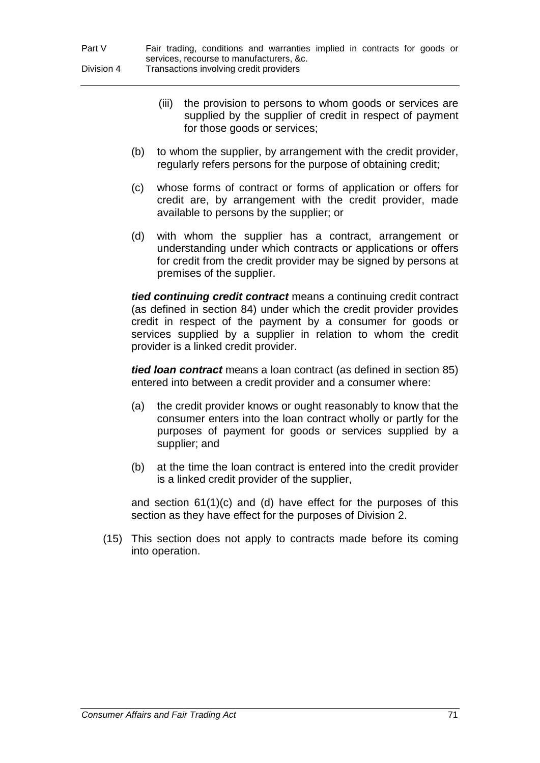- (iii) the provision to persons to whom goods or services are supplied by the supplier of credit in respect of payment for those goods or services;
- (b) to whom the supplier, by arrangement with the credit provider, regularly refers persons for the purpose of obtaining credit;
- (c) whose forms of contract or forms of application or offers for credit are, by arrangement with the credit provider, made available to persons by the supplier; or
- (d) with whom the supplier has a contract, arrangement or understanding under which contracts or applications or offers for credit from the credit provider may be signed by persons at premises of the supplier.

*tied continuing credit contract* means a continuing credit contract (as defined in section 84) under which the credit provider provides credit in respect of the payment by a consumer for goods or services supplied by a supplier in relation to whom the credit provider is a linked credit provider.

*tied loan contract* means a loan contract (as defined in section 85) entered into between a credit provider and a consumer where:

- (a) the credit provider knows or ought reasonably to know that the consumer enters into the loan contract wholly or partly for the purposes of payment for goods or services supplied by a supplier; and
- (b) at the time the loan contract is entered into the credit provider is a linked credit provider of the supplier,

and section 61(1)(c) and (d) have effect for the purposes of this section as they have effect for the purposes of Division 2.

(15) This section does not apply to contracts made before its coming into operation.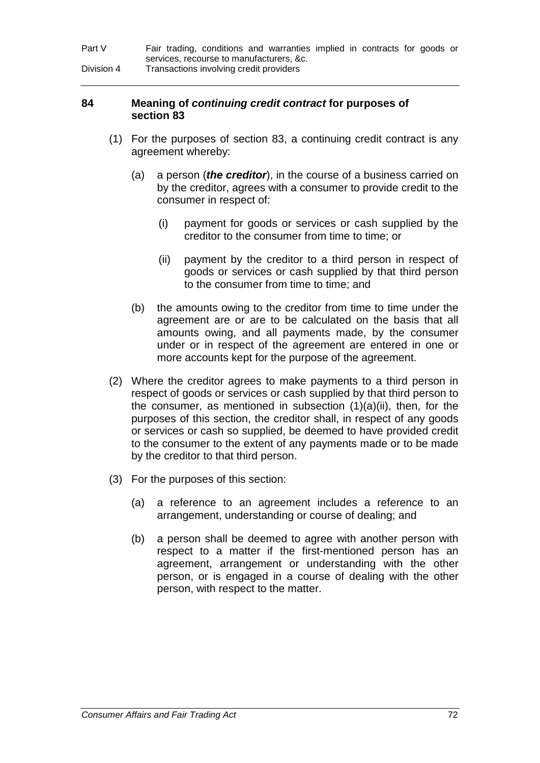| Part V     | Fair trading, conditions and warranties implied in contracts for goods or |
|------------|---------------------------------------------------------------------------|
|            | services, recourse to manufacturers, &c.                                  |
| Division 4 | Transactions involving credit providers                                   |

### **84 Meaning of** *continuing credit contract* **for purposes of section 83**

- (1) For the purposes of section 83, a continuing credit contract is any agreement whereby:
	- (a) a person (*the creditor*), in the course of a business carried on by the creditor, agrees with a consumer to provide credit to the consumer in respect of:
		- (i) payment for goods or services or cash supplied by the creditor to the consumer from time to time; or
		- (ii) payment by the creditor to a third person in respect of goods or services or cash supplied by that third person to the consumer from time to time; and
	- (b) the amounts owing to the creditor from time to time under the agreement are or are to be calculated on the basis that all amounts owing, and all payments made, by the consumer under or in respect of the agreement are entered in one or more accounts kept for the purpose of the agreement.
- (2) Where the creditor agrees to make payments to a third person in respect of goods or services or cash supplied by that third person to the consumer, as mentioned in subsection  $(1)(a)(ii)$ , then, for the purposes of this section, the creditor shall, in respect of any goods or services or cash so supplied, be deemed to have provided credit to the consumer to the extent of any payments made or to be made by the creditor to that third person.
- (3) For the purposes of this section:
	- (a) a reference to an agreement includes a reference to an arrangement, understanding or course of dealing; and
	- (b) a person shall be deemed to agree with another person with respect to a matter if the first-mentioned person has an agreement, arrangement or understanding with the other person, or is engaged in a course of dealing with the other person, with respect to the matter.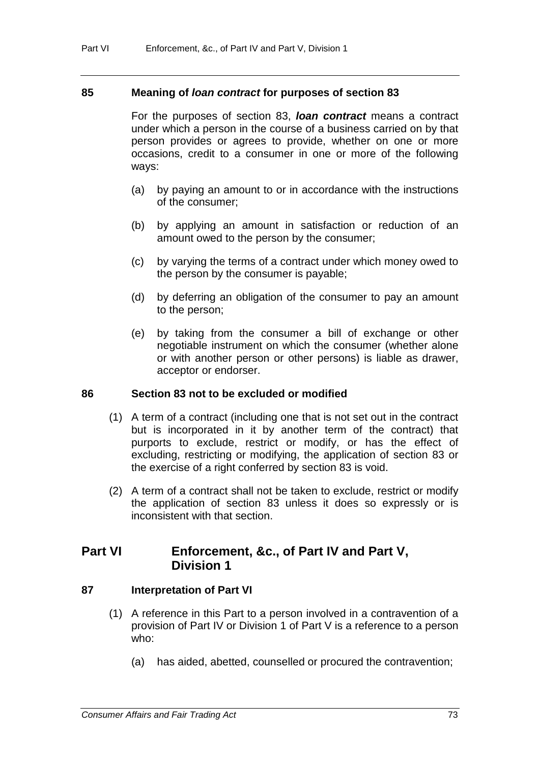#### **85 Meaning of** *loan contract* **for purposes of section 83**

For the purposes of section 83, *loan contract* means a contract under which a person in the course of a business carried on by that person provides or agrees to provide, whether on one or more occasions, credit to a consumer in one or more of the following ways:

- (a) by paying an amount to or in accordance with the instructions of the consumer;
- (b) by applying an amount in satisfaction or reduction of an amount owed to the person by the consumer;
- (c) by varying the terms of a contract under which money owed to the person by the consumer is payable;
- (d) by deferring an obligation of the consumer to pay an amount to the person;
- (e) by taking from the consumer a bill of exchange or other negotiable instrument on which the consumer (whether alone or with another person or other persons) is liable as drawer, acceptor or endorser.

#### **86 Section 83 not to be excluded or modified**

- (1) A term of a contract (including one that is not set out in the contract but is incorporated in it by another term of the contract) that purports to exclude, restrict or modify, or has the effect of excluding, restricting or modifying, the application of section 83 or the exercise of a right conferred by section 83 is void.
- (2) A term of a contract shall not be taken to exclude, restrict or modify the application of section 83 unless it does so expressly or is inconsistent with that section.

# **Part VI Enforcement, &c., of Part IV and Part V, Division 1**

#### **87 Interpretation of Part VI**

- (1) A reference in this Part to a person involved in a contravention of a provision of Part IV or Division 1 of Part V is a reference to a person who:
	- (a) has aided, abetted, counselled or procured the contravention;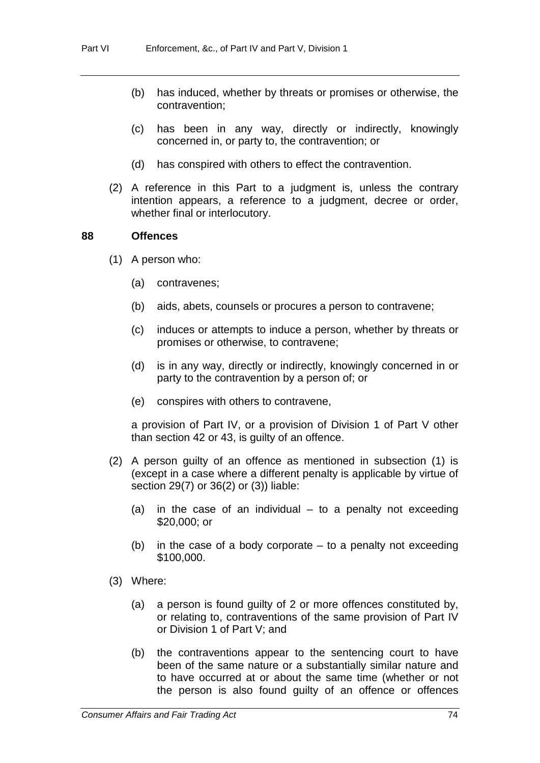- (b) has induced, whether by threats or promises or otherwise, the contravention;
- (c) has been in any way, directly or indirectly, knowingly concerned in, or party to, the contravention; or
- (d) has conspired with others to effect the contravention.
- (2) A reference in this Part to a judgment is, unless the contrary intention appears, a reference to a judgment, decree or order, whether final or interlocutory.

#### **88 Offences**

- (1) A person who:
	- (a) contravenes;
	- (b) aids, abets, counsels or procures a person to contravene;
	- (c) induces or attempts to induce a person, whether by threats or promises or otherwise, to contravene;
	- (d) is in any way, directly or indirectly, knowingly concerned in or party to the contravention by a person of; or
	- (e) conspires with others to contravene,

a provision of Part IV, or a provision of Division 1 of Part V other than section 42 or 43, is guilty of an offence.

- (2) A person guilty of an offence as mentioned in subsection (1) is (except in a case where a different penalty is applicable by virtue of section 29(7) or 36(2) or (3)) liable:
	- (a) in the case of an individual to a penalty not exceeding \$20,000; or
	- (b) in the case of a body corporate to a penalty not exceeding \$100,000.
- (3) Where:
	- (a) a person is found guilty of 2 or more offences constituted by, or relating to, contraventions of the same provision of Part IV or Division 1 of Part V; and
	- (b) the contraventions appear to the sentencing court to have been of the same nature or a substantially similar nature and to have occurred at or about the same time (whether or not the person is also found guilty of an offence or offences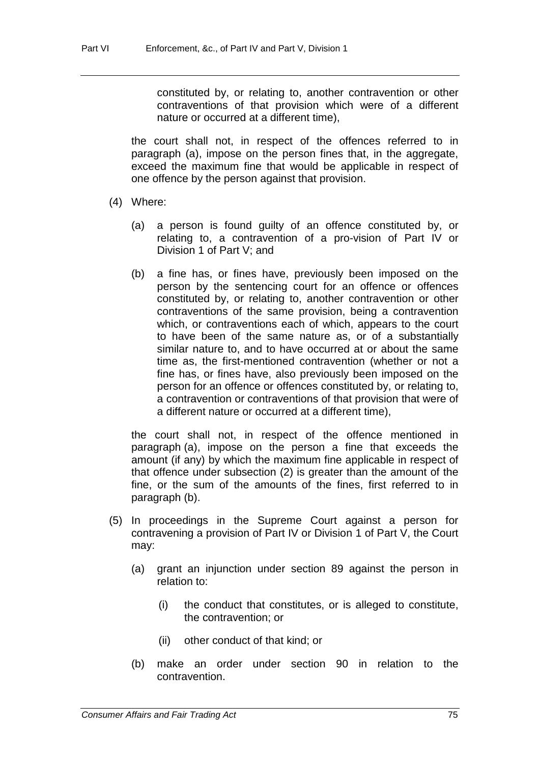constituted by, or relating to, another contravention or other contraventions of that provision which were of a different nature or occurred at a different time),

the court shall not, in respect of the offences referred to in paragraph (a), impose on the person fines that, in the aggregate, exceed the maximum fine that would be applicable in respect of one offence by the person against that provision.

- (4) Where:
	- (a) a person is found guilty of an offence constituted by, or relating to, a contravention of a pro-vision of Part IV or Division 1 of Part V; and
	- (b) a fine has, or fines have, previously been imposed on the person by the sentencing court for an offence or offences constituted by, or relating to, another contravention or other contraventions of the same provision, being a contravention which, or contraventions each of which, appears to the court to have been of the same nature as, or of a substantially similar nature to, and to have occurred at or about the same time as, the first-mentioned contravention (whether or not a fine has, or fines have, also previously been imposed on the person for an offence or offences constituted by, or relating to, a contravention or contraventions of that provision that were of a different nature or occurred at a different time),

the court shall not, in respect of the offence mentioned in paragraph (a), impose on the person a fine that exceeds the amount (if any) by which the maximum fine applicable in respect of that offence under subsection (2) is greater than the amount of the fine, or the sum of the amounts of the fines, first referred to in paragraph (b).

- (5) In proceedings in the Supreme Court against a person for contravening a provision of Part IV or Division 1 of Part V, the Court may:
	- (a) grant an injunction under section 89 against the person in relation to:
		- (i) the conduct that constitutes, or is alleged to constitute, the contravention; or
		- (ii) other conduct of that kind; or
	- (b) make an order under section 90 in relation to the contravention.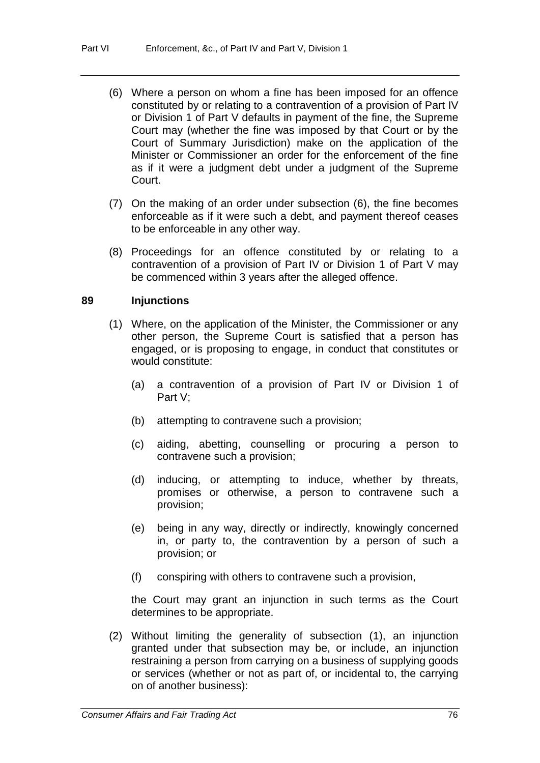- (6) Where a person on whom a fine has been imposed for an offence constituted by or relating to a contravention of a provision of Part IV or Division 1 of Part V defaults in payment of the fine, the Supreme Court may (whether the fine was imposed by that Court or by the Court of Summary Jurisdiction) make on the application of the Minister or Commissioner an order for the enforcement of the fine as if it were a judgment debt under a judgment of the Supreme Court.
- (7) On the making of an order under subsection (6), the fine becomes enforceable as if it were such a debt, and payment thereof ceases to be enforceable in any other way.
- (8) Proceedings for an offence constituted by or relating to a contravention of a provision of Part IV or Division 1 of Part V may be commenced within 3 years after the alleged offence.

#### **89 Injunctions**

- (1) Where, on the application of the Minister, the Commissioner or any other person, the Supreme Court is satisfied that a person has engaged, or is proposing to engage, in conduct that constitutes or would constitute:
	- (a) a contravention of a provision of Part IV or Division 1 of Part V;
	- (b) attempting to contravene such a provision;
	- (c) aiding, abetting, counselling or procuring a person to contravene such a provision;
	- (d) inducing, or attempting to induce, whether by threats, promises or otherwise, a person to contravene such a provision;
	- (e) being in any way, directly or indirectly, knowingly concerned in, or party to, the contravention by a person of such a provision; or
	- (f) conspiring with others to contravene such a provision,

the Court may grant an injunction in such terms as the Court determines to be appropriate.

(2) Without limiting the generality of subsection (1), an injunction granted under that subsection may be, or include, an injunction restraining a person from carrying on a business of supplying goods or services (whether or not as part of, or incidental to, the carrying on of another business):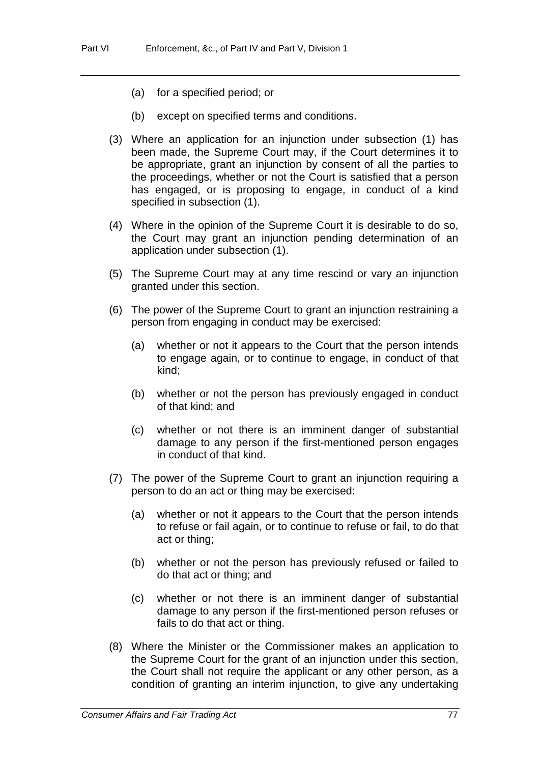- (a) for a specified period; or
- (b) except on specified terms and conditions.
- (3) Where an application for an injunction under subsection (1) has been made, the Supreme Court may, if the Court determines it to be appropriate, grant an injunction by consent of all the parties to the proceedings, whether or not the Court is satisfied that a person has engaged, or is proposing to engage, in conduct of a kind specified in subsection (1).
- (4) Where in the opinion of the Supreme Court it is desirable to do so, the Court may grant an injunction pending determination of an application under subsection (1).
- (5) The Supreme Court may at any time rescind or vary an injunction granted under this section.
- (6) The power of the Supreme Court to grant an injunction restraining a person from engaging in conduct may be exercised:
	- (a) whether or not it appears to the Court that the person intends to engage again, or to continue to engage, in conduct of that kind;
	- (b) whether or not the person has previously engaged in conduct of that kind; and
	- (c) whether or not there is an imminent danger of substantial damage to any person if the first-mentioned person engages in conduct of that kind.
- (7) The power of the Supreme Court to grant an injunction requiring a person to do an act or thing may be exercised:
	- (a) whether or not it appears to the Court that the person intends to refuse or fail again, or to continue to refuse or fail, to do that act or thing;
	- (b) whether or not the person has previously refused or failed to do that act or thing; and
	- (c) whether or not there is an imminent danger of substantial damage to any person if the first-mentioned person refuses or fails to do that act or thing.
- (8) Where the Minister or the Commissioner makes an application to the Supreme Court for the grant of an injunction under this section, the Court shall not require the applicant or any other person, as a condition of granting an interim injunction, to give any undertaking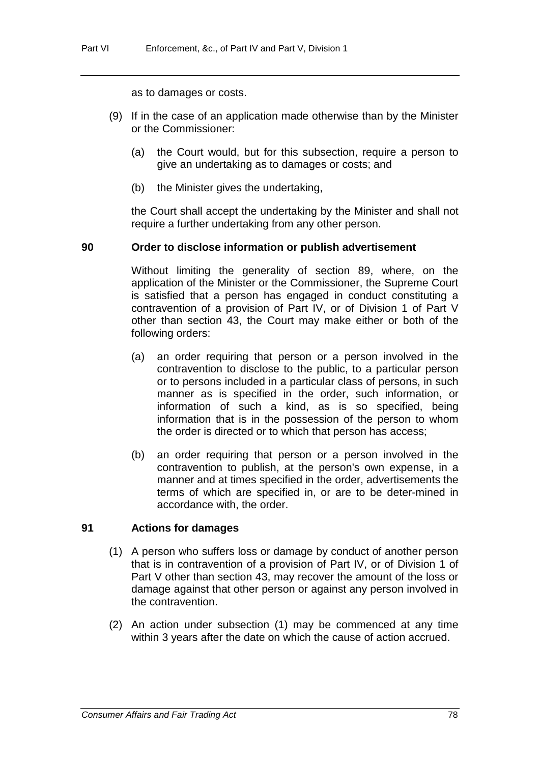as to damages or costs.

- (9) If in the case of an application made otherwise than by the Minister or the Commissioner:
	- (a) the Court would, but for this subsection, require a person to give an undertaking as to damages or costs; and
	- (b) the Minister gives the undertaking,

the Court shall accept the undertaking by the Minister and shall not require a further undertaking from any other person.

#### **90 Order to disclose information or publish advertisement**

Without limiting the generality of section 89, where, on the application of the Minister or the Commissioner, the Supreme Court is satisfied that a person has engaged in conduct constituting a contravention of a provision of Part IV, or of Division 1 of Part V other than section 43, the Court may make either or both of the following orders:

- (a) an order requiring that person or a person involved in the contravention to disclose to the public, to a particular person or to persons included in a particular class of persons, in such manner as is specified in the order, such information, or information of such a kind, as is so specified, being information that is in the possession of the person to whom the order is directed or to which that person has access;
- (b) an order requiring that person or a person involved in the contravention to publish, at the person's own expense, in a manner and at times specified in the order, advertisements the terms of which are specified in, or are to be deter-mined in accordance with, the order.

### **91 Actions for damages**

- (1) A person who suffers loss or damage by conduct of another person that is in contravention of a provision of Part IV, or of Division 1 of Part V other than section 43, may recover the amount of the loss or damage against that other person or against any person involved in the contravention.
- (2) An action under subsection (1) may be commenced at any time within 3 years after the date on which the cause of action accrued.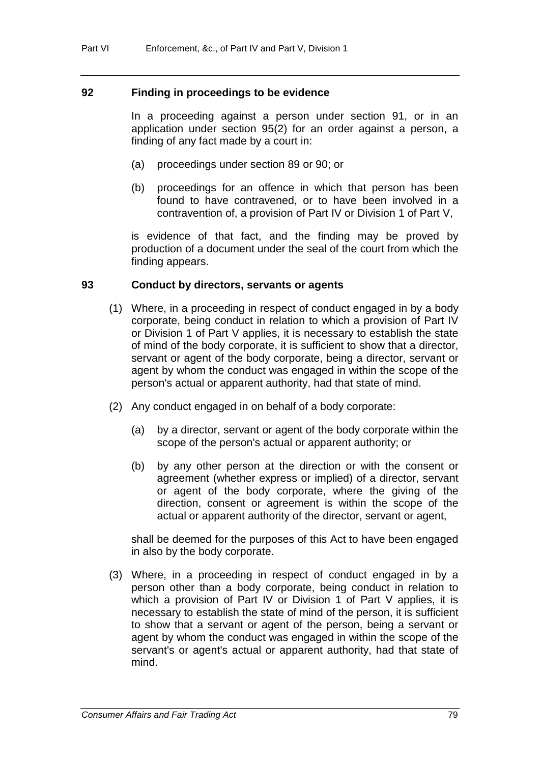#### **92 Finding in proceedings to be evidence**

In a proceeding against a person under section 91, or in an application under section 95(2) for an order against a person, a finding of any fact made by a court in:

- (a) proceedings under section 89 or 90; or
- (b) proceedings for an offence in which that person has been found to have contravened, or to have been involved in a contravention of, a provision of Part IV or Division 1 of Part V,

is evidence of that fact, and the finding may be proved by production of a document under the seal of the court from which the finding appears.

#### **93 Conduct by directors, servants or agents**

- (1) Where, in a proceeding in respect of conduct engaged in by a body corporate, being conduct in relation to which a provision of Part IV or Division 1 of Part V applies, it is necessary to establish the state of mind of the body corporate, it is sufficient to show that a director, servant or agent of the body corporate, being a director, servant or agent by whom the conduct was engaged in within the scope of the person's actual or apparent authority, had that state of mind.
- (2) Any conduct engaged in on behalf of a body corporate:
	- (a) by a director, servant or agent of the body corporate within the scope of the person's actual or apparent authority; or
	- (b) by any other person at the direction or with the consent or agreement (whether express or implied) of a director, servant or agent of the body corporate, where the giving of the direction, consent or agreement is within the scope of the actual or apparent authority of the director, servant or agent,

shall be deemed for the purposes of this Act to have been engaged in also by the body corporate.

(3) Where, in a proceeding in respect of conduct engaged in by a person other than a body corporate, being conduct in relation to which a provision of Part IV or Division 1 of Part V applies, it is necessary to establish the state of mind of the person, it is sufficient to show that a servant or agent of the person, being a servant or agent by whom the conduct was engaged in within the scope of the servant's or agent's actual or apparent authority, had that state of mind.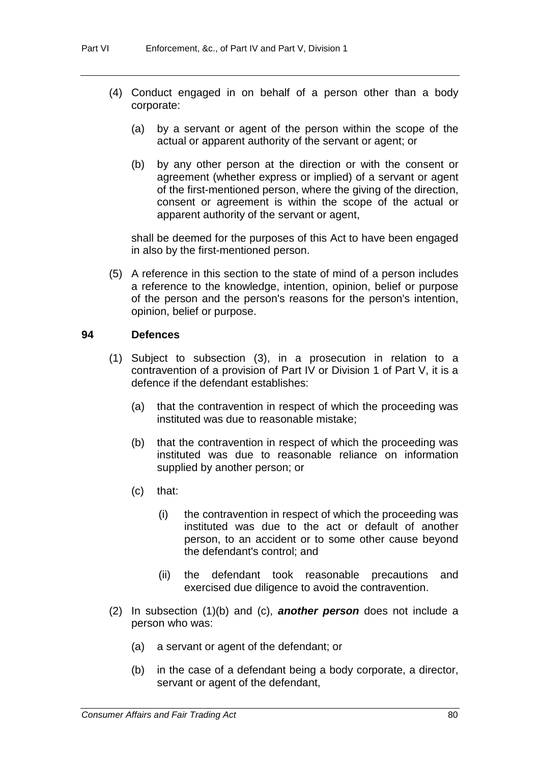- (4) Conduct engaged in on behalf of a person other than a body corporate:
	- (a) by a servant or agent of the person within the scope of the actual or apparent authority of the servant or agent; or
	- (b) by any other person at the direction or with the consent or agreement (whether express or implied) of a servant or agent of the first-mentioned person, where the giving of the direction, consent or agreement is within the scope of the actual or apparent authority of the servant or agent,

shall be deemed for the purposes of this Act to have been engaged in also by the first-mentioned person.

(5) A reference in this section to the state of mind of a person includes a reference to the knowledge, intention, opinion, belief or purpose of the person and the person's reasons for the person's intention, opinion, belief or purpose.

#### **94 Defences**

- (1) Subject to subsection (3), in a prosecution in relation to a contravention of a provision of Part IV or Division 1 of Part V, it is a defence if the defendant establishes:
	- (a) that the contravention in respect of which the proceeding was instituted was due to reasonable mistake;
	- (b) that the contravention in respect of which the proceeding was instituted was due to reasonable reliance on information supplied by another person; or
	- (c) that:
		- (i) the contravention in respect of which the proceeding was instituted was due to the act or default of another person, to an accident or to some other cause beyond the defendant's control; and
		- (ii) the defendant took reasonable precautions and exercised due diligence to avoid the contravention.
- (2) In subsection (1)(b) and (c), *another person* does not include a person who was:
	- (a) a servant or agent of the defendant; or
	- (b) in the case of a defendant being a body corporate, a director, servant or agent of the defendant,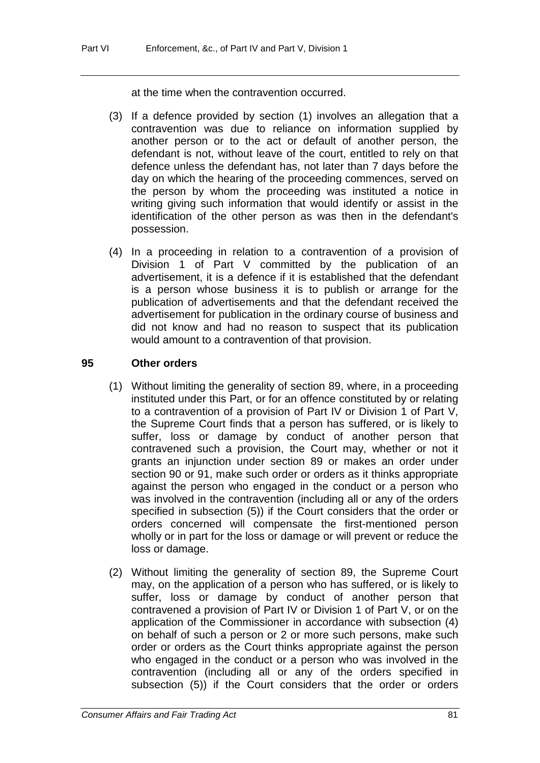at the time when the contravention occurred.

- (3) If a defence provided by section (1) involves an allegation that a contravention was due to reliance on information supplied by another person or to the act or default of another person, the defendant is not, without leave of the court, entitled to rely on that defence unless the defendant has, not later than 7 days before the day on which the hearing of the proceeding commences, served on the person by whom the proceeding was instituted a notice in writing giving such information that would identify or assist in the identification of the other person as was then in the defendant's possession.
- (4) In a proceeding in relation to a contravention of a provision of Division 1 of Part V committed by the publication of an advertisement, it is a defence if it is established that the defendant is a person whose business it is to publish or arrange for the publication of advertisements and that the defendant received the advertisement for publication in the ordinary course of business and did not know and had no reason to suspect that its publication would amount to a contravention of that provision.

### **95 Other orders**

- (1) Without limiting the generality of section 89, where, in a proceeding instituted under this Part, or for an offence constituted by or relating to a contravention of a provision of Part IV or Division 1 of Part V, the Supreme Court finds that a person has suffered, or is likely to suffer, loss or damage by conduct of another person that contravened such a provision, the Court may, whether or not it grants an injunction under section 89 or makes an order under section 90 or 91, make such order or orders as it thinks appropriate against the person who engaged in the conduct or a person who was involved in the contravention (including all or any of the orders specified in subsection (5)) if the Court considers that the order or orders concerned will compensate the first-mentioned person wholly or in part for the loss or damage or will prevent or reduce the loss or damage.
- (2) Without limiting the generality of section 89, the Supreme Court may, on the application of a person who has suffered, or is likely to suffer, loss or damage by conduct of another person that contravened a provision of Part IV or Division 1 of Part V, or on the application of the Commissioner in accordance with subsection (4) on behalf of such a person or 2 or more such persons, make such order or orders as the Court thinks appropriate against the person who engaged in the conduct or a person who was involved in the contravention (including all or any of the orders specified in subsection (5)) if the Court considers that the order or orders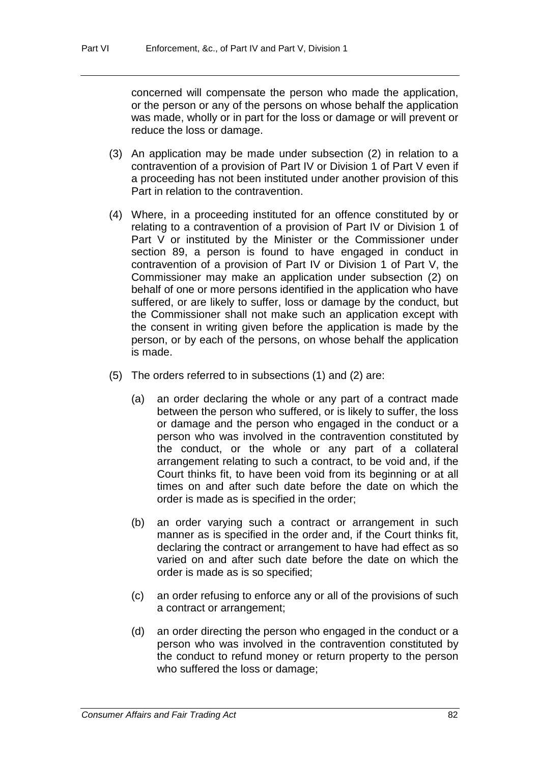concerned will compensate the person who made the application, or the person or any of the persons on whose behalf the application was made, wholly or in part for the loss or damage or will prevent or reduce the loss or damage.

- (3) An application may be made under subsection (2) in relation to a contravention of a provision of Part IV or Division 1 of Part V even if a proceeding has not been instituted under another provision of this Part in relation to the contravention.
- (4) Where, in a proceeding instituted for an offence constituted by or relating to a contravention of a provision of Part IV or Division 1 of Part V or instituted by the Minister or the Commissioner under section 89, a person is found to have engaged in conduct in contravention of a provision of Part IV or Division 1 of Part V, the Commissioner may make an application under subsection (2) on behalf of one or more persons identified in the application who have suffered, or are likely to suffer, loss or damage by the conduct, but the Commissioner shall not make such an application except with the consent in writing given before the application is made by the person, or by each of the persons, on whose behalf the application is made.
- (5) The orders referred to in subsections (1) and (2) are:
	- (a) an order declaring the whole or any part of a contract made between the person who suffered, or is likely to suffer, the loss or damage and the person who engaged in the conduct or a person who was involved in the contravention constituted by the conduct, or the whole or any part of a collateral arrangement relating to such a contract, to be void and, if the Court thinks fit, to have been void from its beginning or at all times on and after such date before the date on which the order is made as is specified in the order;
	- (b) an order varying such a contract or arrangement in such manner as is specified in the order and, if the Court thinks fit, declaring the contract or arrangement to have had effect as so varied on and after such date before the date on which the order is made as is so specified;
	- (c) an order refusing to enforce any or all of the provisions of such a contract or arrangement;
	- (d) an order directing the person who engaged in the conduct or a person who was involved in the contravention constituted by the conduct to refund money or return property to the person who suffered the loss or damage;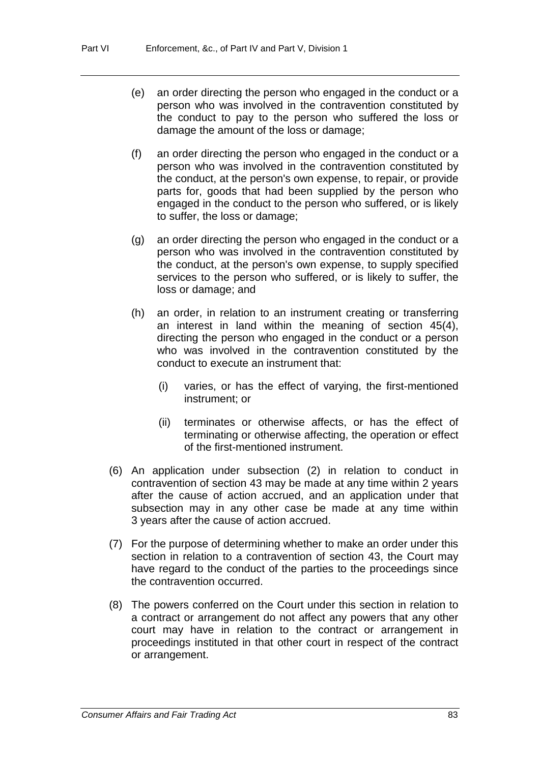- (e) an order directing the person who engaged in the conduct or a person who was involved in the contravention constituted by the conduct to pay to the person who suffered the loss or damage the amount of the loss or damage;
- (f) an order directing the person who engaged in the conduct or a person who was involved in the contravention constituted by the conduct, at the person's own expense, to repair, or provide parts for, goods that had been supplied by the person who engaged in the conduct to the person who suffered, or is likely to suffer, the loss or damage;
- (g) an order directing the person who engaged in the conduct or a person who was involved in the contravention constituted by the conduct, at the person's own expense, to supply specified services to the person who suffered, or is likely to suffer, the loss or damage; and
- (h) an order, in relation to an instrument creating or transferring an interest in land within the meaning of section 45(4), directing the person who engaged in the conduct or a person who was involved in the contravention constituted by the conduct to execute an instrument that:
	- (i) varies, or has the effect of varying, the first-mentioned instrument; or
	- (ii) terminates or otherwise affects, or has the effect of terminating or otherwise affecting, the operation or effect of the first-mentioned instrument.
- (6) An application under subsection (2) in relation to conduct in contravention of section 43 may be made at any time within 2 years after the cause of action accrued, and an application under that subsection may in any other case be made at any time within 3 years after the cause of action accrued.
- (7) For the purpose of determining whether to make an order under this section in relation to a contravention of section 43, the Court may have regard to the conduct of the parties to the proceedings since the contravention occurred.
- (8) The powers conferred on the Court under this section in relation to a contract or arrangement do not affect any powers that any other court may have in relation to the contract or arrangement in proceedings instituted in that other court in respect of the contract or arrangement.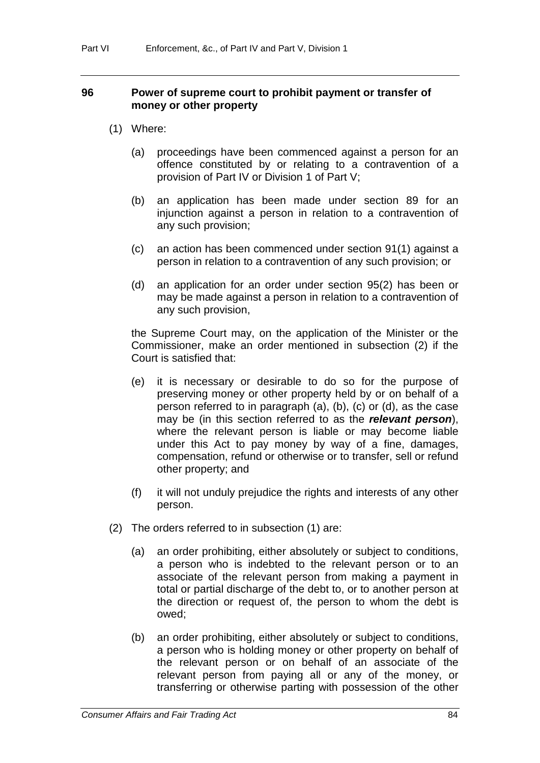### **96 Power of supreme court to prohibit payment or transfer of money or other property**

- (1) Where:
	- (a) proceedings have been commenced against a person for an offence constituted by or relating to a contravention of a provision of Part IV or Division 1 of Part V;
	- (b) an application has been made under section 89 for an injunction against a person in relation to a contravention of any such provision;
	- (c) an action has been commenced under section 91(1) against a person in relation to a contravention of any such provision; or
	- (d) an application for an order under section 95(2) has been or may be made against a person in relation to a contravention of any such provision,

the Supreme Court may, on the application of the Minister or the Commissioner, make an order mentioned in subsection (2) if the Court is satisfied that:

- (e) it is necessary or desirable to do so for the purpose of preserving money or other property held by or on behalf of a person referred to in paragraph (a), (b), (c) or (d), as the case may be (in this section referred to as the *relevant person*), where the relevant person is liable or may become liable under this Act to pay money by way of a fine, damages, compensation, refund or otherwise or to transfer, sell or refund other property; and
- (f) it will not unduly prejudice the rights and interests of any other person.
- (2) The orders referred to in subsection (1) are:
	- (a) an order prohibiting, either absolutely or subject to conditions, a person who is indebted to the relevant person or to an associate of the relevant person from making a payment in total or partial discharge of the debt to, or to another person at the direction or request of, the person to whom the debt is owed;
	- (b) an order prohibiting, either absolutely or subject to conditions, a person who is holding money or other property on behalf of the relevant person or on behalf of an associate of the relevant person from paying all or any of the money, or transferring or otherwise parting with possession of the other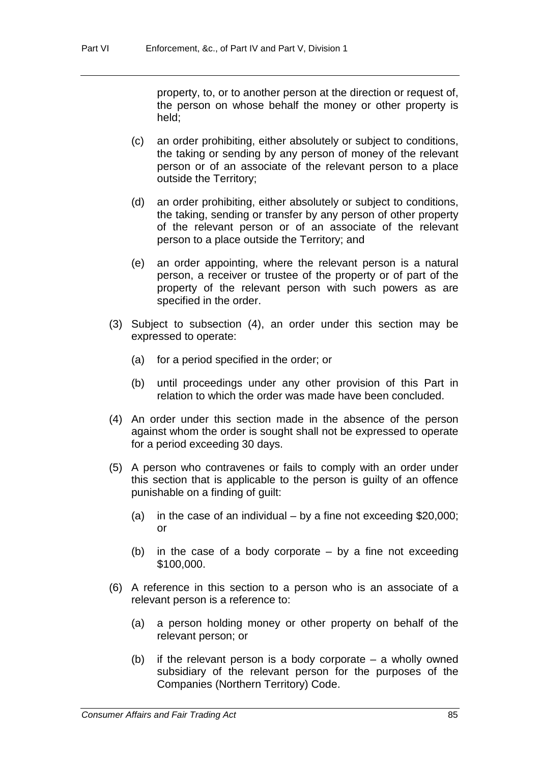property, to, or to another person at the direction or request of, the person on whose behalf the money or other property is held;

- (c) an order prohibiting, either absolutely or subject to conditions, the taking or sending by any person of money of the relevant person or of an associate of the relevant person to a place outside the Territory;
- (d) an order prohibiting, either absolutely or subject to conditions, the taking, sending or transfer by any person of other property of the relevant person or of an associate of the relevant person to a place outside the Territory; and
- (e) an order appointing, where the relevant person is a natural person, a receiver or trustee of the property or of part of the property of the relevant person with such powers as are specified in the order.
- (3) Subject to subsection (4), an order under this section may be expressed to operate:
	- (a) for a period specified in the order; or
	- (b) until proceedings under any other provision of this Part in relation to which the order was made have been concluded.
- (4) An order under this section made in the absence of the person against whom the order is sought shall not be expressed to operate for a period exceeding 30 days.
- (5) A person who contravenes or fails to comply with an order under this section that is applicable to the person is guilty of an offence punishable on a finding of guilt:
	- (a) in the case of an individual by a fine not exceeding \$20,000; or
	- (b) in the case of a body corporate  $-$  by a fine not exceeding \$100,000.
- (6) A reference in this section to a person who is an associate of a relevant person is a reference to:
	- (a) a person holding money or other property on behalf of the relevant person; or
	- (b) if the relevant person is a body corporate a wholly owned subsidiary of the relevant person for the purposes of the Companies (Northern Territory) Code.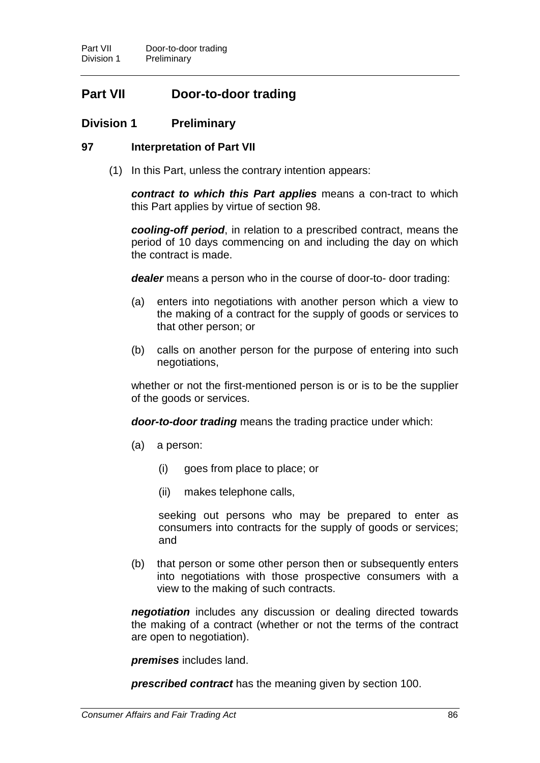# **Part VII Door-to-door trading**

### **Division 1 Preliminary**

### **97 Interpretation of Part VII**

(1) In this Part, unless the contrary intention appears:

*contract to which this Part applies* means a con-tract to which this Part applies by virtue of section 98.

*cooling-off period*, in relation to a prescribed contract, means the period of 10 days commencing on and including the day on which the contract is made.

*dealer* means a person who in the course of door-to- door trading:

- (a) enters into negotiations with another person which a view to the making of a contract for the supply of goods or services to that other person; or
- (b) calls on another person for the purpose of entering into such negotiations,

whether or not the first-mentioned person is or is to be the supplier of the goods or services.

*door-to-door trading* means the trading practice under which:

- (a) a person:
	- (i) goes from place to place; or
	- (ii) makes telephone calls,

seeking out persons who may be prepared to enter as consumers into contracts for the supply of goods or services; and

(b) that person or some other person then or subsequently enters into negotiations with those prospective consumers with a view to the making of such contracts.

*negotiation* includes any discussion or dealing directed towards the making of a contract (whether or not the terms of the contract are open to negotiation).

*premises* includes land.

*prescribed contract* has the meaning given by section 100.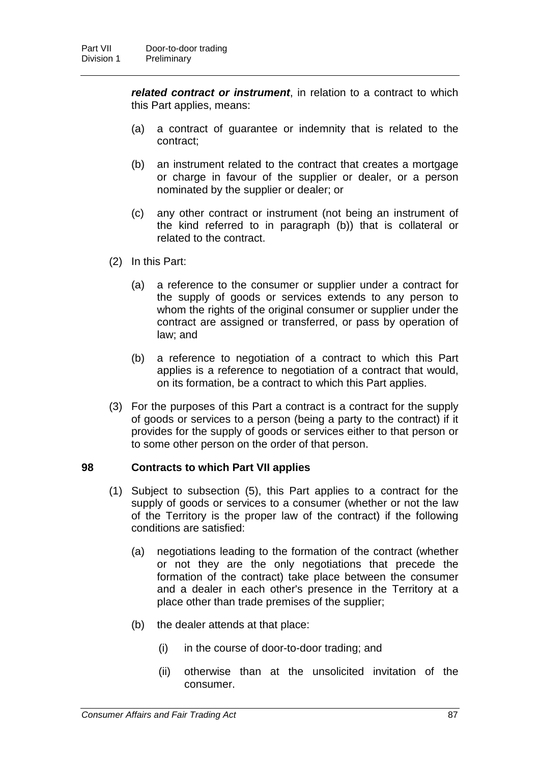*related contract or instrument*, in relation to a contract to which this Part applies, means:

- (a) a contract of guarantee or indemnity that is related to the contract;
- (b) an instrument related to the contract that creates a mortgage or charge in favour of the supplier or dealer, or a person nominated by the supplier or dealer; or
- (c) any other contract or instrument (not being an instrument of the kind referred to in paragraph (b)) that is collateral or related to the contract.
- (2) In this Part:
	- (a) a reference to the consumer or supplier under a contract for the supply of goods or services extends to any person to whom the rights of the original consumer or supplier under the contract are assigned or transferred, or pass by operation of law; and
	- (b) a reference to negotiation of a contract to which this Part applies is a reference to negotiation of a contract that would, on its formation, be a contract to which this Part applies.
- (3) For the purposes of this Part a contract is a contract for the supply of goods or services to a person (being a party to the contract) if it provides for the supply of goods or services either to that person or to some other person on the order of that person.

### **98 Contracts to which Part VII applies**

- (1) Subject to subsection (5), this Part applies to a contract for the supply of goods or services to a consumer (whether or not the law of the Territory is the proper law of the contract) if the following conditions are satisfied:
	- (a) negotiations leading to the formation of the contract (whether or not they are the only negotiations that precede the formation of the contract) take place between the consumer and a dealer in each other's presence in the Territory at a place other than trade premises of the supplier;
	- (b) the dealer attends at that place:
		- (i) in the course of door-to-door trading; and
		- (ii) otherwise than at the unsolicited invitation of the consumer.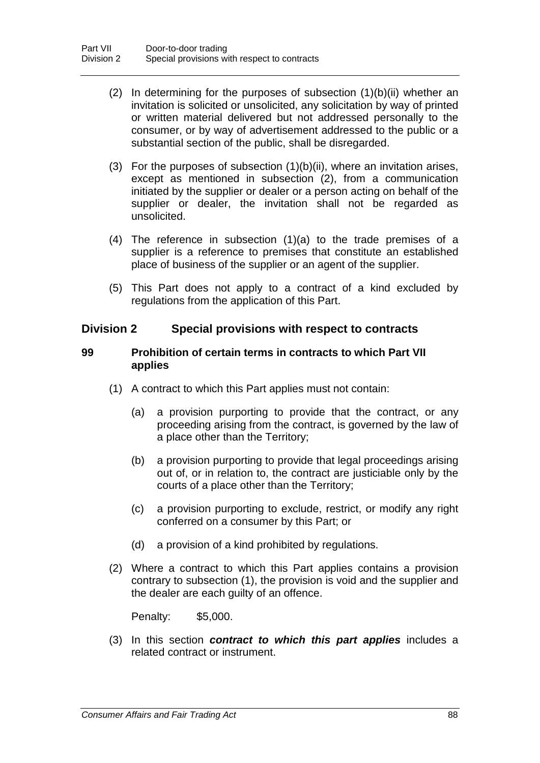- (2) In determining for the purposes of subsection  $(1)(b)(ii)$  whether an invitation is solicited or unsolicited, any solicitation by way of printed or written material delivered but not addressed personally to the consumer, or by way of advertisement addressed to the public or a substantial section of the public, shall be disregarded.
- (3) For the purposes of subsection (1)(b)(ii), where an invitation arises, except as mentioned in subsection (2), from a communication initiated by the supplier or dealer or a person acting on behalf of the supplier or dealer, the invitation shall not be regarded as unsolicited.
- (4) The reference in subsection (1)(a) to the trade premises of a supplier is a reference to premises that constitute an established place of business of the supplier or an agent of the supplier.
- (5) This Part does not apply to a contract of a kind excluded by regulations from the application of this Part.

### **Division 2 Special provisions with respect to contracts**

### **99 Prohibition of certain terms in contracts to which Part VII applies**

- (1) A contract to which this Part applies must not contain:
	- (a) a provision purporting to provide that the contract, or any proceeding arising from the contract, is governed by the law of a place other than the Territory;
	- (b) a provision purporting to provide that legal proceedings arising out of, or in relation to, the contract are justiciable only by the courts of a place other than the Territory;
	- (c) a provision purporting to exclude, restrict, or modify any right conferred on a consumer by this Part; or
	- (d) a provision of a kind prohibited by regulations.
- (2) Where a contract to which this Part applies contains a provision contrary to subsection (1), the provision is void and the supplier and the dealer are each guilty of an offence.

Penalty: \$5,000.

(3) In this section *contract to which this part applies* includes a related contract or instrument.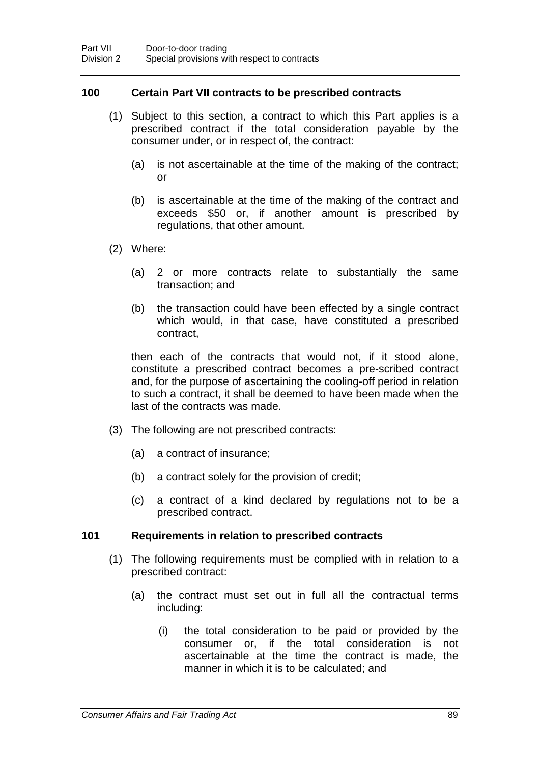### **100 Certain Part VII contracts to be prescribed contracts**

- (1) Subject to this section, a contract to which this Part applies is a prescribed contract if the total consideration payable by the consumer under, or in respect of, the contract:
	- (a) is not ascertainable at the time of the making of the contract; or
	- (b) is ascertainable at the time of the making of the contract and exceeds \$50 or, if another amount is prescribed by regulations, that other amount.
- (2) Where:
	- (a) 2 or more contracts relate to substantially the same transaction; and
	- (b) the transaction could have been effected by a single contract which would, in that case, have constituted a prescribed contract,

then each of the contracts that would not, if it stood alone, constitute a prescribed contract becomes a pre-scribed contract and, for the purpose of ascertaining the cooling-off period in relation to such a contract, it shall be deemed to have been made when the last of the contracts was made.

- (3) The following are not prescribed contracts:
	- (a) a contract of insurance;
	- (b) a contract solely for the provision of credit;
	- (c) a contract of a kind declared by regulations not to be a prescribed contract.

### **101 Requirements in relation to prescribed contracts**

- (1) The following requirements must be complied with in relation to a prescribed contract:
	- (a) the contract must set out in full all the contractual terms including:
		- (i) the total consideration to be paid or provided by the consumer or, if the total consideration is not ascertainable at the time the contract is made, the manner in which it is to be calculated; and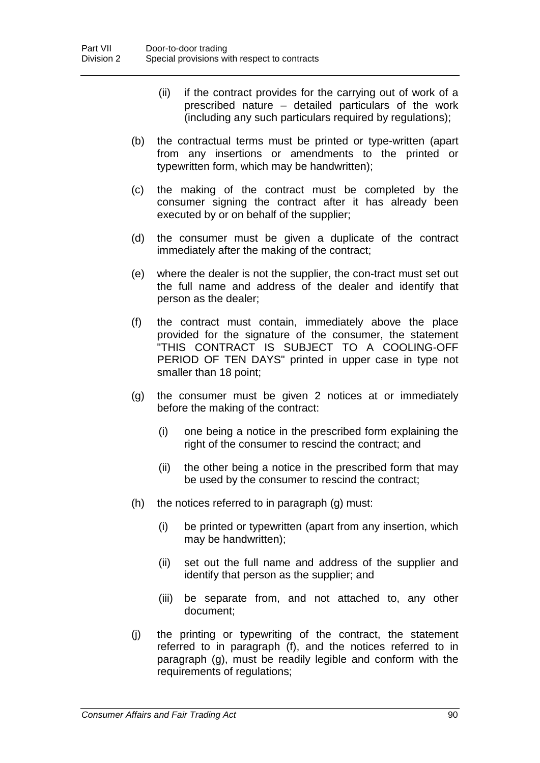- (ii) if the contract provides for the carrying out of work of a prescribed nature – detailed particulars of the work (including any such particulars required by regulations);
- (b) the contractual terms must be printed or type-written (apart from any insertions or amendments to the printed or typewritten form, which may be handwritten);
- (c) the making of the contract must be completed by the consumer signing the contract after it has already been executed by or on behalf of the supplier;
- (d) the consumer must be given a duplicate of the contract immediately after the making of the contract;
- (e) where the dealer is not the supplier, the con-tract must set out the full name and address of the dealer and identify that person as the dealer;
- (f) the contract must contain, immediately above the place provided for the signature of the consumer, the statement "THIS CONTRACT IS SUBJECT TO A COOLING-OFF PERIOD OF TEN DAYS" printed in upper case in type not smaller than 18 point;
- (g) the consumer must be given 2 notices at or immediately before the making of the contract:
	- (i) one being a notice in the prescribed form explaining the right of the consumer to rescind the contract; and
	- (ii) the other being a notice in the prescribed form that may be used by the consumer to rescind the contract;
- (h) the notices referred to in paragraph (g) must:
	- (i) be printed or typewritten (apart from any insertion, which may be handwritten);
	- (ii) set out the full name and address of the supplier and identify that person as the supplier; and
	- (iii) be separate from, and not attached to, any other document;
- (j) the printing or typewriting of the contract, the statement referred to in paragraph (f), and the notices referred to in paragraph (g), must be readily legible and conform with the requirements of regulations;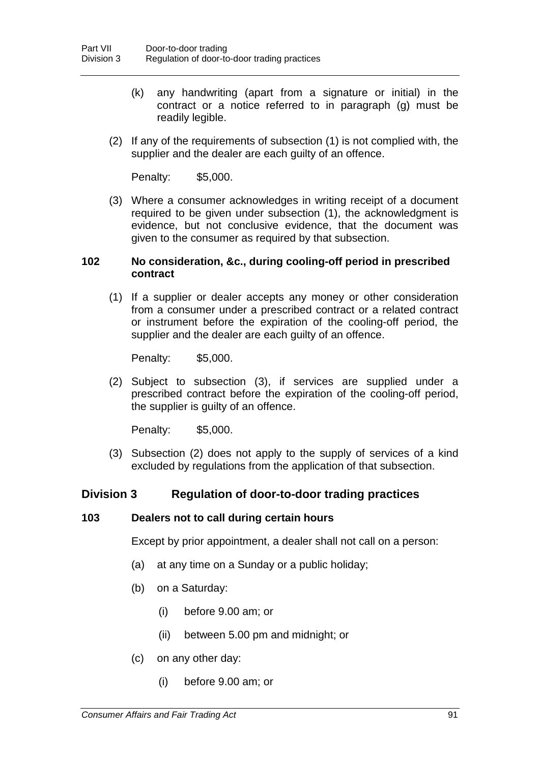- (k) any handwriting (apart from a signature or initial) in the contract or a notice referred to in paragraph (g) must be readily legible.
- (2) If any of the requirements of subsection (1) is not complied with, the supplier and the dealer are each guilty of an offence.

Penalty: \$5,000.

(3) Where a consumer acknowledges in writing receipt of a document required to be given under subsection (1), the acknowledgment is evidence, but not conclusive evidence, that the document was given to the consumer as required by that subsection.

### **102 No consideration, &c., during cooling-off period in prescribed contract**

(1) If a supplier or dealer accepts any money or other consideration from a consumer under a prescribed contract or a related contract or instrument before the expiration of the cooling-off period, the supplier and the dealer are each guilty of an offence.

Penalty: \$5,000.

(2) Subject to subsection (3), if services are supplied under a prescribed contract before the expiration of the cooling-off period, the supplier is guilty of an offence.

Penalty: \$5,000.

(3) Subsection (2) does not apply to the supply of services of a kind excluded by regulations from the application of that subsection.

### **Division 3 Regulation of door-to-door trading practices**

#### **103 Dealers not to call during certain hours**

Except by prior appointment, a dealer shall not call on a person:

- (a) at any time on a Sunday or a public holiday;
- (b) on a Saturday:
	- (i) before 9.00 am; or
	- (ii) between 5.00 pm and midnight; or
- (c) on any other day:
	- (i) before 9.00 am; or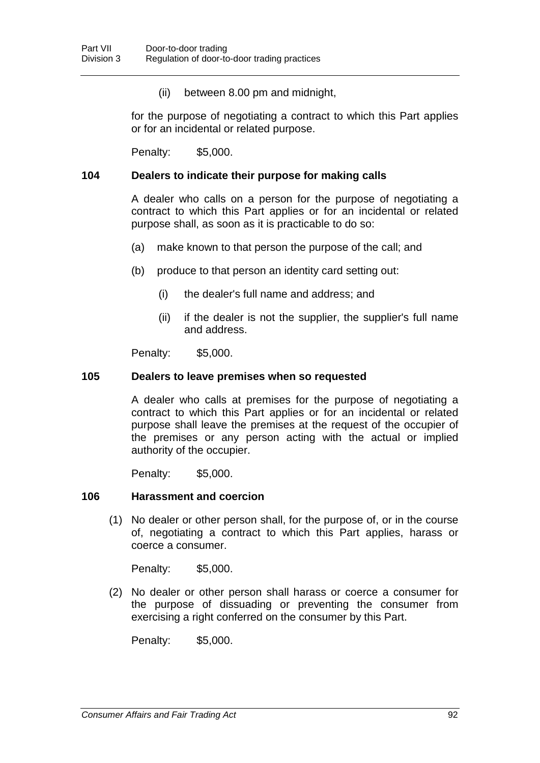(ii) between 8.00 pm and midnight,

for the purpose of negotiating a contract to which this Part applies or for an incidental or related purpose.

Penalty: \$5,000.

#### **104 Dealers to indicate their purpose for making calls**

A dealer who calls on a person for the purpose of negotiating a contract to which this Part applies or for an incidental or related purpose shall, as soon as it is practicable to do so:

- (a) make known to that person the purpose of the call; and
- (b) produce to that person an identity card setting out:
	- (i) the dealer's full name and address; and
	- (ii) if the dealer is not the supplier, the supplier's full name and address.

Penalty: \$5,000.

#### **105 Dealers to leave premises when so requested**

A dealer who calls at premises for the purpose of negotiating a contract to which this Part applies or for an incidental or related purpose shall leave the premises at the request of the occupier of the premises or any person acting with the actual or implied authority of the occupier.

Penalty: \$5,000.

#### **106 Harassment and coercion**

(1) No dealer or other person shall, for the purpose of, or in the course of, negotiating a contract to which this Part applies, harass or coerce a consumer.

Penalty: \$5,000.

(2) No dealer or other person shall harass or coerce a consumer for the purpose of dissuading or preventing the consumer from exercising a right conferred on the consumer by this Part.

Penalty: \$5,000.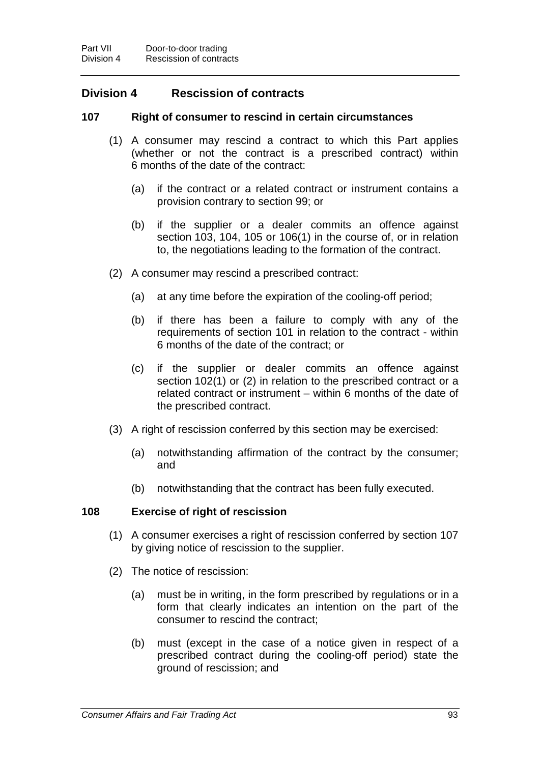# **Division 4 Rescission of contracts**

### **107 Right of consumer to rescind in certain circumstances**

- (1) A consumer may rescind a contract to which this Part applies (whether or not the contract is a prescribed contract) within 6 months of the date of the contract:
	- (a) if the contract or a related contract or instrument contains a provision contrary to section 99; or
	- (b) if the supplier or a dealer commits an offence against section 103, 104, 105 or 106(1) in the course of, or in relation to, the negotiations leading to the formation of the contract.
- (2) A consumer may rescind a prescribed contract:
	- (a) at any time before the expiration of the cooling-off period;
	- (b) if there has been a failure to comply with any of the requirements of section 101 in relation to the contract - within 6 months of the date of the contract; or
	- (c) if the supplier or dealer commits an offence against section 102(1) or (2) in relation to the prescribed contract or a related contract or instrument – within 6 months of the date of the prescribed contract.
- (3) A right of rescission conferred by this section may be exercised:
	- (a) notwithstanding affirmation of the contract by the consumer; and
	- (b) notwithstanding that the contract has been fully executed.

#### **108 Exercise of right of rescission**

- (1) A consumer exercises a right of rescission conferred by section 107 by giving notice of rescission to the supplier.
- (2) The notice of rescission:
	- (a) must be in writing, in the form prescribed by regulations or in a form that clearly indicates an intention on the part of the consumer to rescind the contract;
	- (b) must (except in the case of a notice given in respect of a prescribed contract during the cooling-off period) state the ground of rescission; and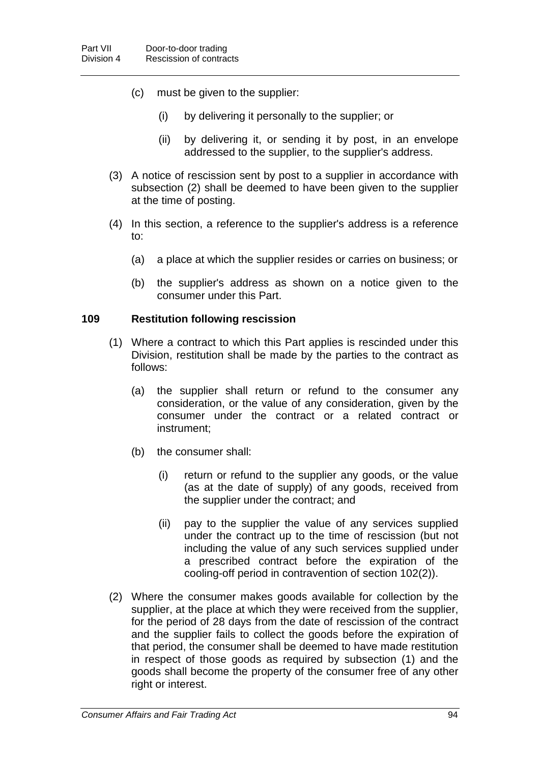- (c) must be given to the supplier:
	- (i) by delivering it personally to the supplier; or
	- (ii) by delivering it, or sending it by post, in an envelope addressed to the supplier, to the supplier's address.
- (3) A notice of rescission sent by post to a supplier in accordance with subsection (2) shall be deemed to have been given to the supplier at the time of posting.
- (4) In this section, a reference to the supplier's address is a reference to:
	- (a) a place at which the supplier resides or carries on business; or
	- (b) the supplier's address as shown on a notice given to the consumer under this Part.

#### **109 Restitution following rescission**

- (1) Where a contract to which this Part applies is rescinded under this Division, restitution shall be made by the parties to the contract as follows:
	- (a) the supplier shall return or refund to the consumer any consideration, or the value of any consideration, given by the consumer under the contract or a related contract or instrument;
	- (b) the consumer shall:
		- (i) return or refund to the supplier any goods, or the value (as at the date of supply) of any goods, received from the supplier under the contract; and
		- (ii) pay to the supplier the value of any services supplied under the contract up to the time of rescission (but not including the value of any such services supplied under a prescribed contract before the expiration of the cooling-off period in contravention of section 102(2)).
- (2) Where the consumer makes goods available for collection by the supplier, at the place at which they were received from the supplier, for the period of 28 days from the date of rescission of the contract and the supplier fails to collect the goods before the expiration of that period, the consumer shall be deemed to have made restitution in respect of those goods as required by subsection (1) and the goods shall become the property of the consumer free of any other right or interest.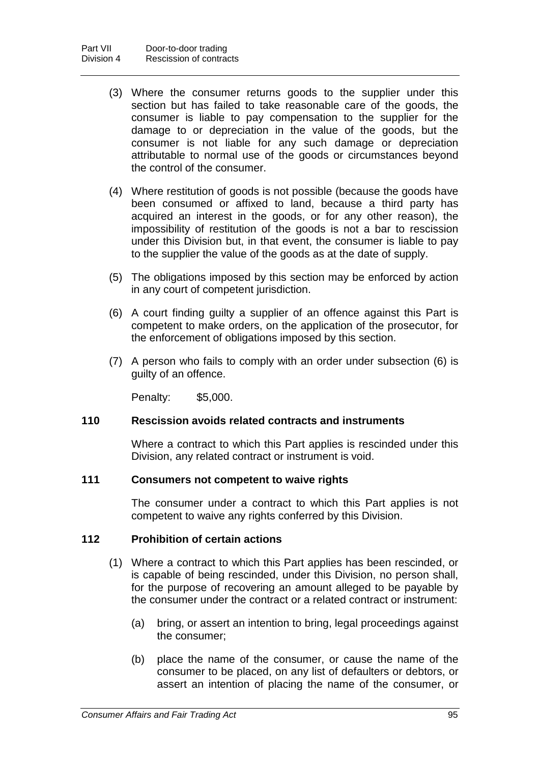- (3) Where the consumer returns goods to the supplier under this section but has failed to take reasonable care of the goods, the consumer is liable to pay compensation to the supplier for the damage to or depreciation in the value of the goods, but the consumer is not liable for any such damage or depreciation attributable to normal use of the goods or circumstances beyond the control of the consumer.
- (4) Where restitution of goods is not possible (because the goods have been consumed or affixed to land, because a third party has acquired an interest in the goods, or for any other reason), the impossibility of restitution of the goods is not a bar to rescission under this Division but, in that event, the consumer is liable to pay to the supplier the value of the goods as at the date of supply.
- (5) The obligations imposed by this section may be enforced by action in any court of competent jurisdiction.
- (6) A court finding guilty a supplier of an offence against this Part is competent to make orders, on the application of the prosecutor, for the enforcement of obligations imposed by this section.
- (7) A person who fails to comply with an order under subsection (6) is guilty of an offence.

Penalty: \$5,000.

#### **110 Rescission avoids related contracts and instruments**

Where a contract to which this Part applies is rescinded under this Division, any related contract or instrument is void.

#### **111 Consumers not competent to waive rights**

The consumer under a contract to which this Part applies is not competent to waive any rights conferred by this Division.

#### **112 Prohibition of certain actions**

- (1) Where a contract to which this Part applies has been rescinded, or is capable of being rescinded, under this Division, no person shall, for the purpose of recovering an amount alleged to be payable by the consumer under the contract or a related contract or instrument:
	- (a) bring, or assert an intention to bring, legal proceedings against the consumer;
	- (b) place the name of the consumer, or cause the name of the consumer to be placed, on any list of defaulters or debtors, or assert an intention of placing the name of the consumer, or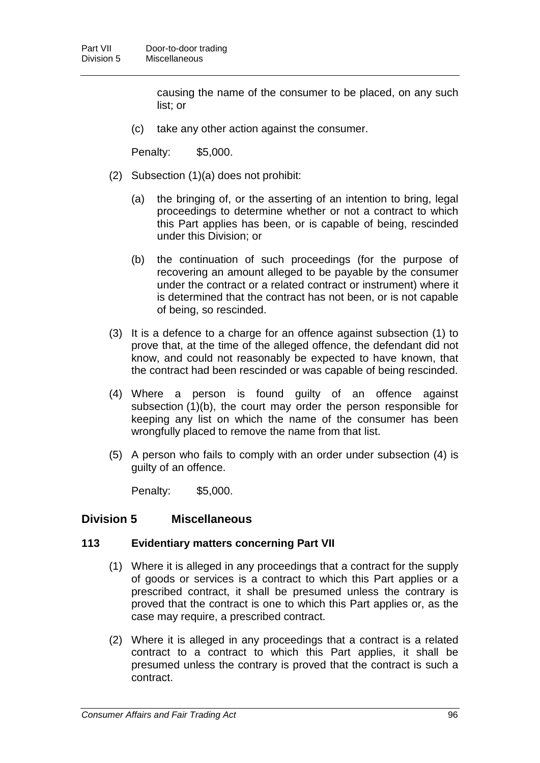causing the name of the consumer to be placed, on any such list; or

(c) take any other action against the consumer.

Penalty: \$5,000.

- (2) Subsection (1)(a) does not prohibit:
	- (a) the bringing of, or the asserting of an intention to bring, legal proceedings to determine whether or not a contract to which this Part applies has been, or is capable of being, rescinded under this Division; or
	- (b) the continuation of such proceedings (for the purpose of recovering an amount alleged to be payable by the consumer under the contract or a related contract or instrument) where it is determined that the contract has not been, or is not capable of being, so rescinded.
- (3) It is a defence to a charge for an offence against subsection (1) to prove that, at the time of the alleged offence, the defendant did not know, and could not reasonably be expected to have known, that the contract had been rescinded or was capable of being rescinded.
- (4) Where a person is found guilty of an offence against subsection (1)(b), the court may order the person responsible for keeping any list on which the name of the consumer has been wrongfully placed to remove the name from that list.
- (5) A person who fails to comply with an order under subsection (4) is guilty of an offence.

Penalty: \$5,000.

### **Division 5 Miscellaneous**

### **113 Evidentiary matters concerning Part VII**

- (1) Where it is alleged in any proceedings that a contract for the supply of goods or services is a contract to which this Part applies or a prescribed contract, it shall be presumed unless the contrary is proved that the contract is one to which this Part applies or, as the case may require, a prescribed contract.
- (2) Where it is alleged in any proceedings that a contract is a related contract to a contract to which this Part applies, it shall be presumed unless the contrary is proved that the contract is such a contract.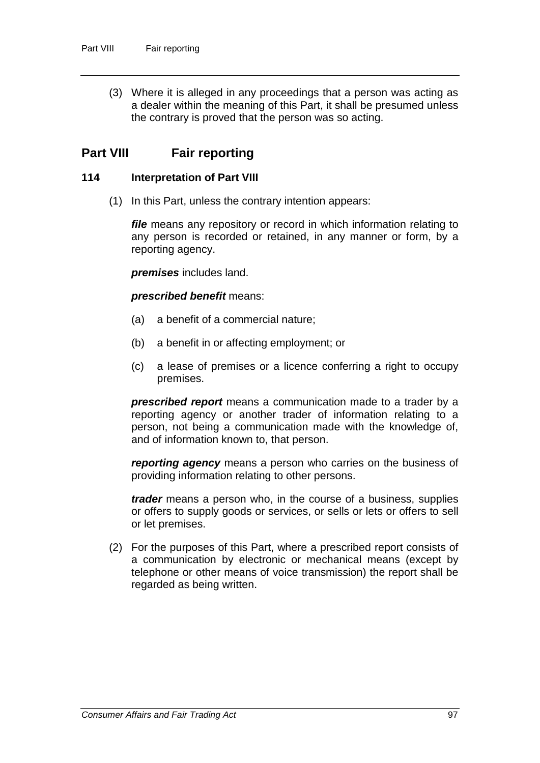(3) Where it is alleged in any proceedings that a person was acting as a dealer within the meaning of this Part, it shall be presumed unless the contrary is proved that the person was so acting.

# **Part VIII Fair reporting**

### **114 Interpretation of Part VIII**

(1) In this Part, unless the contrary intention appears:

*file* means any repository or record in which information relating to any person is recorded or retained, in any manner or form, by a reporting agency.

*premises* includes land.

*prescribed benefit* means:

- (a) a benefit of a commercial nature;
- (b) a benefit in or affecting employment; or
- (c) a lease of premises or a licence conferring a right to occupy premises.

*prescribed report* means a communication made to a trader by a reporting agency or another trader of information relating to a person, not being a communication made with the knowledge of, and of information known to, that person.

*reporting agency* means a person who carries on the business of providing information relating to other persons.

*trader* means a person who, in the course of a business, supplies or offers to supply goods or services, or sells or lets or offers to sell or let premises.

(2) For the purposes of this Part, where a prescribed report consists of a communication by electronic or mechanical means (except by telephone or other means of voice transmission) the report shall be regarded as being written.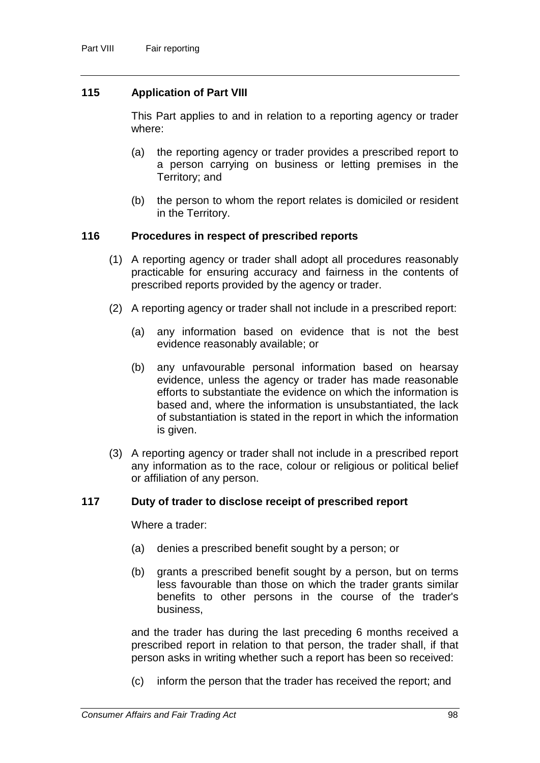### **115 Application of Part VIII**

This Part applies to and in relation to a reporting agency or trader where:

- (a) the reporting agency or trader provides a prescribed report to a person carrying on business or letting premises in the Territory; and
- (b) the person to whom the report relates is domiciled or resident in the Territory.

### **116 Procedures in respect of prescribed reports**

- (1) A reporting agency or trader shall adopt all procedures reasonably practicable for ensuring accuracy and fairness in the contents of prescribed reports provided by the agency or trader.
- (2) A reporting agency or trader shall not include in a prescribed report:
	- (a) any information based on evidence that is not the best evidence reasonably available; or
	- (b) any unfavourable personal information based on hearsay evidence, unless the agency or trader has made reasonable efforts to substantiate the evidence on which the information is based and, where the information is unsubstantiated, the lack of substantiation is stated in the report in which the information is given.
- (3) A reporting agency or trader shall not include in a prescribed report any information as to the race, colour or religious or political belief or affiliation of any person.

#### **117 Duty of trader to disclose receipt of prescribed report**

Where a trader:

- (a) denies a prescribed benefit sought by a person; or
- (b) grants a prescribed benefit sought by a person, but on terms less favourable than those on which the trader grants similar benefits to other persons in the course of the trader's business,

and the trader has during the last preceding 6 months received a prescribed report in relation to that person, the trader shall, if that person asks in writing whether such a report has been so received:

(c) inform the person that the trader has received the report; and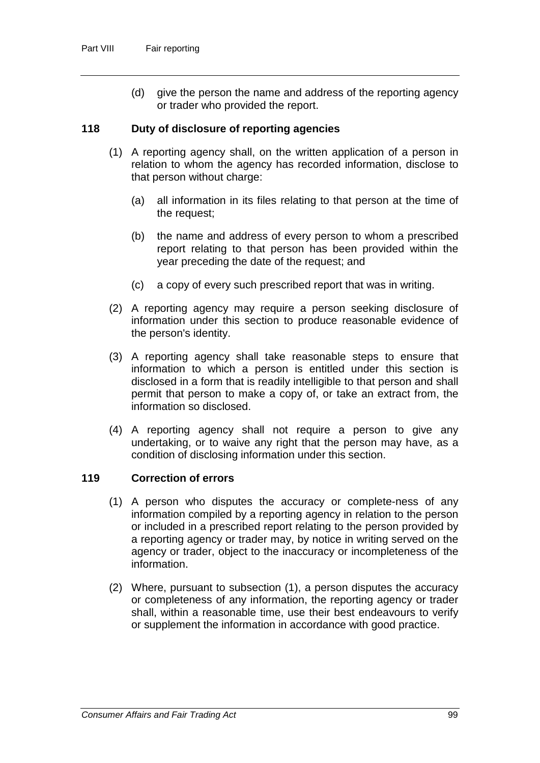(d) give the person the name and address of the reporting agency or trader who provided the report.

### **118 Duty of disclosure of reporting agencies**

- (1) A reporting agency shall, on the written application of a person in relation to whom the agency has recorded information, disclose to that person without charge:
	- (a) all information in its files relating to that person at the time of the request;
	- (b) the name and address of every person to whom a prescribed report relating to that person has been provided within the year preceding the date of the request; and
	- (c) a copy of every such prescribed report that was in writing.
- (2) A reporting agency may require a person seeking disclosure of information under this section to produce reasonable evidence of the person's identity.
- (3) A reporting agency shall take reasonable steps to ensure that information to which a person is entitled under this section is disclosed in a form that is readily intelligible to that person and shall permit that person to make a copy of, or take an extract from, the information so disclosed.
- (4) A reporting agency shall not require a person to give any undertaking, or to waive any right that the person may have, as a condition of disclosing information under this section.

### **119 Correction of errors**

- (1) A person who disputes the accuracy or complete-ness of any information compiled by a reporting agency in relation to the person or included in a prescribed report relating to the person provided by a reporting agency or trader may, by notice in writing served on the agency or trader, object to the inaccuracy or incompleteness of the information.
- (2) Where, pursuant to subsection (1), a person disputes the accuracy or completeness of any information, the reporting agency or trader shall, within a reasonable time, use their best endeavours to verify or supplement the information in accordance with good practice.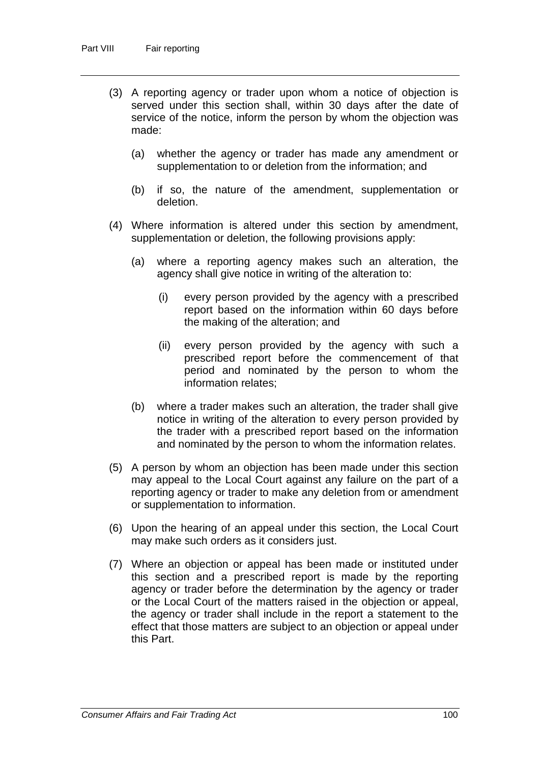- (3) A reporting agency or trader upon whom a notice of objection is served under this section shall, within 30 days after the date of service of the notice, inform the person by whom the objection was made:
	- (a) whether the agency or trader has made any amendment or supplementation to or deletion from the information; and
	- (b) if so, the nature of the amendment, supplementation or deletion.
- (4) Where information is altered under this section by amendment, supplementation or deletion, the following provisions apply:
	- (a) where a reporting agency makes such an alteration, the agency shall give notice in writing of the alteration to:
		- (i) every person provided by the agency with a prescribed report based on the information within 60 days before the making of the alteration; and
		- (ii) every person provided by the agency with such a prescribed report before the commencement of that period and nominated by the person to whom the information relates;
	- (b) where a trader makes such an alteration, the trader shall give notice in writing of the alteration to every person provided by the trader with a prescribed report based on the information and nominated by the person to whom the information relates.
- (5) A person by whom an objection has been made under this section may appeal to the Local Court against any failure on the part of a reporting agency or trader to make any deletion from or amendment or supplementation to information.
- (6) Upon the hearing of an appeal under this section, the Local Court may make such orders as it considers just.
- (7) Where an objection or appeal has been made or instituted under this section and a prescribed report is made by the reporting agency or trader before the determination by the agency or trader or the Local Court of the matters raised in the objection or appeal, the agency or trader shall include in the report a statement to the effect that those matters are subject to an objection or appeal under this Part.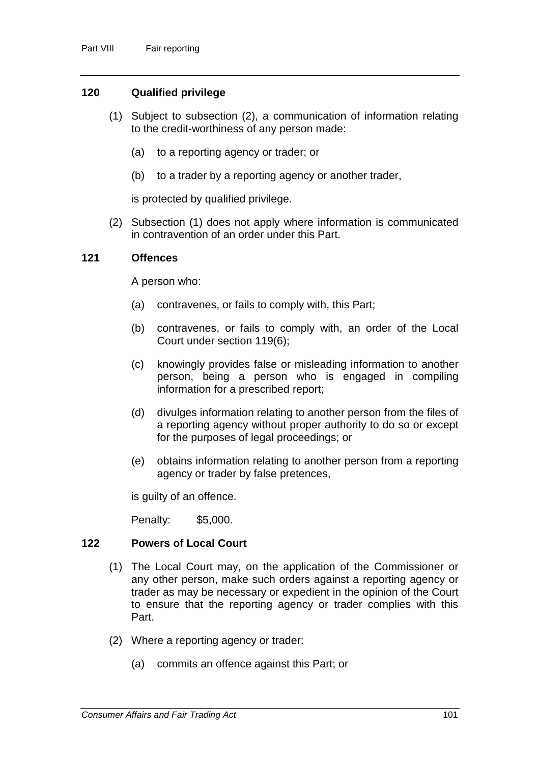### **120 Qualified privilege**

- (1) Subject to subsection (2), a communication of information relating to the credit-worthiness of any person made:
	- (a) to a reporting agency or trader; or
	- (b) to a trader by a reporting agency or another trader,

is protected by qualified privilege.

(2) Subsection (1) does not apply where information is communicated in contravention of an order under this Part.

#### **121 Offences**

A person who:

- (a) contravenes, or fails to comply with, this Part;
- (b) contravenes, or fails to comply with, an order of the Local Court under section 119(6);
- (c) knowingly provides false or misleading information to another person, being a person who is engaged in compiling information for a prescribed report;
- (d) divulges information relating to another person from the files of a reporting agency without proper authority to do so or except for the purposes of legal proceedings; or
- (e) obtains information relating to another person from a reporting agency or trader by false pretences,

is guilty of an offence.

Penalty: \$5,000.

### **122 Powers of Local Court**

- (1) The Local Court may, on the application of the Commissioner or any other person, make such orders against a reporting agency or trader as may be necessary or expedient in the opinion of the Court to ensure that the reporting agency or trader complies with this Part.
- (2) Where a reporting agency or trader:
	- (a) commits an offence against this Part; or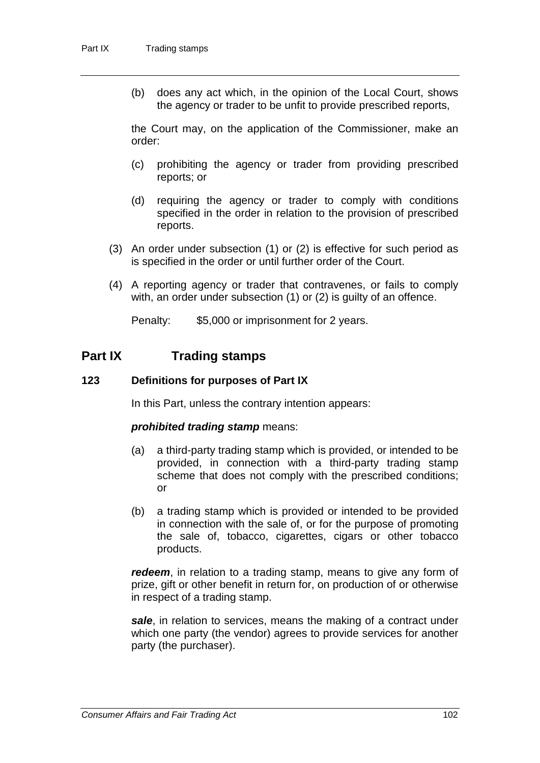(b) does any act which, in the opinion of the Local Court, shows the agency or trader to be unfit to provide prescribed reports,

the Court may, on the application of the Commissioner, make an order:

- (c) prohibiting the agency or trader from providing prescribed reports; or
- (d) requiring the agency or trader to comply with conditions specified in the order in relation to the provision of prescribed reports.
- (3) An order under subsection (1) or (2) is effective for such period as is specified in the order or until further order of the Court.
- (4) A reporting agency or trader that contravenes, or fails to comply with, an order under subsection (1) or (2) is guilty of an offence.

Penalty: \$5,000 or imprisonment for 2 years.

# **Part IX Trading stamps**

#### **123 Definitions for purposes of Part IX**

In this Part, unless the contrary intention appears:

#### *prohibited trading stamp* means:

- (a) a third-party trading stamp which is provided, or intended to be provided, in connection with a third-party trading stamp scheme that does not comply with the prescribed conditions; or
- (b) a trading stamp which is provided or intended to be provided in connection with the sale of, or for the purpose of promoting the sale of, tobacco, cigarettes, cigars or other tobacco products.

*redeem*, in relation to a trading stamp, means to give any form of prize, gift or other benefit in return for, on production of or otherwise in respect of a trading stamp.

*sale*, in relation to services, means the making of a contract under which one party (the vendor) agrees to provide services for another party (the purchaser).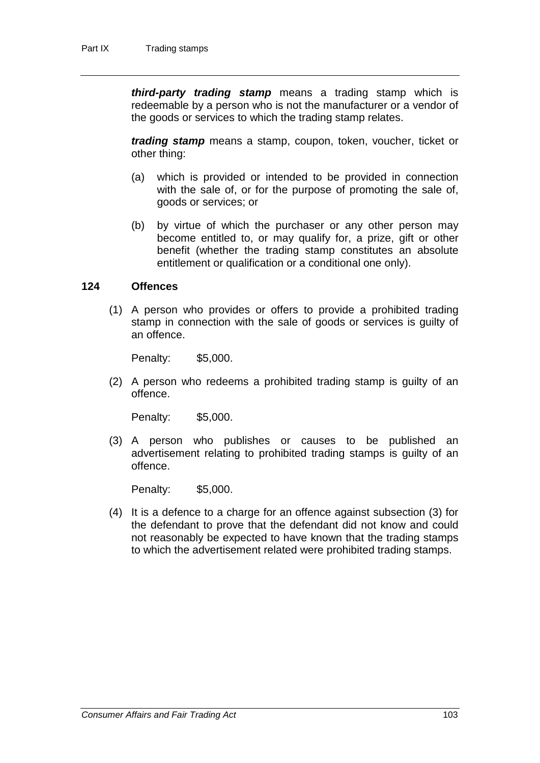*third-party trading stamp* means a trading stamp which is redeemable by a person who is not the manufacturer or a vendor of the goods or services to which the trading stamp relates.

*trading stamp* means a stamp, coupon, token, voucher, ticket or other thing:

- (a) which is provided or intended to be provided in connection with the sale of, or for the purpose of promoting the sale of, goods or services; or
- (b) by virtue of which the purchaser or any other person may become entitled to, or may qualify for, a prize, gift or other benefit (whether the trading stamp constitutes an absolute entitlement or qualification or a conditional one only).

#### **124 Offences**

(1) A person who provides or offers to provide a prohibited trading stamp in connection with the sale of goods or services is guilty of an offence.

Penalty: \$5,000.

(2) A person who redeems a prohibited trading stamp is guilty of an offence.

Penalty: \$5,000.

(3) A person who publishes or causes to be published an advertisement relating to prohibited trading stamps is guilty of an offence.

Penalty: \$5,000.

(4) It is a defence to a charge for an offence against subsection (3) for the defendant to prove that the defendant did not know and could not reasonably be expected to have known that the trading stamps to which the advertisement related were prohibited trading stamps.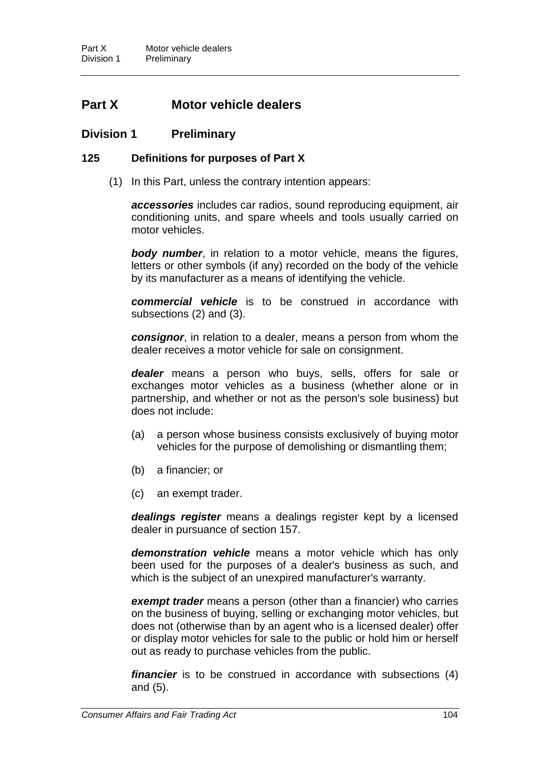# **Part X Motor vehicle dealers**

### **Division 1 Preliminary**

### **125 Definitions for purposes of Part X**

(1) In this Part, unless the contrary intention appears:

*accessories* includes car radios, sound reproducing equipment, air conditioning units, and spare wheels and tools usually carried on motor vehicles.

*body number*, in relation to a motor vehicle, means the figures, letters or other symbols (if any) recorded on the body of the vehicle by its manufacturer as a means of identifying the vehicle.

*commercial vehicle* is to be construed in accordance with subsections (2) and (3).

*consignor*, in relation to a dealer, means a person from whom the dealer receives a motor vehicle for sale on consignment.

*dealer* means a person who buys, sells, offers for sale or exchanges motor vehicles as a business (whether alone or in partnership, and whether or not as the person's sole business) but does not include:

- (a) a person whose business consists exclusively of buying motor vehicles for the purpose of demolishing or dismantling them;
- (b) a financier; or
- (c) an exempt trader.

*dealings register* means a dealings register kept by a licensed dealer in pursuance of section 157.

*demonstration vehicle* means a motor vehicle which has only been used for the purposes of a dealer's business as such, and which is the subject of an unexpired manufacturer's warranty.

*exempt trader* means a person (other than a financier) who carries on the business of buying, selling or exchanging motor vehicles, but does not (otherwise than by an agent who is a licensed dealer) offer or display motor vehicles for sale to the public or hold him or herself out as ready to purchase vehicles from the public.

*financier* is to be construed in accordance with subsections (4) and (5).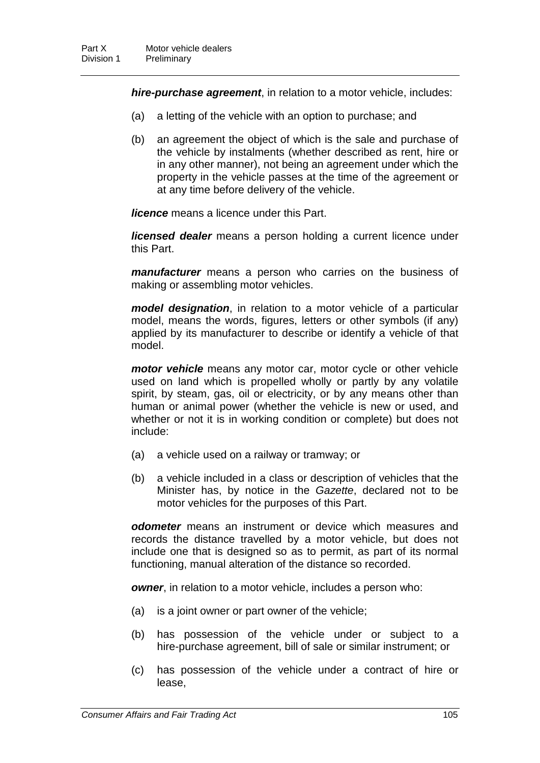*hire-purchase agreement*, in relation to a motor vehicle, includes:

- (a) a letting of the vehicle with an option to purchase; and
- (b) an agreement the object of which is the sale and purchase of the vehicle by instalments (whether described as rent, hire or in any other manner), not being an agreement under which the property in the vehicle passes at the time of the agreement or at any time before delivery of the vehicle.

*licence* means a licence under this Part.

*licensed dealer* means a person holding a current licence under this Part.

*manufacturer* means a person who carries on the business of making or assembling motor vehicles.

*model designation*, in relation to a motor vehicle of a particular model, means the words, figures, letters or other symbols (if any) applied by its manufacturer to describe or identify a vehicle of that model.

*motor vehicle* means any motor car, motor cycle or other vehicle used on land which is propelled wholly or partly by any volatile spirit, by steam, gas, oil or electricity, or by any means other than human or animal power (whether the vehicle is new or used, and whether or not it is in working condition or complete) but does not include:

- (a) a vehicle used on a railway or tramway; or
- (b) a vehicle included in a class or description of vehicles that the Minister has, by notice in the *Gazette*, declared not to be motor vehicles for the purposes of this Part.

*odometer* means an instrument or device which measures and records the distance travelled by a motor vehicle, but does not include one that is designed so as to permit, as part of its normal functioning, manual alteration of the distance so recorded.

*owner*, in relation to a motor vehicle, includes a person who:

- (a) is a joint owner or part owner of the vehicle;
- (b) has possession of the vehicle under or subject to a hire-purchase agreement, bill of sale or similar instrument; or
- (c) has possession of the vehicle under a contract of hire or lease,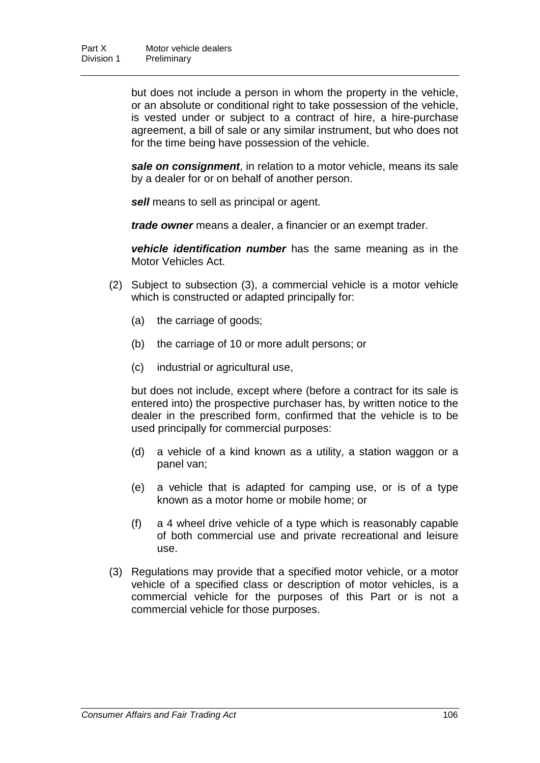but does not include a person in whom the property in the vehicle, or an absolute or conditional right to take possession of the vehicle, is vested under or subject to a contract of hire, a hire-purchase agreement, a bill of sale or any similar instrument, but who does not for the time being have possession of the vehicle.

*sale on consignment*, in relation to a motor vehicle, means its sale by a dealer for or on behalf of another person.

*sell* means to sell as principal or agent.

*trade owner* means a dealer, a financier or an exempt trader.

*vehicle identification number* has the same meaning as in the Motor Vehicles Act.

- (2) Subject to subsection (3), a commercial vehicle is a motor vehicle which is constructed or adapted principally for:
	- (a) the carriage of goods;
	- (b) the carriage of 10 or more adult persons; or
	- (c) industrial or agricultural use,

but does not include, except where (before a contract for its sale is entered into) the prospective purchaser has, by written notice to the dealer in the prescribed form, confirmed that the vehicle is to be used principally for commercial purposes:

- (d) a vehicle of a kind known as a utility, a station waggon or a panel van;
- (e) a vehicle that is adapted for camping use, or is of a type known as a motor home or mobile home; or
- (f) a 4 wheel drive vehicle of a type which is reasonably capable of both commercial use and private recreational and leisure use.
- (3) Regulations may provide that a specified motor vehicle, or a motor vehicle of a specified class or description of motor vehicles, is a commercial vehicle for the purposes of this Part or is not a commercial vehicle for those purposes.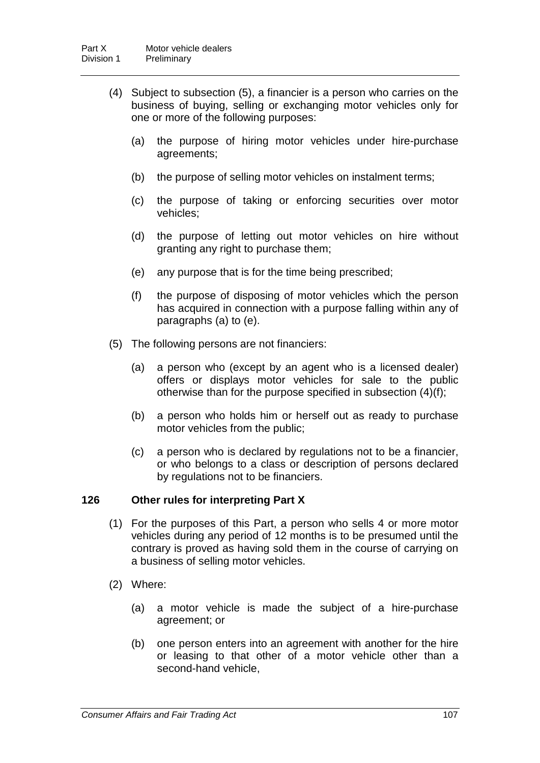- (4) Subject to subsection (5), a financier is a person who carries on the business of buying, selling or exchanging motor vehicles only for one or more of the following purposes:
	- (a) the purpose of hiring motor vehicles under hire-purchase agreements;
	- (b) the purpose of selling motor vehicles on instalment terms;
	- (c) the purpose of taking or enforcing securities over motor vehicles;
	- (d) the purpose of letting out motor vehicles on hire without granting any right to purchase them;
	- (e) any purpose that is for the time being prescribed;
	- (f) the purpose of disposing of motor vehicles which the person has acquired in connection with a purpose falling within any of paragraphs (a) to (e).
- (5) The following persons are not financiers:
	- (a) a person who (except by an agent who is a licensed dealer) offers or displays motor vehicles for sale to the public otherwise than for the purpose specified in subsection (4)(f);
	- (b) a person who holds him or herself out as ready to purchase motor vehicles from the public;
	- (c) a person who is declared by regulations not to be a financier, or who belongs to a class or description of persons declared by regulations not to be financiers.

### **126 Other rules for interpreting Part X**

- (1) For the purposes of this Part, a person who sells 4 or more motor vehicles during any period of 12 months is to be presumed until the contrary is proved as having sold them in the course of carrying on a business of selling motor vehicles.
- (2) Where:
	- (a) a motor vehicle is made the subject of a hire-purchase agreement; or
	- (b) one person enters into an agreement with another for the hire or leasing to that other of a motor vehicle other than a second-hand vehicle,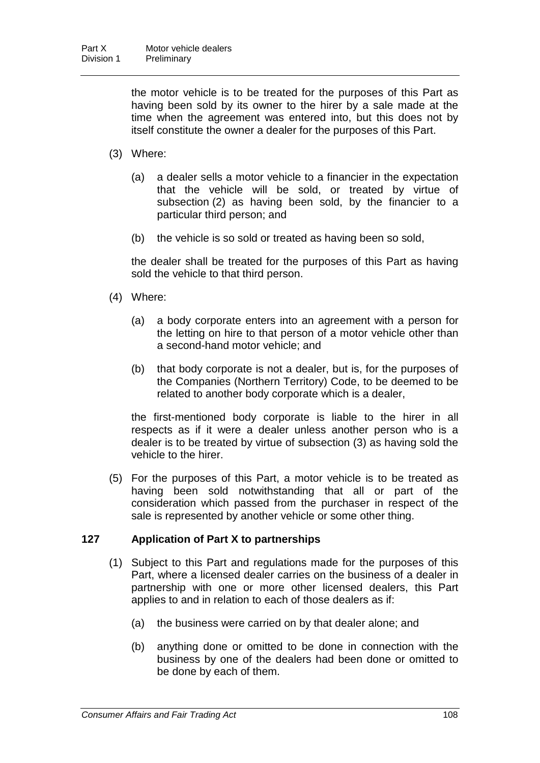the motor vehicle is to be treated for the purposes of this Part as having been sold by its owner to the hirer by a sale made at the time when the agreement was entered into, but this does not by itself constitute the owner a dealer for the purposes of this Part.

- (3) Where:
	- (a) a dealer sells a motor vehicle to a financier in the expectation that the vehicle will be sold, or treated by virtue of subsection (2) as having been sold, by the financier to a particular third person; and
	- (b) the vehicle is so sold or treated as having been so sold,

the dealer shall be treated for the purposes of this Part as having sold the vehicle to that third person.

- (4) Where:
	- (a) a body corporate enters into an agreement with a person for the letting on hire to that person of a motor vehicle other than a second-hand motor vehicle; and
	- (b) that body corporate is not a dealer, but is, for the purposes of the Companies (Northern Territory) Code, to be deemed to be related to another body corporate which is a dealer,

the first-mentioned body corporate is liable to the hirer in all respects as if it were a dealer unless another person who is a dealer is to be treated by virtue of subsection (3) as having sold the vehicle to the hirer.

(5) For the purposes of this Part, a motor vehicle is to be treated as having been sold notwithstanding that all or part of the consideration which passed from the purchaser in respect of the sale is represented by another vehicle or some other thing.

### **127 Application of Part X to partnerships**

- (1) Subject to this Part and regulations made for the purposes of this Part, where a licensed dealer carries on the business of a dealer in partnership with one or more other licensed dealers, this Part applies to and in relation to each of those dealers as if:
	- (a) the business were carried on by that dealer alone; and
	- (b) anything done or omitted to be done in connection with the business by one of the dealers had been done or omitted to be done by each of them.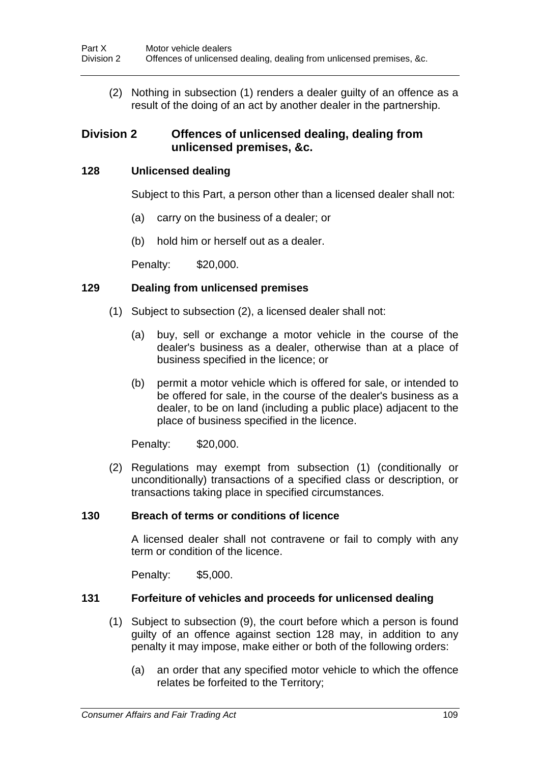(2) Nothing in subsection (1) renders a dealer guilty of an offence as a result of the doing of an act by another dealer in the partnership.

# **Division 2 Offences of unlicensed dealing, dealing from unlicensed premises, &c.**

### **128 Unlicensed dealing**

Subject to this Part, a person other than a licensed dealer shall not:

- (a) carry on the business of a dealer; or
- (b) hold him or herself out as a dealer.

Penalty: \$20,000.

### **129 Dealing from unlicensed premises**

- (1) Subject to subsection (2), a licensed dealer shall not:
	- (a) buy, sell or exchange a motor vehicle in the course of the dealer's business as a dealer, otherwise than at a place of business specified in the licence; or
	- (b) permit a motor vehicle which is offered for sale, or intended to be offered for sale, in the course of the dealer's business as a dealer, to be on land (including a public place) adjacent to the place of business specified in the licence.

Penalty: \$20,000.

(2) Regulations may exempt from subsection (1) (conditionally or unconditionally) transactions of a specified class or description, or transactions taking place in specified circumstances.

### **130 Breach of terms or conditions of licence**

A licensed dealer shall not contravene or fail to comply with any term or condition of the licence.

Penalty: \$5,000.

### **131 Forfeiture of vehicles and proceeds for unlicensed dealing**

- (1) Subject to subsection (9), the court before which a person is found guilty of an offence against section 128 may, in addition to any penalty it may impose, make either or both of the following orders:
	- (a) an order that any specified motor vehicle to which the offence relates be forfeited to the Territory;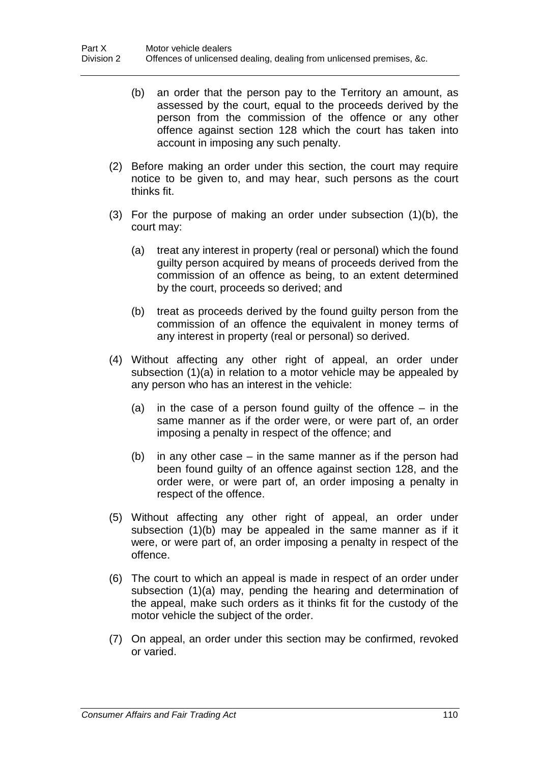- (b) an order that the person pay to the Territory an amount, as assessed by the court, equal to the proceeds derived by the person from the commission of the offence or any other offence against section 128 which the court has taken into account in imposing any such penalty.
- (2) Before making an order under this section, the court may require notice to be given to, and may hear, such persons as the court thinks fit.
- (3) For the purpose of making an order under subsection (1)(b), the court may:
	- (a) treat any interest in property (real or personal) which the found guilty person acquired by means of proceeds derived from the commission of an offence as being, to an extent determined by the court, proceeds so derived; and
	- (b) treat as proceeds derived by the found guilty person from the commission of an offence the equivalent in money terms of any interest in property (real or personal) so derived.
- (4) Without affecting any other right of appeal, an order under subsection (1)(a) in relation to a motor vehicle may be appealed by any person who has an interest in the vehicle:
	- (a) in the case of a person found guilty of the offence in the same manner as if the order were, or were part of, an order imposing a penalty in respect of the offence; and
	- (b) in any other case in the same manner as if the person had been found guilty of an offence against section 128, and the order were, or were part of, an order imposing a penalty in respect of the offence.
- (5) Without affecting any other right of appeal, an order under subsection (1)(b) may be appealed in the same manner as if it were, or were part of, an order imposing a penalty in respect of the offence.
- (6) The court to which an appeal is made in respect of an order under subsection (1)(a) may, pending the hearing and determination of the appeal, make such orders as it thinks fit for the custody of the motor vehicle the subject of the order.
- (7) On appeal, an order under this section may be confirmed, revoked or varied.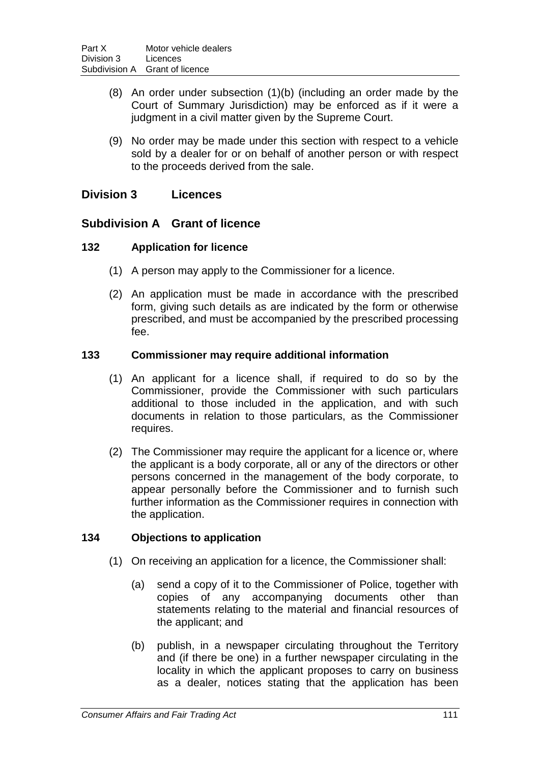- (8) An order under subsection (1)(b) (including an order made by the Court of Summary Jurisdiction) may be enforced as if it were a judgment in a civil matter given by the Supreme Court.
- (9) No order may be made under this section with respect to a vehicle sold by a dealer for or on behalf of another person or with respect to the proceeds derived from the sale.

# **Division 3 Licences**

### **Subdivision A Grant of licence**

### **132 Application for licence**

- (1) A person may apply to the Commissioner for a licence.
- (2) An application must be made in accordance with the prescribed form, giving such details as are indicated by the form or otherwise prescribed, and must be accompanied by the prescribed processing fee.

### **133 Commissioner may require additional information**

- (1) An applicant for a licence shall, if required to do so by the Commissioner, provide the Commissioner with such particulars additional to those included in the application, and with such documents in relation to those particulars, as the Commissioner requires.
- (2) The Commissioner may require the applicant for a licence or, where the applicant is a body corporate, all or any of the directors or other persons concerned in the management of the body corporate, to appear personally before the Commissioner and to furnish such further information as the Commissioner requires in connection with the application.

### **134 Objections to application**

- (1) On receiving an application for a licence, the Commissioner shall:
	- (a) send a copy of it to the Commissioner of Police, together with copies of any accompanying documents other than statements relating to the material and financial resources of the applicant; and
	- (b) publish, in a newspaper circulating throughout the Territory and (if there be one) in a further newspaper circulating in the locality in which the applicant proposes to carry on business as a dealer, notices stating that the application has been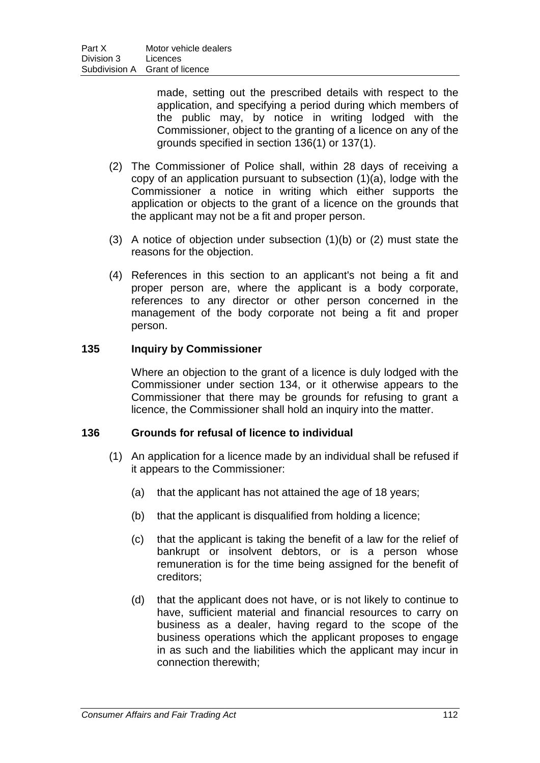made, setting out the prescribed details with respect to the application, and specifying a period during which members of the public may, by notice in writing lodged with the Commissioner, object to the granting of a licence on any of the grounds specified in section 136(1) or 137(1).

- (2) The Commissioner of Police shall, within 28 days of receiving a copy of an application pursuant to subsection (1)(a), lodge with the Commissioner a notice in writing which either supports the application or objects to the grant of a licence on the grounds that the applicant may not be a fit and proper person.
- (3) A notice of objection under subsection (1)(b) or (2) must state the reasons for the objection.
- (4) References in this section to an applicant's not being a fit and proper person are, where the applicant is a body corporate, references to any director or other person concerned in the management of the body corporate not being a fit and proper person.

### **135 Inquiry by Commissioner**

Where an objection to the grant of a licence is duly lodged with the Commissioner under section 134, or it otherwise appears to the Commissioner that there may be grounds for refusing to grant a licence, the Commissioner shall hold an inquiry into the matter.

### **136 Grounds for refusal of licence to individual**

- (1) An application for a licence made by an individual shall be refused if it appears to the Commissioner:
	- (a) that the applicant has not attained the age of 18 years;
	- (b) that the applicant is disqualified from holding a licence;
	- (c) that the applicant is taking the benefit of a law for the relief of bankrupt or insolvent debtors, or is a person whose remuneration is for the time being assigned for the benefit of creditors;
	- (d) that the applicant does not have, or is not likely to continue to have, sufficient material and financial resources to carry on business as a dealer, having regard to the scope of the business operations which the applicant proposes to engage in as such and the liabilities which the applicant may incur in connection therewith;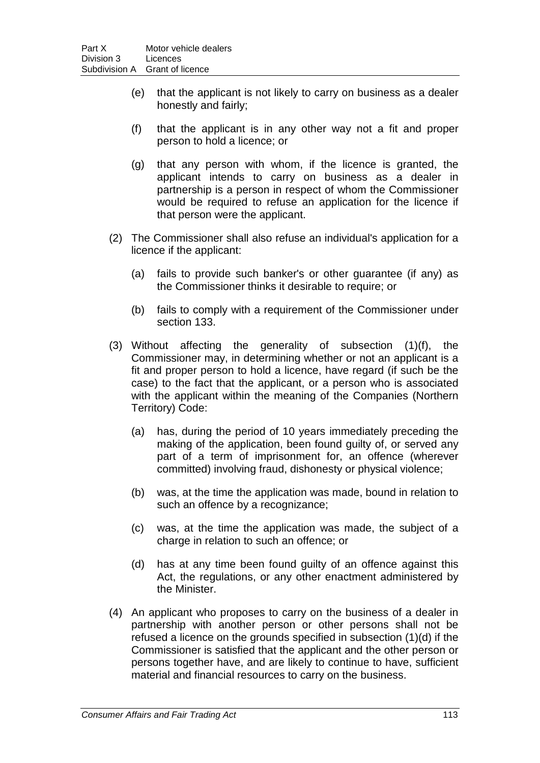- (e) that the applicant is not likely to carry on business as a dealer honestly and fairly;
- (f) that the applicant is in any other way not a fit and proper person to hold a licence; or
- (g) that any person with whom, if the licence is granted, the applicant intends to carry on business as a dealer in partnership is a person in respect of whom the Commissioner would be required to refuse an application for the licence if that person were the applicant.
- (2) The Commissioner shall also refuse an individual's application for a licence if the applicant:
	- (a) fails to provide such banker's or other guarantee (if any) as the Commissioner thinks it desirable to require; or
	- (b) fails to comply with a requirement of the Commissioner under section 133.
- (3) Without affecting the generality of subsection (1)(f), the Commissioner may, in determining whether or not an applicant is a fit and proper person to hold a licence, have regard (if such be the case) to the fact that the applicant, or a person who is associated with the applicant within the meaning of the Companies (Northern Territory) Code:
	- (a) has, during the period of 10 years immediately preceding the making of the application, been found guilty of, or served any part of a term of imprisonment for, an offence (wherever committed) involving fraud, dishonesty or physical violence;
	- (b) was, at the time the application was made, bound in relation to such an offence by a recognizance;
	- (c) was, at the time the application was made, the subject of a charge in relation to such an offence; or
	- (d) has at any time been found guilty of an offence against this Act, the regulations, or any other enactment administered by the Minister.
- (4) An applicant who proposes to carry on the business of a dealer in partnership with another person or other persons shall not be refused a licence on the grounds specified in subsection (1)(d) if the Commissioner is satisfied that the applicant and the other person or persons together have, and are likely to continue to have, sufficient material and financial resources to carry on the business.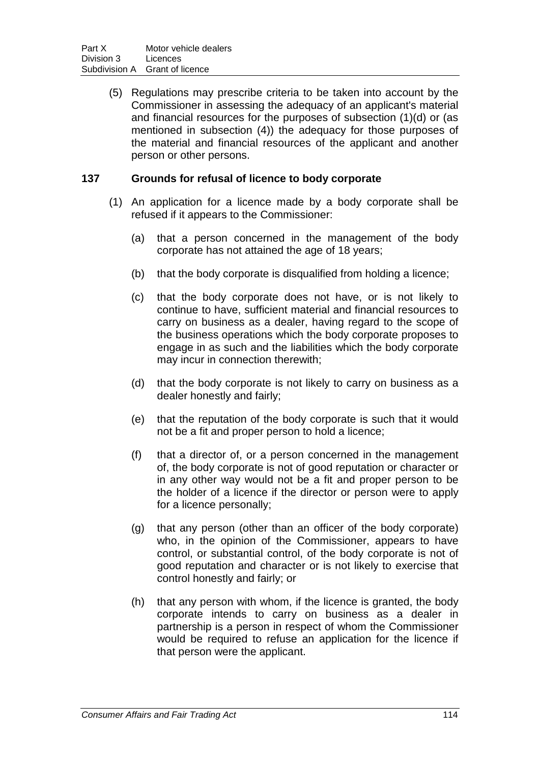(5) Regulations may prescribe criteria to be taken into account by the Commissioner in assessing the adequacy of an applicant's material and financial resources for the purposes of subsection (1)(d) or (as mentioned in subsection (4)) the adequacy for those purposes of the material and financial resources of the applicant and another person or other persons.

### **137 Grounds for refusal of licence to body corporate**

- (1) An application for a licence made by a body corporate shall be refused if it appears to the Commissioner:
	- (a) that a person concerned in the management of the body corporate has not attained the age of 18 years;
	- (b) that the body corporate is disqualified from holding a licence;
	- (c) that the body corporate does not have, or is not likely to continue to have, sufficient material and financial resources to carry on business as a dealer, having regard to the scope of the business operations which the body corporate proposes to engage in as such and the liabilities which the body corporate may incur in connection therewith;
	- (d) that the body corporate is not likely to carry on business as a dealer honestly and fairly;
	- (e) that the reputation of the body corporate is such that it would not be a fit and proper person to hold a licence;
	- (f) that a director of, or a person concerned in the management of, the body corporate is not of good reputation or character or in any other way would not be a fit and proper person to be the holder of a licence if the director or person were to apply for a licence personally;
	- (g) that any person (other than an officer of the body corporate) who, in the opinion of the Commissioner, appears to have control, or substantial control, of the body corporate is not of good reputation and character or is not likely to exercise that control honestly and fairly; or
	- (h) that any person with whom, if the licence is granted, the body corporate intends to carry on business as a dealer in partnership is a person in respect of whom the Commissioner would be required to refuse an application for the licence if that person were the applicant.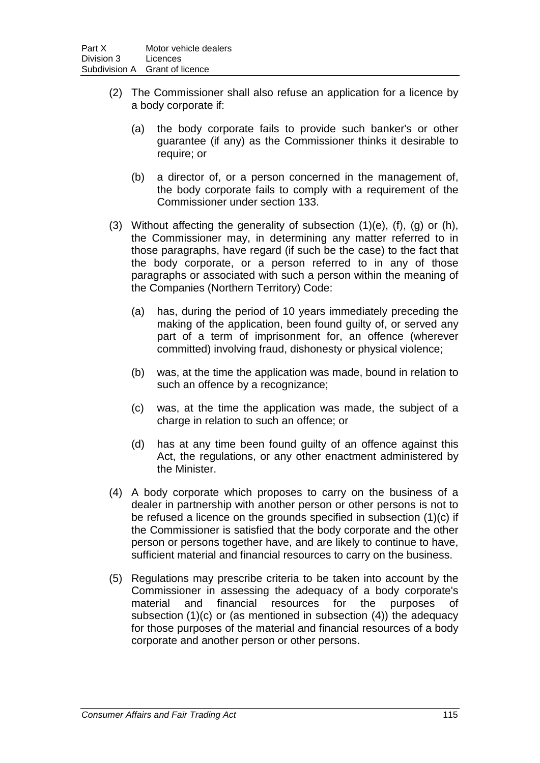- (2) The Commissioner shall also refuse an application for a licence by a body corporate if:
	- (a) the body corporate fails to provide such banker's or other guarantee (if any) as the Commissioner thinks it desirable to require; or
	- (b) a director of, or a person concerned in the management of, the body corporate fails to comply with a requirement of the Commissioner under section 133.
- (3) Without affecting the generality of subsection  $(1)(e)$ ,  $(f)$ ,  $(g)$  or  $(h)$ , the Commissioner may, in determining any matter referred to in those paragraphs, have regard (if such be the case) to the fact that the body corporate, or a person referred to in any of those paragraphs or associated with such a person within the meaning of the Companies (Northern Territory) Code:
	- (a) has, during the period of 10 years immediately preceding the making of the application, been found guilty of, or served any part of a term of imprisonment for, an offence (wherever committed) involving fraud, dishonesty or physical violence;
	- (b) was, at the time the application was made, bound in relation to such an offence by a recognizance;
	- (c) was, at the time the application was made, the subject of a charge in relation to such an offence; or
	- (d) has at any time been found guilty of an offence against this Act, the regulations, or any other enactment administered by the Minister.
- (4) A body corporate which proposes to carry on the business of a dealer in partnership with another person or other persons is not to be refused a licence on the grounds specified in subsection (1)(c) if the Commissioner is satisfied that the body corporate and the other person or persons together have, and are likely to continue to have, sufficient material and financial resources to carry on the business.
- (5) Regulations may prescribe criteria to be taken into account by the Commissioner in assessing the adequacy of a body corporate's material and financial resources for the purposes of subsection (1)(c) or (as mentioned in subsection (4)) the adequacy for those purposes of the material and financial resources of a body corporate and another person or other persons.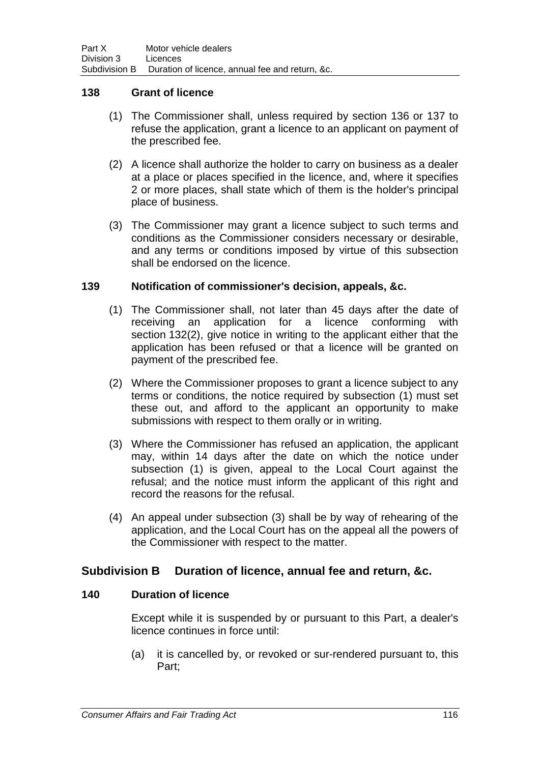### **138 Grant of licence**

- (1) The Commissioner shall, unless required by section 136 or 137 to refuse the application, grant a licence to an applicant on payment of the prescribed fee.
- (2) A licence shall authorize the holder to carry on business as a dealer at a place or places specified in the licence, and, where it specifies 2 or more places, shall state which of them is the holder's principal place of business.
- (3) The Commissioner may grant a licence subject to such terms and conditions as the Commissioner considers necessary or desirable, and any terms or conditions imposed by virtue of this subsection shall be endorsed on the licence.

### **139 Notification of commissioner's decision, appeals, &c.**

- (1) The Commissioner shall, not later than 45 days after the date of receiving an application for a licence conforming with section 132(2), give notice in writing to the applicant either that the application has been refused or that a licence will be granted on payment of the prescribed fee.
- (2) Where the Commissioner proposes to grant a licence subject to any terms or conditions, the notice required by subsection (1) must set these out, and afford to the applicant an opportunity to make submissions with respect to them orally or in writing.
- (3) Where the Commissioner has refused an application, the applicant may, within 14 days after the date on which the notice under subsection (1) is given, appeal to the Local Court against the refusal; and the notice must inform the applicant of this right and record the reasons for the refusal.
- (4) An appeal under subsection (3) shall be by way of rehearing of the application, and the Local Court has on the appeal all the powers of the Commissioner with respect to the matter.

# **Subdivision B Duration of licence, annual fee and return, &c.**

### **140 Duration of licence**

Except while it is suspended by or pursuant to this Part, a dealer's licence continues in force until:

(a) it is cancelled by, or revoked or sur-rendered pursuant to, this Part;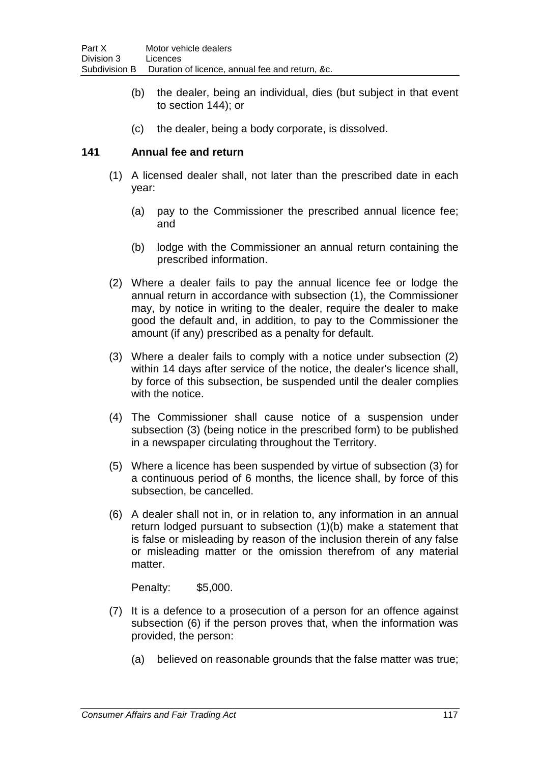- (b) the dealer, being an individual, dies (but subject in that event to section 144); or
- (c) the dealer, being a body corporate, is dissolved.

### **141 Annual fee and return**

- (1) A licensed dealer shall, not later than the prescribed date in each year:
	- (a) pay to the Commissioner the prescribed annual licence fee; and
	- (b) lodge with the Commissioner an annual return containing the prescribed information.
- (2) Where a dealer fails to pay the annual licence fee or lodge the annual return in accordance with subsection (1), the Commissioner may, by notice in writing to the dealer, require the dealer to make good the default and, in addition, to pay to the Commissioner the amount (if any) prescribed as a penalty for default.
- (3) Where a dealer fails to comply with a notice under subsection (2) within 14 days after service of the notice, the dealer's licence shall, by force of this subsection, be suspended until the dealer complies with the notice.
- (4) The Commissioner shall cause notice of a suspension under subsection (3) (being notice in the prescribed form) to be published in a newspaper circulating throughout the Territory.
- (5) Where a licence has been suspended by virtue of subsection (3) for a continuous period of 6 months, the licence shall, by force of this subsection, be cancelled.
- (6) A dealer shall not in, or in relation to, any information in an annual return lodged pursuant to subsection (1)(b) make a statement that is false or misleading by reason of the inclusion therein of any false or misleading matter or the omission therefrom of any material matter.

- (7) It is a defence to a prosecution of a person for an offence against subsection (6) if the person proves that, when the information was provided, the person:
	- (a) believed on reasonable grounds that the false matter was true;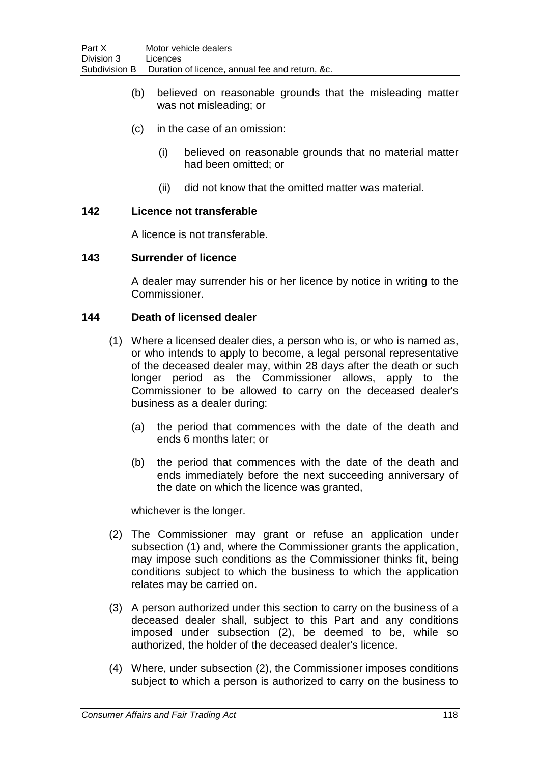- (b) believed on reasonable grounds that the misleading matter was not misleading; or
- (c) in the case of an omission:
	- (i) believed on reasonable grounds that no material matter had been omitted; or
	- (ii) did not know that the omitted matter was material.

### **142 Licence not transferable**

A licence is not transferable.

### **143 Surrender of licence**

A dealer may surrender his or her licence by notice in writing to the Commissioner.

### **144 Death of licensed dealer**

- (1) Where a licensed dealer dies, a person who is, or who is named as, or who intends to apply to become, a legal personal representative of the deceased dealer may, within 28 days after the death or such longer period as the Commissioner allows, apply to the Commissioner to be allowed to carry on the deceased dealer's business as a dealer during:
	- (a) the period that commences with the date of the death and ends 6 months later; or
	- (b) the period that commences with the date of the death and ends immediately before the next succeeding anniversary of the date on which the licence was granted,

whichever is the longer.

- (2) The Commissioner may grant or refuse an application under subsection (1) and, where the Commissioner grants the application, may impose such conditions as the Commissioner thinks fit, being conditions subject to which the business to which the application relates may be carried on.
- (3) A person authorized under this section to carry on the business of a deceased dealer shall, subject to this Part and any conditions imposed under subsection (2), be deemed to be, while so authorized, the holder of the deceased dealer's licence.
- (4) Where, under subsection (2), the Commissioner imposes conditions subject to which a person is authorized to carry on the business to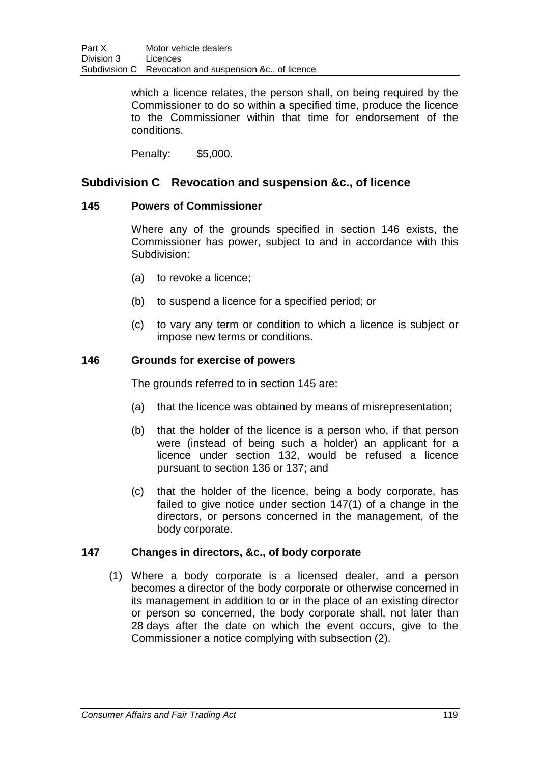which a licence relates, the person shall, on being required by the Commissioner to do so within a specified time, produce the licence to the Commissioner within that time for endorsement of the conditions.

Penalty: \$5,000.

# **Subdivision C Revocation and suspension &c., of licence**

### **145 Powers of Commissioner**

Where any of the grounds specified in section 146 exists, the Commissioner has power, subject to and in accordance with this Subdivision:

- (a) to revoke a licence;
- (b) to suspend a licence for a specified period; or
- (c) to vary any term or condition to which a licence is subject or impose new terms or conditions.

### **146 Grounds for exercise of powers**

The grounds referred to in section 145 are:

- (a) that the licence was obtained by means of misrepresentation;
- (b) that the holder of the licence is a person who, if that person were (instead of being such a holder) an applicant for a licence under section 132, would be refused a licence pursuant to section 136 or 137; and
- (c) that the holder of the licence, being a body corporate, has failed to give notice under section 147(1) of a change in the directors, or persons concerned in the management, of the body corporate.

### **147 Changes in directors, &c., of body corporate**

(1) Where a body corporate is a licensed dealer, and a person becomes a director of the body corporate or otherwise concerned in its management in addition to or in the place of an existing director or person so concerned, the body corporate shall, not later than 28 days after the date on which the event occurs, give to the Commissioner a notice complying with subsection (2).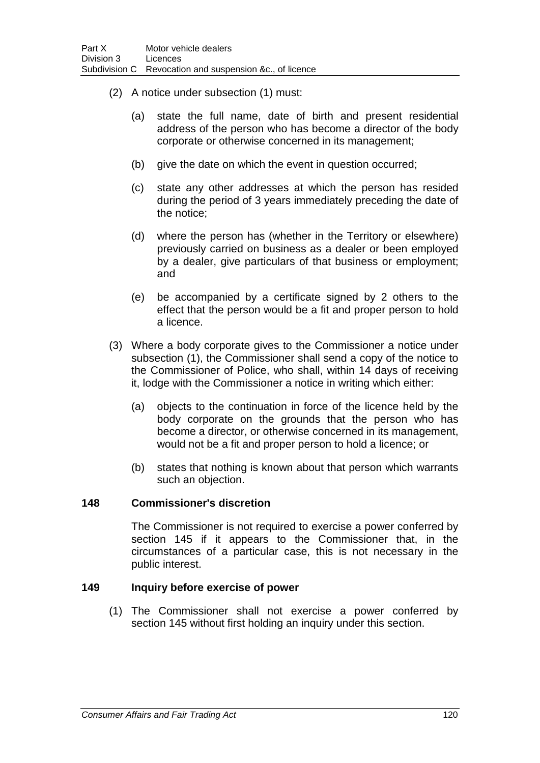- (2) A notice under subsection (1) must:
	- (a) state the full name, date of birth and present residential address of the person who has become a director of the body corporate or otherwise concerned in its management;
	- (b) give the date on which the event in question occurred;
	- (c) state any other addresses at which the person has resided during the period of 3 years immediately preceding the date of the notice;
	- (d) where the person has (whether in the Territory or elsewhere) previously carried on business as a dealer or been employed by a dealer, give particulars of that business or employment; and
	- (e) be accompanied by a certificate signed by 2 others to the effect that the person would be a fit and proper person to hold a licence.
- (3) Where a body corporate gives to the Commissioner a notice under subsection (1), the Commissioner shall send a copy of the notice to the Commissioner of Police, who shall, within 14 days of receiving it, lodge with the Commissioner a notice in writing which either:
	- (a) objects to the continuation in force of the licence held by the body corporate on the grounds that the person who has become a director, or otherwise concerned in its management, would not be a fit and proper person to hold a licence; or
	- (b) states that nothing is known about that person which warrants such an objection.

### **148 Commissioner's discretion**

The Commissioner is not required to exercise a power conferred by section 145 if it appears to the Commissioner that, in the circumstances of a particular case, this is not necessary in the public interest.

### **149 Inquiry before exercise of power**

(1) The Commissioner shall not exercise a power conferred by section 145 without first holding an inquiry under this section.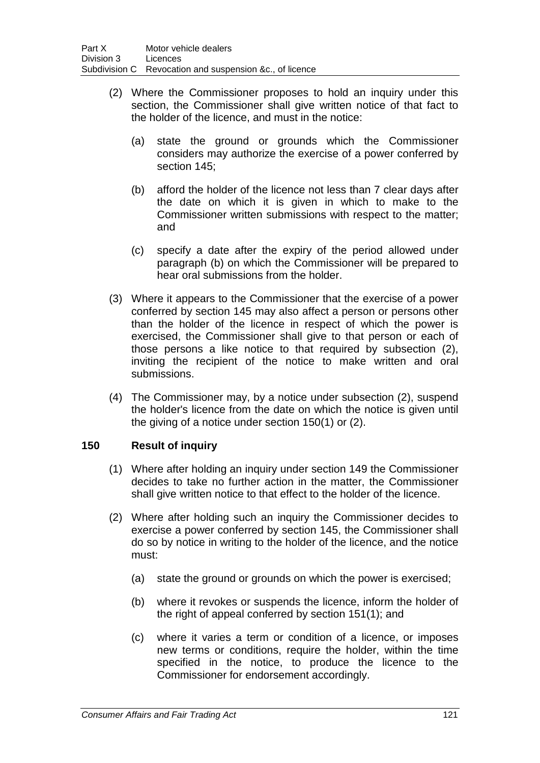- (2) Where the Commissioner proposes to hold an inquiry under this section, the Commissioner shall give written notice of that fact to the holder of the licence, and must in the notice:
	- (a) state the ground or grounds which the Commissioner considers may authorize the exercise of a power conferred by section 145;
	- (b) afford the holder of the licence not less than 7 clear days after the date on which it is given in which to make to the Commissioner written submissions with respect to the matter; and
	- (c) specify a date after the expiry of the period allowed under paragraph (b) on which the Commissioner will be prepared to hear oral submissions from the holder.
- (3) Where it appears to the Commissioner that the exercise of a power conferred by section 145 may also affect a person or persons other than the holder of the licence in respect of which the power is exercised, the Commissioner shall give to that person or each of those persons a like notice to that required by subsection (2), inviting the recipient of the notice to make written and oral submissions.
- (4) The Commissioner may, by a notice under subsection (2), suspend the holder's licence from the date on which the notice is given until the giving of a notice under section 150(1) or (2).

# **150 Result of inquiry**

- (1) Where after holding an inquiry under section 149 the Commissioner decides to take no further action in the matter, the Commissioner shall give written notice to that effect to the holder of the licence.
- (2) Where after holding such an inquiry the Commissioner decides to exercise a power conferred by section 145, the Commissioner shall do so by notice in writing to the holder of the licence, and the notice must:
	- (a) state the ground or grounds on which the power is exercised;
	- (b) where it revokes or suspends the licence, inform the holder of the right of appeal conferred by section 151(1); and
	- (c) where it varies a term or condition of a licence, or imposes new terms or conditions, require the holder, within the time specified in the notice, to produce the licence to the Commissioner for endorsement accordingly.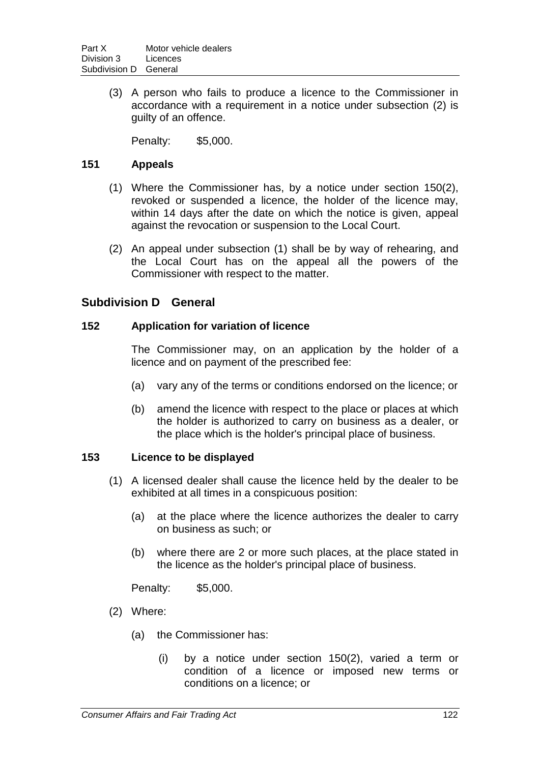(3) A person who fails to produce a licence to the Commissioner in accordance with a requirement in a notice under subsection (2) is guilty of an offence.

Penalty: \$5,000.

### **151 Appeals**

- (1) Where the Commissioner has, by a notice under section 150(2), revoked or suspended a licence, the holder of the licence may, within 14 days after the date on which the notice is given, appeal against the revocation or suspension to the Local Court.
- (2) An appeal under subsection (1) shall be by way of rehearing, and the Local Court has on the appeal all the powers of the Commissioner with respect to the matter.

# **Subdivision D General**

### **152 Application for variation of licence**

The Commissioner may, on an application by the holder of a licence and on payment of the prescribed fee:

- (a) vary any of the terms or conditions endorsed on the licence; or
- (b) amend the licence with respect to the place or places at which the holder is authorized to carry on business as a dealer, or the place which is the holder's principal place of business.

### **153 Licence to be displayed**

- (1) A licensed dealer shall cause the licence held by the dealer to be exhibited at all times in a conspicuous position:
	- (a) at the place where the licence authorizes the dealer to carry on business as such; or
	- (b) where there are 2 or more such places, at the place stated in the licence as the holder's principal place of business.

- (2) Where:
	- (a) the Commissioner has:
		- (i) by a notice under section 150(2), varied a term or condition of a licence or imposed new terms or conditions on a licence; or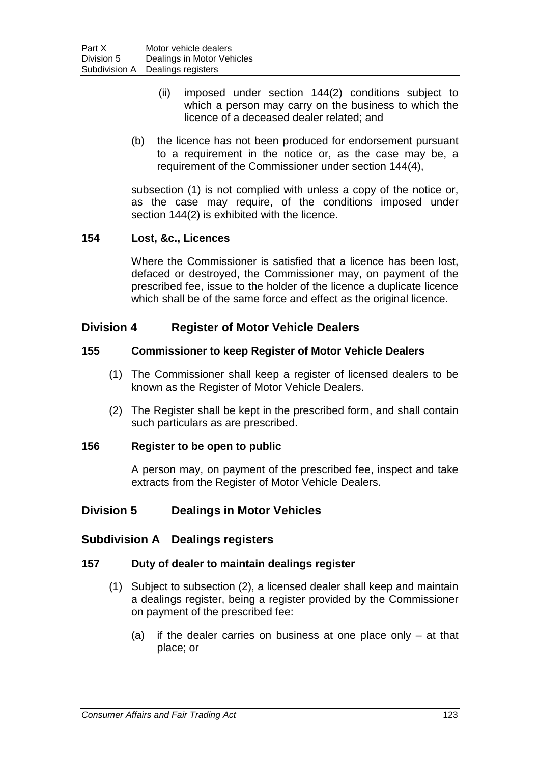- (ii) imposed under section 144(2) conditions subject to which a person may carry on the business to which the licence of a deceased dealer related; and
- (b) the licence has not been produced for endorsement pursuant to a requirement in the notice or, as the case may be, a requirement of the Commissioner under section 144(4),

subsection (1) is not complied with unless a copy of the notice or, as the case may require, of the conditions imposed under section 144(2) is exhibited with the licence.

### **154 Lost, &c., Licences**

Where the Commissioner is satisfied that a licence has been lost, defaced or destroyed, the Commissioner may, on payment of the prescribed fee, issue to the holder of the licence a duplicate licence which shall be of the same force and effect as the original licence.

# **Division 4 Register of Motor Vehicle Dealers**

### **155 Commissioner to keep Register of Motor Vehicle Dealers**

- (1) The Commissioner shall keep a register of licensed dealers to be known as the Register of Motor Vehicle Dealers.
- (2) The Register shall be kept in the prescribed form, and shall contain such particulars as are prescribed.

### **156 Register to be open to public**

A person may, on payment of the prescribed fee, inspect and take extracts from the Register of Motor Vehicle Dealers.

# **Division 5 Dealings in Motor Vehicles**

# **Subdivision A Dealings registers**

### **157 Duty of dealer to maintain dealings register**

- (1) Subject to subsection (2), a licensed dealer shall keep and maintain a dealings register, being a register provided by the Commissioner on payment of the prescribed fee:
	- (a) if the dealer carries on business at one place only at that place; or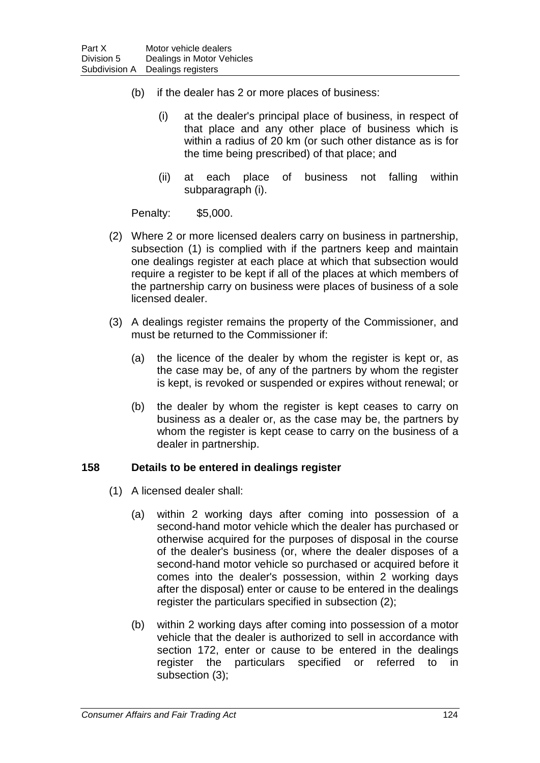- (b) if the dealer has 2 or more places of business:
	- (i) at the dealer's principal place of business, in respect of that place and any other place of business which is within a radius of 20 km (or such other distance as is for the time being prescribed) of that place; and
	- (ii) at each place of business not falling within subparagraph (i).

Penalty: \$5,000.

- (2) Where 2 or more licensed dealers carry on business in partnership, subsection (1) is complied with if the partners keep and maintain one dealings register at each place at which that subsection would require a register to be kept if all of the places at which members of the partnership carry on business were places of business of a sole licensed dealer.
- (3) A dealings register remains the property of the Commissioner, and must be returned to the Commissioner if:
	- (a) the licence of the dealer by whom the register is kept or, as the case may be, of any of the partners by whom the register is kept, is revoked or suspended or expires without renewal; or
	- (b) the dealer by whom the register is kept ceases to carry on business as a dealer or, as the case may be, the partners by whom the register is kept cease to carry on the business of a dealer in partnership.

### **158 Details to be entered in dealings register**

- (1) A licensed dealer shall:
	- (a) within 2 working days after coming into possession of a second-hand motor vehicle which the dealer has purchased or otherwise acquired for the purposes of disposal in the course of the dealer's business (or, where the dealer disposes of a second-hand motor vehicle so purchased or acquired before it comes into the dealer's possession, within 2 working days after the disposal) enter or cause to be entered in the dealings register the particulars specified in subsection (2);
	- (b) within 2 working days after coming into possession of a motor vehicle that the dealer is authorized to sell in accordance with section 172, enter or cause to be entered in the dealings register the particulars specified or referred to in subsection (3);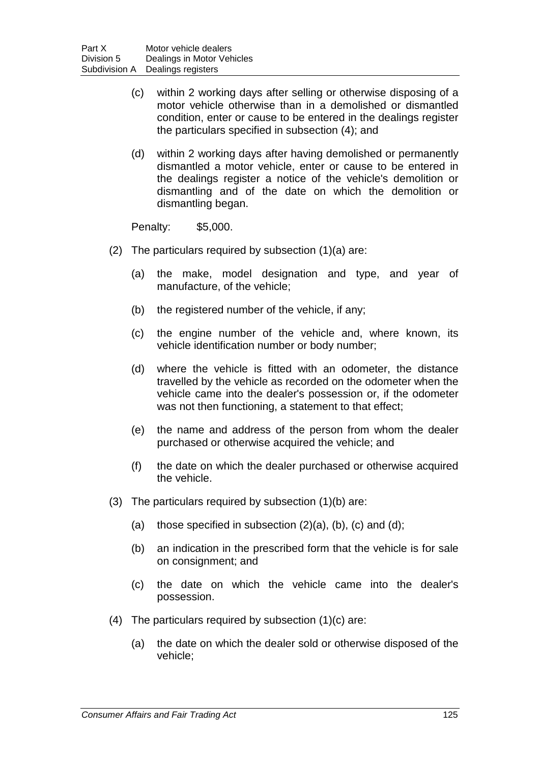- (c) within 2 working days after selling or otherwise disposing of a motor vehicle otherwise than in a demolished or dismantled condition, enter or cause to be entered in the dealings register the particulars specified in subsection (4); and
- (d) within 2 working days after having demolished or permanently dismantled a motor vehicle, enter or cause to be entered in the dealings register a notice of the vehicle's demolition or dismantling and of the date on which the demolition or dismantling began.

- (2) The particulars required by subsection (1)(a) are:
	- (a) the make, model designation and type, and year of manufacture, of the vehicle;
	- (b) the registered number of the vehicle, if any;
	- (c) the engine number of the vehicle and, where known, its vehicle identification number or body number;
	- (d) where the vehicle is fitted with an odometer, the distance travelled by the vehicle as recorded on the odometer when the vehicle came into the dealer's possession or, if the odometer was not then functioning, a statement to that effect;
	- (e) the name and address of the person from whom the dealer purchased or otherwise acquired the vehicle; and
	- (f) the date on which the dealer purchased or otherwise acquired the vehicle.
- (3) The particulars required by subsection (1)(b) are:
	- (a) those specified in subsection  $(2)(a)$ ,  $(b)$ ,  $(c)$  and  $(d)$ ;
	- (b) an indication in the prescribed form that the vehicle is for sale on consignment; and
	- (c) the date on which the vehicle came into the dealer's possession.
- (4) The particulars required by subsection (1)(c) are:
	- (a) the date on which the dealer sold or otherwise disposed of the vehicle;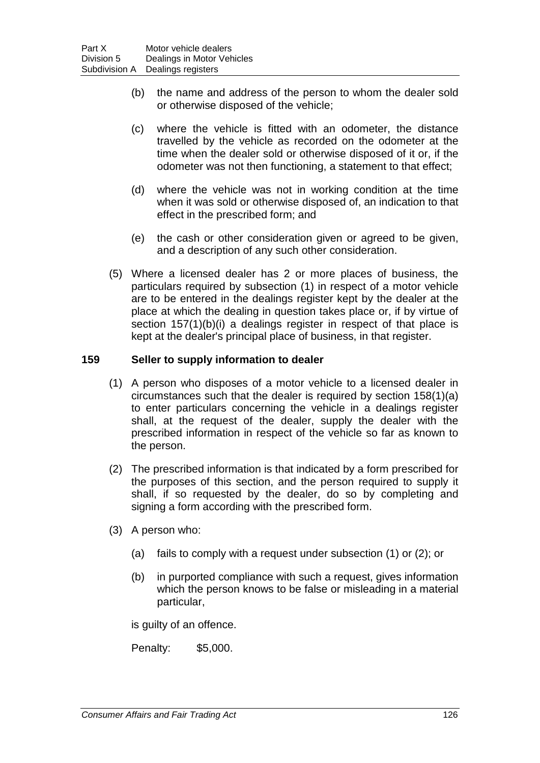- (b) the name and address of the person to whom the dealer sold or otherwise disposed of the vehicle;
- (c) where the vehicle is fitted with an odometer, the distance travelled by the vehicle as recorded on the odometer at the time when the dealer sold or otherwise disposed of it or, if the odometer was not then functioning, a statement to that effect;
- (d) where the vehicle was not in working condition at the time when it was sold or otherwise disposed of, an indication to that effect in the prescribed form; and
- (e) the cash or other consideration given or agreed to be given, and a description of any such other consideration.
- (5) Where a licensed dealer has 2 or more places of business, the particulars required by subsection (1) in respect of a motor vehicle are to be entered in the dealings register kept by the dealer at the place at which the dealing in question takes place or, if by virtue of section 157(1)(b)(i) a dealings register in respect of that place is kept at the dealer's principal place of business, in that register.

### **159 Seller to supply information to dealer**

- (1) A person who disposes of a motor vehicle to a licensed dealer in circumstances such that the dealer is required by section 158(1)(a) to enter particulars concerning the vehicle in a dealings register shall, at the request of the dealer, supply the dealer with the prescribed information in respect of the vehicle so far as known to the person.
- (2) The prescribed information is that indicated by a form prescribed for the purposes of this section, and the person required to supply it shall, if so requested by the dealer, do so by completing and signing a form according with the prescribed form.
- (3) A person who:
	- (a) fails to comply with a request under subsection (1) or (2); or
	- (b) in purported compliance with such a request, gives information which the person knows to be false or misleading in a material particular,

is guilty of an offence.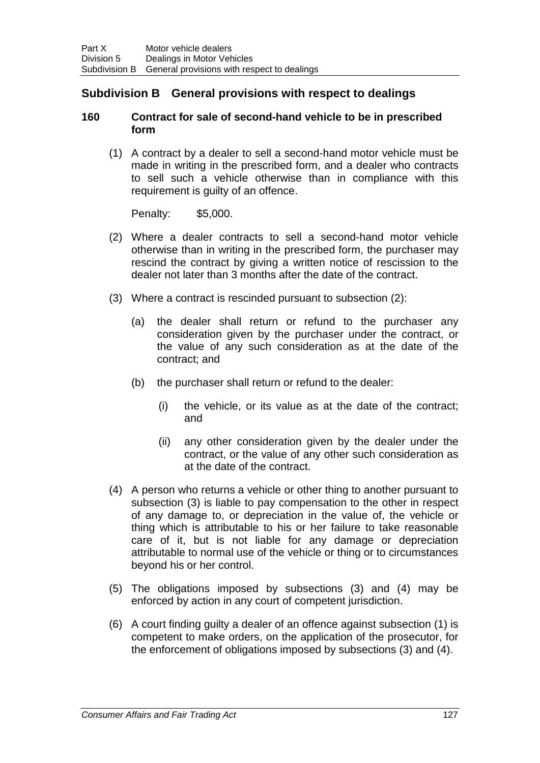# **Subdivision B General provisions with respect to dealings**

### **160 Contract for sale of second-hand vehicle to be in prescribed form**

(1) A contract by a dealer to sell a second-hand motor vehicle must be made in writing in the prescribed form, and a dealer who contracts to sell such a vehicle otherwise than in compliance with this requirement is guilty of an offence.

- (2) Where a dealer contracts to sell a second-hand motor vehicle otherwise than in writing in the prescribed form, the purchaser may rescind the contract by giving a written notice of rescission to the dealer not later than 3 months after the date of the contract.
- (3) Where a contract is rescinded pursuant to subsection (2):
	- (a) the dealer shall return or refund to the purchaser any consideration given by the purchaser under the contract, or the value of any such consideration as at the date of the contract; and
	- (b) the purchaser shall return or refund to the dealer:
		- (i) the vehicle, or its value as at the date of the contract; and
		- (ii) any other consideration given by the dealer under the contract, or the value of any other such consideration as at the date of the contract.
- (4) A person who returns a vehicle or other thing to another pursuant to subsection (3) is liable to pay compensation to the other in respect of any damage to, or depreciation in the value of, the vehicle or thing which is attributable to his or her failure to take reasonable care of it, but is not liable for any damage or depreciation attributable to normal use of the vehicle or thing or to circumstances beyond his or her control.
- (5) The obligations imposed by subsections (3) and (4) may be enforced by action in any court of competent jurisdiction.
- (6) A court finding guilty a dealer of an offence against subsection (1) is competent to make orders, on the application of the prosecutor, for the enforcement of obligations imposed by subsections (3) and (4).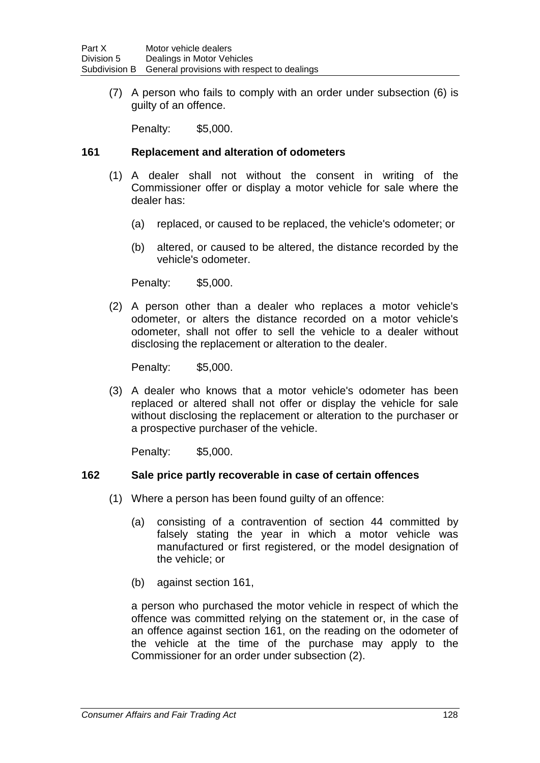(7) A person who fails to comply with an order under subsection (6) is guilty of an offence.

Penalty: \$5,000.

#### **161 Replacement and alteration of odometers**

- (1) A dealer shall not without the consent in writing of the Commissioner offer or display a motor vehicle for sale where the dealer has:
	- (a) replaced, or caused to be replaced, the vehicle's odometer; or
	- (b) altered, or caused to be altered, the distance recorded by the vehicle's odometer.

Penalty: \$5,000.

(2) A person other than a dealer who replaces a motor vehicle's odometer, or alters the distance recorded on a motor vehicle's odometer, shall not offer to sell the vehicle to a dealer without disclosing the replacement or alteration to the dealer.

Penalty: \$5,000.

(3) A dealer who knows that a motor vehicle's odometer has been replaced or altered shall not offer or display the vehicle for sale without disclosing the replacement or alteration to the purchaser or a prospective purchaser of the vehicle.

Penalty: \$5,000.

### **162 Sale price partly recoverable in case of certain offences**

- (1) Where a person has been found guilty of an offence:
	- (a) consisting of a contravention of section 44 committed by falsely stating the year in which a motor vehicle was manufactured or first registered, or the model designation of the vehicle; or
	- (b) against section 161,

a person who purchased the motor vehicle in respect of which the offence was committed relying on the statement or, in the case of an offence against section 161, on the reading on the odometer of the vehicle at the time of the purchase may apply to the Commissioner for an order under subsection (2).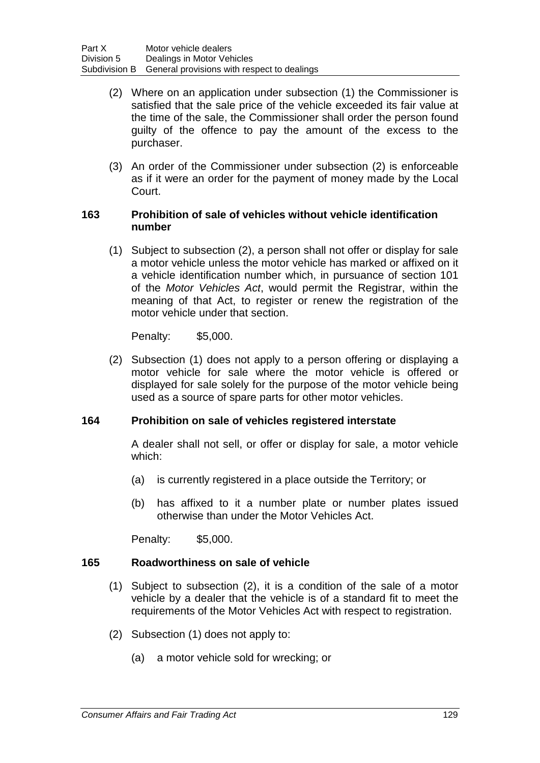- (2) Where on an application under subsection (1) the Commissioner is satisfied that the sale price of the vehicle exceeded its fair value at the time of the sale, the Commissioner shall order the person found guilty of the offence to pay the amount of the excess to the purchaser.
- (3) An order of the Commissioner under subsection (2) is enforceable as if it were an order for the payment of money made by the Local Court.

### **163 Prohibition of sale of vehicles without vehicle identification number**

(1) Subject to subsection (2), a person shall not offer or display for sale a motor vehicle unless the motor vehicle has marked or affixed on it a vehicle identification number which, in pursuance of section 101 of the *Motor Vehicles Act*, would permit the Registrar, within the meaning of that Act, to register or renew the registration of the motor vehicle under that section.

Penalty: \$5,000.

(2) Subsection (1) does not apply to a person offering or displaying a motor vehicle for sale where the motor vehicle is offered or displayed for sale solely for the purpose of the motor vehicle being used as a source of spare parts for other motor vehicles.

### **164 Prohibition on sale of vehicles registered interstate**

A dealer shall not sell, or offer or display for sale, a motor vehicle which:

- (a) is currently registered in a place outside the Territory; or
- (b) has affixed to it a number plate or number plates issued otherwise than under the Motor Vehicles Act.

Penalty: \$5,000.

### **165 Roadworthiness on sale of vehicle**

- (1) Subject to subsection (2), it is a condition of the sale of a motor vehicle by a dealer that the vehicle is of a standard fit to meet the requirements of the Motor Vehicles Act with respect to registration.
- (2) Subsection (1) does not apply to:
	- (a) a motor vehicle sold for wrecking; or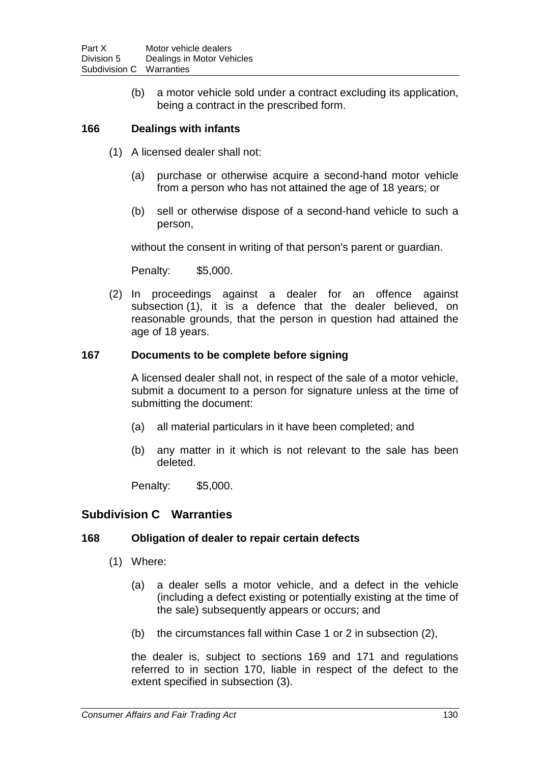(b) a motor vehicle sold under a contract excluding its application, being a contract in the prescribed form.

### **166 Dealings with infants**

- (1) A licensed dealer shall not:
	- (a) purchase or otherwise acquire a second-hand motor vehicle from a person who has not attained the age of 18 years; or
	- (b) sell or otherwise dispose of a second-hand vehicle to such a person,

without the consent in writing of that person's parent or guardian.

Penalty: \$5,000.

(2) In proceedings against a dealer for an offence against subsection (1), it is a defence that the dealer believed, on reasonable grounds, that the person in question had attained the age of 18 years.

### **167 Documents to be complete before signing**

A licensed dealer shall not, in respect of the sale of a motor vehicle, submit a document to a person for signature unless at the time of submitting the document:

- (a) all material particulars in it have been completed; and
- (b) any matter in it which is not relevant to the sale has been deleted.

Penalty: \$5,000.

# **Subdivision C Warranties**

### **168 Obligation of dealer to repair certain defects**

- (1) Where:
	- (a) a dealer sells a motor vehicle, and a defect in the vehicle (including a defect existing or potentially existing at the time of the sale) subsequently appears or occurs; and
	- (b) the circumstances fall within Case 1 or 2 in subsection (2),

the dealer is, subject to sections 169 and 171 and regulations referred to in section 170, liable in respect of the defect to the extent specified in subsection (3).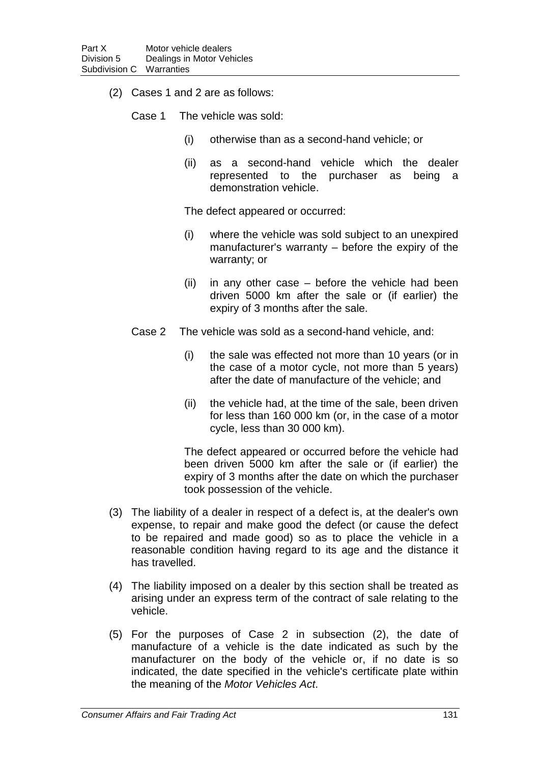- (2) Cases 1 and 2 are as follows:
	- Case 1 The vehicle was sold:
		- (i) otherwise than as a second-hand vehicle; or
		- (ii) as a second-hand vehicle which the dealer represented to the purchaser as being a demonstration vehicle.

The defect appeared or occurred:

- (i) where the vehicle was sold subject to an unexpired manufacturer's warranty – before the expiry of the warranty; or
- $(ii)$  in any other case before the vehicle had been driven 5000 km after the sale or (if earlier) the expiry of 3 months after the sale.
- Case 2 The vehicle was sold as a second-hand vehicle, and:
	- (i) the sale was effected not more than 10 years (or in the case of a motor cycle, not more than 5 years) after the date of manufacture of the vehicle; and
	- (ii) the vehicle had, at the time of the sale, been driven for less than 160 000 km (or, in the case of a motor cycle, less than 30 000 km).

The defect appeared or occurred before the vehicle had been driven 5000 km after the sale or (if earlier) the expiry of 3 months after the date on which the purchaser took possession of the vehicle.

- (3) The liability of a dealer in respect of a defect is, at the dealer's own expense, to repair and make good the defect (or cause the defect to be repaired and made good) so as to place the vehicle in a reasonable condition having regard to its age and the distance it has travelled.
- (4) The liability imposed on a dealer by this section shall be treated as arising under an express term of the contract of sale relating to the vehicle.
- (5) For the purposes of Case 2 in subsection (2), the date of manufacture of a vehicle is the date indicated as such by the manufacturer on the body of the vehicle or, if no date is so indicated, the date specified in the vehicle's certificate plate within the meaning of the *Motor Vehicles Act*.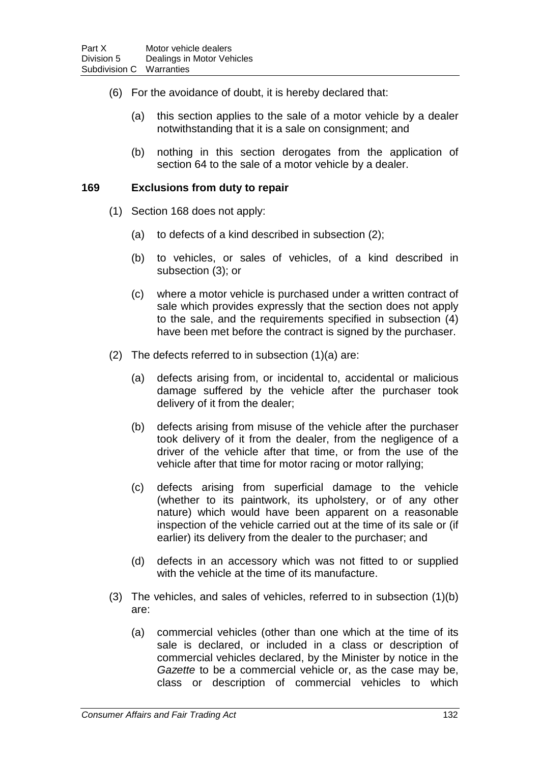- (6) For the avoidance of doubt, it is hereby declared that:
	- (a) this section applies to the sale of a motor vehicle by a dealer notwithstanding that it is a sale on consignment; and
	- (b) nothing in this section derogates from the application of section 64 to the sale of a motor vehicle by a dealer.

#### **169 Exclusions from duty to repair**

- (1) Section 168 does not apply:
	- (a) to defects of a kind described in subsection (2);
	- (b) to vehicles, or sales of vehicles, of a kind described in subsection (3); or
	- (c) where a motor vehicle is purchased under a written contract of sale which provides expressly that the section does not apply to the sale, and the requirements specified in subsection (4) have been met before the contract is signed by the purchaser.
- (2) The defects referred to in subsection (1)(a) are:
	- (a) defects arising from, or incidental to, accidental or malicious damage suffered by the vehicle after the purchaser took delivery of it from the dealer;
	- (b) defects arising from misuse of the vehicle after the purchaser took delivery of it from the dealer, from the negligence of a driver of the vehicle after that time, or from the use of the vehicle after that time for motor racing or motor rallying;
	- (c) defects arising from superficial damage to the vehicle (whether to its paintwork, its upholstery, or of any other nature) which would have been apparent on a reasonable inspection of the vehicle carried out at the time of its sale or (if earlier) its delivery from the dealer to the purchaser; and
	- (d) defects in an accessory which was not fitted to or supplied with the vehicle at the time of its manufacture.
- (3) The vehicles, and sales of vehicles, referred to in subsection (1)(b) are:
	- (a) commercial vehicles (other than one which at the time of its sale is declared, or included in a class or description of commercial vehicles declared, by the Minister by notice in the *Gazette* to be a commercial vehicle or, as the case may be, class or description of commercial vehicles to which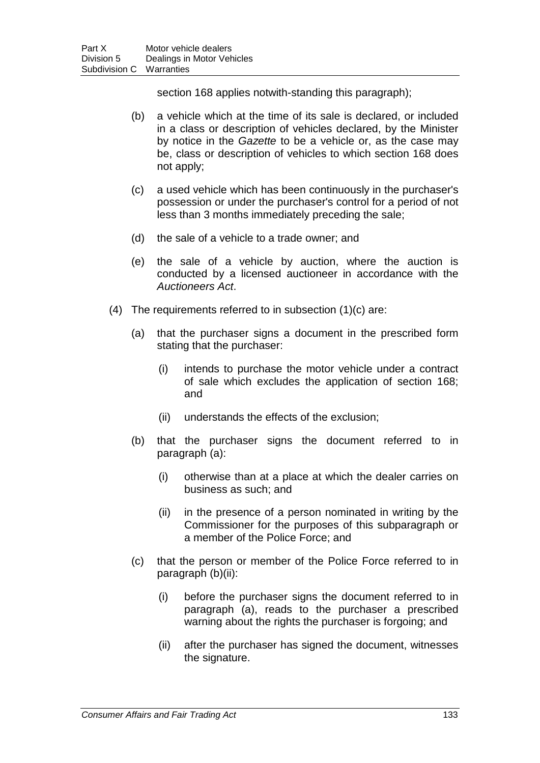section 168 applies notwith-standing this paragraph);

- (b) a vehicle which at the time of its sale is declared, or included in a class or description of vehicles declared, by the Minister by notice in the *Gazette* to be a vehicle or, as the case may be, class or description of vehicles to which section 168 does not apply;
- (c) a used vehicle which has been continuously in the purchaser's possession or under the purchaser's control for a period of not less than 3 months immediately preceding the sale;
- (d) the sale of a vehicle to a trade owner; and
- (e) the sale of a vehicle by auction, where the auction is conducted by a licensed auctioneer in accordance with the *Auctioneers Act*.
- (4) The requirements referred to in subsection (1)(c) are:
	- (a) that the purchaser signs a document in the prescribed form stating that the purchaser:
		- (i) intends to purchase the motor vehicle under a contract of sale which excludes the application of section 168; and
		- (ii) understands the effects of the exclusion;
	- (b) that the purchaser signs the document referred to in paragraph (a):
		- (i) otherwise than at a place at which the dealer carries on business as such; and
		- (ii) in the presence of a person nominated in writing by the Commissioner for the purposes of this subparagraph or a member of the Police Force; and
	- (c) that the person or member of the Police Force referred to in paragraph (b)(ii):
		- (i) before the purchaser signs the document referred to in paragraph (a), reads to the purchaser a prescribed warning about the rights the purchaser is forgoing; and
		- (ii) after the purchaser has signed the document, witnesses the signature.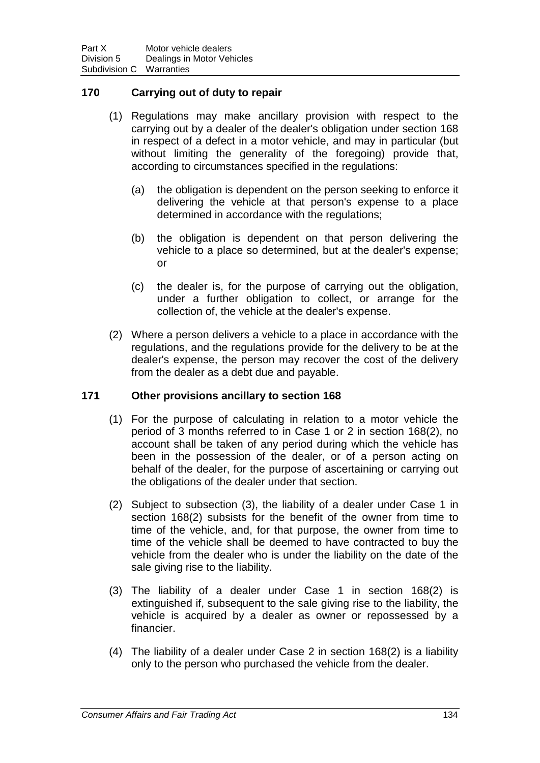### **170 Carrying out of duty to repair**

- (1) Regulations may make ancillary provision with respect to the carrying out by a dealer of the dealer's obligation under section 168 in respect of a defect in a motor vehicle, and may in particular (but without limiting the generality of the foregoing) provide that, according to circumstances specified in the regulations:
	- (a) the obligation is dependent on the person seeking to enforce it delivering the vehicle at that person's expense to a place determined in accordance with the regulations;
	- (b) the obligation is dependent on that person delivering the vehicle to a place so determined, but at the dealer's expense; or
	- (c) the dealer is, for the purpose of carrying out the obligation, under a further obligation to collect, or arrange for the collection of, the vehicle at the dealer's expense.
- (2) Where a person delivers a vehicle to a place in accordance with the regulations, and the regulations provide for the delivery to be at the dealer's expense, the person may recover the cost of the delivery from the dealer as a debt due and payable.

### **171 Other provisions ancillary to section 168**

- (1) For the purpose of calculating in relation to a motor vehicle the period of 3 months referred to in Case 1 or 2 in section 168(2), no account shall be taken of any period during which the vehicle has been in the possession of the dealer, or of a person acting on behalf of the dealer, for the purpose of ascertaining or carrying out the obligations of the dealer under that section.
- (2) Subject to subsection (3), the liability of a dealer under Case 1 in section 168(2) subsists for the benefit of the owner from time to time of the vehicle, and, for that purpose, the owner from time to time of the vehicle shall be deemed to have contracted to buy the vehicle from the dealer who is under the liability on the date of the sale giving rise to the liability.
- (3) The liability of a dealer under Case 1 in section 168(2) is extinguished if, subsequent to the sale giving rise to the liability, the vehicle is acquired by a dealer as owner or repossessed by a financier.
- (4) The liability of a dealer under Case 2 in section 168(2) is a liability only to the person who purchased the vehicle from the dealer.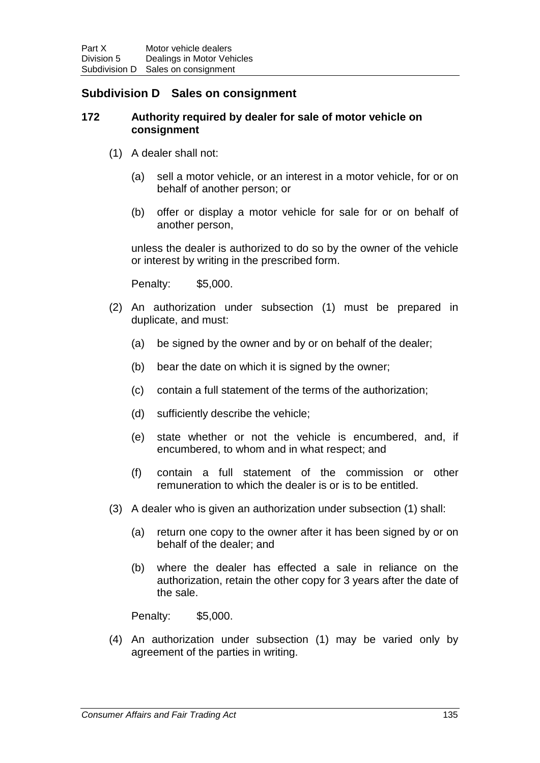## **Subdivision D Sales on consignment**

#### **172 Authority required by dealer for sale of motor vehicle on consignment**

- (1) A dealer shall not:
	- (a) sell a motor vehicle, or an interest in a motor vehicle, for or on behalf of another person; or
	- (b) offer or display a motor vehicle for sale for or on behalf of another person,

unless the dealer is authorized to do so by the owner of the vehicle or interest by writing in the prescribed form.

Penalty: \$5,000.

- (2) An authorization under subsection (1) must be prepared in duplicate, and must:
	- (a) be signed by the owner and by or on behalf of the dealer;
	- (b) bear the date on which it is signed by the owner;
	- (c) contain a full statement of the terms of the authorization;
	- (d) sufficiently describe the vehicle;
	- (e) state whether or not the vehicle is encumbered, and, if encumbered, to whom and in what respect; and
	- (f) contain a full statement of the commission or other remuneration to which the dealer is or is to be entitled.
- (3) A dealer who is given an authorization under subsection (1) shall:
	- (a) return one copy to the owner after it has been signed by or on behalf of the dealer; and
	- (b) where the dealer has effected a sale in reliance on the authorization, retain the other copy for 3 years after the date of the sale.

Penalty: \$5,000.

(4) An authorization under subsection (1) may be varied only by agreement of the parties in writing.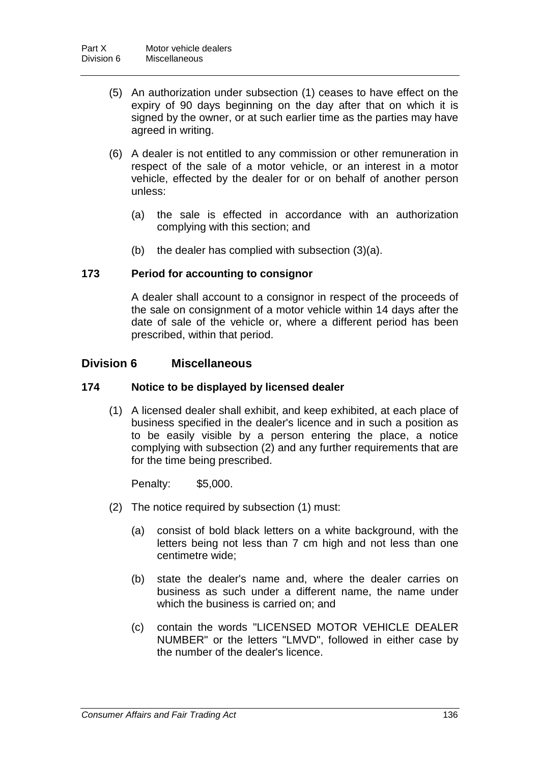- (5) An authorization under subsection (1) ceases to have effect on the expiry of 90 days beginning on the day after that on which it is signed by the owner, or at such earlier time as the parties may have agreed in writing.
- (6) A dealer is not entitled to any commission or other remuneration in respect of the sale of a motor vehicle, or an interest in a motor vehicle, effected by the dealer for or on behalf of another person unless:
	- (a) the sale is effected in accordance with an authorization complying with this section; and
	- (b) the dealer has complied with subsection (3)(a).

### **173 Period for accounting to consignor**

A dealer shall account to a consignor in respect of the proceeds of the sale on consignment of a motor vehicle within 14 days after the date of sale of the vehicle or, where a different period has been prescribed, within that period.

## **Division 6 Miscellaneous**

### **174 Notice to be displayed by licensed dealer**

(1) A licensed dealer shall exhibit, and keep exhibited, at each place of business specified in the dealer's licence and in such a position as to be easily visible by a person entering the place, a notice complying with subsection (2) and any further requirements that are for the time being prescribed.

Penalty: \$5,000.

- (2) The notice required by subsection (1) must:
	- (a) consist of bold black letters on a white background, with the letters being not less than 7 cm high and not less than one centimetre wide;
	- (b) state the dealer's name and, where the dealer carries on business as such under a different name, the name under which the business is carried on; and
	- (c) contain the words "LICENSED MOTOR VEHICLE DEALER NUMBER" or the letters "LMVD", followed in either case by the number of the dealer's licence.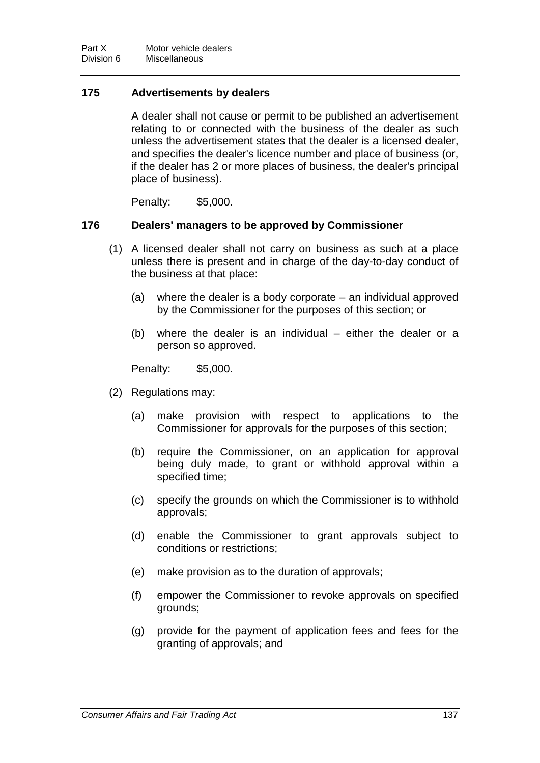## **175 Advertisements by dealers**

A dealer shall not cause or permit to be published an advertisement relating to or connected with the business of the dealer as such unless the advertisement states that the dealer is a licensed dealer, and specifies the dealer's licence number and place of business (or, if the dealer has 2 or more places of business, the dealer's principal place of business).

Penalty: \$5,000.

### **176 Dealers' managers to be approved by Commissioner**

- (1) A licensed dealer shall not carry on business as such at a place unless there is present and in charge of the day-to-day conduct of the business at that place:
	- (a) where the dealer is a body corporate an individual approved by the Commissioner for the purposes of this section; or
	- (b) where the dealer is an individual either the dealer or a person so approved.

Penalty: \$5,000.

- (2) Regulations may:
	- (a) make provision with respect to applications to the Commissioner for approvals for the purposes of this section;
	- (b) require the Commissioner, on an application for approval being duly made, to grant or withhold approval within a specified time;
	- (c) specify the grounds on which the Commissioner is to withhold approvals;
	- (d) enable the Commissioner to grant approvals subject to conditions or restrictions;
	- (e) make provision as to the duration of approvals;
	- (f) empower the Commissioner to revoke approvals on specified grounds;
	- (g) provide for the payment of application fees and fees for the granting of approvals; and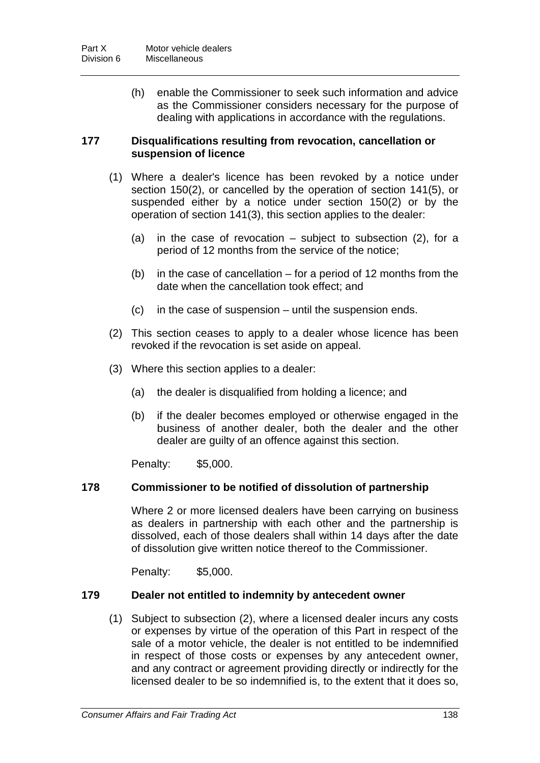(h) enable the Commissioner to seek such information and advice as the Commissioner considers necessary for the purpose of dealing with applications in accordance with the regulations.

### **177 Disqualifications resulting from revocation, cancellation or suspension of licence**

- (1) Where a dealer's licence has been revoked by a notice under section 150(2), or cancelled by the operation of section 141(5), or suspended either by a notice under section 150(2) or by the operation of section 141(3), this section applies to the dealer:
	- (a) in the case of revocation subject to subsection (2), for a period of 12 months from the service of the notice;
	- (b) in the case of cancellation for a period of 12 months from the date when the cancellation took effect; and
	- (c) in the case of suspension until the suspension ends.
- (2) This section ceases to apply to a dealer whose licence has been revoked if the revocation is set aside on appeal.
- (3) Where this section applies to a dealer:
	- (a) the dealer is disqualified from holding a licence; and
	- (b) if the dealer becomes employed or otherwise engaged in the business of another dealer, both the dealer and the other dealer are guilty of an offence against this section.

Penalty: \$5,000.

### **178 Commissioner to be notified of dissolution of partnership**

Where 2 or more licensed dealers have been carrying on business as dealers in partnership with each other and the partnership is dissolved, each of those dealers shall within 14 days after the date of dissolution give written notice thereof to the Commissioner.

Penalty: \$5,000.

#### **179 Dealer not entitled to indemnity by antecedent owner**

(1) Subject to subsection (2), where a licensed dealer incurs any costs or expenses by virtue of the operation of this Part in respect of the sale of a motor vehicle, the dealer is not entitled to be indemnified in respect of those costs or expenses by any antecedent owner, and any contract or agreement providing directly or indirectly for the licensed dealer to be so indemnified is, to the extent that it does so,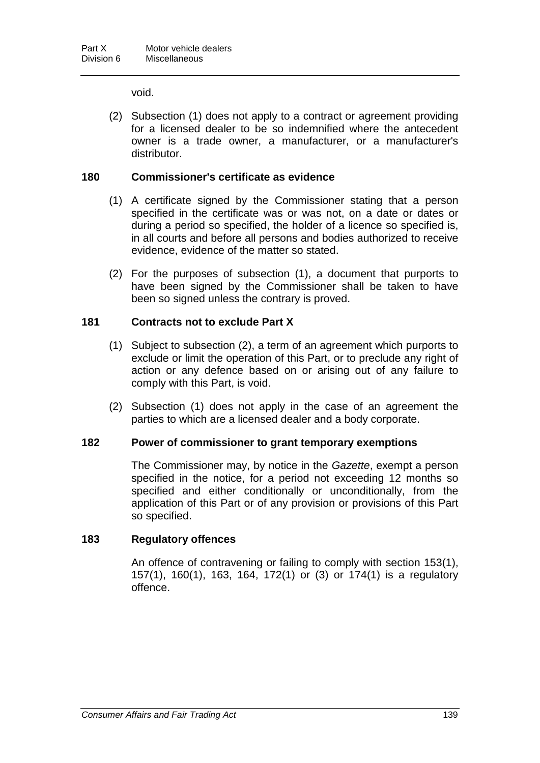void.

(2) Subsection (1) does not apply to a contract or agreement providing for a licensed dealer to be so indemnified where the antecedent owner is a trade owner, a manufacturer, or a manufacturer's distributor.

### **180 Commissioner's certificate as evidence**

- (1) A certificate signed by the Commissioner stating that a person specified in the certificate was or was not, on a date or dates or during a period so specified, the holder of a licence so specified is, in all courts and before all persons and bodies authorized to receive evidence, evidence of the matter so stated.
- (2) For the purposes of subsection (1), a document that purports to have been signed by the Commissioner shall be taken to have been so signed unless the contrary is proved.

#### **181 Contracts not to exclude Part X**

- (1) Subject to subsection (2), a term of an agreement which purports to exclude or limit the operation of this Part, or to preclude any right of action or any defence based on or arising out of any failure to comply with this Part, is void.
- (2) Subsection (1) does not apply in the case of an agreement the parties to which are a licensed dealer and a body corporate.

#### **182 Power of commissioner to grant temporary exemptions**

The Commissioner may, by notice in the *Gazette*, exempt a person specified in the notice, for a period not exceeding 12 months so specified and either conditionally or unconditionally, from the application of this Part or of any provision or provisions of this Part so specified.

### **183 Regulatory offences**

An offence of contravening or failing to comply with section 153(1), 157(1), 160(1), 163, 164, 172(1) or (3) or 174(1) is a regulatory offence.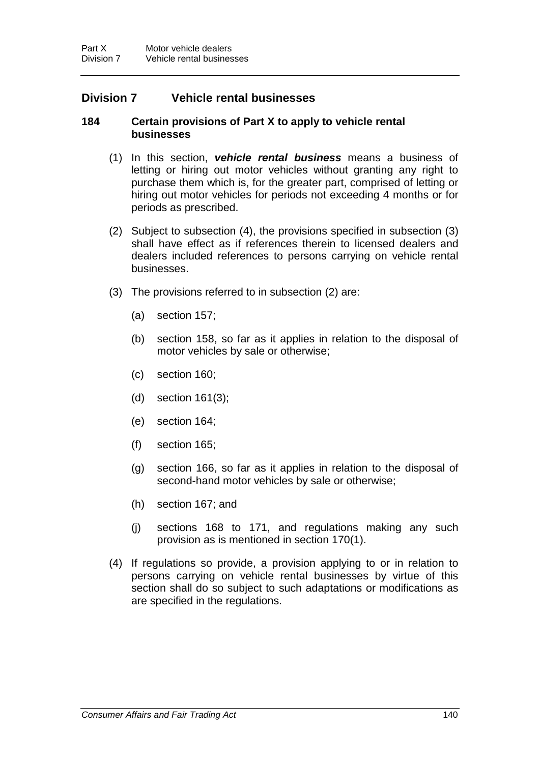## **Division 7 Vehicle rental businesses**

#### **184 Certain provisions of Part X to apply to vehicle rental businesses**

- (1) In this section, *vehicle rental business* means a business of letting or hiring out motor vehicles without granting any right to purchase them which is, for the greater part, comprised of letting or hiring out motor vehicles for periods not exceeding 4 months or for periods as prescribed.
- (2) Subject to subsection (4), the provisions specified in subsection (3) shall have effect as if references therein to licensed dealers and dealers included references to persons carrying on vehicle rental businesses.
- (3) The provisions referred to in subsection (2) are:
	- (a) section 157;
	- (b) section 158, so far as it applies in relation to the disposal of motor vehicles by sale or otherwise;
	- (c) section 160;
	- (d) section 161(3);
	- (e) section 164;
	- (f) section 165;
	- (g) section 166, so far as it applies in relation to the disposal of second-hand motor vehicles by sale or otherwise;
	- (h) section 167; and
	- (j) sections 168 to 171, and regulations making any such provision as is mentioned in section 170(1).
- (4) If regulations so provide, a provision applying to or in relation to persons carrying on vehicle rental businesses by virtue of this section shall do so subject to such adaptations or modifications as are specified in the regulations.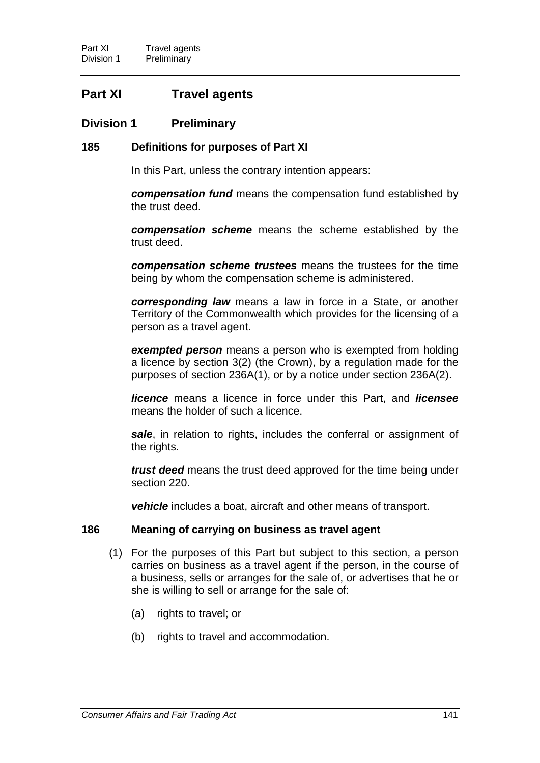# **Part XI Travel agents**

## **Division 1 Preliminary**

#### **185 Definitions for purposes of Part XI**

In this Part, unless the contrary intention appears:

*compensation fund* means the compensation fund established by the trust deed.

*compensation scheme* means the scheme established by the trust deed.

*compensation scheme trustees* means the trustees for the time being by whom the compensation scheme is administered.

*corresponding law* means a law in force in a State, or another Territory of the Commonwealth which provides for the licensing of a person as a travel agent.

*exempted person* means a person who is exempted from holding a licence by section 3(2) (the Crown), by a regulation made for the purposes of section 236A(1), or by a notice under section 236A(2).

*licence* means a licence in force under this Part, and *licensee* means the holder of such a licence.

*sale*, in relation to rights, includes the conferral or assignment of the rights.

*trust deed* means the trust deed approved for the time being under section 220.

*vehicle* includes a boat, aircraft and other means of transport.

#### **186 Meaning of carrying on business as travel agent**

- (1) For the purposes of this Part but subject to this section, a person carries on business as a travel agent if the person, in the course of a business, sells or arranges for the sale of, or advertises that he or she is willing to sell or arrange for the sale of:
	- (a) rights to travel; or
	- (b) rights to travel and accommodation.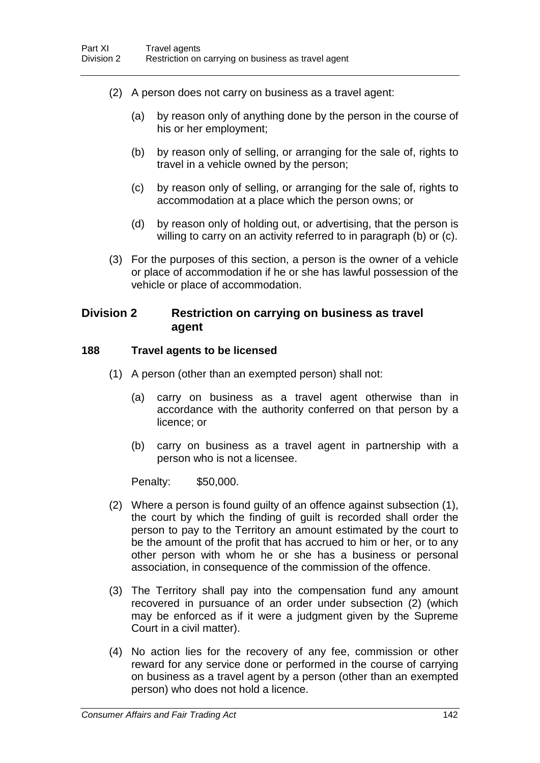- (2) A person does not carry on business as a travel agent:
	- (a) by reason only of anything done by the person in the course of his or her employment;
	- (b) by reason only of selling, or arranging for the sale of, rights to travel in a vehicle owned by the person;
	- (c) by reason only of selling, or arranging for the sale of, rights to accommodation at a place which the person owns; or
	- (d) by reason only of holding out, or advertising, that the person is willing to carry on an activity referred to in paragraph (b) or (c).
- (3) For the purposes of this section, a person is the owner of a vehicle or place of accommodation if he or she has lawful possession of the vehicle or place of accommodation.

### **Division 2 Restriction on carrying on business as travel agent**

#### **188 Travel agents to be licensed**

- (1) A person (other than an exempted person) shall not:
	- (a) carry on business as a travel agent otherwise than in accordance with the authority conferred on that person by a licence; or
	- (b) carry on business as a travel agent in partnership with a person who is not a licensee.

Penalty: \$50,000.

- (2) Where a person is found guilty of an offence against subsection (1), the court by which the finding of guilt is recorded shall order the person to pay to the Territory an amount estimated by the court to be the amount of the profit that has accrued to him or her, or to any other person with whom he or she has a business or personal association, in consequence of the commission of the offence.
- (3) The Territory shall pay into the compensation fund any amount recovered in pursuance of an order under subsection (2) (which may be enforced as if it were a judgment given by the Supreme Court in a civil matter).
- (4) No action lies for the recovery of any fee, commission or other reward for any service done or performed in the course of carrying on business as a travel agent by a person (other than an exempted person) who does not hold a licence.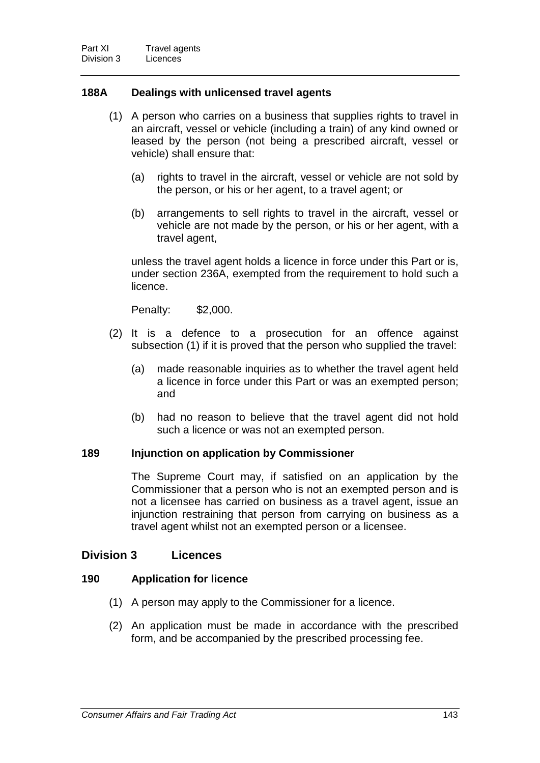## **188A Dealings with unlicensed travel agents**

- (1) A person who carries on a business that supplies rights to travel in an aircraft, vessel or vehicle (including a train) of any kind owned or leased by the person (not being a prescribed aircraft, vessel or vehicle) shall ensure that:
	- (a) rights to travel in the aircraft, vessel or vehicle are not sold by the person, or his or her agent, to a travel agent; or
	- (b) arrangements to sell rights to travel in the aircraft, vessel or vehicle are not made by the person, or his or her agent, with a travel agent,

unless the travel agent holds a licence in force under this Part or is, under section 236A, exempted from the requirement to hold such a licence.

Penalty: \$2,000.

- (2) It is a defence to a prosecution for an offence against subsection (1) if it is proved that the person who supplied the travel:
	- (a) made reasonable inquiries as to whether the travel agent held a licence in force under this Part or was an exempted person; and
	- (b) had no reason to believe that the travel agent did not hold such a licence or was not an exempted person.

### **189 Injunction on application by Commissioner**

The Supreme Court may, if satisfied on an application by the Commissioner that a person who is not an exempted person and is not a licensee has carried on business as a travel agent, issue an injunction restraining that person from carrying on business as a travel agent whilst not an exempted person or a licensee.

## **Division 3 Licences**

### **190 Application for licence**

- (1) A person may apply to the Commissioner for a licence.
- (2) An application must be made in accordance with the prescribed form, and be accompanied by the prescribed processing fee.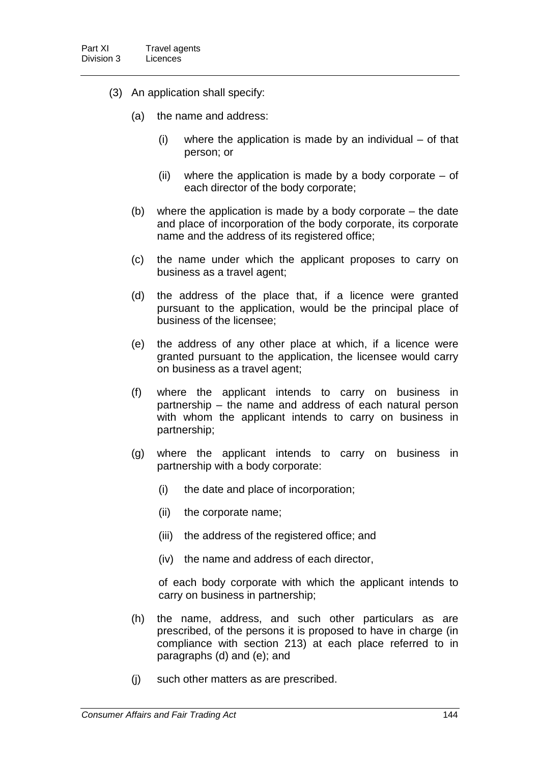- (3) An application shall specify:
	- (a) the name and address:
		- (i) where the application is made by an individual of that person; or
		- (ii) where the application is made by a body corporate  $-$  of each director of the body corporate;
	- (b) where the application is made by a body corporate the date and place of incorporation of the body corporate, its corporate name and the address of its registered office;
	- (c) the name under which the applicant proposes to carry on business as a travel agent;
	- (d) the address of the place that, if a licence were granted pursuant to the application, would be the principal place of business of the licensee;
	- (e) the address of any other place at which, if a licence were granted pursuant to the application, the licensee would carry on business as a travel agent;
	- (f) where the applicant intends to carry on business in partnership – the name and address of each natural person with whom the applicant intends to carry on business in partnership;
	- (g) where the applicant intends to carry on business in partnership with a body corporate:
		- (i) the date and place of incorporation;
		- (ii) the corporate name;
		- (iii) the address of the registered office; and
		- (iv) the name and address of each director,

of each body corporate with which the applicant intends to carry on business in partnership;

- (h) the name, address, and such other particulars as are prescribed, of the persons it is proposed to have in charge (in compliance with section 213) at each place referred to in paragraphs (d) and (e); and
- (j) such other matters as are prescribed.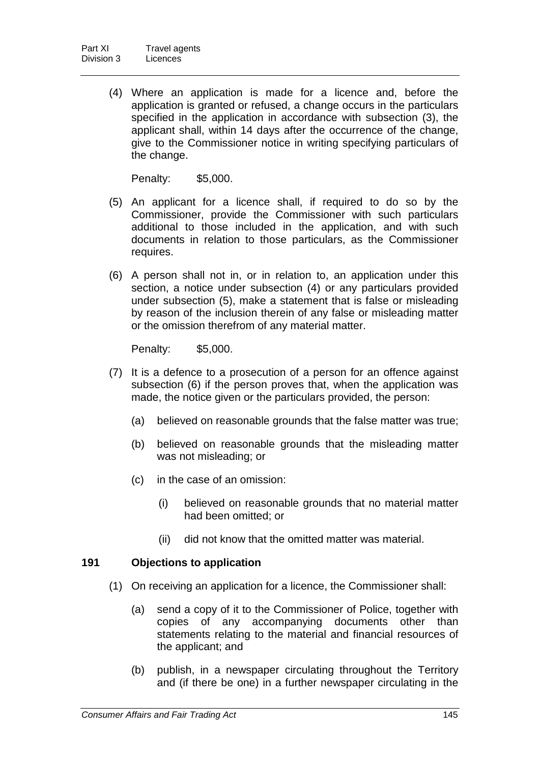(4) Where an application is made for a licence and, before the application is granted or refused, a change occurs in the particulars specified in the application in accordance with subsection (3), the applicant shall, within 14 days after the occurrence of the change, give to the Commissioner notice in writing specifying particulars of the change.

Penalty: \$5,000.

- (5) An applicant for a licence shall, if required to do so by the Commissioner, provide the Commissioner with such particulars additional to those included in the application, and with such documents in relation to those particulars, as the Commissioner requires.
- (6) A person shall not in, or in relation to, an application under this section, a notice under subsection (4) or any particulars provided under subsection (5), make a statement that is false or misleading by reason of the inclusion therein of any false or misleading matter or the omission therefrom of any material matter.

Penalty: \$5,000.

- (7) It is a defence to a prosecution of a person for an offence against subsection (6) if the person proves that, when the application was made, the notice given or the particulars provided, the person:
	- (a) believed on reasonable grounds that the false matter was true;
	- (b) believed on reasonable grounds that the misleading matter was not misleading; or
	- (c) in the case of an omission:
		- (i) believed on reasonable grounds that no material matter had been omitted; or
		- (ii) did not know that the omitted matter was material.

### **191 Objections to application**

- (1) On receiving an application for a licence, the Commissioner shall:
	- (a) send a copy of it to the Commissioner of Police, together with copies of any accompanying documents other than statements relating to the material and financial resources of the applicant; and
	- (b) publish, in a newspaper circulating throughout the Territory and (if there be one) in a further newspaper circulating in the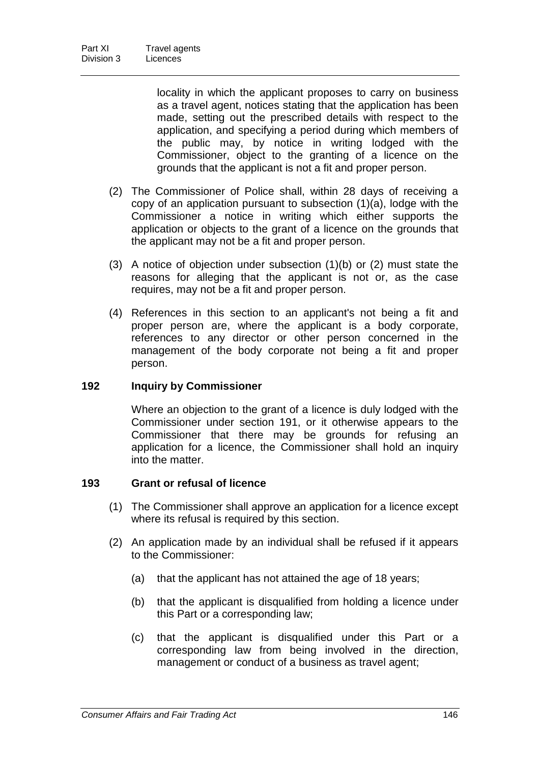locality in which the applicant proposes to carry on business as a travel agent, notices stating that the application has been made, setting out the prescribed details with respect to the application, and specifying a period during which members of the public may, by notice in writing lodged with the Commissioner, object to the granting of a licence on the grounds that the applicant is not a fit and proper person.

- (2) The Commissioner of Police shall, within 28 days of receiving a copy of an application pursuant to subsection (1)(a), lodge with the Commissioner a notice in writing which either supports the application or objects to the grant of a licence on the grounds that the applicant may not be a fit and proper person.
- (3) A notice of objection under subsection (1)(b) or (2) must state the reasons for alleging that the applicant is not or, as the case requires, may not be a fit and proper person.
- (4) References in this section to an applicant's not being a fit and proper person are, where the applicant is a body corporate, references to any director or other person concerned in the management of the body corporate not being a fit and proper person.

### **192 Inquiry by Commissioner**

Where an objection to the grant of a licence is duly lodged with the Commissioner under section 191, or it otherwise appears to the Commissioner that there may be grounds for refusing an application for a licence, the Commissioner shall hold an inquiry into the matter.

### **193 Grant or refusal of licence**

- (1) The Commissioner shall approve an application for a licence except where its refusal is required by this section.
- (2) An application made by an individual shall be refused if it appears to the Commissioner:
	- (a) that the applicant has not attained the age of 18 years;
	- (b) that the applicant is disqualified from holding a licence under this Part or a corresponding law;
	- (c) that the applicant is disqualified under this Part or a corresponding law from being involved in the direction, management or conduct of a business as travel agent;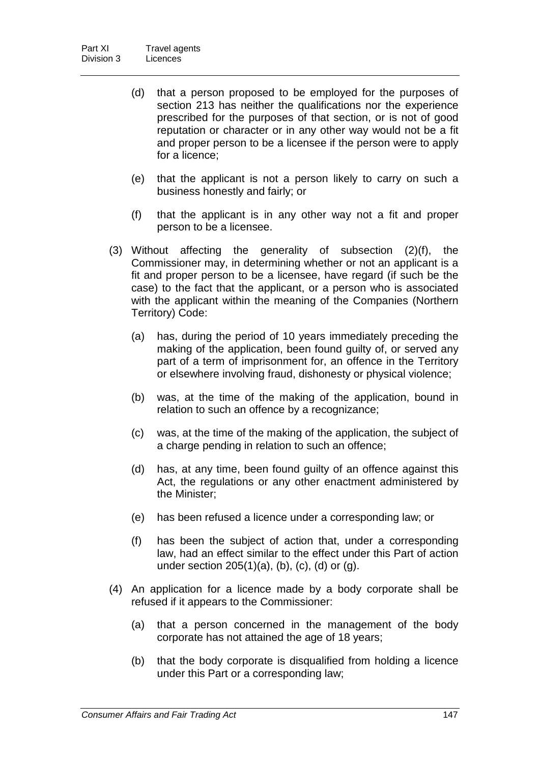- (d) that a person proposed to be employed for the purposes of section 213 has neither the qualifications nor the experience prescribed for the purposes of that section, or is not of good reputation or character or in any other way would not be a fit and proper person to be a licensee if the person were to apply for a licence;
- (e) that the applicant is not a person likely to carry on such a business honestly and fairly; or
- (f) that the applicant is in any other way not a fit and proper person to be a licensee.
- (3) Without affecting the generality of subsection (2)(f), the Commissioner may, in determining whether or not an applicant is a fit and proper person to be a licensee, have regard (if such be the case) to the fact that the applicant, or a person who is associated with the applicant within the meaning of the Companies (Northern Territory) Code:
	- (a) has, during the period of 10 years immediately preceding the making of the application, been found guilty of, or served any part of a term of imprisonment for, an offence in the Territory or elsewhere involving fraud, dishonesty or physical violence;
	- (b) was, at the time of the making of the application, bound in relation to such an offence by a recognizance;
	- (c) was, at the time of the making of the application, the subject of a charge pending in relation to such an offence;
	- (d) has, at any time, been found guilty of an offence against this Act, the regulations or any other enactment administered by the Minister;
	- (e) has been refused a licence under a corresponding law; or
	- (f) has been the subject of action that, under a corresponding law, had an effect similar to the effect under this Part of action under section 205(1)(a), (b), (c), (d) or (g).
- (4) An application for a licence made by a body corporate shall be refused if it appears to the Commissioner:
	- (a) that a person concerned in the management of the body corporate has not attained the age of 18 years;
	- (b) that the body corporate is disqualified from holding a licence under this Part or a corresponding law;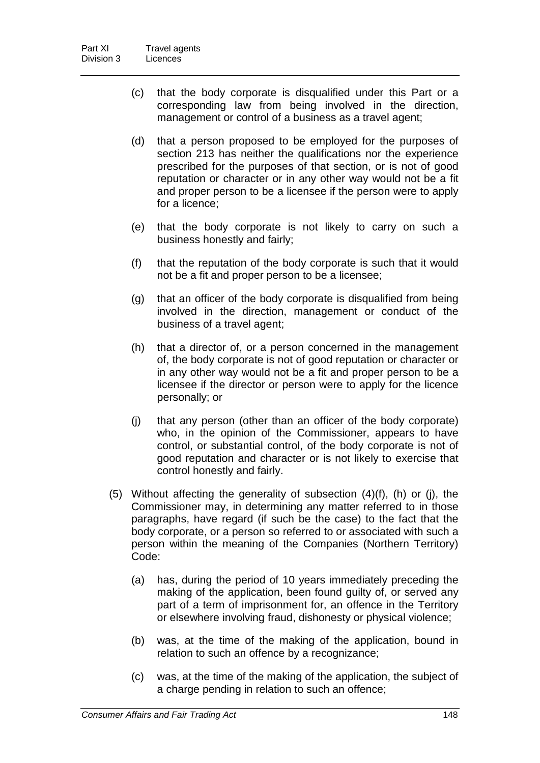- (c) that the body corporate is disqualified under this Part or a corresponding law from being involved in the direction, management or control of a business as a travel agent;
- (d) that a person proposed to be employed for the purposes of section 213 has neither the qualifications nor the experience prescribed for the purposes of that section, or is not of good reputation or character or in any other way would not be a fit and proper person to be a licensee if the person were to apply for a licence;
- (e) that the body corporate is not likely to carry on such a business honestly and fairly;
- (f) that the reputation of the body corporate is such that it would not be a fit and proper person to be a licensee;
- (g) that an officer of the body corporate is disqualified from being involved in the direction, management or conduct of the business of a travel agent;
- (h) that a director of, or a person concerned in the management of, the body corporate is not of good reputation or character or in any other way would not be a fit and proper person to be a licensee if the director or person were to apply for the licence personally; or
- (j) that any person (other than an officer of the body corporate) who, in the opinion of the Commissioner, appears to have control, or substantial control, of the body corporate is not of good reputation and character or is not likely to exercise that control honestly and fairly.
- (5) Without affecting the generality of subsection  $(4)(f)$ ,  $(h)$  or  $(j)$ , the Commissioner may, in determining any matter referred to in those paragraphs, have regard (if such be the case) to the fact that the body corporate, or a person so referred to or associated with such a person within the meaning of the Companies (Northern Territory) Code:
	- (a) has, during the period of 10 years immediately preceding the making of the application, been found guilty of, or served any part of a term of imprisonment for, an offence in the Territory or elsewhere involving fraud, dishonesty or physical violence;
	- (b) was, at the time of the making of the application, bound in relation to such an offence by a recognizance;
	- (c) was, at the time of the making of the application, the subject of a charge pending in relation to such an offence;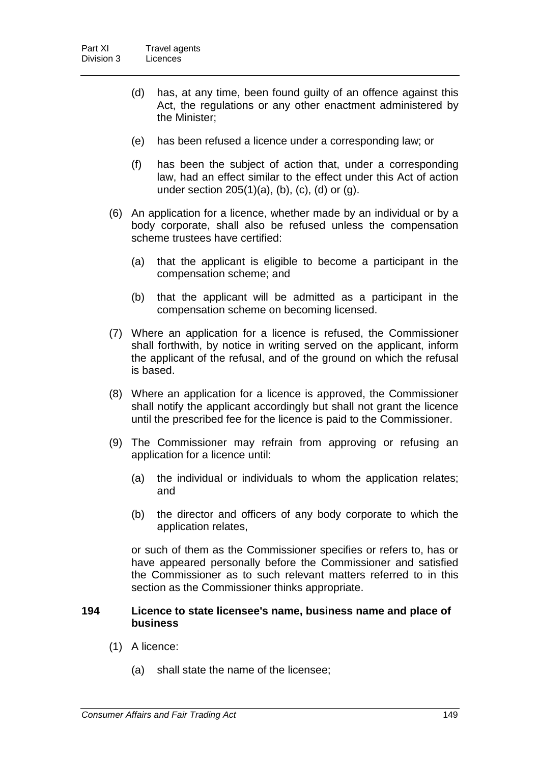- (d) has, at any time, been found guilty of an offence against this Act, the regulations or any other enactment administered by the Minister;
- (e) has been refused a licence under a corresponding law; or
- (f) has been the subject of action that, under a corresponding law, had an effect similar to the effect under this Act of action under section 205(1)(a), (b), (c), (d) or (g).
- (6) An application for a licence, whether made by an individual or by a body corporate, shall also be refused unless the compensation scheme trustees have certified:
	- (a) that the applicant is eligible to become a participant in the compensation scheme; and
	- (b) that the applicant will be admitted as a participant in the compensation scheme on becoming licensed.
- (7) Where an application for a licence is refused, the Commissioner shall forthwith, by notice in writing served on the applicant, inform the applicant of the refusal, and of the ground on which the refusal is based.
- (8) Where an application for a licence is approved, the Commissioner shall notify the applicant accordingly but shall not grant the licence until the prescribed fee for the licence is paid to the Commissioner.
- (9) The Commissioner may refrain from approving or refusing an application for a licence until:
	- (a) the individual or individuals to whom the application relates; and
	- (b) the director and officers of any body corporate to which the application relates,

or such of them as the Commissioner specifies or refers to, has or have appeared personally before the Commissioner and satisfied the Commissioner as to such relevant matters referred to in this section as the Commissioner thinks appropriate.

#### **194 Licence to state licensee's name, business name and place of business**

- (1) A licence:
	- (a) shall state the name of the licensee;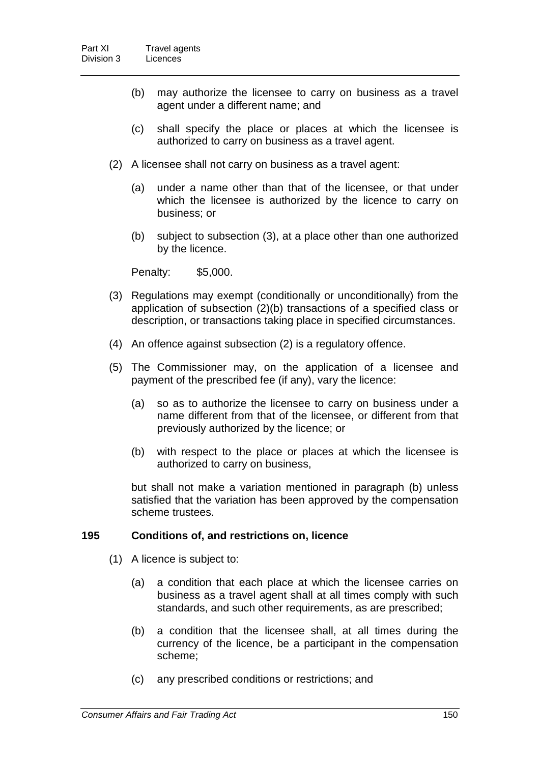- (b) may authorize the licensee to carry on business as a travel agent under a different name; and
- (c) shall specify the place or places at which the licensee is authorized to carry on business as a travel agent.
- (2) A licensee shall not carry on business as a travel agent:
	- (a) under a name other than that of the licensee, or that under which the licensee is authorized by the licence to carry on business; or
	- (b) subject to subsection (3), at a place other than one authorized by the licence.

Penalty: \$5,000.

- (3) Regulations may exempt (conditionally or unconditionally) from the application of subsection (2)(b) transactions of a specified class or description, or transactions taking place in specified circumstances.
- (4) An offence against subsection (2) is a regulatory offence.
- (5) The Commissioner may, on the application of a licensee and payment of the prescribed fee (if any), vary the licence:
	- (a) so as to authorize the licensee to carry on business under a name different from that of the licensee, or different from that previously authorized by the licence; or
	- (b) with respect to the place or places at which the licensee is authorized to carry on business,

but shall not make a variation mentioned in paragraph (b) unless satisfied that the variation has been approved by the compensation scheme trustees.

### **195 Conditions of, and restrictions on, licence**

- (1) A licence is subject to:
	- (a) a condition that each place at which the licensee carries on business as a travel agent shall at all times comply with such standards, and such other requirements, as are prescribed;
	- (b) a condition that the licensee shall, at all times during the currency of the licence, be a participant in the compensation scheme;
	- (c) any prescribed conditions or restrictions; and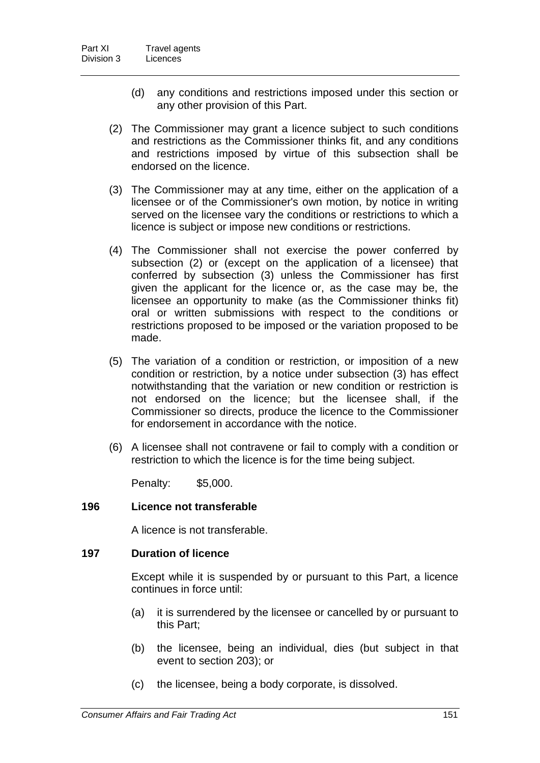- (d) any conditions and restrictions imposed under this section or any other provision of this Part.
- (2) The Commissioner may grant a licence subject to such conditions and restrictions as the Commissioner thinks fit, and any conditions and restrictions imposed by virtue of this subsection shall be endorsed on the licence.
- (3) The Commissioner may at any time, either on the application of a licensee or of the Commissioner's own motion, by notice in writing served on the licensee vary the conditions or restrictions to which a licence is subject or impose new conditions or restrictions.
- (4) The Commissioner shall not exercise the power conferred by subsection (2) or (except on the application of a licensee) that conferred by subsection (3) unless the Commissioner has first given the applicant for the licence or, as the case may be, the licensee an opportunity to make (as the Commissioner thinks fit) oral or written submissions with respect to the conditions or restrictions proposed to be imposed or the variation proposed to be made.
- (5) The variation of a condition or restriction, or imposition of a new condition or restriction, by a notice under subsection (3) has effect notwithstanding that the variation or new condition or restriction is not endorsed on the licence; but the licensee shall, if the Commissioner so directs, produce the licence to the Commissioner for endorsement in accordance with the notice.
- (6) A licensee shall not contravene or fail to comply with a condition or restriction to which the licence is for the time being subject.

Penalty: \$5,000.

### **196 Licence not transferable**

A licence is not transferable.

#### **197 Duration of licence**

Except while it is suspended by or pursuant to this Part, a licence continues in force until:

- (a) it is surrendered by the licensee or cancelled by or pursuant to this Part;
- (b) the licensee, being an individual, dies (but subject in that event to section 203); or
- (c) the licensee, being a body corporate, is dissolved.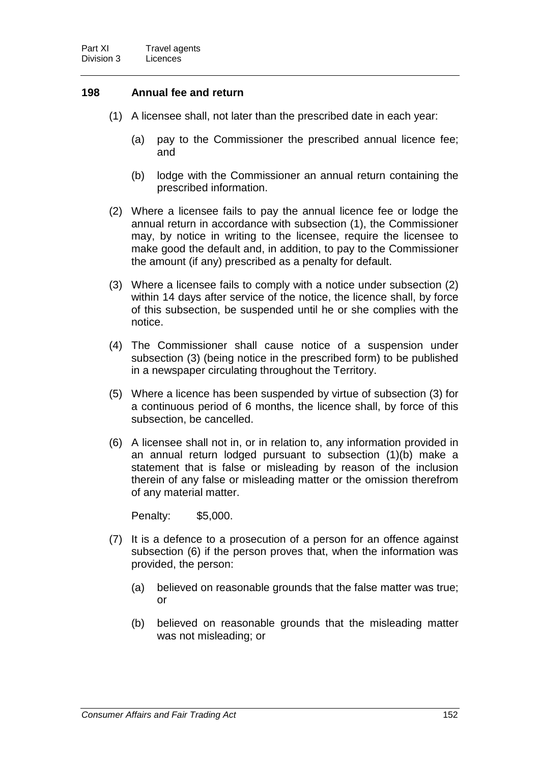#### **198 Annual fee and return**

- (1) A licensee shall, not later than the prescribed date in each year:
	- (a) pay to the Commissioner the prescribed annual licence fee; and
	- (b) lodge with the Commissioner an annual return containing the prescribed information.
- (2) Where a licensee fails to pay the annual licence fee or lodge the annual return in accordance with subsection (1), the Commissioner may, by notice in writing to the licensee, require the licensee to make good the default and, in addition, to pay to the Commissioner the amount (if any) prescribed as a penalty for default.
- (3) Where a licensee fails to comply with a notice under subsection (2) within 14 days after service of the notice, the licence shall, by force of this subsection, be suspended until he or she complies with the notice.
- (4) The Commissioner shall cause notice of a suspension under subsection (3) (being notice in the prescribed form) to be published in a newspaper circulating throughout the Territory.
- (5) Where a licence has been suspended by virtue of subsection (3) for a continuous period of 6 months, the licence shall, by force of this subsection, be cancelled.
- (6) A licensee shall not in, or in relation to, any information provided in an annual return lodged pursuant to subsection (1)(b) make a statement that is false or misleading by reason of the inclusion therein of any false or misleading matter or the omission therefrom of any material matter.

Penalty: \$5,000.

- (7) It is a defence to a prosecution of a person for an offence against subsection (6) if the person proves that, when the information was provided, the person:
	- (a) believed on reasonable grounds that the false matter was true; or
	- (b) believed on reasonable grounds that the misleading matter was not misleading; or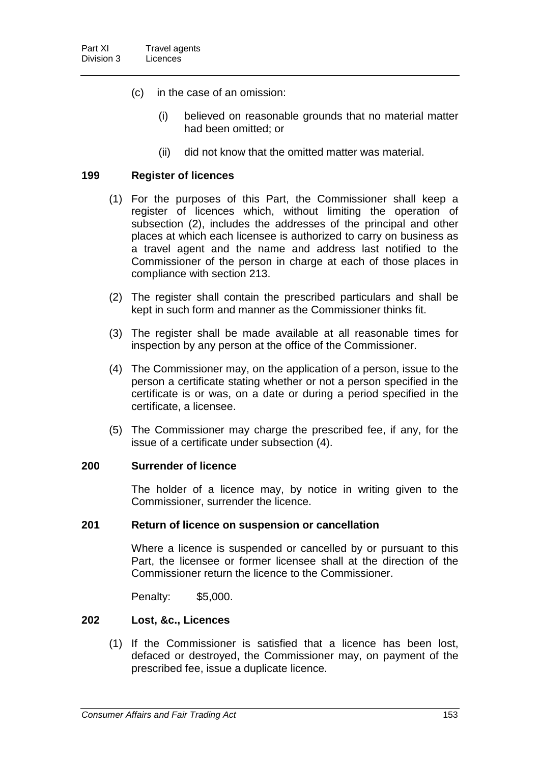- (c) in the case of an omission:
	- (i) believed on reasonable grounds that no material matter had been omitted; or
	- (ii) did not know that the omitted matter was material.

#### **199 Register of licences**

- (1) For the purposes of this Part, the Commissioner shall keep a register of licences which, without limiting the operation of subsection (2), includes the addresses of the principal and other places at which each licensee is authorized to carry on business as a travel agent and the name and address last notified to the Commissioner of the person in charge at each of those places in compliance with section 213.
- (2) The register shall contain the prescribed particulars and shall be kept in such form and manner as the Commissioner thinks fit.
- (3) The register shall be made available at all reasonable times for inspection by any person at the office of the Commissioner.
- (4) The Commissioner may, on the application of a person, issue to the person a certificate stating whether or not a person specified in the certificate is or was, on a date or during a period specified in the certificate, a licensee.
- (5) The Commissioner may charge the prescribed fee, if any, for the issue of a certificate under subsection (4).

#### **200 Surrender of licence**

The holder of a licence may, by notice in writing given to the Commissioner, surrender the licence.

#### **201 Return of licence on suspension or cancellation**

Where a licence is suspended or cancelled by or pursuant to this Part, the licensee or former licensee shall at the direction of the Commissioner return the licence to the Commissioner.

Penalty: \$5,000.

### **202 Lost, &c., Licences**

(1) If the Commissioner is satisfied that a licence has been lost, defaced or destroyed, the Commissioner may, on payment of the prescribed fee, issue a duplicate licence.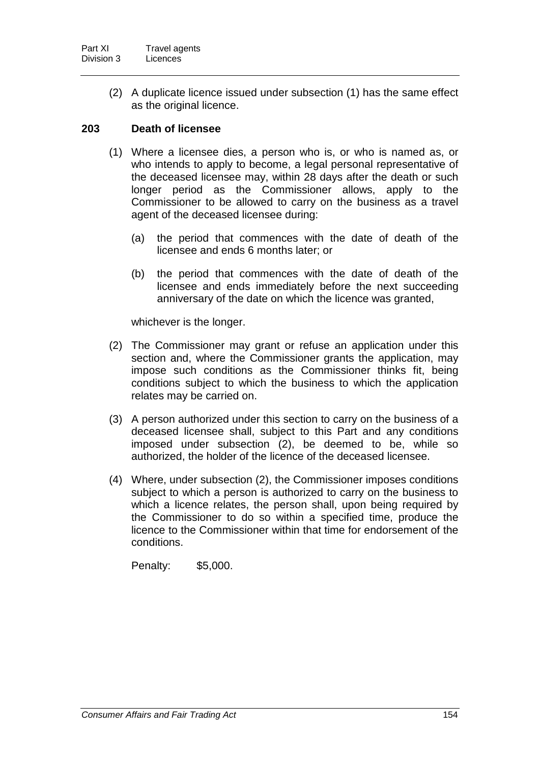(2) A duplicate licence issued under subsection (1) has the same effect as the original licence.

## **203 Death of licensee**

- (1) Where a licensee dies, a person who is, or who is named as, or who intends to apply to become, a legal personal representative of the deceased licensee may, within 28 days after the death or such longer period as the Commissioner allows, apply to the Commissioner to be allowed to carry on the business as a travel agent of the deceased licensee during:
	- (a) the period that commences with the date of death of the licensee and ends 6 months later; or
	- (b) the period that commences with the date of death of the licensee and ends immediately before the next succeeding anniversary of the date on which the licence was granted,

whichever is the longer.

- (2) The Commissioner may grant or refuse an application under this section and, where the Commissioner grants the application, may impose such conditions as the Commissioner thinks fit, being conditions subject to which the business to which the application relates may be carried on.
- (3) A person authorized under this section to carry on the business of a deceased licensee shall, subject to this Part and any conditions imposed under subsection (2), be deemed to be, while so authorized, the holder of the licence of the deceased licensee.
- (4) Where, under subsection (2), the Commissioner imposes conditions subject to which a person is authorized to carry on the business to which a licence relates, the person shall, upon being required by the Commissioner to do so within a specified time, produce the licence to the Commissioner within that time for endorsement of the conditions.

Penalty: \$5,000.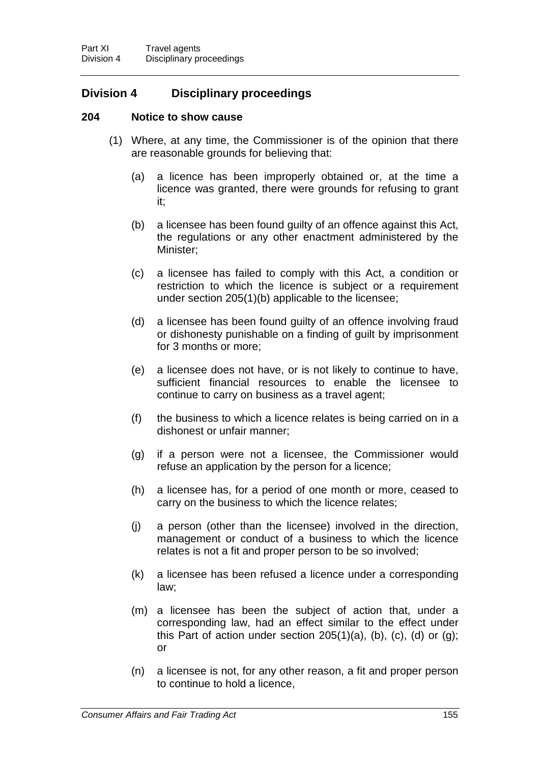# **Division 4 Disciplinary proceedings**

### **204 Notice to show cause**

- (1) Where, at any time, the Commissioner is of the opinion that there are reasonable grounds for believing that:
	- (a) a licence has been improperly obtained or, at the time a licence was granted, there were grounds for refusing to grant it;
	- (b) a licensee has been found guilty of an offence against this Act, the regulations or any other enactment administered by the Minister;
	- (c) a licensee has failed to comply with this Act, a condition or restriction to which the licence is subject or a requirement under section 205(1)(b) applicable to the licensee;
	- (d) a licensee has been found guilty of an offence involving fraud or dishonesty punishable on a finding of guilt by imprisonment for 3 months or more;
	- (e) a licensee does not have, or is not likely to continue to have, sufficient financial resources to enable the licensee to continue to carry on business as a travel agent;
	- (f) the business to which a licence relates is being carried on in a dishonest or unfair manner;
	- (g) if a person were not a licensee, the Commissioner would refuse an application by the person for a licence;
	- (h) a licensee has, for a period of one month or more, ceased to carry on the business to which the licence relates;
	- (j) a person (other than the licensee) involved in the direction, management or conduct of a business to which the licence relates is not a fit and proper person to be so involved;
	- (k) a licensee has been refused a licence under a corresponding law;
	- (m) a licensee has been the subject of action that, under a corresponding law, had an effect similar to the effect under this Part of action under section  $205(1)(a)$ , (b), (c), (d) or (g); or
	- (n) a licensee is not, for any other reason, a fit and proper person to continue to hold a licence,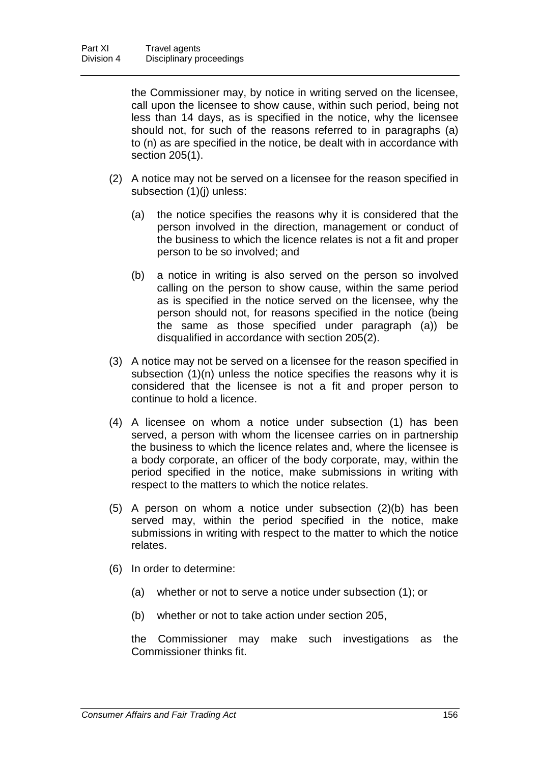the Commissioner may, by notice in writing served on the licensee, call upon the licensee to show cause, within such period, being not less than 14 days, as is specified in the notice, why the licensee should not, for such of the reasons referred to in paragraphs (a) to (n) as are specified in the notice, be dealt with in accordance with section 205(1).

- (2) A notice may not be served on a licensee for the reason specified in subsection (1)(j) unless:
	- (a) the notice specifies the reasons why it is considered that the person involved in the direction, management or conduct of the business to which the licence relates is not a fit and proper person to be so involved; and
	- (b) a notice in writing is also served on the person so involved calling on the person to show cause, within the same period as is specified in the notice served on the licensee, why the person should not, for reasons specified in the notice (being the same as those specified under paragraph (a)) be disqualified in accordance with section 205(2).
- (3) A notice may not be served on a licensee for the reason specified in subsection (1)(n) unless the notice specifies the reasons why it is considered that the licensee is not a fit and proper person to continue to hold a licence.
- (4) A licensee on whom a notice under subsection (1) has been served, a person with whom the licensee carries on in partnership the business to which the licence relates and, where the licensee is a body corporate, an officer of the body corporate, may, within the period specified in the notice, make submissions in writing with respect to the matters to which the notice relates.
- (5) A person on whom a notice under subsection (2)(b) has been served may, within the period specified in the notice, make submissions in writing with respect to the matter to which the notice relates.
- (6) In order to determine:
	- (a) whether or not to serve a notice under subsection (1); or
	- (b) whether or not to take action under section 205,

the Commissioner may make such investigations as the Commissioner thinks fit.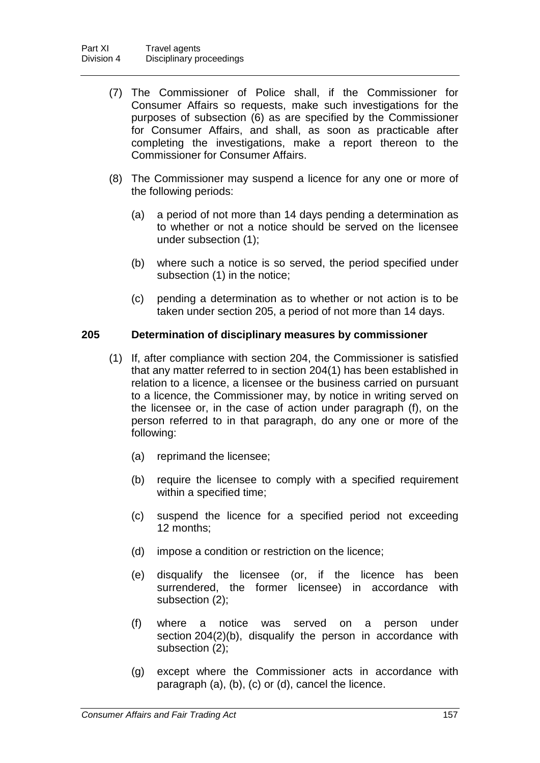- (7) The Commissioner of Police shall, if the Commissioner for Consumer Affairs so requests, make such investigations for the purposes of subsection (6) as are specified by the Commissioner for Consumer Affairs, and shall, as soon as practicable after completing the investigations, make a report thereon to the Commissioner for Consumer Affairs.
- (8) The Commissioner may suspend a licence for any one or more of the following periods:
	- (a) a period of not more than 14 days pending a determination as to whether or not a notice should be served on the licensee under subsection (1);
	- (b) where such a notice is so served, the period specified under subsection (1) in the notice;
	- (c) pending a determination as to whether or not action is to be taken under section 205, a period of not more than 14 days.

### **205 Determination of disciplinary measures by commissioner**

- (1) If, after compliance with section 204, the Commissioner is satisfied that any matter referred to in section 204(1) has been established in relation to a licence, a licensee or the business carried on pursuant to a licence, the Commissioner may, by notice in writing served on the licensee or, in the case of action under paragraph (f), on the person referred to in that paragraph, do any one or more of the following:
	- (a) reprimand the licensee;
	- (b) require the licensee to comply with a specified requirement within a specified time;
	- (c) suspend the licence for a specified period not exceeding 12 months;
	- (d) impose a condition or restriction on the licence;
	- (e) disqualify the licensee (or, if the licence has been surrendered, the former licensee) in accordance with subsection (2);
	- (f) where a notice was served on a person under section 204(2)(b), disqualify the person in accordance with subsection (2);
	- (g) except where the Commissioner acts in accordance with paragraph (a), (b), (c) or (d), cancel the licence.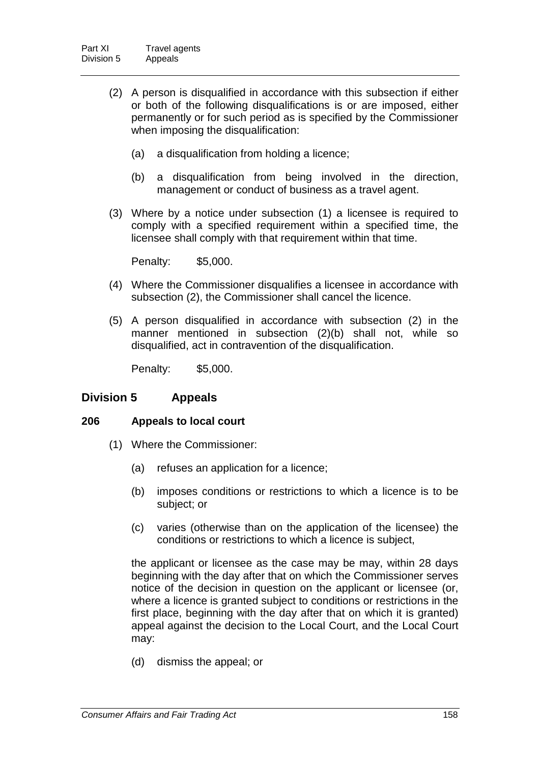- (2) A person is disqualified in accordance with this subsection if either or both of the following disqualifications is or are imposed, either permanently or for such period as is specified by the Commissioner when imposing the disqualification:
	- (a) a disqualification from holding a licence;
	- (b) a disqualification from being involved in the direction, management or conduct of business as a travel agent.
- (3) Where by a notice under subsection (1) a licensee is required to comply with a specified requirement within a specified time, the licensee shall comply with that requirement within that time.

Penalty: \$5,000.

- (4) Where the Commissioner disqualifies a licensee in accordance with subsection (2), the Commissioner shall cancel the licence.
- (5) A person disqualified in accordance with subsection (2) in the manner mentioned in subsection (2)(b) shall not, while so disqualified, act in contravention of the disqualification.

Penalty: \$5,000.

## **Division 5 Appeals**

### **206 Appeals to local court**

- (1) Where the Commissioner:
	- (a) refuses an application for a licence;
	- (b) imposes conditions or restrictions to which a licence is to be subject; or
	- (c) varies (otherwise than on the application of the licensee) the conditions or restrictions to which a licence is subject,

the applicant or licensee as the case may be may, within 28 days beginning with the day after that on which the Commissioner serves notice of the decision in question on the applicant or licensee (or, where a licence is granted subject to conditions or restrictions in the first place, beginning with the day after that on which it is granted) appeal against the decision to the Local Court, and the Local Court may:

(d) dismiss the appeal; or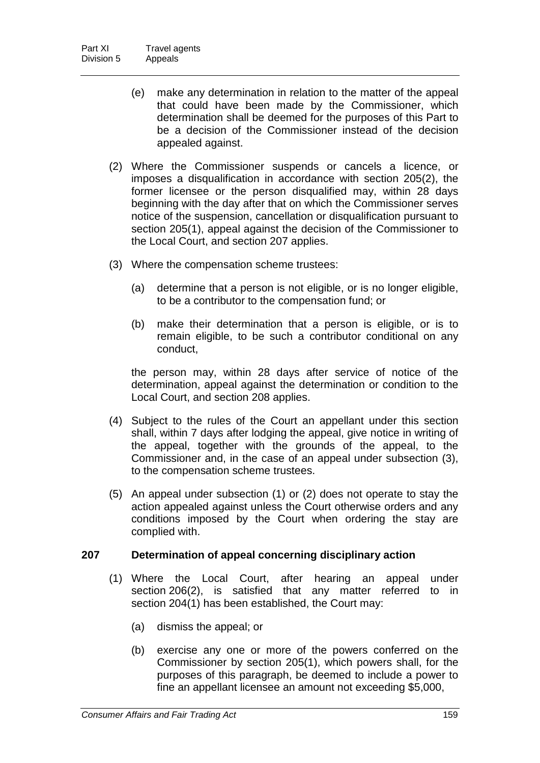- (e) make any determination in relation to the matter of the appeal that could have been made by the Commissioner, which determination shall be deemed for the purposes of this Part to be a decision of the Commissioner instead of the decision appealed against.
- (2) Where the Commissioner suspends or cancels a licence, or imposes a disqualification in accordance with section 205(2), the former licensee or the person disqualified may, within 28 days beginning with the day after that on which the Commissioner serves notice of the suspension, cancellation or disqualification pursuant to section 205(1), appeal against the decision of the Commissioner to the Local Court, and section 207 applies.
- (3) Where the compensation scheme trustees:
	- (a) determine that a person is not eligible, or is no longer eligible, to be a contributor to the compensation fund; or
	- (b) make their determination that a person is eligible, or is to remain eligible, to be such a contributor conditional on any conduct,

the person may, within 28 days after service of notice of the determination, appeal against the determination or condition to the Local Court, and section 208 applies.

- (4) Subject to the rules of the Court an appellant under this section shall, within 7 days after lodging the appeal, give notice in writing of the appeal, together with the grounds of the appeal, to the Commissioner and, in the case of an appeal under subsection (3), to the compensation scheme trustees.
- (5) An appeal under subsection (1) or (2) does not operate to stay the action appealed against unless the Court otherwise orders and any conditions imposed by the Court when ordering the stay are complied with.

### **207 Determination of appeal concerning disciplinary action**

- (1) Where the Local Court, after hearing an appeal under section 206(2), is satisfied that any matter referred to in section 204(1) has been established, the Court may:
	- (a) dismiss the appeal; or
	- (b) exercise any one or more of the powers conferred on the Commissioner by section 205(1), which powers shall, for the purposes of this paragraph, be deemed to include a power to fine an appellant licensee an amount not exceeding \$5,000,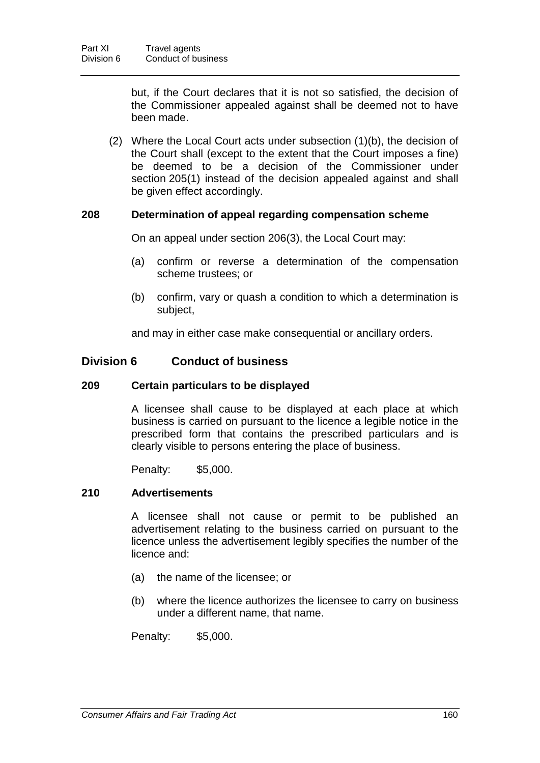but, if the Court declares that it is not so satisfied, the decision of the Commissioner appealed against shall be deemed not to have been made.

(2) Where the Local Court acts under subsection (1)(b), the decision of the Court shall (except to the extent that the Court imposes a fine) be deemed to be a decision of the Commissioner under section 205(1) instead of the decision appealed against and shall be given effect accordingly.

### **208 Determination of appeal regarding compensation scheme**

On an appeal under section 206(3), the Local Court may:

- (a) confirm or reverse a determination of the compensation scheme trustees; or
- (b) confirm, vary or quash a condition to which a determination is subject,

and may in either case make consequential or ancillary orders.

## **Division 6 Conduct of business**

### **209 Certain particulars to be displayed**

A licensee shall cause to be displayed at each place at which business is carried on pursuant to the licence a legible notice in the prescribed form that contains the prescribed particulars and is clearly visible to persons entering the place of business.

Penalty: \$5,000.

## **210 Advertisements**

A licensee shall not cause or permit to be published an advertisement relating to the business carried on pursuant to the licence unless the advertisement legibly specifies the number of the licence and:

- (a) the name of the licensee; or
- (b) where the licence authorizes the licensee to carry on business under a different name, that name.

Penalty: \$5,000.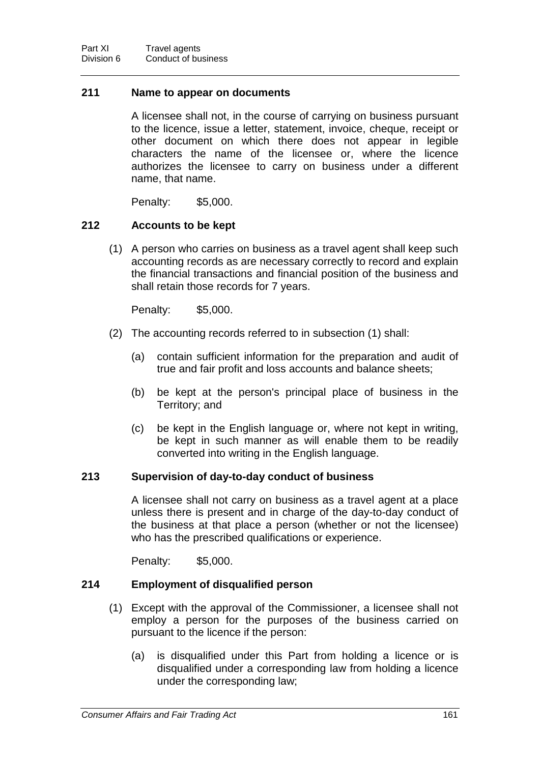#### **211 Name to appear on documents**

A licensee shall not, in the course of carrying on business pursuant to the licence, issue a letter, statement, invoice, cheque, receipt or other document on which there does not appear in legible characters the name of the licensee or, where the licence authorizes the licensee to carry on business under a different name, that name.

Penalty: \$5,000.

### **212 Accounts to be kept**

(1) A person who carries on business as a travel agent shall keep such accounting records as are necessary correctly to record and explain the financial transactions and financial position of the business and shall retain those records for 7 years.

Penalty: \$5,000.

- (2) The accounting records referred to in subsection (1) shall:
	- (a) contain sufficient information for the preparation and audit of true and fair profit and loss accounts and balance sheets;
	- (b) be kept at the person's principal place of business in the Territory; and
	- (c) be kept in the English language or, where not kept in writing, be kept in such manner as will enable them to be readily converted into writing in the English language.

### **213 Supervision of day-to-day conduct of business**

A licensee shall not carry on business as a travel agent at a place unless there is present and in charge of the day-to-day conduct of the business at that place a person (whether or not the licensee) who has the prescribed qualifications or experience.

Penalty: \$5,000.

### **214 Employment of disqualified person**

- (1) Except with the approval of the Commissioner, a licensee shall not employ a person for the purposes of the business carried on pursuant to the licence if the person:
	- (a) is disqualified under this Part from holding a licence or is disqualified under a corresponding law from holding a licence under the corresponding law;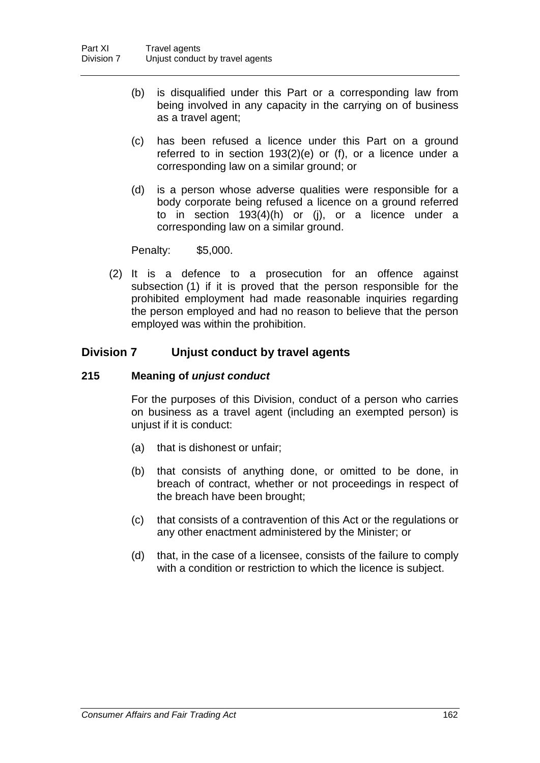- (b) is disqualified under this Part or a corresponding law from being involved in any capacity in the carrying on of business as a travel agent;
- (c) has been refused a licence under this Part on a ground referred to in section 193(2)(e) or (f), or a licence under a corresponding law on a similar ground; or
- (d) is a person whose adverse qualities were responsible for a body corporate being refused a licence on a ground referred to in section 193(4)(h) or (j), or a licence under a corresponding law on a similar ground.

Penalty: \$5,000.

(2) It is a defence to a prosecution for an offence against subsection (1) if it is proved that the person responsible for the prohibited employment had made reasonable inquiries regarding the person employed and had no reason to believe that the person employed was within the prohibition.

## **Division 7 Unjust conduct by travel agents**

### **215 Meaning of** *unjust conduct*

For the purposes of this Division, conduct of a person who carries on business as a travel agent (including an exempted person) is unjust if it is conduct:

- (a) that is dishonest or unfair;
- (b) that consists of anything done, or omitted to be done, in breach of contract, whether or not proceedings in respect of the breach have been brought;
- (c) that consists of a contravention of this Act or the regulations or any other enactment administered by the Minister; or
- (d) that, in the case of a licensee, consists of the failure to comply with a condition or restriction to which the licence is subject.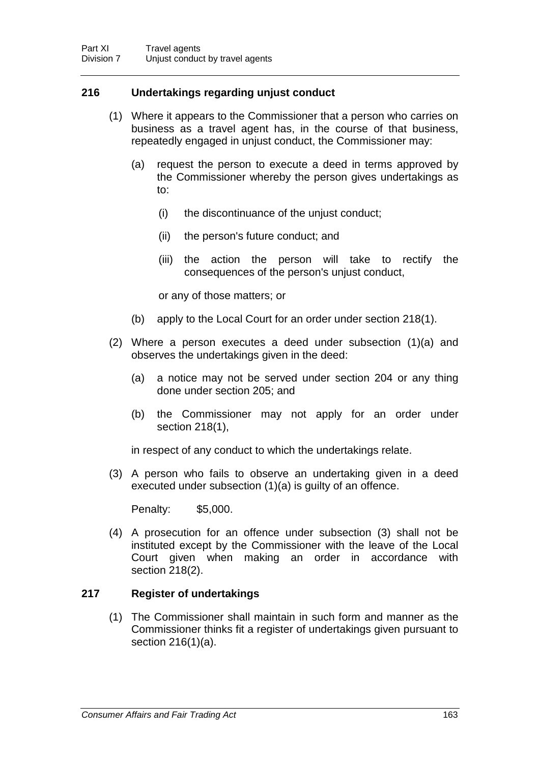## **216 Undertakings regarding unjust conduct**

- (1) Where it appears to the Commissioner that a person who carries on business as a travel agent has, in the course of that business, repeatedly engaged in unjust conduct, the Commissioner may:
	- (a) request the person to execute a deed in terms approved by the Commissioner whereby the person gives undertakings as to:
		- (i) the discontinuance of the unjust conduct;
		- (ii) the person's future conduct; and
		- (iii) the action the person will take to rectify the consequences of the person's unjust conduct,

or any of those matters; or

- (b) apply to the Local Court for an order under section 218(1).
- (2) Where a person executes a deed under subsection (1)(a) and observes the undertakings given in the deed:
	- (a) a notice may not be served under section 204 or any thing done under section 205; and
	- (b) the Commissioner may not apply for an order under section 218(1),

in respect of any conduct to which the undertakings relate.

(3) A person who fails to observe an undertaking given in a deed executed under subsection (1)(a) is guilty of an offence.

Penalty: \$5,000.

(4) A prosecution for an offence under subsection (3) shall not be instituted except by the Commissioner with the leave of the Local Court given when making an order in accordance with section 218(2).

### **217 Register of undertakings**

(1) The Commissioner shall maintain in such form and manner as the Commissioner thinks fit a register of undertakings given pursuant to section 216(1)(a).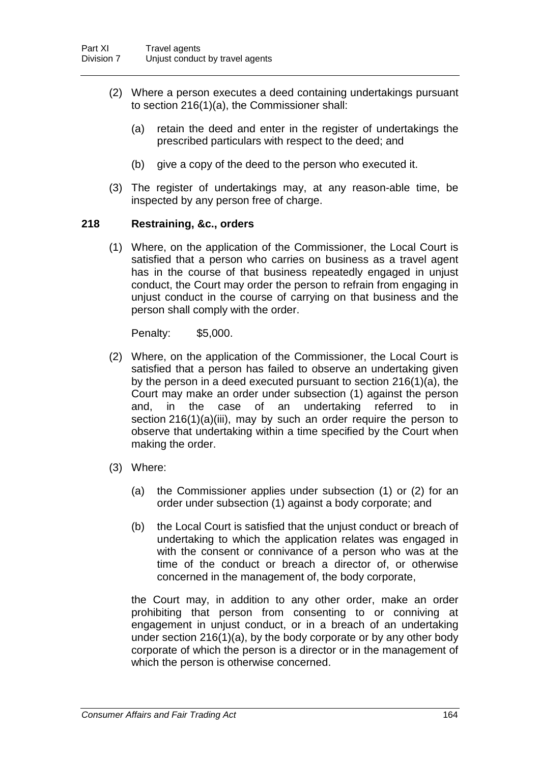- (2) Where a person executes a deed containing undertakings pursuant to section 216(1)(a), the Commissioner shall:
	- (a) retain the deed and enter in the register of undertakings the prescribed particulars with respect to the deed; and
	- (b) give a copy of the deed to the person who executed it.
- (3) The register of undertakings may, at any reason-able time, be inspected by any person free of charge.

### **218 Restraining, &c., orders**

(1) Where, on the application of the Commissioner, the Local Court is satisfied that a person who carries on business as a travel agent has in the course of that business repeatedly engaged in unjust conduct, the Court may order the person to refrain from engaging in unjust conduct in the course of carrying on that business and the person shall comply with the order.

Penalty: \$5,000.

- (2) Where, on the application of the Commissioner, the Local Court is satisfied that a person has failed to observe an undertaking given by the person in a deed executed pursuant to section 216(1)(a), the Court may make an order under subsection (1) against the person and, in the case of an undertaking referred to in section 216(1)(a)(iii), may by such an order require the person to observe that undertaking within a time specified by the Court when making the order.
- (3) Where:
	- (a) the Commissioner applies under subsection (1) or (2) for an order under subsection (1) against a body corporate; and
	- (b) the Local Court is satisfied that the unjust conduct or breach of undertaking to which the application relates was engaged in with the consent or connivance of a person who was at the time of the conduct or breach a director of, or otherwise concerned in the management of, the body corporate,

the Court may, in addition to any other order, make an order prohibiting that person from consenting to or conniving at engagement in unjust conduct, or in a breach of an undertaking under section 216(1)(a), by the body corporate or by any other body corporate of which the person is a director or in the management of which the person is otherwise concerned.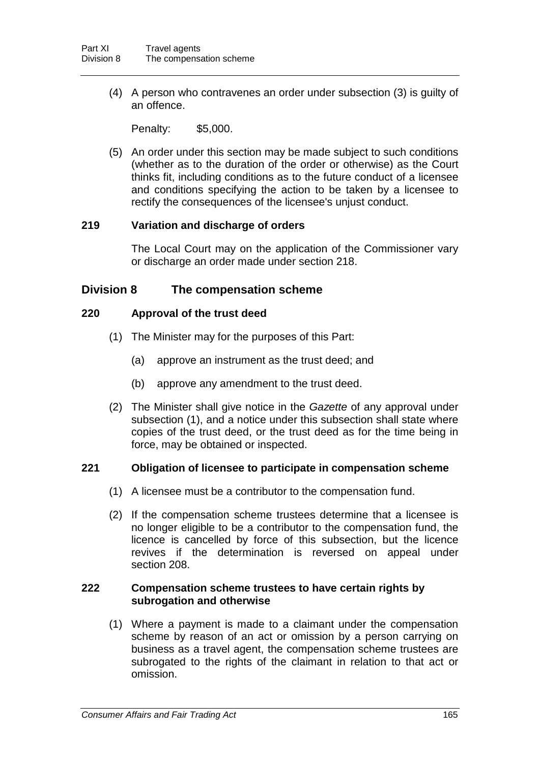(4) A person who contravenes an order under subsection (3) is guilty of an offence.

Penalty: \$5,000.

(5) An order under this section may be made subject to such conditions (whether as to the duration of the order or otherwise) as the Court thinks fit, including conditions as to the future conduct of a licensee and conditions specifying the action to be taken by a licensee to rectify the consequences of the licensee's unjust conduct.

### **219 Variation and discharge of orders**

The Local Court may on the application of the Commissioner vary or discharge an order made under section 218.

### **Division 8 The compensation scheme**

### **220 Approval of the trust deed**

- (1) The Minister may for the purposes of this Part:
	- (a) approve an instrument as the trust deed; and
	- (b) approve any amendment to the trust deed.
- (2) The Minister shall give notice in the *Gazette* of any approval under subsection (1), and a notice under this subsection shall state where copies of the trust deed, or the trust deed as for the time being in force, may be obtained or inspected.

### **221 Obligation of licensee to participate in compensation scheme**

- (1) A licensee must be a contributor to the compensation fund.
- (2) If the compensation scheme trustees determine that a licensee is no longer eligible to be a contributor to the compensation fund, the licence is cancelled by force of this subsection, but the licence revives if the determination is reversed on appeal under section 208.

#### **222 Compensation scheme trustees to have certain rights by subrogation and otherwise**

(1) Where a payment is made to a claimant under the compensation scheme by reason of an act or omission by a person carrying on business as a travel agent, the compensation scheme trustees are subrogated to the rights of the claimant in relation to that act or omission.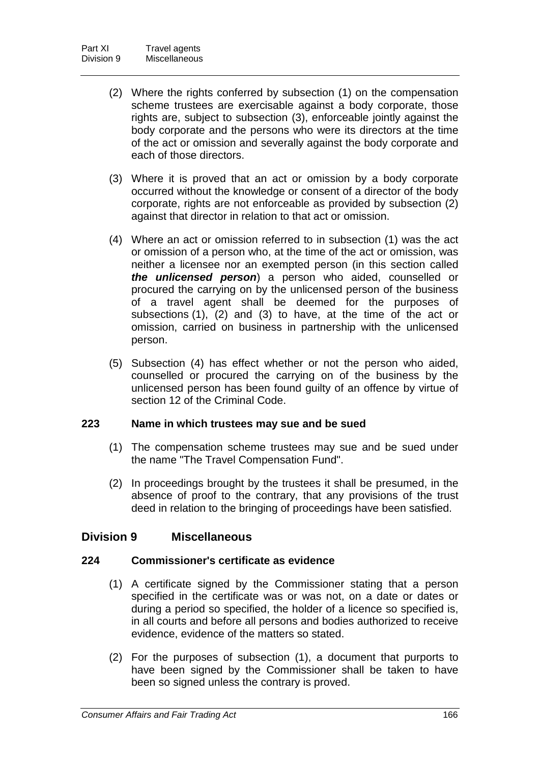- (2) Where the rights conferred by subsection (1) on the compensation scheme trustees are exercisable against a body corporate, those rights are, subject to subsection (3), enforceable jointly against the body corporate and the persons who were its directors at the time of the act or omission and severally against the body corporate and each of those directors.
- (3) Where it is proved that an act or omission by a body corporate occurred without the knowledge or consent of a director of the body corporate, rights are not enforceable as provided by subsection (2) against that director in relation to that act or omission.
- (4) Where an act or omission referred to in subsection (1) was the act or omission of a person who, at the time of the act or omission, was neither a licensee nor an exempted person (in this section called *the unlicensed person*) a person who aided, counselled or procured the carrying on by the unlicensed person of the business of a travel agent shall be deemed for the purposes of subsections (1), (2) and (3) to have, at the time of the act or omission, carried on business in partnership with the unlicensed person.
- (5) Subsection (4) has effect whether or not the person who aided, counselled or procured the carrying on of the business by the unlicensed person has been found guilty of an offence by virtue of section 12 of the Criminal Code.

### **223 Name in which trustees may sue and be sued**

- (1) The compensation scheme trustees may sue and be sued under the name "The Travel Compensation Fund".
- (2) In proceedings brought by the trustees it shall be presumed, in the absence of proof to the contrary, that any provisions of the trust deed in relation to the bringing of proceedings have been satisfied.

## **Division 9 Miscellaneous**

### **224 Commissioner's certificate as evidence**

- (1) A certificate signed by the Commissioner stating that a person specified in the certificate was or was not, on a date or dates or during a period so specified, the holder of a licence so specified is, in all courts and before all persons and bodies authorized to receive evidence, evidence of the matters so stated.
- (2) For the purposes of subsection (1), a document that purports to have been signed by the Commissioner shall be taken to have been so signed unless the contrary is proved.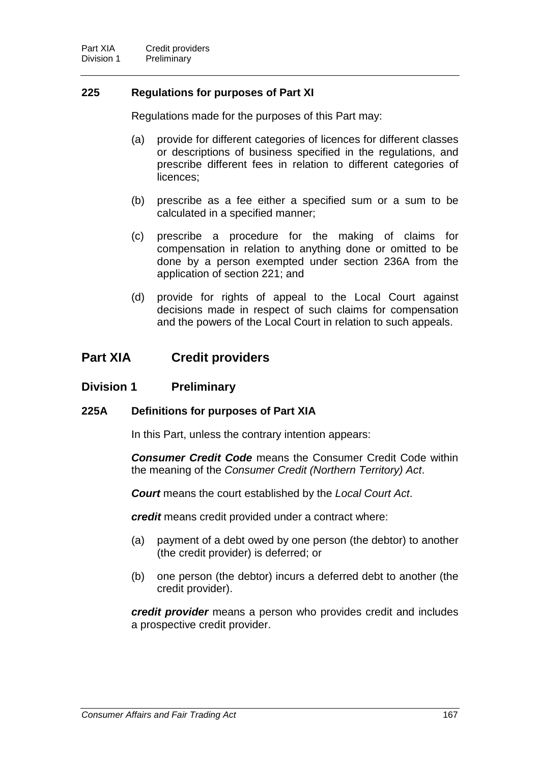### **225 Regulations for purposes of Part XI**

Regulations made for the purposes of this Part may:

- (a) provide for different categories of licences for different classes or descriptions of business specified in the regulations, and prescribe different fees in relation to different categories of licences;
- (b) prescribe as a fee either a specified sum or a sum to be calculated in a specified manner;
- (c) prescribe a procedure for the making of claims for compensation in relation to anything done or omitted to be done by a person exempted under section 236A from the application of section 221; and
- (d) provide for rights of appeal to the Local Court against decisions made in respect of such claims for compensation and the powers of the Local Court in relation to such appeals.

# **Part XIA Credit providers**

### **Division 1 Preliminary**

### **225A Definitions for purposes of Part XIA**

In this Part, unless the contrary intention appears:

*Consumer Credit Code* means the Consumer Credit Code within the meaning of the *Consumer Credit (Northern Territory) Act*.

*Court* means the court established by the *Local Court Act*.

*credit* means credit provided under a contract where:

- (a) payment of a debt owed by one person (the debtor) to another (the credit provider) is deferred; or
- (b) one person (the debtor) incurs a deferred debt to another (the credit provider).

*credit provider* means a person who provides credit and includes a prospective credit provider.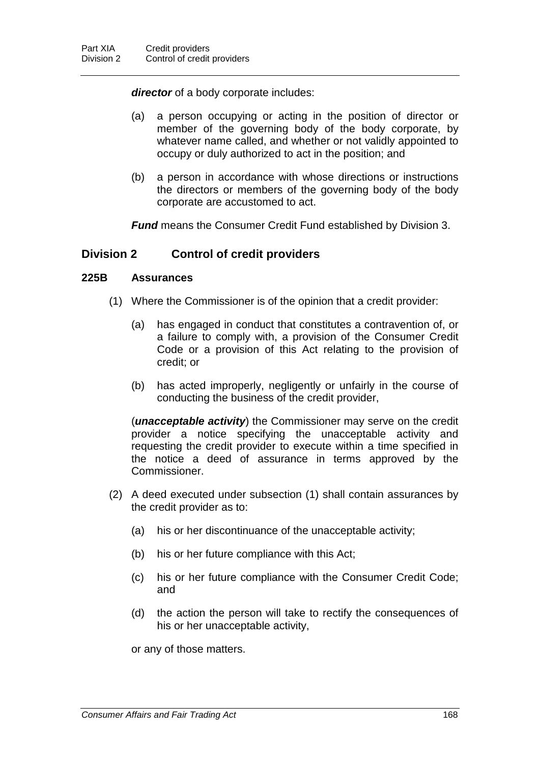*director* of a body corporate includes:

- (a) a person occupying or acting in the position of director or member of the governing body of the body corporate, by whatever name called, and whether or not validly appointed to occupy or duly authorized to act in the position; and
- (b) a person in accordance with whose directions or instructions the directors or members of the governing body of the body corporate are accustomed to act.

*Fund* means the Consumer Credit Fund established by Division 3.

## **Division 2 Control of credit providers**

### **225B Assurances**

- (1) Where the Commissioner is of the opinion that a credit provider:
	- (a) has engaged in conduct that constitutes a contravention of, or a failure to comply with, a provision of the Consumer Credit Code or a provision of this Act relating to the provision of credit; or
	- (b) has acted improperly, negligently or unfairly in the course of conducting the business of the credit provider,

(*unacceptable activity*) the Commissioner may serve on the credit provider a notice specifying the unacceptable activity and requesting the credit provider to execute within a time specified in the notice a deed of assurance in terms approved by the Commissioner.

- (2) A deed executed under subsection (1) shall contain assurances by the credit provider as to:
	- (a) his or her discontinuance of the unacceptable activity;
	- (b) his or her future compliance with this Act;
	- (c) his or her future compliance with the Consumer Credit Code; and
	- (d) the action the person will take to rectify the consequences of his or her unacceptable activity,

or any of those matters.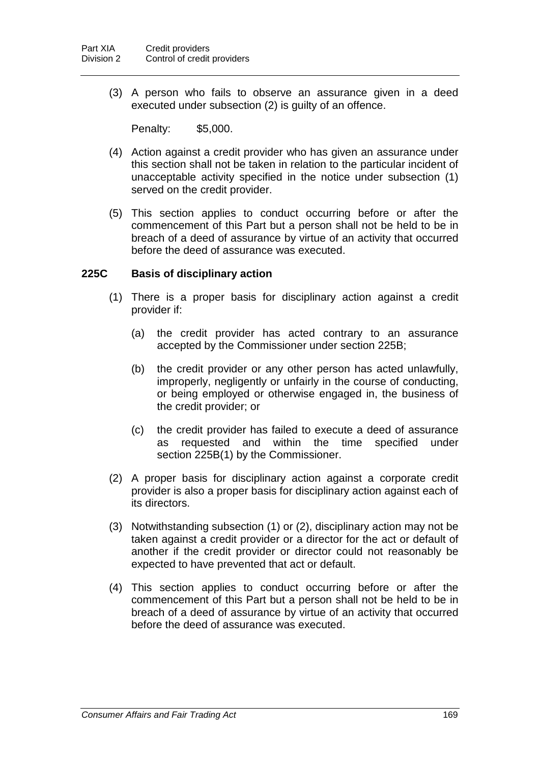(3) A person who fails to observe an assurance given in a deed executed under subsection (2) is guilty of an offence.

Penalty: \$5,000.

- (4) Action against a credit provider who has given an assurance under this section shall not be taken in relation to the particular incident of unacceptable activity specified in the notice under subsection (1) served on the credit provider.
- (5) This section applies to conduct occurring before or after the commencement of this Part but a person shall not be held to be in breach of a deed of assurance by virtue of an activity that occurred before the deed of assurance was executed.

### **225C Basis of disciplinary action**

- (1) There is a proper basis for disciplinary action against a credit provider if:
	- (a) the credit provider has acted contrary to an assurance accepted by the Commissioner under section 225B;
	- (b) the credit provider or any other person has acted unlawfully, improperly, negligently or unfairly in the course of conducting, or being employed or otherwise engaged in, the business of the credit provider; or
	- (c) the credit provider has failed to execute a deed of assurance as requested and within the time specified under section 225B(1) by the Commissioner.
- (2) A proper basis for disciplinary action against a corporate credit provider is also a proper basis for disciplinary action against each of its directors.
- (3) Notwithstanding subsection (1) or (2), disciplinary action may not be taken against a credit provider or a director for the act or default of another if the credit provider or director could not reasonably be expected to have prevented that act or default.
- (4) This section applies to conduct occurring before or after the commencement of this Part but a person shall not be held to be in breach of a deed of assurance by virtue of an activity that occurred before the deed of assurance was executed.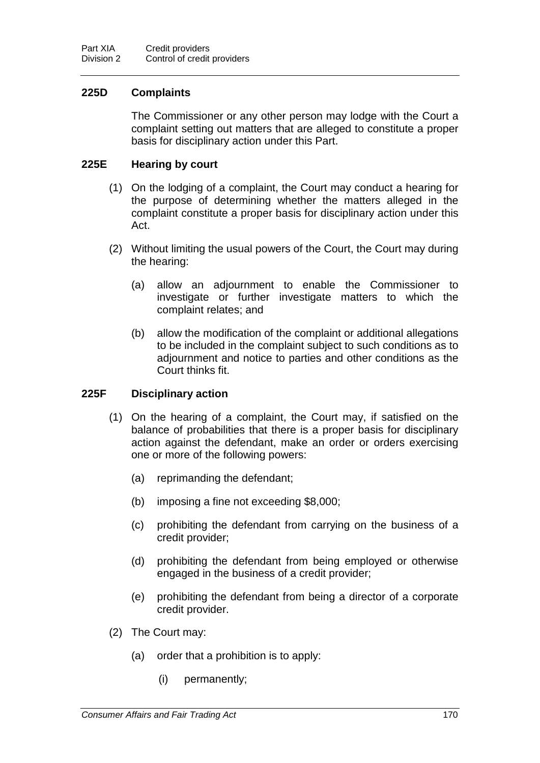### **225D Complaints**

The Commissioner or any other person may lodge with the Court a complaint setting out matters that are alleged to constitute a proper basis for disciplinary action under this Part.

### **225E Hearing by court**

- (1) On the lodging of a complaint, the Court may conduct a hearing for the purpose of determining whether the matters alleged in the complaint constitute a proper basis for disciplinary action under this Act.
- (2) Without limiting the usual powers of the Court, the Court may during the hearing:
	- (a) allow an adjournment to enable the Commissioner to investigate or further investigate matters to which the complaint relates; and
	- (b) allow the modification of the complaint or additional allegations to be included in the complaint subject to such conditions as to adjournment and notice to parties and other conditions as the Court thinks fit.

#### **225F Disciplinary action**

- (1) On the hearing of a complaint, the Court may, if satisfied on the balance of probabilities that there is a proper basis for disciplinary action against the defendant, make an order or orders exercising one or more of the following powers:
	- (a) reprimanding the defendant;
	- (b) imposing a fine not exceeding \$8,000;
	- (c) prohibiting the defendant from carrying on the business of a credit provider;
	- (d) prohibiting the defendant from being employed or otherwise engaged in the business of a credit provider;
	- (e) prohibiting the defendant from being a director of a corporate credit provider.
- (2) The Court may:
	- (a) order that a prohibition is to apply:
		- (i) permanently;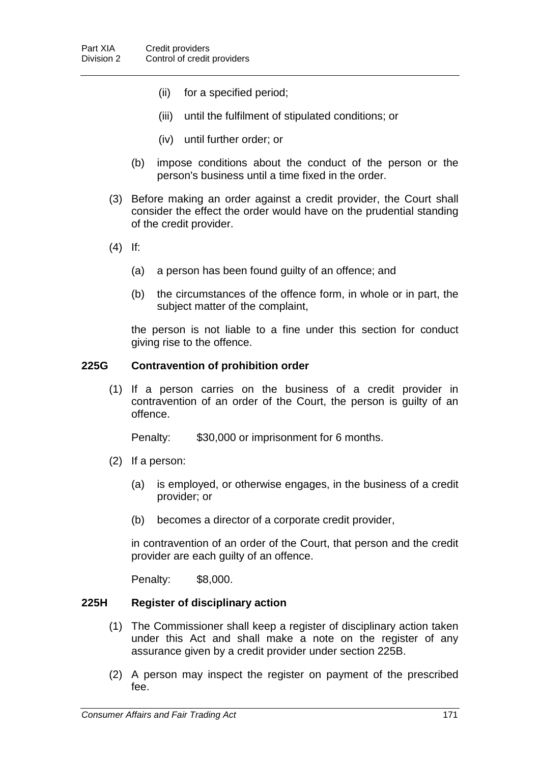- (ii) for a specified period;
- (iii) until the fulfilment of stipulated conditions; or
- (iv) until further order; or
- (b) impose conditions about the conduct of the person or the person's business until a time fixed in the order.
- (3) Before making an order against a credit provider, the Court shall consider the effect the order would have on the prudential standing of the credit provider.
- (4) If:
	- (a) a person has been found guilty of an offence; and
	- (b) the circumstances of the offence form, in whole or in part, the subject matter of the complaint,

the person is not liable to a fine under this section for conduct giving rise to the offence.

#### **225G Contravention of prohibition order**

(1) If a person carries on the business of a credit provider in contravention of an order of the Court, the person is guilty of an offence.

Penalty: \$30,000 or imprisonment for 6 months.

- (2) If a person:
	- (a) is employed, or otherwise engages, in the business of a credit provider; or
	- (b) becomes a director of a corporate credit provider,

in contravention of an order of the Court, that person and the credit provider are each guilty of an offence.

Penalty: \$8,000.

# **225H Register of disciplinary action**

- (1) The Commissioner shall keep a register of disciplinary action taken under this Act and shall make a note on the register of any assurance given by a credit provider under section 225B.
- (2) A person may inspect the register on payment of the prescribed fee.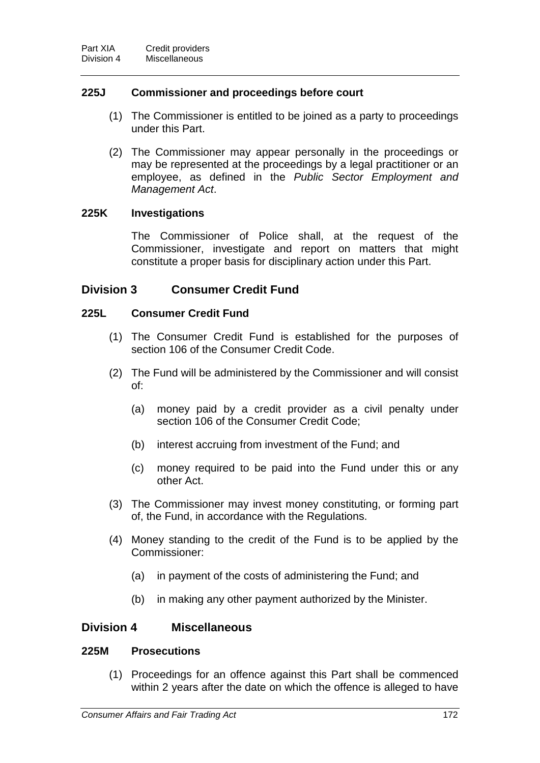# **225J Commissioner and proceedings before court**

- (1) The Commissioner is entitled to be joined as a party to proceedings under this Part.
- (2) The Commissioner may appear personally in the proceedings or may be represented at the proceedings by a legal practitioner or an employee, as defined in the *Public Sector Employment and Management Act*.

# **225K Investigations**

The Commissioner of Police shall, at the request of the Commissioner, investigate and report on matters that might constitute a proper basis for disciplinary action under this Part.

# **Division 3 Consumer Credit Fund**

# **225L Consumer Credit Fund**

- (1) The Consumer Credit Fund is established for the purposes of section 106 of the Consumer Credit Code.
- (2) The Fund will be administered by the Commissioner and will consist of:
	- (a) money paid by a credit provider as a civil penalty under section 106 of the Consumer Credit Code;
	- (b) interest accruing from investment of the Fund; and
	- (c) money required to be paid into the Fund under this or any other Act.
- (3) The Commissioner may invest money constituting, or forming part of, the Fund, in accordance with the Regulations.
- (4) Money standing to the credit of the Fund is to be applied by the Commissioner:
	- (a) in payment of the costs of administering the Fund; and
	- (b) in making any other payment authorized by the Minister.

# **Division 4 Miscellaneous**

# **225M Prosecutions**

(1) Proceedings for an offence against this Part shall be commenced within 2 years after the date on which the offence is alleged to have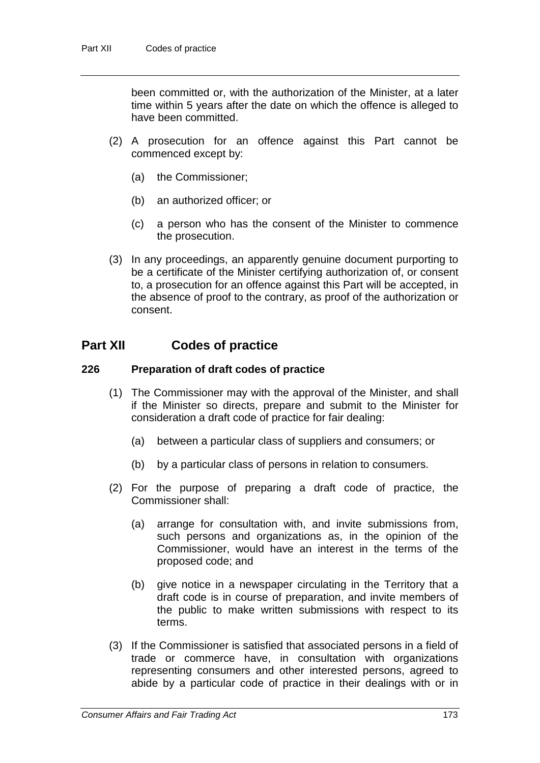been committed or, with the authorization of the Minister, at a later time within 5 years after the date on which the offence is alleged to have been committed.

- (2) A prosecution for an offence against this Part cannot be commenced except by:
	- (a) the Commissioner;
	- (b) an authorized officer; or
	- (c) a person who has the consent of the Minister to commence the prosecution.
- (3) In any proceedings, an apparently genuine document purporting to be a certificate of the Minister certifying authorization of, or consent to, a prosecution for an offence against this Part will be accepted, in the absence of proof to the contrary, as proof of the authorization or consent.

# **Part XII Codes of practice**

### **226 Preparation of draft codes of practice**

- (1) The Commissioner may with the approval of the Minister, and shall if the Minister so directs, prepare and submit to the Minister for consideration a draft code of practice for fair dealing:
	- (a) between a particular class of suppliers and consumers; or
	- (b) by a particular class of persons in relation to consumers.
- (2) For the purpose of preparing a draft code of practice, the Commissioner shall:
	- (a) arrange for consultation with, and invite submissions from, such persons and organizations as, in the opinion of the Commissioner, would have an interest in the terms of the proposed code; and
	- (b) give notice in a newspaper circulating in the Territory that a draft code is in course of preparation, and invite members of the public to make written submissions with respect to its terms.
- (3) If the Commissioner is satisfied that associated persons in a field of trade or commerce have, in consultation with organizations representing consumers and other interested persons, agreed to abide by a particular code of practice in their dealings with or in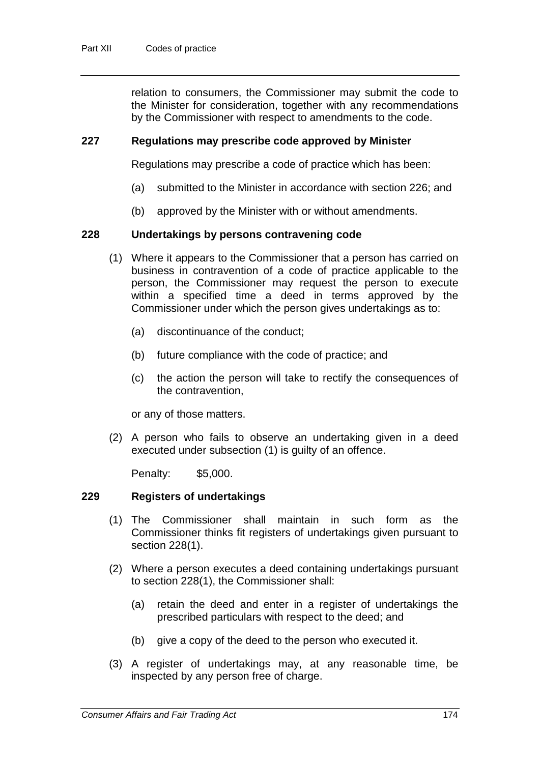relation to consumers, the Commissioner may submit the code to the Minister for consideration, together with any recommendations by the Commissioner with respect to amendments to the code.

### **227 Regulations may prescribe code approved by Minister**

Regulations may prescribe a code of practice which has been:

- (a) submitted to the Minister in accordance with section 226; and
- (b) approved by the Minister with or without amendments.

### **228 Undertakings by persons contravening code**

- (1) Where it appears to the Commissioner that a person has carried on business in contravention of a code of practice applicable to the person, the Commissioner may request the person to execute within a specified time a deed in terms approved by the Commissioner under which the person gives undertakings as to:
	- (a) discontinuance of the conduct;
	- (b) future compliance with the code of practice; and
	- (c) the action the person will take to rectify the consequences of the contravention,

or any of those matters.

(2) A person who fails to observe an undertaking given in a deed executed under subsection (1) is guilty of an offence.

Penalty: \$5,000.

#### **229 Registers of undertakings**

- (1) The Commissioner shall maintain in such form as the Commissioner thinks fit registers of undertakings given pursuant to section 228(1).
- (2) Where a person executes a deed containing undertakings pursuant to section 228(1), the Commissioner shall:
	- (a) retain the deed and enter in a register of undertakings the prescribed particulars with respect to the deed; and
	- (b) give a copy of the deed to the person who executed it.
- (3) A register of undertakings may, at any reasonable time, be inspected by any person free of charge.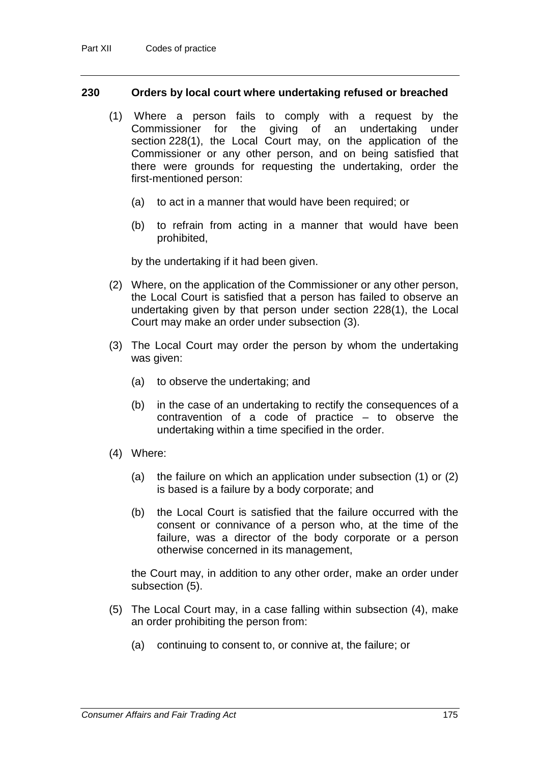#### **230 Orders by local court where undertaking refused or breached**

- (1) Where a person fails to comply with a request by the Commissioner for the giving of an undertaking under section 228(1), the Local Court may, on the application of the Commissioner or any other person, and on being satisfied that there were grounds for requesting the undertaking, order the first-mentioned person:
	- (a) to act in a manner that would have been required; or
	- (b) to refrain from acting in a manner that would have been prohibited,

by the undertaking if it had been given.

- (2) Where, on the application of the Commissioner or any other person, the Local Court is satisfied that a person has failed to observe an undertaking given by that person under section 228(1), the Local Court may make an order under subsection (3).
- (3) The Local Court may order the person by whom the undertaking was given:
	- (a) to observe the undertaking; and
	- (b) in the case of an undertaking to rectify the consequences of a contravention of a code of practice – to observe the undertaking within a time specified in the order.
- (4) Where:
	- (a) the failure on which an application under subsection (1) or (2) is based is a failure by a body corporate; and
	- (b) the Local Court is satisfied that the failure occurred with the consent or connivance of a person who, at the time of the failure, was a director of the body corporate or a person otherwise concerned in its management,

the Court may, in addition to any other order, make an order under subsection (5).

- (5) The Local Court may, in a case falling within subsection (4), make an order prohibiting the person from:
	- (a) continuing to consent to, or connive at, the failure; or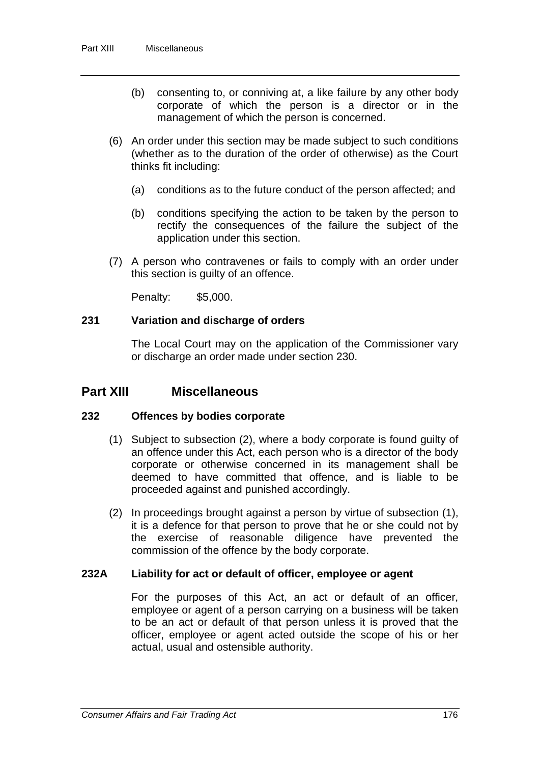- (b) consenting to, or conniving at, a like failure by any other body corporate of which the person is a director or in the management of which the person is concerned.
- (6) An order under this section may be made subject to such conditions (whether as to the duration of the order of otherwise) as the Court thinks fit including:
	- (a) conditions as to the future conduct of the person affected; and
	- (b) conditions specifying the action to be taken by the person to rectify the consequences of the failure the subject of the application under this section.
- (7) A person who contravenes or fails to comply with an order under this section is guilty of an offence.

Penalty: \$5,000.

# **231 Variation and discharge of orders**

The Local Court may on the application of the Commissioner vary or discharge an order made under section 230.

# **Part XIII Miscellaneous**

# **232 Offences by bodies corporate**

- (1) Subject to subsection (2), where a body corporate is found guilty of an offence under this Act, each person who is a director of the body corporate or otherwise concerned in its management shall be deemed to have committed that offence, and is liable to be proceeded against and punished accordingly.
- (2) In proceedings brought against a person by virtue of subsection (1), it is a defence for that person to prove that he or she could not by the exercise of reasonable diligence have prevented the commission of the offence by the body corporate.

# **232A Liability for act or default of officer, employee or agent**

For the purposes of this Act, an act or default of an officer, employee or agent of a person carrying on a business will be taken to be an act or default of that person unless it is proved that the officer, employee or agent acted outside the scope of his or her actual, usual and ostensible authority.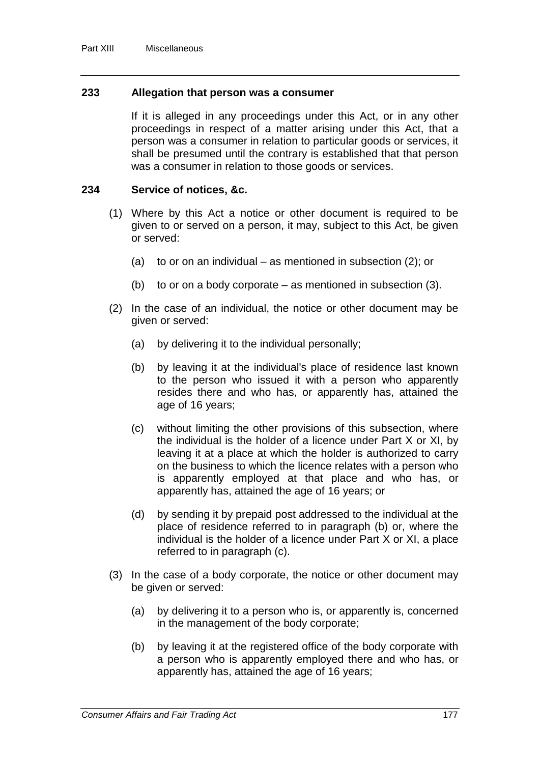## **233 Allegation that person was a consumer**

If it is alleged in any proceedings under this Act, or in any other proceedings in respect of a matter arising under this Act, that a person was a consumer in relation to particular goods or services, it shall be presumed until the contrary is established that that person was a consumer in relation to those goods or services.

## **234 Service of notices, &c.**

- (1) Where by this Act a notice or other document is required to be given to or served on a person, it may, subject to this Act, be given or served:
	- (a) to or on an individual as mentioned in subsection  $(2)$ ; or
	- (b) to or on a body corporate as mentioned in subsection (3).
- (2) In the case of an individual, the notice or other document may be given or served:
	- (a) by delivering it to the individual personally;
	- (b) by leaving it at the individual's place of residence last known to the person who issued it with a person who apparently resides there and who has, or apparently has, attained the age of 16 years;
	- (c) without limiting the other provisions of this subsection, where the individual is the holder of a licence under Part X or XI, by leaving it at a place at which the holder is authorized to carry on the business to which the licence relates with a person who is apparently employed at that place and who has, or apparently has, attained the age of 16 years; or
	- (d) by sending it by prepaid post addressed to the individual at the place of residence referred to in paragraph (b) or, where the individual is the holder of a licence under Part X or XI, a place referred to in paragraph (c).
- (3) In the case of a body corporate, the notice or other document may be given or served:
	- (a) by delivering it to a person who is, or apparently is, concerned in the management of the body corporate;
	- (b) by leaving it at the registered office of the body corporate with a person who is apparently employed there and who has, or apparently has, attained the age of 16 years;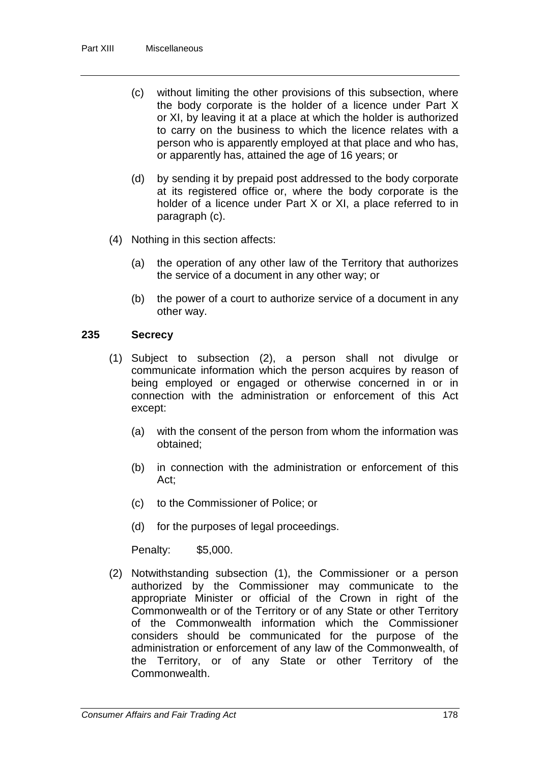- (c) without limiting the other provisions of this subsection, where the body corporate is the holder of a licence under Part X or XI, by leaving it at a place at which the holder is authorized to carry on the business to which the licence relates with a person who is apparently employed at that place and who has, or apparently has, attained the age of 16 years; or
- (d) by sending it by prepaid post addressed to the body corporate at its registered office or, where the body corporate is the holder of a licence under Part X or XI, a place referred to in paragraph (c).
- (4) Nothing in this section affects:
	- (a) the operation of any other law of the Territory that authorizes the service of a document in any other way; or
	- (b) the power of a court to authorize service of a document in any other way.

# **235 Secrecy**

- (1) Subject to subsection (2), a person shall not divulge or communicate information which the person acquires by reason of being employed or engaged or otherwise concerned in or in connection with the administration or enforcement of this Act except:
	- (a) with the consent of the person from whom the information was obtained;
	- (b) in connection with the administration or enforcement of this Act;
	- (c) to the Commissioner of Police; or
	- (d) for the purposes of legal proceedings.

Penalty: \$5,000.

(2) Notwithstanding subsection (1), the Commissioner or a person authorized by the Commissioner may communicate to the appropriate Minister or official of the Crown in right of the Commonwealth or of the Territory or of any State or other Territory of the Commonwealth information which the Commissioner considers should be communicated for the purpose of the administration or enforcement of any law of the Commonwealth, of the Territory, or of any State or other Territory of the Commonwealth.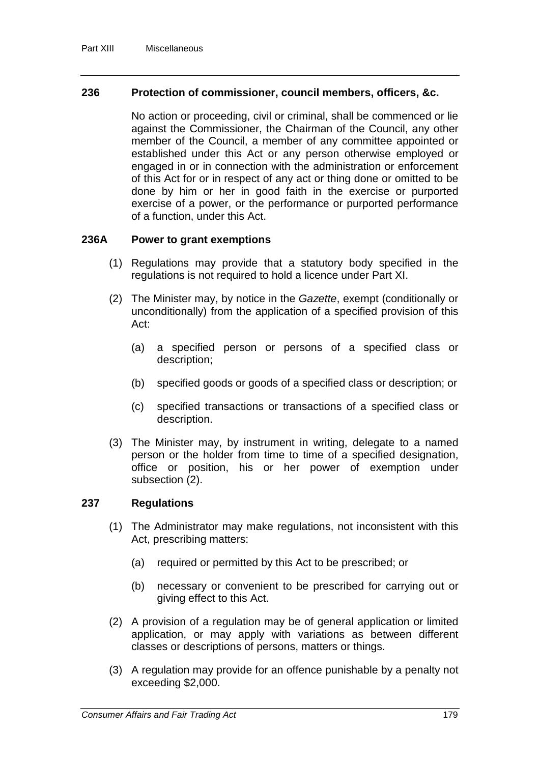## **236 Protection of commissioner, council members, officers, &c.**

No action or proceeding, civil or criminal, shall be commenced or lie against the Commissioner, the Chairman of the Council, any other member of the Council, a member of any committee appointed or established under this Act or any person otherwise employed or engaged in or in connection with the administration or enforcement of this Act for or in respect of any act or thing done or omitted to be done by him or her in good faith in the exercise or purported exercise of a power, or the performance or purported performance of a function, under this Act.

### **236A Power to grant exemptions**

- (1) Regulations may provide that a statutory body specified in the regulations is not required to hold a licence under Part XI.
- (2) The Minister may, by notice in the *Gazette*, exempt (conditionally or unconditionally) from the application of a specified provision of this Act:
	- (a) a specified person or persons of a specified class or description;
	- (b) specified goods or goods of a specified class or description; or
	- (c) specified transactions or transactions of a specified class or description.
- (3) The Minister may, by instrument in writing, delegate to a named person or the holder from time to time of a specified designation, office or position, his or her power of exemption under subsection (2).

#### **237 Regulations**

- (1) The Administrator may make regulations, not inconsistent with this Act, prescribing matters:
	- (a) required or permitted by this Act to be prescribed; or
	- (b) necessary or convenient to be prescribed for carrying out or giving effect to this Act.
- (2) A provision of a regulation may be of general application or limited application, or may apply with variations as between different classes or descriptions of persons, matters or things.
- (3) A regulation may provide for an offence punishable by a penalty not exceeding \$2,000.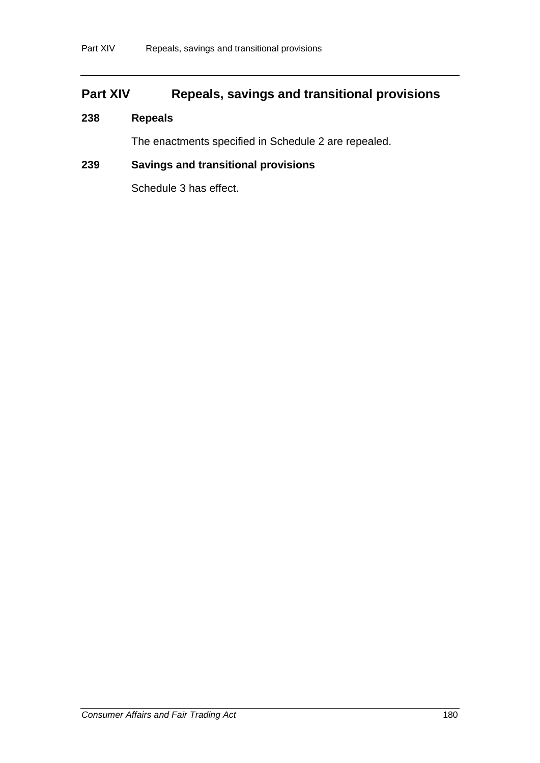# **Part XIV Repeals, savings and transitional provisions**

# **238 Repeals**

The enactments specified in Schedule 2 are repealed.

# **239 Savings and transitional provisions**

Schedule 3 has effect.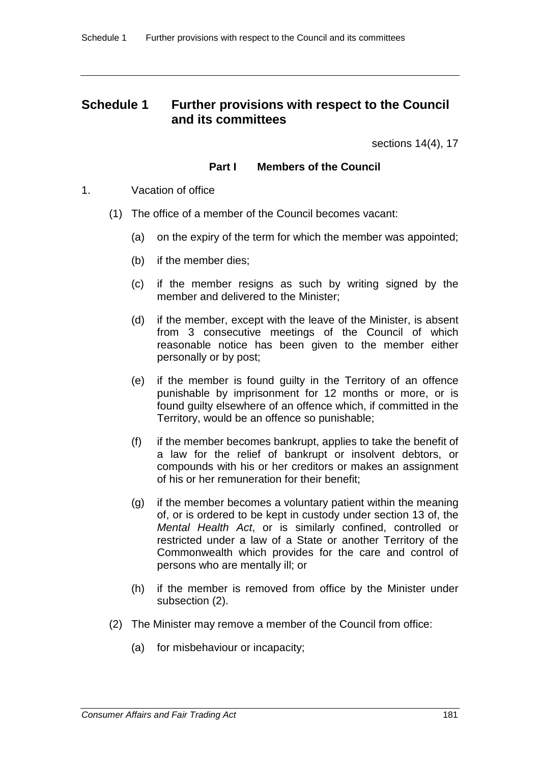# **Schedule 1 Further provisions with respect to the Council and its committees**

sections 14(4), 17

# **Part I Members of the Council**

- 1. Vacation of office
	- (1) The office of a member of the Council becomes vacant:
		- (a) on the expiry of the term for which the member was appointed;
		- (b) if the member dies;
		- (c) if the member resigns as such by writing signed by the member and delivered to the Minister;
		- (d) if the member, except with the leave of the Minister, is absent from 3 consecutive meetings of the Council of which reasonable notice has been given to the member either personally or by post;
		- (e) if the member is found guilty in the Territory of an offence punishable by imprisonment for 12 months or more, or is found guilty elsewhere of an offence which, if committed in the Territory, would be an offence so punishable;
		- (f) if the member becomes bankrupt, applies to take the benefit of a law for the relief of bankrupt or insolvent debtors, or compounds with his or her creditors or makes an assignment of his or her remuneration for their benefit;
		- (g) if the member becomes a voluntary patient within the meaning of, or is ordered to be kept in custody under section 13 of, the *Mental Health Act*, or is similarly confined, controlled or restricted under a law of a State or another Territory of the Commonwealth which provides for the care and control of persons who are mentally ill; or
		- (h) if the member is removed from office by the Minister under subsection (2).
	- (2) The Minister may remove a member of the Council from office:
		- (a) for misbehaviour or incapacity;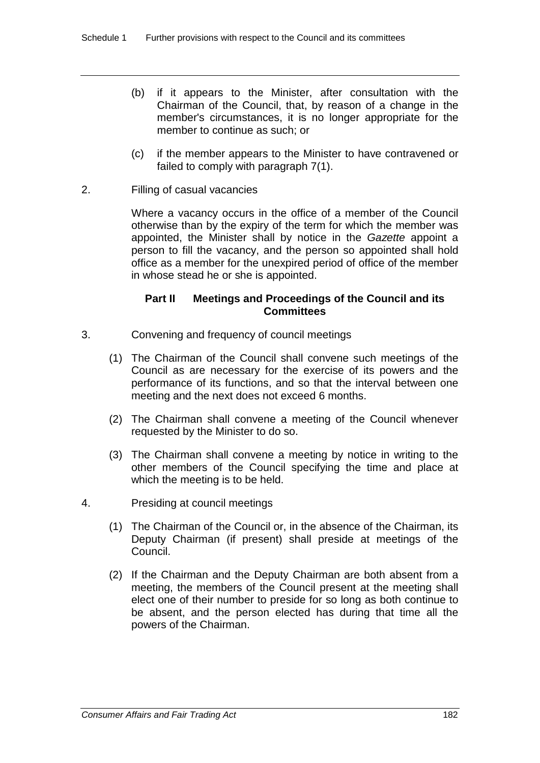- (b) if it appears to the Minister, after consultation with the Chairman of the Council, that, by reason of a change in the member's circumstances, it is no longer appropriate for the member to continue as such; or
- (c) if the member appears to the Minister to have contravened or failed to comply with paragraph 7(1).
- 2. Filling of casual vacancies

Where a vacancy occurs in the office of a member of the Council otherwise than by the expiry of the term for which the member was appointed, the Minister shall by notice in the *Gazette* appoint a person to fill the vacancy, and the person so appointed shall hold office as a member for the unexpired period of office of the member in whose stead he or she is appointed.

# **Part II Meetings and Proceedings of the Council and its Committees**

- 3. Convening and frequency of council meetings
	- (1) The Chairman of the Council shall convene such meetings of the Council as are necessary for the exercise of its powers and the performance of its functions, and so that the interval between one meeting and the next does not exceed 6 months.
	- (2) The Chairman shall convene a meeting of the Council whenever requested by the Minister to do so.
	- (3) The Chairman shall convene a meeting by notice in writing to the other members of the Council specifying the time and place at which the meeting is to be held.
- 4. Presiding at council meetings
	- (1) The Chairman of the Council or, in the absence of the Chairman, its Deputy Chairman (if present) shall preside at meetings of the Council.
	- (2) If the Chairman and the Deputy Chairman are both absent from a meeting, the members of the Council present at the meeting shall elect one of their number to preside for so long as both continue to be absent, and the person elected has during that time all the powers of the Chairman.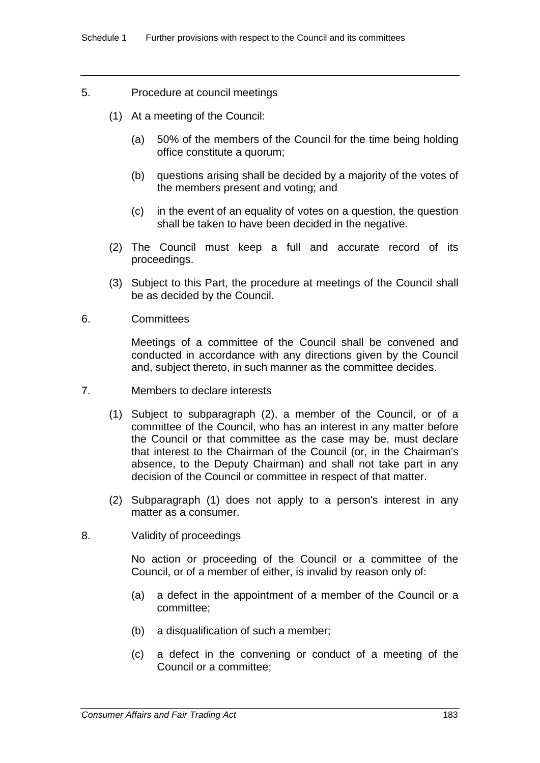- 5. Procedure at council meetings
	- (1) At a meeting of the Council:
		- (a) 50% of the members of the Council for the time being holding office constitute a quorum;
		- (b) questions arising shall be decided by a majority of the votes of the members present and voting; and
		- (c) in the event of an equality of votes on a question, the question shall be taken to have been decided in the negative.
	- (2) The Council must keep a full and accurate record of its proceedings.
	- (3) Subject to this Part, the procedure at meetings of the Council shall be as decided by the Council.
- 6. Committees

Meetings of a committee of the Council shall be convened and conducted in accordance with any directions given by the Council and, subject thereto, in such manner as the committee decides.

- 7. Members to declare interests
	- (1) Subject to subparagraph (2), a member of the Council, or of a committee of the Council, who has an interest in any matter before the Council or that committee as the case may be, must declare that interest to the Chairman of the Council (or, in the Chairman's absence, to the Deputy Chairman) and shall not take part in any decision of the Council or committee in respect of that matter.
	- (2) Subparagraph (1) does not apply to a person's interest in any matter as a consumer.
- 8. Validity of proceedings

No action or proceeding of the Council or a committee of the Council, or of a member of either, is invalid by reason only of:

- (a) a defect in the appointment of a member of the Council or a committee;
- (b) a disqualification of such a member;
- (c) a defect in the convening or conduct of a meeting of the Council or a committee;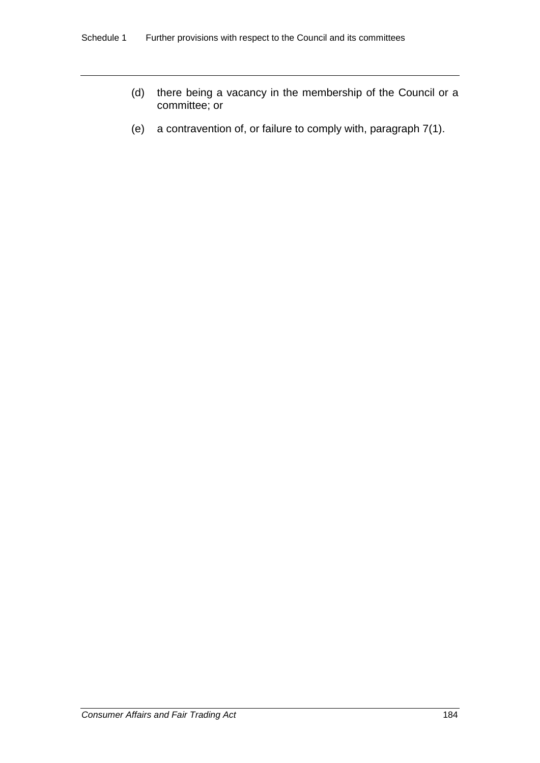- (d) there being a vacancy in the membership of the Council or a committee; or
- (e) a contravention of, or failure to comply with, paragraph 7(1).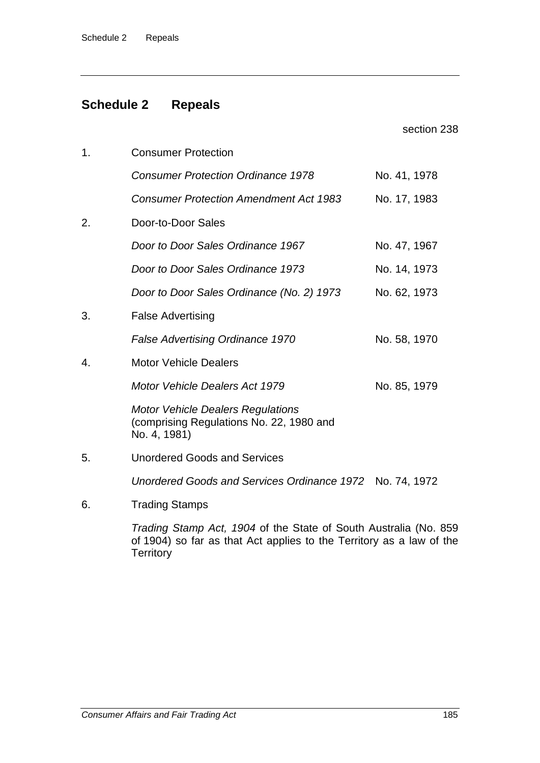# **Schedule 2 Repeals**

|    |                                                                                                      | section 238  |
|----|------------------------------------------------------------------------------------------------------|--------------|
| 1. | <b>Consumer Protection</b>                                                                           |              |
|    | <b>Consumer Protection Ordinance 1978</b>                                                            | No. 41, 1978 |
|    | <b>Consumer Protection Amendment Act 1983</b>                                                        | No. 17, 1983 |
| 2. | Door-to-Door Sales                                                                                   |              |
|    | Door to Door Sales Ordinance 1967                                                                    | No. 47, 1967 |
|    | Door to Door Sales Ordinance 1973                                                                    | No. 14, 1973 |
|    | Door to Door Sales Ordinance (No. 2) 1973                                                            | No. 62, 1973 |
| 3. | <b>False Advertising</b>                                                                             |              |
|    | <b>False Advertising Ordinance 1970</b>                                                              | No. 58, 1970 |
| 4. | <b>Motor Vehicle Dealers</b>                                                                         |              |
|    | <b>Motor Vehicle Dealers Act 1979</b>                                                                | No. 85, 1979 |
|    | <b>Motor Vehicle Dealers Regulations</b><br>(comprising Regulations No. 22, 1980 and<br>No. 4, 1981) |              |
| 5. | <b>Unordered Goods and Services</b>                                                                  |              |
|    | Unordered Goods and Services Ordinance 1972 No. 74, 1972                                             |              |
| 6. | <b>Trading Stamps</b>                                                                                |              |
|    | Trading Stamp Act, 1904 of the State of South Australia (No. 859                                     |              |

*Trading Stamp Act, 1904* of the State of South Australia (No. 859 of 1904) so far as that Act applies to the Territory as a law of the **Territory**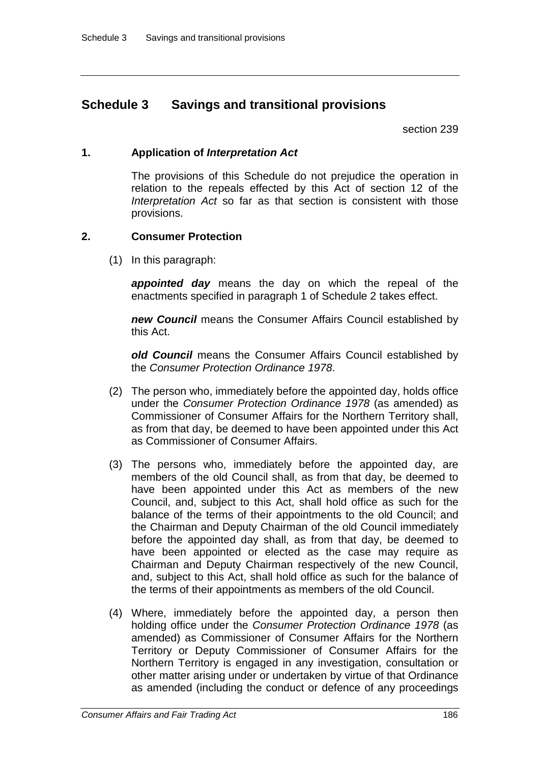# **Schedule 3 Savings and transitional provisions**

section 239

# **1. Application of** *Interpretation Act*

The provisions of this Schedule do not prejudice the operation in relation to the repeals effected by this Act of section 12 of the *Interpretation Act* so far as that section is consistent with those provisions.

# **2. Consumer Protection**

(1) In this paragraph:

*appointed day* means the day on which the repeal of the enactments specified in paragraph 1 of Schedule 2 takes effect.

*new Council* means the Consumer Affairs Council established by this Act.

*old Council* means the Consumer Affairs Council established by the *Consumer Protection Ordinance 1978*.

- (2) The person who, immediately before the appointed day, holds office under the *Consumer Protection Ordinance 1978* (as amended) as Commissioner of Consumer Affairs for the Northern Territory shall, as from that day, be deemed to have been appointed under this Act as Commissioner of Consumer Affairs.
- (3) The persons who, immediately before the appointed day, are members of the old Council shall, as from that day, be deemed to have been appointed under this Act as members of the new Council, and, subject to this Act, shall hold office as such for the balance of the terms of their appointments to the old Council; and the Chairman and Deputy Chairman of the old Council immediately before the appointed day shall, as from that day, be deemed to have been appointed or elected as the case may require as Chairman and Deputy Chairman respectively of the new Council, and, subject to this Act, shall hold office as such for the balance of the terms of their appointments as members of the old Council.
- (4) Where, immediately before the appointed day, a person then holding office under the *Consumer Protection Ordinance 1978* (as amended) as Commissioner of Consumer Affairs for the Northern Territory or Deputy Commissioner of Consumer Affairs for the Northern Territory is engaged in any investigation, consultation or other matter arising under or undertaken by virtue of that Ordinance as amended (including the conduct or defence of any proceedings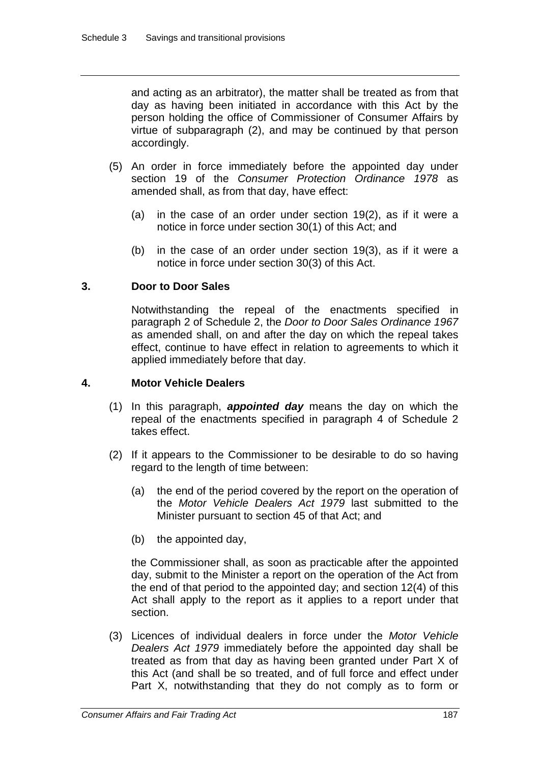and acting as an arbitrator), the matter shall be treated as from that day as having been initiated in accordance with this Act by the person holding the office of Commissioner of Consumer Affairs by virtue of subparagraph (2), and may be continued by that person accordingly.

- (5) An order in force immediately before the appointed day under section 19 of the *Consumer Protection Ordinance 1978* as amended shall, as from that day, have effect:
	- (a) in the case of an order under section 19(2), as if it were a notice in force under section 30(1) of this Act; and
	- (b) in the case of an order under section 19(3), as if it were a notice in force under section 30(3) of this Act.

# **3. Door to Door Sales**

Notwithstanding the repeal of the enactments specified in paragraph 2 of Schedule 2, the *Door to Door Sales Ordinance 1967* as amended shall, on and after the day on which the repeal takes effect, continue to have effect in relation to agreements to which it applied immediately before that day.

# **4. Motor Vehicle Dealers**

- (1) In this paragraph, *appointed day* means the day on which the repeal of the enactments specified in paragraph 4 of Schedule 2 takes effect.
- (2) If it appears to the Commissioner to be desirable to do so having regard to the length of time between:
	- (a) the end of the period covered by the report on the operation of the *Motor Vehicle Dealers Act 1979* last submitted to the Minister pursuant to section 45 of that Act; and
	- (b) the appointed day,

the Commissioner shall, as soon as practicable after the appointed day, submit to the Minister a report on the operation of the Act from the end of that period to the appointed day; and section 12(4) of this Act shall apply to the report as it applies to a report under that section.

(3) Licences of individual dealers in force under the *Motor Vehicle Dealers Act 1979* immediately before the appointed day shall be treated as from that day as having been granted under Part X of this Act (and shall be so treated, and of full force and effect under Part X, notwithstanding that they do not comply as to form or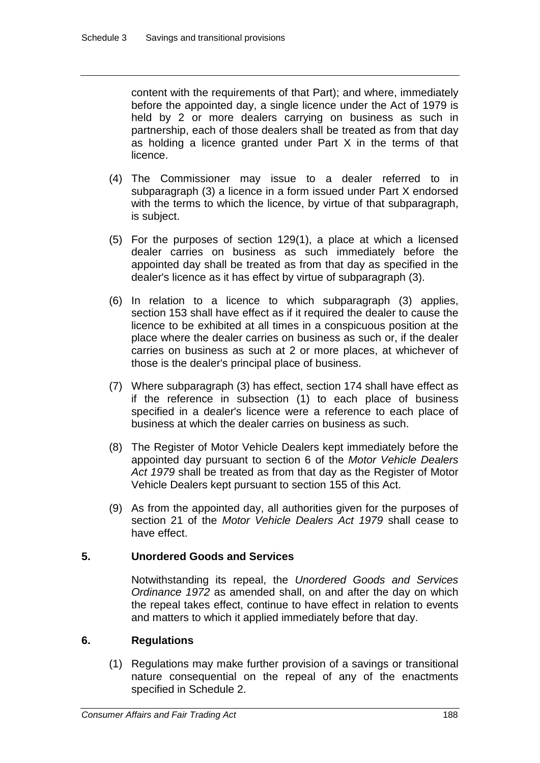content with the requirements of that Part); and where, immediately before the appointed day, a single licence under the Act of 1979 is held by 2 or more dealers carrying on business as such in partnership, each of those dealers shall be treated as from that day as holding a licence granted under Part X in the terms of that licence.

- (4) The Commissioner may issue to a dealer referred to in subparagraph (3) a licence in a form issued under Part X endorsed with the terms to which the licence, by virtue of that subparagraph, is subject.
- (5) For the purposes of section 129(1), a place at which a licensed dealer carries on business as such immediately before the appointed day shall be treated as from that day as specified in the dealer's licence as it has effect by virtue of subparagraph (3).
- (6) In relation to a licence to which subparagraph (3) applies, section 153 shall have effect as if it required the dealer to cause the licence to be exhibited at all times in a conspicuous position at the place where the dealer carries on business as such or, if the dealer carries on business as such at 2 or more places, at whichever of those is the dealer's principal place of business.
- (7) Where subparagraph (3) has effect, section 174 shall have effect as if the reference in subsection (1) to each place of business specified in a dealer's licence were a reference to each place of business at which the dealer carries on business as such.
- (8) The Register of Motor Vehicle Dealers kept immediately before the appointed day pursuant to section 6 of the *Motor Vehicle Dealers Act 1979* shall be treated as from that day as the Register of Motor Vehicle Dealers kept pursuant to section 155 of this Act.
- (9) As from the appointed day, all authorities given for the purposes of section 21 of the *Motor Vehicle Dealers Act 1979* shall cease to have effect.

# **5. Unordered Goods and Services**

Notwithstanding its repeal, the *Unordered Goods and Services Ordinance 1972* as amended shall, on and after the day on which the repeal takes effect, continue to have effect in relation to events and matters to which it applied immediately before that day.

# **6. Regulations**

(1) Regulations may make further provision of a savings or transitional nature consequential on the repeal of any of the enactments specified in Schedule 2.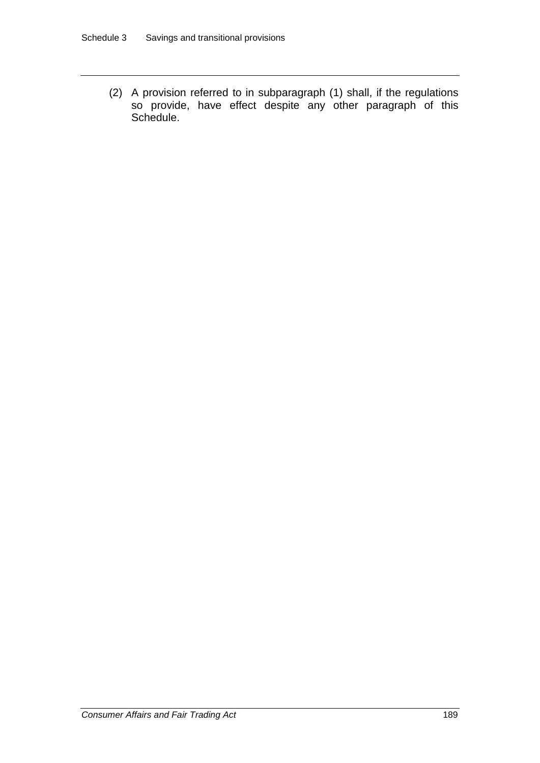(2) A provision referred to in subparagraph (1) shall, if the regulations so provide, have effect despite any other paragraph of this Schedule.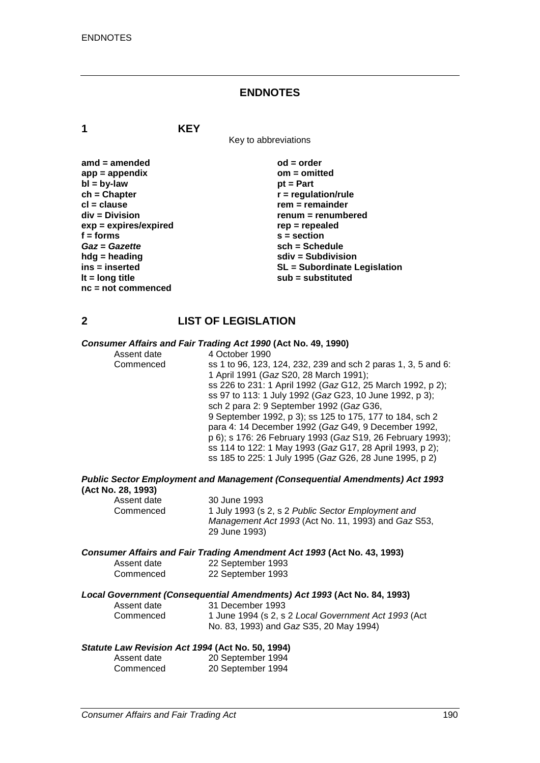#### **ENDNOTES**

**1 KEY**

Key to abbreviations

| $amd = amended$       |
|-----------------------|
| $app = appendix$      |
| $bl = by-law$         |
| $ch = Chapter$        |
| cl = clause           |
| div = Division        |
| exp = expires/expired |
| $f =$ forms           |
| Gaz = Gazette         |
| hdg = heading         |
| ins = inserted        |
| It = $long$ title     |
| nc = not commenced    |

**ad = order app = appendix om = omitted** *pt* **= Part**  $\mathbf{r}$  = regulation/rule **cl = clause rem = remainder div = Division renum = renumbered exp = expires/expired rep = repealed f = forms s = section** *Gaz* **=** *Gazette* **sch = Schedule hdg = heading sdiv = Subdivision ins = inserted SL = Subordinate Legislation lt = long title sub = substituted**

# **2 LIST OF LEGISLATION**

# *Consumer Affairs and Fair Trading Act 1990* **(Act No. 49, 1990)**

Assent date 4 October 1990<br>Commenced ss 1 to 96, 123. ss 1 to 96, 123, 124, 232, 239 and sch 2 paras 1, 3, 5 and 6: 1 April 1991 (*Gaz* S20, 28 March 1991); ss 226 to 231: 1 April 1992 (*Gaz* G12, 25 March 1992, p 2); ss 97 to 113: 1 July 1992 (*Gaz* G23, 10 June 1992, p 3); sch 2 para 2: 9 September 1992 (*Gaz* G36, 9 September 1992, p 3); ss 125 to 175, 177 to 184, sch 2 para 4: 14 December 1992 (*Gaz* G49, 9 December 1992, p 6); s 176: 26 February 1993 (*Gaz* S19, 26 February 1993); ss 114 to 122: 1 May 1993 (*Gaz* G17, 28 April 1993, p 2); ss 185 to 225: 1 July 1995 (*Gaz* G26, 28 June 1995, p 2)

*Public Sector Employment and Management (Consequential Amendments) Act 1993* **(Act No. 28, 1993)**

| Assent date | 30 June 1993                                        |
|-------------|-----------------------------------------------------|
| Commenced   | 1 July 1993 (s 2, s 2 Public Sector Employment and  |
|             | Management Act 1993 (Act No. 11, 1993) and Gaz S53, |
|             | 29 June 1993)                                       |

*Consumer Affairs and Fair Trading Amendment Act 1993* **(Act No. 43, 1993)**

| Assent date | 22 September 1993 |
|-------------|-------------------|
| Commenced   | 22 September 1993 |

#### *Local Government (Consequential Amendments) Act 1993* **(Act No. 84, 1993)**

| Assent date | 31 December 1993                                     |
|-------------|------------------------------------------------------|
| Commenced   | 1 June 1994 (s 2, s 2 Local Government Act 1993 (Act |
|             | No. 83, 1993) and <i>Gaz</i> S35, 20 May 1994)       |

#### *Statute Law Revision Act 1994* **(Act No. 50, 1994)**

| Assent date | 20 September 1994 |
|-------------|-------------------|
| Commenced   | 20 September 1994 |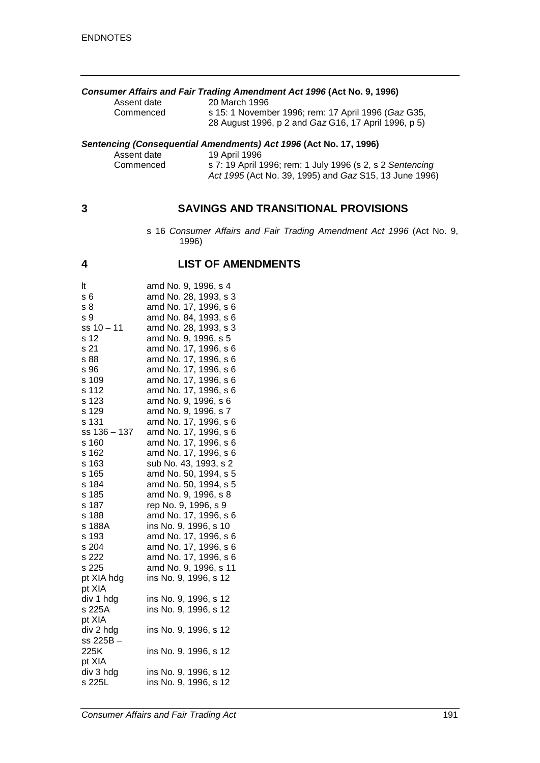| <b>Consumer Affairs and Fair Trading Amendment Act 1996 (Act No. 9, 1996)</b> |                                                             |  |
|-------------------------------------------------------------------------------|-------------------------------------------------------------|--|
| Assent date                                                                   | 20 March 1996                                               |  |
| Commenced                                                                     | s 15: 1 November 1996; rem: 17 April 1996 (Gaz G35,         |  |
|                                                                               | 28 August 1996, p 2 and <i>Gaz</i> G16, 17 April 1996, p 5) |  |

#### *Sentencing (Consequential Amendments) Act 1996* **(Act No. 17, 1996)**

| Assent date | 19 April 1996                                             |
|-------------|-----------------------------------------------------------|
| Commenced   | s 7: 19 April 1996; rem: 1 July 1996 (s 2, s 2 Sentencing |
|             | Act 1995 (Act No. 39, 1995) and Gaz S15, 13 June 1996)    |

# **3 SAVINGS AND TRANSITIONAL PROVISIONS**

s 16 *Consumer Affairs and Fair Trading Amendment Act 1996* (Act No. 9, 1996)

# **4 LIST OF AMENDMENTS**

| lt.            | amd No. 9, 1996, s 4                                                                             |
|----------------|--------------------------------------------------------------------------------------------------|
| s <sub>6</sub> |                                                                                                  |
| s <sub>8</sub> |                                                                                                  |
| s 9            |                                                                                                  |
| $ss 10 - 11$   | amd No. 28, 1993, s 3<br>amd No. 17, 1996, s 6<br>amd No. 84, 1993, s 6<br>amd No. 28, 1993, s 3 |
| s 12           | amd No. 9, 1996, s 5                                                                             |
| s 21           | amd No. 17, 1996, s 6                                                                            |
| s 88           | amd No. 17, 1996, s 6                                                                            |
| s 96           | amd No. 17, 1996, s 6                                                                            |
| s 109          | amd No. 17, 1996, s 6                                                                            |
| s 112          | amd No. 17, 1996, s 6                                                                            |
| s 123          | amd No. 9, 1996, s 6                                                                             |
| s 129          | amd No. 9, 1996, s 7                                                                             |
| s 131          |                                                                                                  |
| $ss 136 - 137$ | amd No. 17, 1996, s 6<br>amd No. 17, 1996, s 6<br>amd No. 17, 1996, s 6                          |
| s 160          |                                                                                                  |
| s 162          | amd No. 17, 1996, s 6                                                                            |
| s 163          | sub No. 43, 1993, s 2                                                                            |
| s 165          | amd No. 50, 1994, s 5                                                                            |
| s 184          | amd No. 50, 1994, s 5                                                                            |
| s 185          | amd No. 9, 1996, s 8                                                                             |
| s 187          | rep No. 9, 1996, s 9                                                                             |
| s 188          | amd No. 17, 1996, s 6                                                                            |
| s 188A         | ins No. 9, 1996, s 10                                                                            |
| s 193          | amd No. 17, 1996, s 6<br>amd No. 17, 1996, s 6<br>amd No. 17, 1996, s 6                          |
| s 204          |                                                                                                  |
| s 222          |                                                                                                  |
| s 225          | amd No. 9, 1996, s 11                                                                            |
| pt XIA hdg     | ins No. 9, 1996, s 12                                                                            |
| pt XIA         |                                                                                                  |
| div 1 hdg      | ins No. 9, 1996, s 12                                                                            |
| s 225A         | ins No. 9, 1996, s 12                                                                            |
| pt XIA         |                                                                                                  |
| div 2 hdg      | ins No. 9, 1996, s 12                                                                            |
| ss 225B-       |                                                                                                  |
| 225K           | ins No. 9, 1996, s 12                                                                            |
| pt XIA         |                                                                                                  |
| div 3 hdg      | ins No. 9, 1996, s 12<br>ins No. 9, 1996, s 12                                                   |
| s 225L         |                                                                                                  |